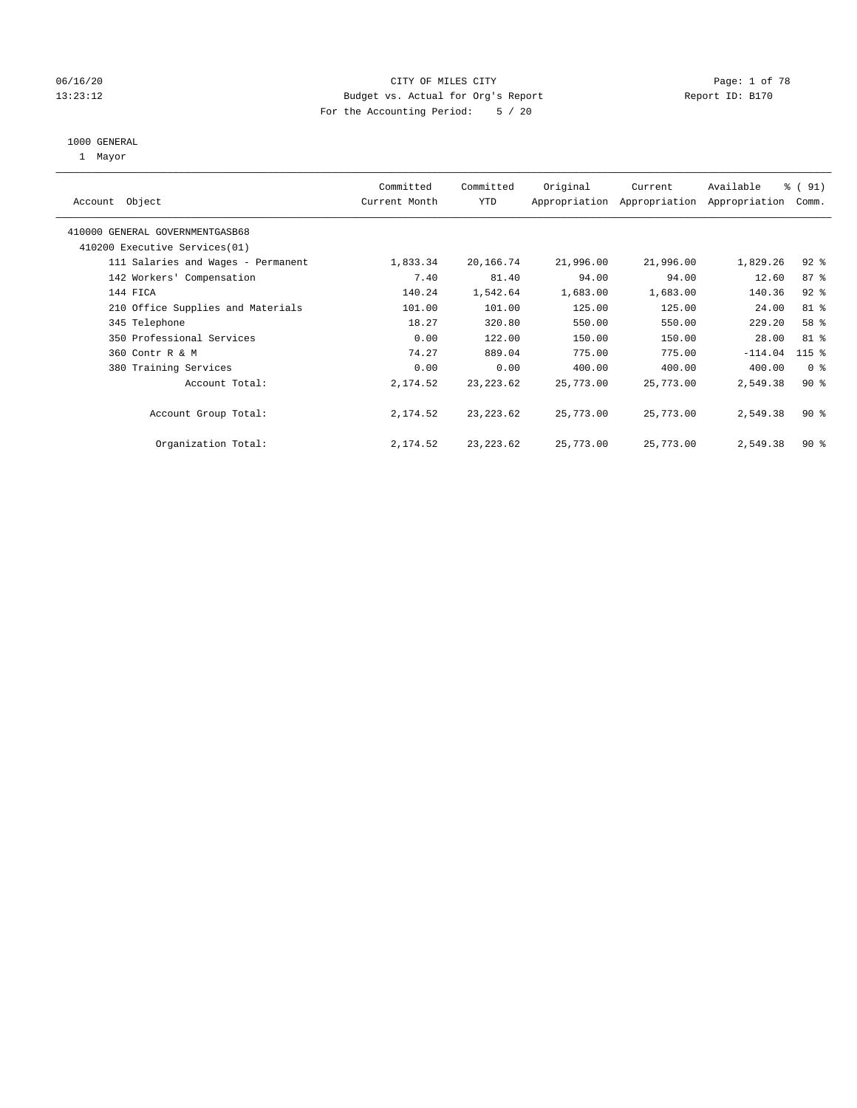#### 06/16/20 Page: 1 of 78 13:23:12 Budget vs. Actual for Org's Report Changer Report ID: B170 For the Accounting Period: 5 / 20

#### 1000 GENERAL

1 Mayor

|                                    | Committed     | Committed  | Original  | Current                     | Available     | % (91)         |
|------------------------------------|---------------|------------|-----------|-----------------------------|---------------|----------------|
| Object<br>Account                  | Current Month | <b>YTD</b> |           | Appropriation Appropriation | Appropriation | Comm.          |
| 410000 GENERAL GOVERNMENTGASB68    |               |            |           |                             |               |                |
| 410200 Executive Services (01)     |               |            |           |                             |               |                |
| 111 Salaries and Wages - Permanent | 1,833.34      | 20,166.74  | 21,996.00 | 21,996.00                   | 1,829.26      | $92$ $%$       |
| 142 Workers' Compensation          | 7.40          | 81.40      | 94.00     | 94.00                       | 12.60         | 87%            |
| 144 FICA                           | 140.24        | 1,542.64   | 1,683.00  | 1,683.00                    | 140.36        | $92$ $%$       |
| 210 Office Supplies and Materials  | 101.00        | 101.00     | 125.00    | 125.00                      | 24.00         | 81 %           |
| 345 Telephone                      | 18.27         | 320.80     | 550.00    | 550.00                      | 229.20        | 58 %           |
| 350 Professional Services          | 0.00          | 122.00     | 150.00    | 150.00                      | 28.00         | 81 %           |
| 360 Contr R & M                    | 74.27         | 889.04     | 775.00    | 775.00                      | $-114.04$     | $115$ %        |
| 380 Training Services              | 0.00          | 0.00       | 400.00    | 400.00                      | 400.00        | 0 <sup>8</sup> |
| Account Total:                     | 2,174.52      | 23, 223.62 | 25,773.00 | 25,773.00                   | 2,549.38      | $90*$          |
|                                    |               |            |           |                             |               |                |
| Account Group Total:               | 2,174.52      | 23, 223.62 | 25,773.00 | 25,773.00                   | 2,549.38      | $90*$          |
| Organization Total:                | 2,174.52      | 23, 223.62 | 25,773.00 | 25,773.00                   | 2,549.38      | $90*$          |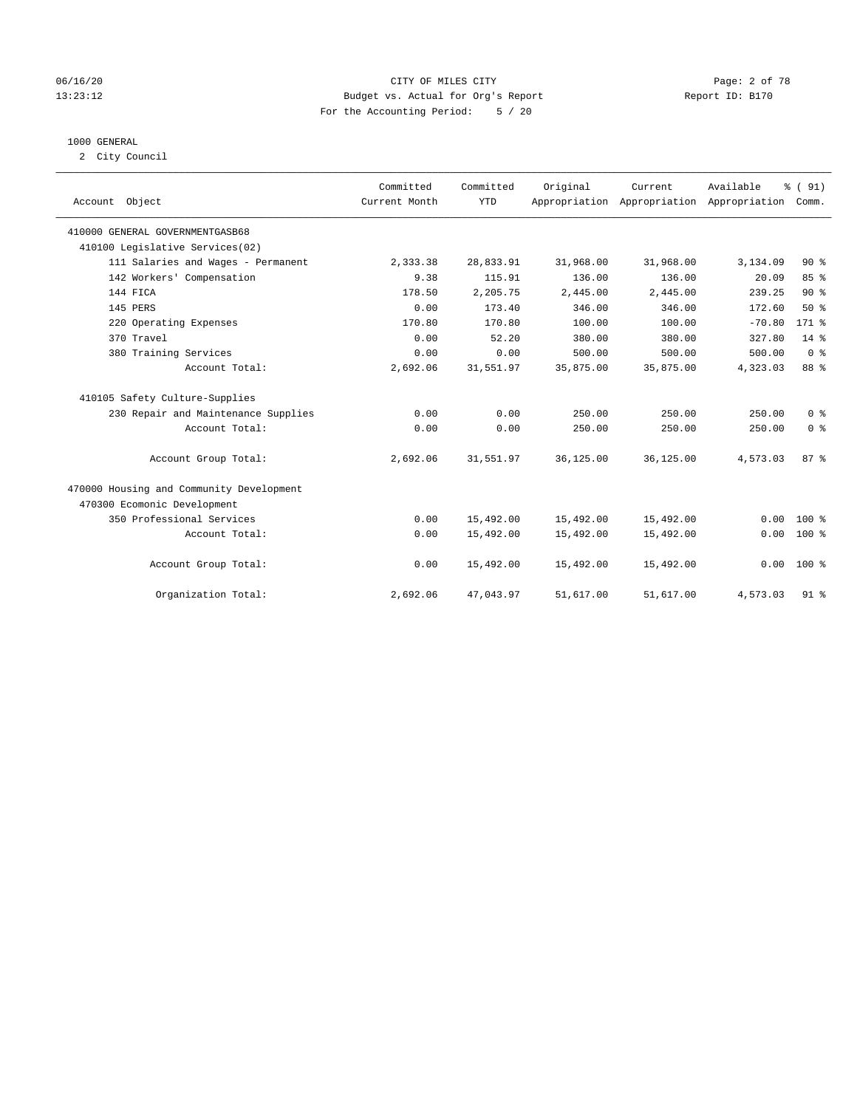#### 06/16/20 CITY OF MILES CITY Page: 2 of 78 13:23:12 Budget vs. Actual for Org's Report Changer Report ID: B170 For the Accounting Period: 5 / 20

### 1000 GENERAL

2 City Council

| Account Object                           | Committed<br>Current Month | Committed<br><b>YTD</b> | Original  | Current<br>Appropriation Appropriation Appropriation | Available | % (91)<br>Comm. |
|------------------------------------------|----------------------------|-------------------------|-----------|------------------------------------------------------|-----------|-----------------|
| 410000 GENERAL GOVERNMENTGASB68          |                            |                         |           |                                                      |           |                 |
| 410100 Legislative Services(02)          |                            |                         |           |                                                      |           |                 |
| 111 Salaries and Wages - Permanent       | 2,333.38                   | 28,833.91               | 31,968.00 | 31,968.00                                            | 3,134.09  | $90*$           |
| 142 Workers' Compensation                | 9.38                       | 115.91                  | 136.00    | 136.00                                               | 20.09     | 85 %            |
| 144 FICA                                 | 178.50                     | 2,205.75                | 2,445.00  | 2,445.00                                             | 239.25    | 90%             |
| 145 PERS                                 | 0.00                       | 173.40                  | 346.00    | 346.00                                               | 172.60    | 50%             |
| 220 Operating Expenses                   | 170.80                     | 170.80                  | 100.00    | 100.00                                               | $-70.80$  | $171$ %         |
| 370 Travel                               | 0.00                       | 52.20                   | 380.00    | 380.00                                               | 327.80    | $14*$           |
| 380 Training Services                    | 0.00                       | 0.00                    | 500.00    | 500.00                                               | 500.00    | 0 <sup>8</sup>  |
| Account Total:                           | 2,692.06                   | 31,551.97               | 35,875.00 | 35,875.00                                            | 4,323.03  | 88 %            |
| 410105 Safety Culture-Supplies           |                            |                         |           |                                                      |           |                 |
| 230 Repair and Maintenance Supplies      | 0.00                       | 0.00                    | 250.00    | 250.00                                               | 250.00    | 0 <sup>8</sup>  |
| Account Total:                           | 0.00                       | 0.00                    | 250.00    | 250.00                                               | 250.00    | 0 <sup>8</sup>  |
| Account Group Total:                     | 2,692.06                   | 31,551.97               | 36,125.00 | 36,125.00                                            | 4,573.03  | 87%             |
| 470000 Housing and Community Development |                            |                         |           |                                                      |           |                 |
| 470300 Ecomonic Development              |                            |                         |           |                                                      |           |                 |
| 350 Professional Services                | 0.00                       | 15,492.00               | 15,492.00 | 15,492.00                                            | 0.00      | $100*$          |
| Account Total:                           | 0.00                       | 15,492.00               | 15,492.00 | 15,492.00                                            | 0.00      | $100*$          |
| Account Group Total:                     | 0.00                       | 15,492.00               | 15,492.00 | 15,492.00                                            | 0.00      | $100*$          |
| Organization Total:                      | 2,692.06                   | 47,043.97               | 51,617.00 | 51,617.00                                            | 4,573.03  | $91$ %          |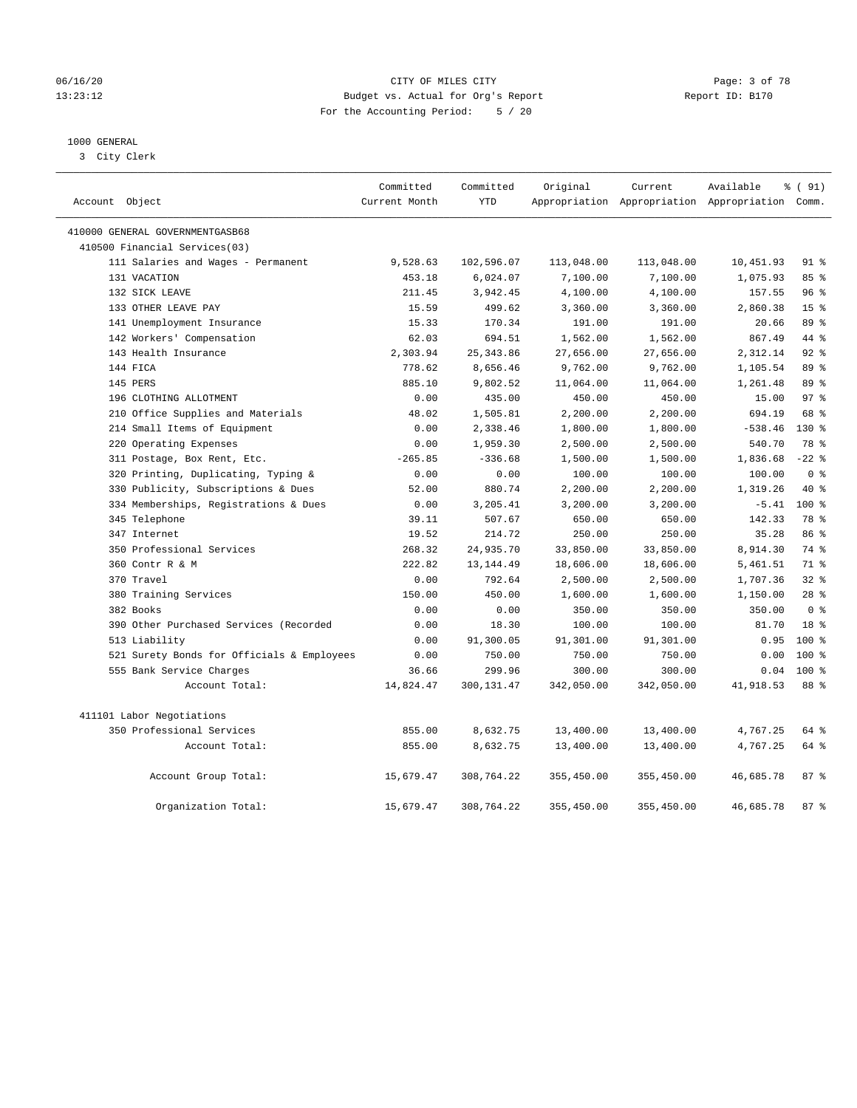#### 06/16/20 CITY OF MILES CITY Page: 3 of 78 13:23:12 Budget vs. Actual for Org's Report Changer Report ID: B170 For the Accounting Period: 5 / 20

#### 1000 GENERAL

3 City Clerk

| Account Object                             | Committed<br>Current Month | Committed<br><b>YTD</b> | Original   | Current    | Available<br>Appropriation Appropriation Appropriation Comm. | % (91)          |
|--------------------------------------------|----------------------------|-------------------------|------------|------------|--------------------------------------------------------------|-----------------|
| 410000 GENERAL GOVERNMENTGASB68            |                            |                         |            |            |                                                              |                 |
| 410500 Financial Services(03)              |                            |                         |            |            |                                                              |                 |
| 111 Salaries and Wages - Permanent         | 9,528.63                   | 102,596.07              | 113,048.00 | 113,048.00 | 10,451.93                                                    | $91$ %          |
| 131 VACATION                               | 453.18                     | 6,024.07                | 7,100.00   | 7,100.00   | 1,075.93                                                     | 85%             |
| 132 SICK LEAVE                             | 211.45                     | 3,942.45                | 4,100.00   | 4,100.00   | 157.55                                                       | 96%             |
| 133 OTHER LEAVE PAY                        | 15.59                      | 499.62                  | 3,360.00   | 3,360.00   | 2,860.38                                                     | 15 <sup>°</sup> |
| 141 Unemployment Insurance                 | 15.33                      | 170.34                  | 191.00     | 191.00     | 20.66                                                        | 89 %            |
| 142 Workers' Compensation                  | 62.03                      | 694.51                  | 1,562.00   | 1,562.00   | 867.49                                                       | 44 %            |
| 143 Health Insurance                       | 2,303.94                   | 25, 343.86              | 27,656.00  | 27,656.00  | 2,312.14                                                     | $92$ $%$        |
| 144 FICA                                   | 778.62                     | 8,656.46                | 9,762.00   | 9,762.00   | 1,105.54                                                     | 89 %            |
| 145 PERS                                   | 885.10                     | 9,802.52                | 11,064.00  | 11,064.00  | 1,261.48                                                     | 89 %            |
| 196 CLOTHING ALLOTMENT                     | 0.00                       | 435.00                  | 450.00     | 450.00     | 15.00                                                        | 97 <sub>8</sub> |
| 210 Office Supplies and Materials          | 48.02                      | 1,505.81                | 2,200.00   | 2,200.00   | 694.19                                                       | 68 %            |
| 214 Small Items of Equipment               | 0.00                       | 2,338.46                | 1,800.00   | 1,800.00   | $-538.46$                                                    | 130 %           |
| 220 Operating Expenses                     | 0.00                       | 1,959.30                | 2,500.00   | 2,500.00   | 540.70                                                       | 78 %            |
| 311 Postage, Box Rent, Etc.                | $-265.85$                  | $-336.68$               | 1,500.00   | 1,500.00   | 1,836.68                                                     | $-22$ %         |
| 320 Printing, Duplicating, Typing &        | 0.00                       | 0.00                    | 100.00     | 100.00     | 100.00                                                       | 0 <sup>8</sup>  |
| 330 Publicity, Subscriptions & Dues        | 52.00                      | 880.74                  | 2,200.00   | 2,200.00   | 1,319.26                                                     | 40 %            |
| 334 Memberships, Registrations & Dues      | 0.00                       | 3,205.41                | 3,200.00   | 3,200.00   | $-5.41$                                                      | $100*$          |
| 345 Telephone                              | 39.11                      | 507.67                  | 650.00     | 650.00     | 142.33                                                       | 78 %            |
| 347 Internet                               | 19.52                      | 214.72                  | 250.00     | 250.00     | 35.28                                                        | 86 %            |
| 350 Professional Services                  | 268.32                     | 24,935.70               | 33,850.00  | 33,850.00  | 8,914.30                                                     | 74 %            |
| 360 Contr R & M                            | 222.82                     | 13, 144.49              | 18,606.00  | 18,606.00  | 5,461.51                                                     | 71 %            |
| 370 Travel                                 | 0.00                       | 792.64                  | 2,500.00   | 2,500.00   | 1,707.36                                                     | 32%             |
| 380 Training Services                      | 150.00                     | 450.00                  | 1,600.00   | 1,600.00   | 1,150.00                                                     | $28$ %          |
| 382 Books                                  | 0.00                       | 0.00                    | 350.00     | 350.00     | 350.00                                                       | 0 <sup>8</sup>  |
| 390 Other Purchased Services (Recorded     | 0.00                       | 18.30                   | 100.00     | 100.00     | 81.70                                                        | 18 <sup>8</sup> |
| 513 Liability                              | 0.00                       | 91,300.05               | 91,301.00  | 91,301.00  | 0.95                                                         | $100*$          |
| 521 Surety Bonds for Officials & Employees | 0.00                       | 750.00                  | 750.00     | 750.00     | 0.00                                                         | $100*$          |
| 555 Bank Service Charges                   | 36.66                      | 299.96                  | 300.00     | 300.00     | 0.04                                                         | $100*$          |
| Account Total:                             | 14,824.47                  | 300,131.47              | 342,050.00 | 342,050.00 | 41,918.53                                                    | 88 %            |
| 411101 Labor Negotiations                  |                            |                         |            |            |                                                              |                 |
| 350 Professional Services                  | 855.00                     | 8,632.75                | 13,400.00  | 13,400.00  | 4,767.25                                                     | 64 %            |
| Account Total:                             | 855.00                     | 8,632.75                | 13,400.00  | 13,400.00  | 4,767.25                                                     | 64 %            |
| Account Group Total:                       | 15,679.47                  | 308,764.22              | 355,450.00 | 355,450.00 | 46,685.78                                                    | 87%             |
| Organization Total:                        | 15,679.47                  | 308,764.22              | 355,450.00 | 355,450.00 | 46,685.78                                                    | 87%             |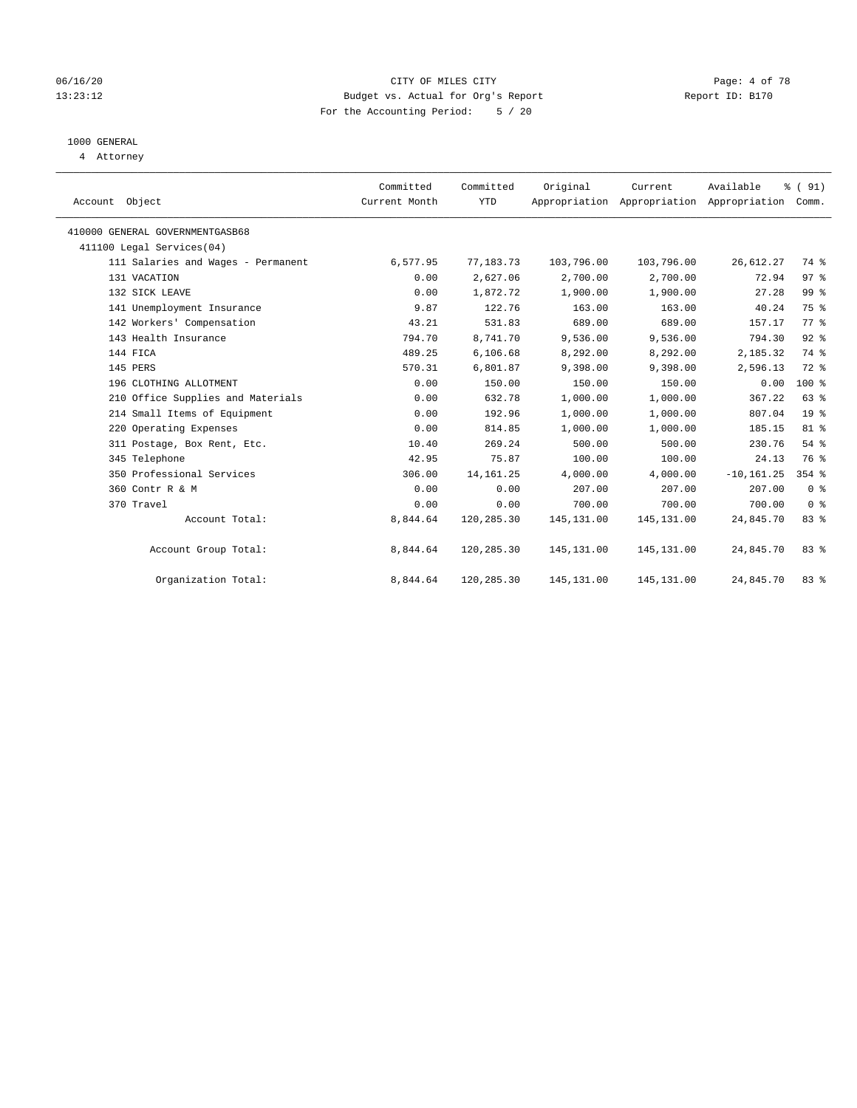#### 06/16/20 CITY OF MILES CITY Page: 4 of 78 13:23:12 Budget vs. Actual for Org's Report Changer Report ID: B170 For the Accounting Period: 5 / 20

# 1000 GENERAL

4 Attorney

| Account Object                  |                                    | Committed<br>Current Month | Committed<br><b>YTD</b> | Original    | Current     | Available<br>Appropriation Appropriation Appropriation | % (91)<br>Comm. |
|---------------------------------|------------------------------------|----------------------------|-------------------------|-------------|-------------|--------------------------------------------------------|-----------------|
| 410000 GENERAL GOVERNMENTGASB68 |                                    |                            |                         |             |             |                                                        |                 |
| 411100 Legal Services(04)       |                                    |                            |                         |             |             |                                                        |                 |
|                                 | 111 Salaries and Wages - Permanent | 6,577.95                   | 77,183.73               | 103,796.00  | 103,796.00  | 26,612.27                                              | 74 %            |
| 131 VACATION                    |                                    | 0.00                       | 2,627.06                | 2,700.00    | 2,700.00    | 72.94                                                  | 97%             |
| 132 SICK LEAVE                  |                                    | 0.00                       | 1,872.72                | 1,900.00    | 1,900.00    | 27.28                                                  | 99 %            |
|                                 | 141 Unemployment Insurance         | 9.87                       | 122.76                  | 163.00      | 163.00      | 40.24                                                  | 75 %            |
|                                 | 142 Workers' Compensation          | 43.21                      | 531.83                  | 689.00      | 689.00      | 157.17                                                 | 77.8            |
|                                 | 143 Health Insurance               | 794.70                     | 8,741.70                | 9,536.00    | 9,536.00    | 794.30                                                 | $92$ $%$        |
| 144 FICA                        |                                    | 489.25                     | 6, 106.68               | 8,292.00    | 8,292.00    | 2,185.32                                               | 74 %            |
| 145 PERS                        |                                    | 570.31                     | 6,801.87                | 9,398.00    | 9,398.00    | 2,596.13                                               | 72 %            |
|                                 | 196 CLOTHING ALLOTMENT             | 0.00                       | 150.00                  | 150.00      | 150.00      | 0.00                                                   | $100*$          |
|                                 | 210 Office Supplies and Materials  | 0.00                       | 632.78                  | 1,000.00    | 1,000.00    | 367.22                                                 | 63 %            |
|                                 | 214 Small Items of Equipment       | 0.00                       | 192.96                  | 1,000.00    | 1,000.00    | 807.04                                                 | 19 <sup>8</sup> |
|                                 | 220 Operating Expenses             | 0.00                       | 814.85                  | 1,000.00    | 1,000.00    | 185.15                                                 | 81 %            |
|                                 | 311 Postage, Box Rent, Etc.        | 10.40                      | 269.24                  | 500.00      | 500.00      | 230.76                                                 | 54 %            |
| 345 Telephone                   |                                    | 42.95                      | 75.87                   | 100.00      | 100.00      | 24.13                                                  | 76 %            |
|                                 | 350 Professional Services          | 306.00                     | 14, 161. 25             | 4,000.00    | 4,000.00    | $-10, 161.25$                                          | 354 %           |
| 360 Contr R & M                 |                                    | 0.00                       | 0.00                    | 207.00      | 207.00      | 207.00                                                 | 0 <sup>8</sup>  |
| 370 Travel                      |                                    | 0.00                       | 0.00                    | 700.00      | 700.00      | 700.00                                                 | 0 <sup>8</sup>  |
|                                 | Account Total:                     | 8,844.64                   | 120,285.30              | 145, 131.00 | 145, 131.00 | 24,845.70                                              | 83%             |
|                                 | Account Group Total:               | 8,844.64                   | 120,285.30              | 145, 131.00 | 145, 131.00 | 24,845.70                                              | 83%             |
|                                 | Organization Total:                | 8,844.64                   | 120,285.30              | 145,131.00  | 145,131.00  | 24,845.70                                              | 83 %            |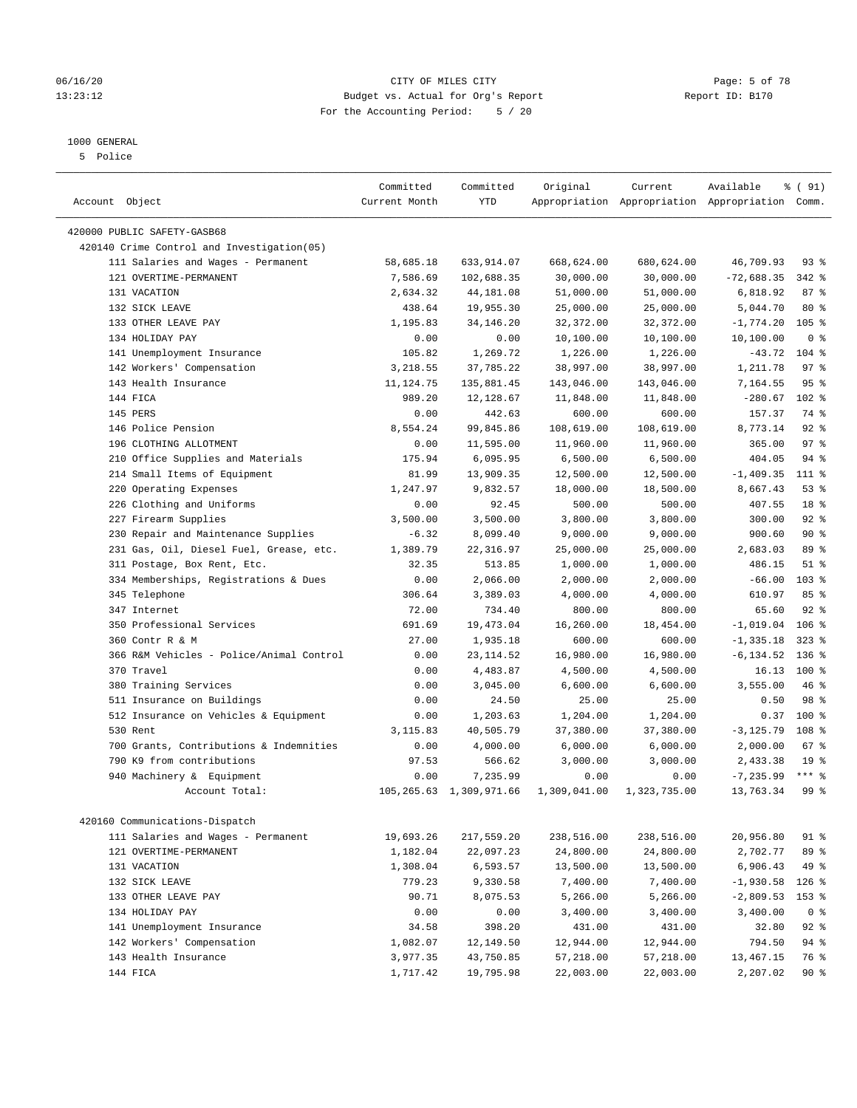#### 06/16/20 CITY OF MILES CITY Page: 5 of 78 13:23:12 Budget vs. Actual for Org's Report Report ID: B170 For the Accounting Period: 5 / 20

————————————————————————————————————————————————————————————————————————————————————————————————————————————————————————————————————

### 1000 GENERAL

5 Police

|                                            | Committed     | Committed                  | Original     | Current      | Available                                       | % ( 91)          |
|--------------------------------------------|---------------|----------------------------|--------------|--------------|-------------------------------------------------|------------------|
| Account Object                             | Current Month | <b>YTD</b>                 |              |              | Appropriation Appropriation Appropriation Comm. |                  |
| 420000 PUBLIC SAFETY-GASB68                |               |                            |              |              |                                                 |                  |
| 420140 Crime Control and Investigation(05) |               |                            |              |              |                                                 |                  |
| 111 Salaries and Wages - Permanent         | 58,685.18     | 633,914.07                 | 668,624.00   | 680,624.00   | 46,709.93                                       | $93$ $%$         |
| 121 OVERTIME-PERMANENT                     | 7,586.69      | 102,688.35                 | 30,000.00    | 30,000.00    | $-72,688.35$                                    | $342$ $%$        |
| 131 VACATION                               | 2,634.32      | 44,181.08                  | 51,000.00    | 51,000.00    | 6,818.92                                        | 87%              |
| 132 SICK LEAVE                             | 438.64        | 19,955.30                  | 25,000.00    | 25,000.00    | 5,044.70                                        | $80*$            |
| 133 OTHER LEAVE PAY                        | 1,195.83      | 34, 146. 20                | 32, 372.00   | 32, 372.00   | $-1,774.20$                                     | $105$ %          |
| 134 HOLIDAY PAY                            | 0.00          | 0.00                       | 10,100.00    | 10,100.00    | 10,100.00                                       | 0 <sup>8</sup>   |
| 141 Unemployment Insurance                 | 105.82        | 1,269.72                   | 1,226.00     | 1,226.00     | $-43.72$                                        | $104$ %          |
| 142 Workers' Compensation                  | 3,218.55      | 37,785.22                  | 38,997.00    | 38,997.00    | 1,211.78                                        | 97%              |
| 143 Health Insurance                       | 11, 124.75    | 135,881.45                 | 143,046.00   | 143,046.00   | 7,164.55                                        | 95%              |
| 144 FICA                                   | 989.20        | 12,128.67                  | 11,848.00    | 11,848.00    | $-280.67$                                       | $102$ %          |
| 145 PERS                                   | 0.00          | 442.63                     | 600.00       | 600.00       | 157.37                                          | 74 %             |
| 146 Police Pension                         | 8,554.24      | 99,845.86                  | 108,619.00   | 108,619.00   | 8,773.14                                        | $92$ %           |
| 196 CLOTHING ALLOTMENT                     | 0.00          | 11,595.00                  | 11,960.00    | 11,960.00    | 365.00                                          | 97%              |
| 210 Office Supplies and Materials          | 175.94        | 6,095.95                   | 6,500.00     | 6,500.00     | 404.05                                          | 94 %             |
| 214 Small Items of Equipment               | 81.99         | 13,909.35                  | 12,500.00    | 12,500.00    | $-1, 409.35$                                    | 111 %            |
| 220 Operating Expenses                     | 1,247.97      | 9,832.57                   | 18,000.00    | 18,500.00    | 8,667.43                                        | 53%              |
| 226 Clothing and Uniforms                  | 0.00          | 92.45                      | 500.00       | 500.00       | 407.55                                          | 18 %             |
| 227 Firearm Supplies                       | 3,500.00      | 3,500.00                   | 3,800.00     | 3,800.00     | 300.00                                          | $92$ %           |
| 230 Repair and Maintenance Supplies        | $-6.32$       | 8,099.40                   | 9,000.00     | 9,000.00     | 900.60                                          | 90%              |
| 231 Gas, Oil, Diesel Fuel, Grease, etc.    | 1,389.79      | 22, 316.97                 | 25,000.00    | 25,000.00    | 2,683.03                                        | 89 %             |
| 311 Postage, Box Rent, Etc.                | 32.35         | 513.85                     | 1,000.00     | 1,000.00     | 486.15                                          | $51$ %           |
| 334 Memberships, Registrations & Dues      | 0.00          | 2,066.00                   | 2,000.00     | 2,000.00     | $-66.00$                                        | 103 <sub>8</sub> |
| 345 Telephone                              | 306.64        | 3,389.03                   | 4,000.00     | 4,000.00     | 610.97                                          | 85%              |
| 347 Internet                               | 72.00         | 734.40                     | 800.00       | 800.00       | 65.60                                           | $92$ $%$         |
| 350 Professional Services                  | 691.69        | 19,473.04                  | 16,260.00    | 18,454.00    | $-1,019.04$ 106 %                               |                  |
| 360 Contr R & M                            | 27.00         | 1,935.18                   | 600.00       | 600.00       | $-1, 335.18$                                    | $323$ $%$        |
| 366 R&M Vehicles - Police/Animal Control   | 0.00          | 23, 114.52                 | 16,980.00    | 16,980.00    | $-6, 134.52$                                    | 136 %            |
| 370 Travel                                 | 0.00          | 4,483.87                   | 4,500.00     | 4,500.00     | 16.13                                           | $100*$           |
| 380 Training Services                      | 0.00          | 3,045.00                   | 6,600.00     | 6,600.00     | 3,555.00                                        | 46 %             |
| 511 Insurance on Buildings                 | 0.00          | 24.50                      | 25.00        | 25.00        | 0.50                                            | 98 %             |
| 512 Insurance on Vehicles & Equipment      | 0.00          | 1,203.63                   | 1,204.00     | 1,204.00     | 0.37                                            | 100 %            |
| 530 Rent                                   | 3,115.83      | 40,505.79                  | 37,380.00    | 37,380.00    | $-3, 125.79$                                    | 108 %            |
| 700 Grants, Contributions & Indemnities    | 0.00          | 4,000.00                   | 6,000.00     | 6,000.00     | 2,000.00                                        | 67%              |
| 790 K9 from contributions                  | 97.53         | 566.62                     | 3,000.00     | 3,000.00     | 2,433.38                                        | 19 <sup>°</sup>  |
| 940 Machinery & Equipment                  | 0.00          | 7,235.99                   | 0.00         | 0.00         | $-7, 235.99$                                    | $***$ $%$        |
| Account Total:                             |               | 105, 265.63 1, 309, 971.66 | 1,309,041.00 | 1,323,735.00 | 13,763.34                                       | 99 <sup>8</sup>  |
|                                            |               |                            |              |              |                                                 |                  |
| 420160 Communications-Dispatch             |               |                            |              |              |                                                 |                  |
| 111 Salaries and Wages - Permanent         | 19,693.26     | 217,559.20                 | 238,516.00   | 238,516.00   | 20,956.80                                       | 91 %             |
| 121 OVERTIME-PERMANENT                     | 1,182.04      | 22,097.23                  | 24,800.00    | 24,800.00    | 2,702.77                                        | 89 %             |
| 131 VACATION                               | 1,308.04      | 6,593.57                   | 13,500.00    | 13,500.00    | 6,906.43                                        | 49 %             |
| 132 SICK LEAVE                             | 779.23        | 9,330.58                   | 7,400.00     | 7,400.00     | $-1,930.58$                                     | $126$ %          |
| 133 OTHER LEAVE PAY                        | 90.71         | 8,075.53                   | 5,266.00     | 5,266.00     | $-2,809.53$                                     | 153 %            |
| 134 HOLIDAY PAY                            | 0.00          | 0.00                       | 3,400.00     | 3,400.00     | 3,400.00                                        | 0 <sup>8</sup>   |
| 141 Unemployment Insurance                 | 34.58         | 398.20                     | 431.00       | 431.00       | 32.80                                           | 92 %             |
| 142 Workers' Compensation                  | 1,082.07      | 12,149.50                  | 12,944.00    | 12,944.00    | 794.50                                          | 94 %             |
| 143 Health Insurance                       | 3,977.35      | 43,750.85                  | 57,218.00    | 57,218.00    | 13,467.15                                       | 76 %             |
| 144 FICA                                   | 1,717.42      | 19,795.98                  | 22,003.00    | 22,003.00    | 2,207.02                                        | 90%              |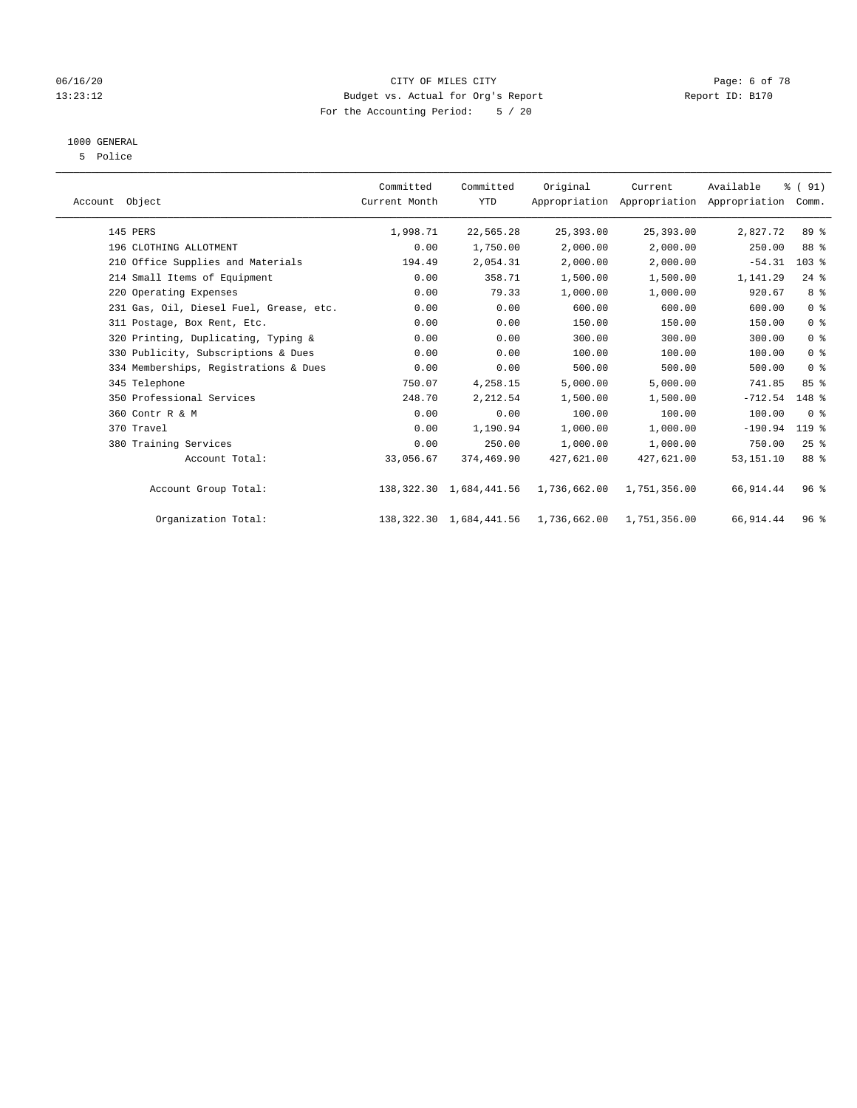#### 06/16/20 CITY OF MILES CITY Page: 6 of 78 13:23:12 Budget vs. Actual for Org's Report Changer Report ID: B170 For the Accounting Period: 5 / 20

## 1000 GENERAL

5 Police

| Account Object                          | Committed<br>Current Month | Committed<br><b>YTD</b>    | Original     | Current<br>Appropriation Appropriation Appropriation | Available   | % (91)<br>Comm. |  |
|-----------------------------------------|----------------------------|----------------------------|--------------|------------------------------------------------------|-------------|-----------------|--|
| 145 PERS                                | 1,998.71                   | 22,565.28                  | 25,393.00    | 25,393.00                                            | 2,827.72    | 89 %            |  |
| 196 CLOTHING ALLOTMENT                  | 0.00                       | 1,750.00                   | 2,000.00     | 2,000.00                                             | 250.00      | 88 %            |  |
| 210 Office Supplies and Materials       | 194.49                     | 2,054.31                   | 2,000.00     | 2,000.00                                             | $-54.31$    | $103$ %         |  |
| 214 Small Items of Equipment            | 0.00                       | 358.71                     | 1,500.00     | 1,500.00                                             | 1,141.29    | $24$ %          |  |
| 220 Operating Expenses                  | 0.00                       | 79.33                      | 1,000.00     | 1,000.00                                             | 920.67      | 8 %             |  |
| 231 Gas, Oil, Diesel Fuel, Grease, etc. | 0.00                       | 0.00                       | 600.00       | 600.00                                               | 600.00      | 0 <sup>8</sup>  |  |
| 311 Postage, Box Rent, Etc.             | 0.00                       | 0.00                       | 150.00       | 150.00                                               | 150.00      | 0 <sup>8</sup>  |  |
| 320 Printing, Duplicating, Typing &     | 0.00                       | 0.00                       | 300.00       | 300.00                                               | 300.00      | 0 <sup>8</sup>  |  |
| 330 Publicity, Subscriptions & Dues     | 0.00                       | 0.00                       | 100.00       | 100.00                                               | 100.00      | 0 <sup>8</sup>  |  |
| 334 Memberships, Registrations & Dues   | 0.00                       | 0.00                       | 500.00       | 500.00                                               | 500.00      | 0 <sup>8</sup>  |  |
| 345 Telephone                           | 750.07                     | 4,258.15                   | 5,000.00     | 5,000.00                                             | 741.85      | 85%             |  |
| 350 Professional Services               | 248.70                     | 2,212.54                   | 1,500.00     | 1,500.00                                             | $-712.54$   | 148 %           |  |
| 360 Contr R & M                         | 0.00                       | 0.00                       | 100.00       | 100.00                                               | 100.00      | 0 <sup>8</sup>  |  |
| 370 Travel                              | 0.00                       | 1,190.94                   | 1,000.00     | 1,000.00                                             | $-190.94$   | $119$ %         |  |
| 380 Training Services                   | 0.00                       | 250.00                     | 1,000.00     | 1,000.00                                             | 750.00      | $25$ %          |  |
| Account Total:                          | 33,056.67                  | 374,469.90                 | 427,621.00   | 427,621.00                                           | 53, 151. 10 | 88 %            |  |
| Account Group Total:                    |                            | 138, 322.30 1, 684, 441.56 | 1,736,662.00 | 1,751,356.00                                         | 66,914.44   | 96 <sup>8</sup> |  |
| Organization Total:                     |                            | 138, 322.30 1, 684, 441.56 | 1,736,662.00 | 1,751,356.00                                         | 66,914.44   | 96 <sup>8</sup> |  |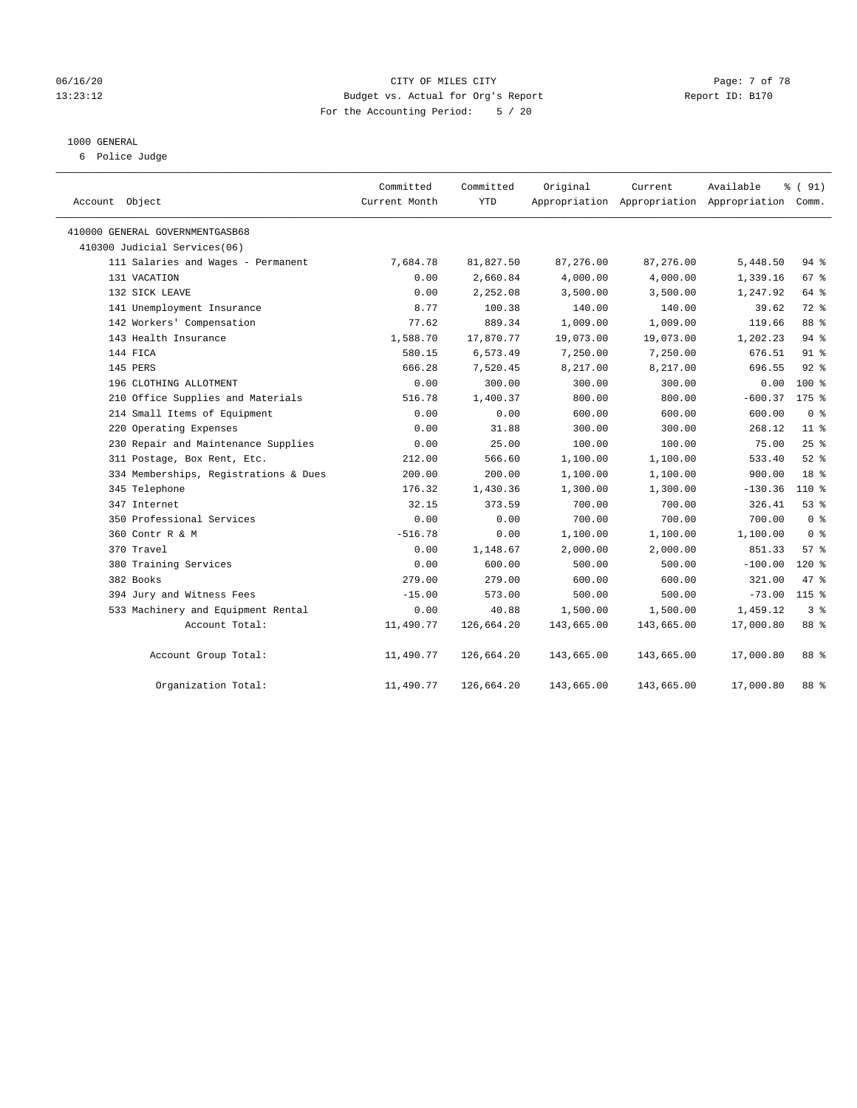#### 06/16/20 CITY OF MILES CITY Page: 7 of 78 13:23:12 Budget vs. Actual for Org's Report Changer Report ID: B170 For the Accounting Period: 5 / 20

#### 1000 GENERAL

6 Police Judge

| Account Object                        | Committed<br>Current Month | Committed<br>YTD | Original   | Current    | Available<br>Appropriation Appropriation Appropriation Comm. | % (91)          |
|---------------------------------------|----------------------------|------------------|------------|------------|--------------------------------------------------------------|-----------------|
| 410000 GENERAL GOVERNMENTGASB68       |                            |                  |            |            |                                                              |                 |
| 410300 Judicial Services(06)          |                            |                  |            |            |                                                              |                 |
| 111 Salaries and Wages - Permanent    | 7,684.78                   | 81,827.50        | 87,276.00  | 87,276.00  | 5,448.50                                                     | $94$ %          |
| 131 VACATION                          | 0.00                       | 2,660.84         | 4,000.00   | 4,000.00   | 1,339.16                                                     | 67%             |
| 132 SICK LEAVE                        | 0.00                       | 2,252.08         | 3,500.00   | 3,500.00   | 1,247.92                                                     | 64 %            |
| 141 Unemployment Insurance            | 8.77                       | 100.38           | 140.00     | 140.00     | 39.62                                                        | 72 %            |
| 142 Workers' Compensation             | 77.62                      | 889.34           | 1,009.00   | 1,009.00   | 119.66                                                       | 88 %            |
| 143 Health Insurance                  | 1,588.70                   | 17,870.77        | 19,073.00  | 19,073.00  | 1,202.23                                                     | 94%             |
| 144 FICA                              | 580.15                     | 6,573.49         | 7,250.00   | 7,250.00   | 676.51                                                       | $91$ %          |
| 145 PERS                              | 666.28                     | 7,520.45         | 8,217.00   | 8,217.00   | 696.55                                                       | 92%             |
| 196 CLOTHING ALLOTMENT                | 0.00                       | 300.00           | 300.00     | 300.00     | 0.00                                                         | $100*$          |
| 210 Office Supplies and Materials     | 516.78                     | 1,400.37         | 800.00     | 800.00     | $-600.37$                                                    | $175$ %         |
| 214 Small Items of Equipment          | 0.00                       | 0.00             | 600.00     | 600.00     | 600.00                                                       | 0 <sup>8</sup>  |
| 220 Operating Expenses                | 0.00                       | 31.88            | 300.00     | 300.00     | 268.12                                                       | $11$ %          |
| 230 Repair and Maintenance Supplies   | 0.00                       | 25.00            | 100.00     | 100.00     | 75.00                                                        | 25%             |
| 311 Postage, Box Rent, Etc.           | 212.00                     | 566.60           | 1,100.00   | 1,100.00   | 533.40                                                       | $52$ $%$        |
| 334 Memberships, Registrations & Dues | 200.00                     | 200.00           | 1,100.00   | 1,100.00   | 900.00                                                       | 18 <sup>8</sup> |
| 345 Telephone                         | 176.32                     | 1,430.36         | 1,300.00   | 1,300.00   | $-130.36$                                                    | 110 %           |
| 347 Internet                          | 32.15                      | 373.59           | 700.00     | 700.00     | 326.41                                                       | 53%             |
| 350 Professional Services             | 0.00                       | 0.00             | 700.00     | 700.00     | 700.00                                                       | 0 <sup>8</sup>  |
| 360 Contr R & M                       | $-516.78$                  | 0.00             | 1,100.00   | 1,100.00   | 1,100.00                                                     | 0 <sup>8</sup>  |
| 370 Travel                            | 0.00                       | 1,148.67         | 2,000.00   | 2,000.00   | 851.33                                                       | 57%             |
| 380 Training Services                 | 0.00                       | 600.00           | 500.00     | 500.00     | $-100.00$                                                    | $120*$          |
| 382 Books                             | 279.00                     | 279.00           | 600.00     | 600.00     | 321.00                                                       | 47 %            |
| 394 Jury and Witness Fees             | $-15.00$                   | 573.00           | 500.00     | 500.00     | $-73.00$                                                     | $115$ %         |
| 533 Machinery and Equipment Rental    | 0.00                       | 40.88            | 1,500.00   | 1,500.00   | 1,459.12                                                     | 3 <sup>8</sup>  |
| Account Total:                        | 11,490.77                  | 126,664.20       | 143,665.00 | 143,665.00 | 17,000.80                                                    | 88 %            |
| Account Group Total:                  | 11,490.77                  | 126,664.20       | 143,665.00 | 143,665.00 | 17,000.80                                                    | 88 %            |
| Organization Total:                   | 11,490.77                  | 126,664.20       | 143,665.00 | 143,665.00 | 17,000.80                                                    | 88 %            |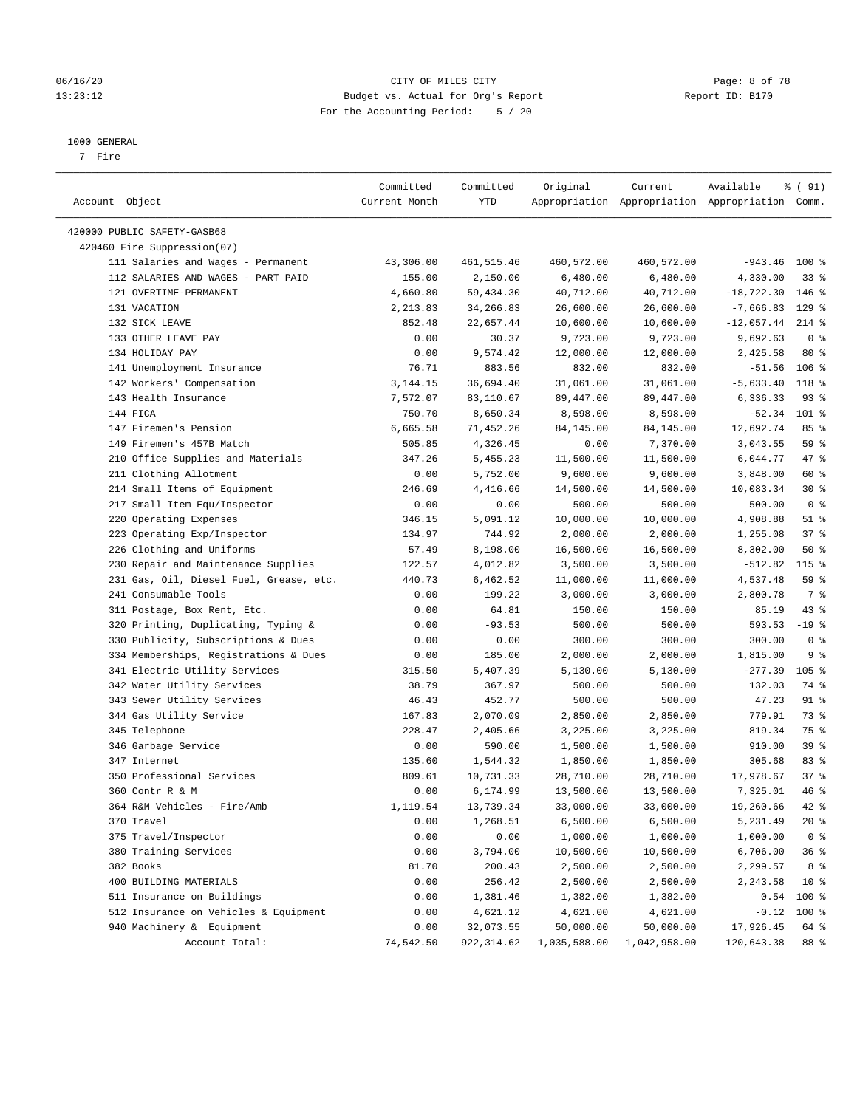#### 06/16/20 CITY OF MILES CITY Page: 8 of 78 13:23:12 Budget vs. Actual for Org's Report Changer Report ID: B170 For the Accounting Period: 5 / 20

————————————————————————————————————————————————————————————————————————————————————————————————————————————————————————————————————

#### 1000 GENERAL

7 Fire

|                                         | Committed          | Committed         | Original     | Current               | Available                                       | 8 ( 91)                 |
|-----------------------------------------|--------------------|-------------------|--------------|-----------------------|-------------------------------------------------|-------------------------|
| Account Object                          | Current Month      | YTD               |              |                       | Appropriation Appropriation Appropriation Comm. |                         |
| 420000 PUBLIC SAFETY-GASB68             |                    |                   |              |                       |                                                 |                         |
| 420460 Fire Suppression(07)             |                    |                   |              |                       |                                                 |                         |
| 111 Salaries and Wages - Permanent      | 43,306.00          | 461,515.46        | 460,572.00   | 460,572.00            | $-943.46$ 100 %                                 |                         |
| 112 SALARIES AND WAGES - PART PAID      | 155.00             | 2,150.00          | 6,480.00     | 6,480.00              | 4,330.00                                        | 338                     |
| 121 OVERTIME-PERMANENT                  | 4,660.80           | 59,434.30         | 40,712.00    | 40,712.00             | $-18,722.30$                                    | $146$ %                 |
| 131 VACATION                            |                    |                   |              | 26,600.00             |                                                 |                         |
| 132 SICK LEAVE                          | 2,213.83<br>852.48 | 34,266.83         | 26,600.00    |                       | $-7,666.83$ 129 %                               |                         |
|                                         |                    | 22,657.44         | 10,600.00    | 10,600.00             | $-12,057.44$                                    | $214$ %                 |
| 133 OTHER LEAVE PAY<br>134 HOLIDAY PAY  | 0.00               | 30.37<br>9,574.42 | 9,723.00     | 9,723.00<br>12,000.00 | 9,692.63<br>2,425.58                            | 0 <sup>8</sup><br>$80*$ |
|                                         | 0.00               |                   | 12,000.00    |                       |                                                 |                         |
| 141 Unemployment Insurance              | 76.71              | 883.56            | 832.00       | 832.00                | $-51.56$                                        | $106$ %                 |
| 142 Workers' Compensation               | 3,144.15           | 36,694.40         | 31,061.00    | 31,061.00             | $-5,633.40$                                     | 118 %                   |
| 143 Health Insurance                    | 7,572.07           | 83,110.67         | 89,447.00    | 89,447.00             | 6,336.33                                        | 93%                     |
| 144 FICA                                | 750.70             | 8,650.34          | 8,598.00     | 8,598.00              | $-52.34$                                        | 101 %                   |
| 147 Firemen's Pension                   | 6,665.58           | 71,452.26         | 84,145.00    | 84,145.00             | 12,692.74                                       | 85%                     |
| 149 Firemen's 457B Match                | 505.85             | 4,326.45          | 0.00         | 7,370.00              | 3,043.55                                        | 59 %                    |
| 210 Office Supplies and Materials       | 347.26             | 5,455.23          | 11,500.00    | 11,500.00             | 6,044.77                                        | 47 %                    |
| 211 Clothing Allotment                  | 0.00               | 5,752.00          | 9,600.00     | 9,600.00              | 3,848.00                                        | 60 %                    |
| 214 Small Items of Equipment            | 246.69             | 4,416.66          | 14,500.00    | 14,500.00             | 10,083.34                                       | $30*$                   |
| 217 Small Item Equ/Inspector            | 0.00               | 0.00              | 500.00       | 500.00                | 500.00                                          | 0 <sup>8</sup>          |
| 220 Operating Expenses                  | 346.15             | 5,091.12          | 10,000.00    | 10,000.00             | 4,908.88                                        | $51$ %                  |
| 223 Operating Exp/Inspector             | 134.97             | 744.92            | 2,000.00     | 2,000.00              | 1,255.08                                        | 37%                     |
| 226 Clothing and Uniforms               | 57.49              | 8,198.00          | 16,500.00    | 16,500.00             | 8,302.00                                        | 50%                     |
| 230 Repair and Maintenance Supplies     | 122.57             | 4,012.82          | 3,500.00     | 3,500.00              | $-512.82$                                       | $115$ %                 |
| 231 Gas, Oil, Diesel Fuel, Grease, etc. | 440.73             | 6,462.52          | 11,000.00    | 11,000.00             | 4,537.48                                        | 59 %                    |
| 241 Consumable Tools                    | 0.00               | 199.22            | 3,000.00     | 3,000.00              | 2,800.78                                        | 7 %                     |
| 311 Postage, Box Rent, Etc.             | 0.00               | 64.81             | 150.00       | 150.00                | 85.19                                           | 43 %                    |
| 320 Printing, Duplicating, Typing &     | 0.00               | $-93.53$          | 500.00       | 500.00                | 593.53                                          | $-19$ %                 |
| 330 Publicity, Subscriptions & Dues     | 0.00               | 0.00              | 300.00       | 300.00                | 300.00                                          | 0 <sup>8</sup>          |
| 334 Memberships, Registrations & Dues   | 0.00               | 185.00            | 2,000.00     | 2,000.00              | 1,815.00                                        | 9%                      |
| 341 Electric Utility Services           | 315.50             | 5,407.39          | 5,130.00     | 5,130.00              | $-277.39$                                       | $105$ %                 |
| 342 Water Utility Services              | 38.79              | 367.97            | 500.00       | 500.00                | 132.03                                          | 74 %                    |
| 343 Sewer Utility Services              | 46.43              | 452.77            | 500.00       | 500.00                | 47.23                                           | 91 %                    |
| 344 Gas Utility Service                 | 167.83             | 2,070.09          | 2,850.00     | 2,850.00              | 779.91                                          | 73 %                    |
| 345 Telephone                           | 228.47             | 2,405.66          | 3,225.00     | 3,225.00              | 819.34                                          | 75 %                    |
| 346 Garbage Service                     | 0.00               | 590.00            | 1,500.00     | 1,500.00              | 910.00                                          | 39%                     |
| 347 Internet                            | 135.60             | 1,544.32          | 1,850.00     | 1,850.00              | 305.68                                          | 83%                     |
| 350 Professional Services               | 809.61             | 10,731.33         | 28,710.00    | 28,710.00             | 17,978.67                                       | 37%                     |
| 360 Contr R & M                         | 0.00               | 6,174.99          | 13,500.00    | 13,500.00             | 7,325.01                                        | 46 %                    |
| 364 R&M Vehicles - Fire/Amb             | 1,119.54           | 13,739.34         | 33,000.00    | 33,000.00             | 19,260.66                                       | $42$ %                  |
| 370 Travel                              | 0.00               | 1,268.51          | 6,500.00     | 6,500.00              | 5,231.49                                        | 20 %                    |
| 375 Travel/Inspector                    | 0.00               | 0.00              | 1,000.00     | 1,000.00              | 1,000.00                                        | 0 <sup>8</sup>          |
| 380 Training Services                   | 0.00               | 3,794.00          | 10,500.00    | 10,500.00             | 6,706.00                                        | 36%                     |
| 382 Books                               | 81.70              | 200.43            | 2,500.00     | 2,500.00              | 2,299.57                                        | 8 %                     |
| 400 BUILDING MATERIALS                  | 0.00               | 256.42            | 2,500.00     | 2,500.00              | 2,243.58                                        | $10*$                   |
| 511 Insurance on Buildings              | 0.00               | 1,381.46          | 1,382.00     | 1,382.00              | 0.54                                            | 100 %                   |
| 512 Insurance on Vehicles & Equipment   | 0.00               | 4,621.12          | 4,621.00     | 4,621.00              | $-0.12$                                         | 100 %                   |
| 940 Machinery & Equipment               | 0.00               | 32,073.55         | 50,000.00    | 50,000.00             | 17,926.45                                       | 64 %                    |
| Account Total:                          | 74,542.50          | 922,314.62        | 1,035,588.00 | 1,042,958.00          | 120,643.38                                      | 88 %                    |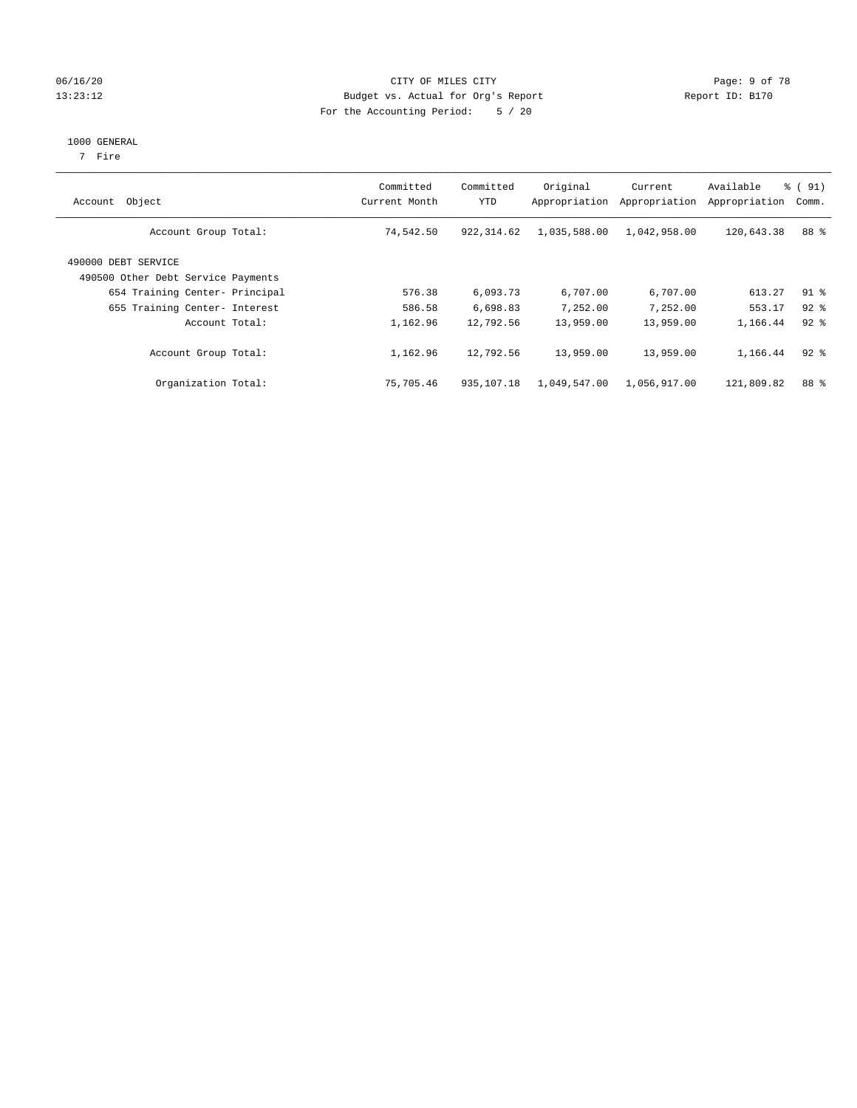#### 06/16/20 CITY OF MILES CITY Page: 9 of 78 13:23:12 Budget vs. Actual for Org's Report Changer Report ID: B170 For the Accounting Period: 5 / 20

#### 1000 GENERAL

7 Fire

| Object<br>Account                                         | Committed<br>Current Month | Committed<br><b>YTD</b> | Original<br>Appropriation | Current<br>Appropriation | Available<br>Appropriation | $\frac{1}{6}$ (91)<br>Comm. |
|-----------------------------------------------------------|----------------------------|-------------------------|---------------------------|--------------------------|----------------------------|-----------------------------|
| Account Group Total:                                      | 74,542.50                  | 922, 314.62             | 1,035,588.00              | 1,042,958.00             | 120,643.38                 | 88 %                        |
| 490000 DEBT SERVICE<br>490500 Other Debt Service Payments |                            |                         |                           |                          |                            |                             |
| 654 Training Center- Principal                            | 576.38                     | 6,093.73                | 6,707.00                  | 6,707.00                 | 613.27                     | $91$ $8$                    |
| 655 Training Center- Interest                             | 586.58                     | 6,698.83                | 7.252.00                  | 7.252.00                 | 553.17                     | $92$ $%$                    |
| Account Total:                                            | 1,162.96                   | 12,792.56               | 13,959.00                 | 13,959.00                | 1,166.44                   | $92$ $%$                    |
| Account Group Total:                                      | 1,162.96                   | 12,792.56               | 13,959.00                 | 13,959.00                | 1,166.44                   | $92$ $%$                    |
| Organization Total:                                       | 75,705.46                  | 935, 107. 18            | 1,049,547.00              | 1,056,917.00             | 121,809.82                 | 88 %                        |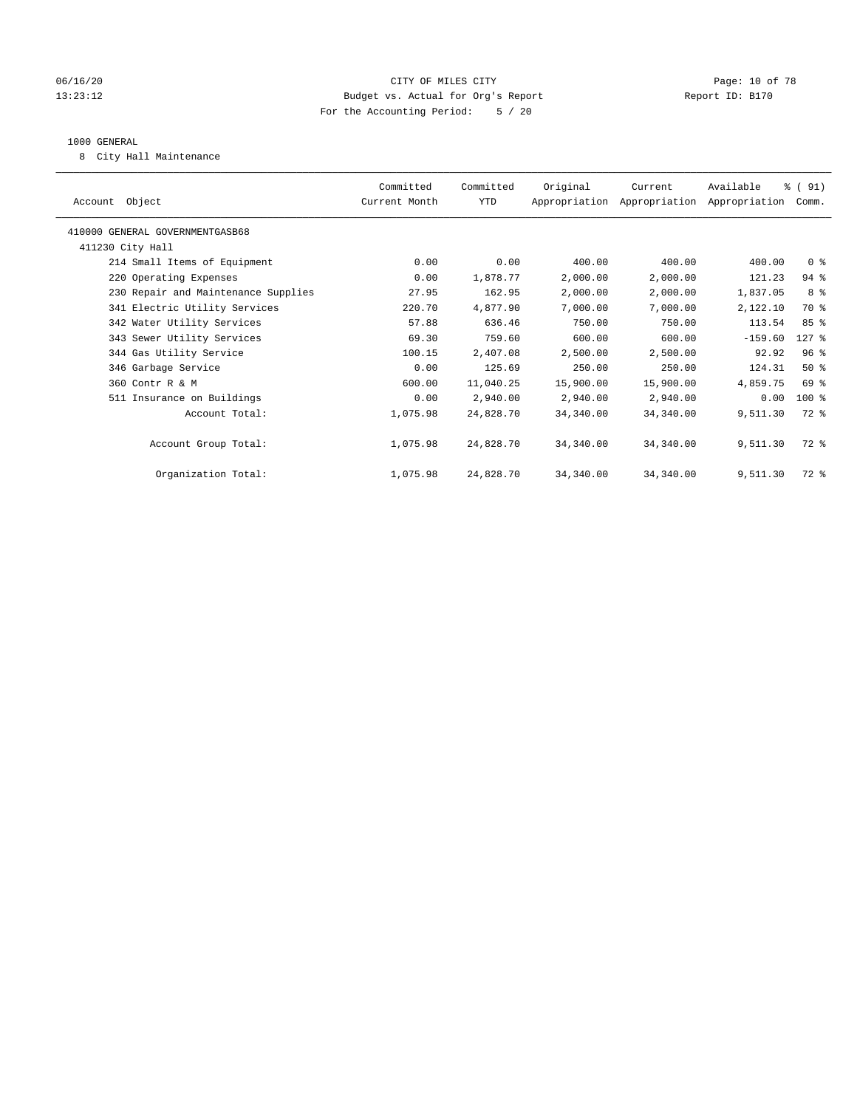#### 06/16/20 Page: 10 of 78 13:23:12 Budget vs. Actual for Org's Report Changer Report ID: B170 For the Accounting Period: 5 / 20

#### 1000 GENERAL

8 City Hall Maintenance

| Account Object                      | Committed<br>Current Month | Committed<br>YTD | Original  | Current<br>Appropriation Appropriation Appropriation | Available | % (91)<br>Comm. |  |
|-------------------------------------|----------------------------|------------------|-----------|------------------------------------------------------|-----------|-----------------|--|
| 410000 GENERAL GOVERNMENTGASB68     |                            |                  |           |                                                      |           |                 |  |
| 411230 City Hall                    |                            |                  |           |                                                      |           |                 |  |
| 214 Small Items of Equipment        | 0.00                       | 0.00             | 400.00    | 400.00                                               | 400.00    | 0 <sup>8</sup>  |  |
| 220 Operating Expenses              | 0.00                       | 1,878.77         | 2,000.00  | 2,000.00                                             | 121.23    | $94$ %          |  |
| 230 Repair and Maintenance Supplies | 27.95                      | 162.95           | 2,000.00  | 2,000.00                                             | 1,837.05  | 8 %             |  |
| 341 Electric Utility Services       | 220.70                     | 4,877.90         | 7,000.00  | 7,000.00                                             | 2,122.10  | 70 %            |  |
| 342 Water Utility Services          | 57.88                      | 636.46           | 750.00    | 750.00                                               | 113.54    | 85%             |  |
| 343 Sewer Utility Services          | 69.30                      | 759.60           | 600.00    | 600.00                                               | $-159.60$ | $127$ %         |  |
| 344 Gas Utility Service             | 100.15                     | 2,407.08         | 2,500.00  | 2,500.00                                             | 92.92     | 96 <sup>8</sup> |  |
| 346 Garbage Service                 | 0.00                       | 125.69           | 250.00    | 250.00                                               | 124.31    | $50*$           |  |
| 360 Contr R & M                     | 600.00                     | 11,040.25        | 15,900.00 | 15,900.00                                            | 4,859.75  | 69 %            |  |
| 511 Insurance on Buildings          | 0.00                       | 2,940.00         | 2,940.00  | 2,940.00                                             | 0.00      | $100$ %         |  |
| Account Total:                      | 1,075.98                   | 24,828.70        | 34,340.00 | 34,340.00                                            | 9,511.30  | 72 %            |  |
|                                     |                            |                  |           |                                                      |           |                 |  |
| Account Group Total:                | 1,075.98                   | 24,828.70        | 34,340.00 | 34,340.00                                            | 9,511.30  | 72 %            |  |
|                                     |                            |                  |           |                                                      |           |                 |  |
| Organization Total:                 | 1,075.98                   | 24,828.70        | 34,340.00 | 34,340.00                                            | 9,511.30  | $72$ $%$        |  |
|                                     |                            |                  |           |                                                      |           |                 |  |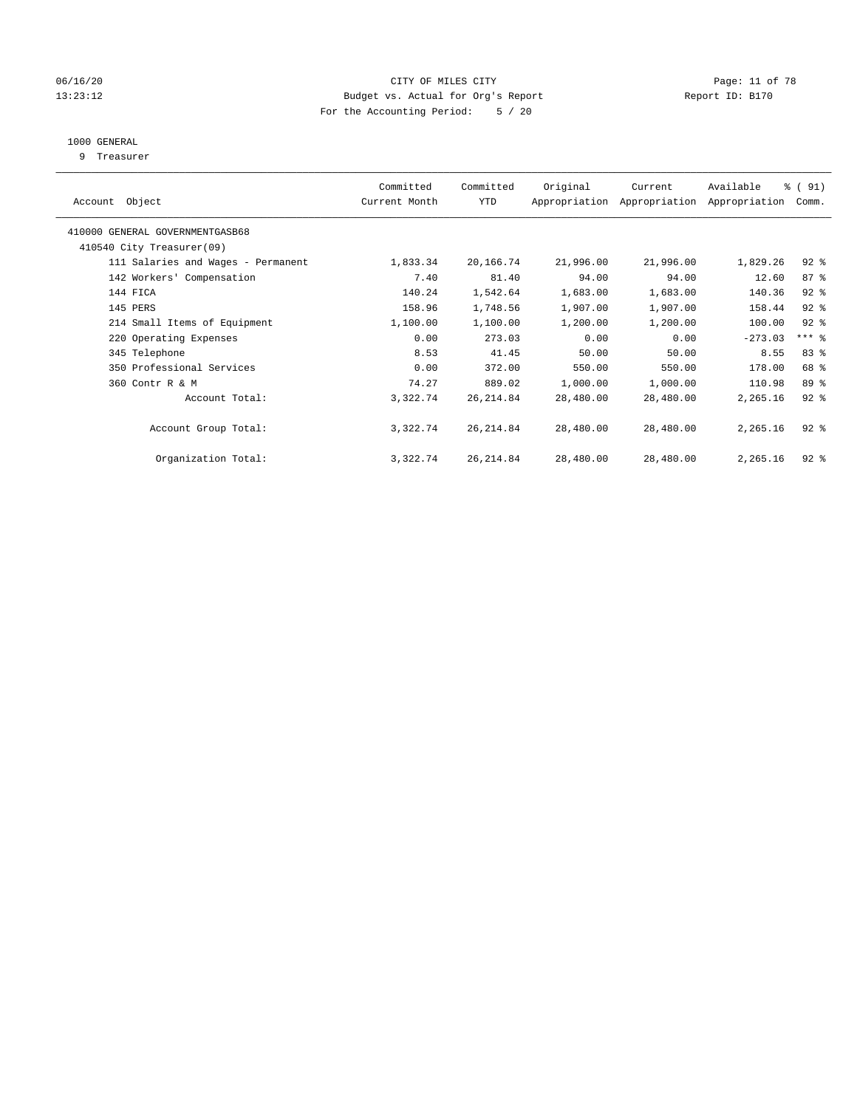#### 06/16/20 Page: 11 of 78 13:23:12 Budget vs. Actual for Org's Report Changer Report ID: B170 For the Accounting Period: 5 / 20

## 1000 GENERAL

9 Treasurer

| Object<br>Account                  | Committed<br>Current Month | Committed<br>YTD | Original  | Current<br>Appropriation Appropriation | Available<br>Appropriation | % (91)<br>Comm. |  |
|------------------------------------|----------------------------|------------------|-----------|----------------------------------------|----------------------------|-----------------|--|
| 410000 GENERAL GOVERNMENTGASB68    |                            |                  |           |                                        |                            |                 |  |
| 410540 City Treasurer(09)          |                            |                  |           |                                        |                            |                 |  |
| 111 Salaries and Wages - Permanent | 1,833.34                   | 20,166.74        | 21,996.00 | 21,996.00                              | 1,829.26                   | $92$ $%$        |  |
| 142 Workers' Compensation          | 7.40                       | 81.40            | 94.00     | 94.00                                  | 12.60                      | 87%             |  |
| 144 FICA                           | 140.24                     | 1,542.64         | 1,683.00  | 1,683.00                               | 140.36                     | $92$ $%$        |  |
| 145 PERS                           | 158.96                     | 1,748.56         | 1,907.00  | 1,907.00                               | 158.44                     | $92$ $%$        |  |
| 214 Small Items of Equipment       | 1,100.00                   | 1,100.00         | 1,200.00  | 1,200.00                               | 100.00                     | $92$ $%$        |  |
| 220 Operating Expenses             | 0.00                       | 273.03           | 0.00      | 0.00                                   | $-273.03$                  | $***$ $%$       |  |
| 345 Telephone                      | 8.53                       | 41.45            | 50.00     | 50.00                                  | 8.55                       | 83%             |  |
| 350 Professional Services          | 0.00                       | 372.00           | 550.00    | 550.00                                 | 178.00                     | 68 %            |  |
| 360 Contr R & M                    | 74.27                      | 889.02           | 1,000.00  | 1,000.00                               | 110.98                     | 89 %            |  |
| Account Total:                     | 3,322.74                   | 26, 214.84       | 28,480.00 | 28,480.00                              | 2,265.16                   | $92$ $%$        |  |
| Account Group Total:               | 3,322.74                   | 26, 214.84       | 28,480.00 | 28,480.00                              | 2,265.16                   | $92$ $%$        |  |
| Organization Total:                | 3,322.74                   | 26, 214.84       | 28,480.00 | 28,480.00                              | 2,265.16                   | $92$ $%$        |  |
|                                    |                            |                  |           |                                        |                            |                 |  |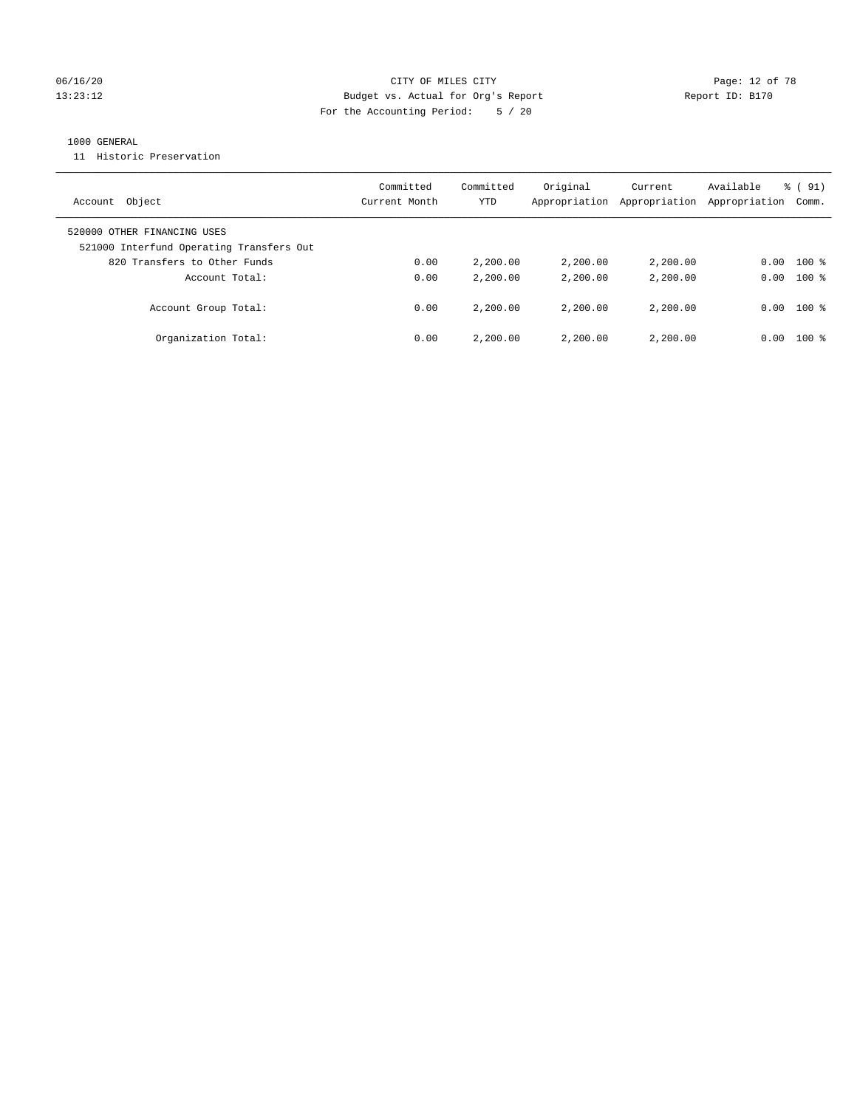#### 06/16/20 Page: 12 of 78 13:23:12 Budget vs. Actual for Org's Report Report ID: B170 For the Accounting Period: 5 / 20

#### 1000 GENERAL

11 Historic Preservation

| Object<br>Account                                                       | Committed<br>Current Month | Committed<br>YTD | Original<br>Appropriation | Current<br>Appropriation | Available<br>Appropriation | $\frac{1}{6}$ (91)<br>Comm. |
|-------------------------------------------------------------------------|----------------------------|------------------|---------------------------|--------------------------|----------------------------|-----------------------------|
| 520000 OTHER FINANCING USES<br>521000 Interfund Operating Transfers Out |                            |                  |                           |                          |                            |                             |
| 820 Transfers to Other Funds                                            | 0.00                       | 2,200.00         | 2,200.00                  | 2,200.00                 | 0.00                       | $100$ %                     |
| Account Total:                                                          | 0.00                       | 2,200.00         | 2,200.00                  | 2,200.00                 | 0.00                       | $100*$                      |
| Account Group Total:                                                    | 0.00                       | 2,200.00         | 2,200.00                  | 2,200,00                 | 0.00                       | $100*$                      |
| Organization Total:                                                     | 0.00                       | 2,200.00         | 2,200.00                  | 2,200,00                 | 0.00                       | $100*$                      |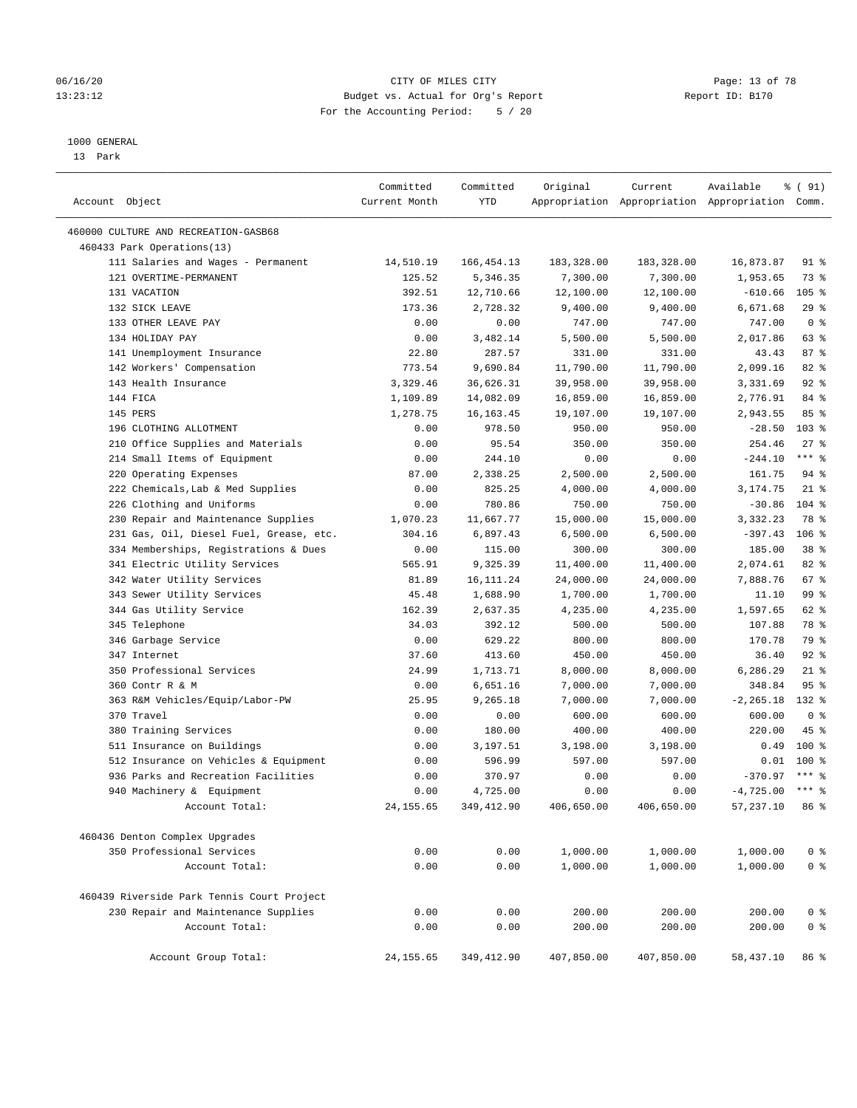#### 06/16/20 Page: 13 of 78 13:23:12 Budget vs. Actual for Org's Report Changer Report ID: B170 For the Accounting Period: 5 / 20

————————————————————————————————————————————————————————————————————————————————————————————————————————————————————————————————————

#### 1000 GENERAL

13 Park

| Account Object                             | Committed<br>Current Month | Committed<br>YTD | Original   | Current    | Available<br>Appropriation Appropriation Appropriation Comm. | १ ( 91)         |
|--------------------------------------------|----------------------------|------------------|------------|------------|--------------------------------------------------------------|-----------------|
| 460000 CULTURE AND RECREATION-GASB68       |                            |                  |            |            |                                                              |                 |
| 460433 Park Operations(13)                 |                            |                  |            |            |                                                              |                 |
| 111 Salaries and Wages - Permanent         | 14,510.19                  | 166,454.13       | 183,328.00 | 183,328.00 | 16,873.87                                                    | 91 %            |
| 121 OVERTIME-PERMANENT                     | 125.52                     | 5,346.35         | 7,300.00   | 7,300.00   | 1,953.65                                                     | 73 %            |
| 131 VACATION                               | 392.51                     | 12,710.66        | 12,100.00  | 12,100.00  | $-610.66$                                                    | $105$ %         |
| 132 SICK LEAVE                             | 173.36                     | 2,728.32         | 9,400.00   | 9,400.00   | 6,671.68                                                     | 29%             |
| 133 OTHER LEAVE PAY                        | 0.00                       | 0.00             | 747.00     | 747.00     | 747.00                                                       | 0 <sup>8</sup>  |
| 134 HOLIDAY PAY                            | 0.00                       | 3,482.14         | 5,500.00   | 5,500.00   | 2,017.86                                                     | $63$ $%$        |
| 141 Unemployment Insurance                 | 22.80                      | 287.57           | 331.00     | 331.00     | 43.43                                                        | 87%             |
| 142 Workers' Compensation                  | 773.54                     | 9,690.84         | 11,790.00  | 11,790.00  | 2,099.16                                                     | $82$ $%$        |
| 143 Health Insurance                       | 3,329.46                   | 36,626.31        | 39,958.00  | 39,958.00  | 3,331.69                                                     | 92%             |
| 144 FICA                                   | 1,109.89                   | 14,082.09        | 16,859.00  | 16,859.00  | 2,776.91                                                     | 84 %            |
| 145 PERS                                   | 1,278.75                   | 16,163.45        | 19,107.00  | 19,107.00  | 2,943.55                                                     | 85%             |
| 196 CLOTHING ALLOTMENT                     | 0.00                       | 978.50           | 950.00     | 950.00     | $-28.50$                                                     | $103$ %         |
| 210 Office Supplies and Materials          | 0.00                       | 95.54            | 350.00     | 350.00     | 254.46                                                       | $27$ %          |
| 214 Small Items of Equipment               | 0.00                       | 244.10           | 0.00       | 0.00       | $-244.10$                                                    | $***$ $%$       |
| 220 Operating Expenses                     | 87.00                      | 2,338.25         | 2,500.00   | 2,500.00   | 161.75                                                       | $94$ %          |
| 222 Chemicals, Lab & Med Supplies          | 0.00                       | 825.25           | 4,000.00   | 4,000.00   | 3,174.75                                                     | $21$ %          |
| 226 Clothing and Uniforms                  | 0.00                       | 780.86           | 750.00     | 750.00     | $-30.86$                                                     | $104$ %         |
| 230 Repair and Maintenance Supplies        | 1,070.23                   | 11,667.77        | 15,000.00  | 15,000.00  | 3,332.23                                                     | 78 %            |
| 231 Gas, Oil, Diesel Fuel, Grease, etc.    | 304.16                     | 6,897.43         | 6,500.00   | 6,500.00   | $-397.43$                                                    | $106$ %         |
| 334 Memberships, Registrations & Dues      | 0.00                       | 115.00           | 300.00     | 300.00     | 185.00                                                       | 38 <sup>8</sup> |
| 341 Electric Utility Services              | 565.91                     | 9,325.39         | 11,400.00  | 11,400.00  | 2,074.61                                                     | $82$ $%$        |
| 342 Water Utility Services                 | 81.89                      | 16, 111. 24      | 24,000.00  | 24,000.00  | 7,888.76                                                     | 67%             |
| 343 Sewer Utility Services                 | 45.48                      | 1,688.90         | 1,700.00   | 1,700.00   | 11.10                                                        | 99 %            |
| 344 Gas Utility Service                    | 162.39                     | 2,637.35         | 4,235.00   | 4,235.00   | 1,597.65                                                     | 62 %            |
| 345 Telephone                              | 34.03                      | 392.12           | 500.00     | 500.00     | 107.88                                                       | 78 %            |
| 346 Garbage Service                        | 0.00                       | 629.22           | 800.00     | 800.00     | 170.78                                                       | 79 %            |
| 347 Internet                               | 37.60                      | 413.60           | 450.00     | 450.00     | 36.40                                                        | 92%             |
| 350 Professional Services                  | 24.99                      | 1,713.71         | 8,000.00   | 8,000.00   | 6,286.29                                                     | $21$ %          |
| 360 Contr R & M                            | 0.00                       | 6,651.16         | 7,000.00   | 7,000.00   | 348.84                                                       | 95 <sup>°</sup> |
| 363 R&M Vehicles/Equip/Labor-PW            | 25.95                      | 9,265.18         | 7,000.00   | 7,000.00   | $-2, 265.18$                                                 | 132 %           |
| 370 Travel                                 | 0.00                       | 0.00             | 600.00     | 600.00     | 600.00                                                       | 0 <sup>8</sup>  |
| 380 Training Services                      | 0.00                       | 180.00           | 400.00     | 400.00     | 220.00                                                       | 45 %            |
| 511 Insurance on Buildings                 | 0.00                       | 3,197.51         | 3,198.00   | 3,198.00   | 0.49                                                         | $100*$          |
| 512 Insurance on Vehicles & Equipment      | 0.00                       | 596.99           | 597.00     | 597.00     |                                                              | $0.01$ 100 %    |
| 936 Parks and Recreation Facilities        | 0.00                       | 370.97           | 0.00       | 0.00       | $-370.97$                                                    | $***$ 8         |
| 940 Machinery & Equipment                  | 0.00                       | 4,725.00         | 0.00       | 0.00       | $-4,725.00$ *** \$                                           |                 |
| Account Total:                             | 24, 155.65                 | 349,412.90       | 406,650.00 | 406,650.00 | 57,237.10 86 %                                               |                 |
| 460436 Denton Complex Upgrades             |                            |                  |            |            |                                                              |                 |
| 350 Professional Services                  | 0.00                       | 0.00             | 1,000.00   | 1,000.00   | 1,000.00                                                     | 0 <sup>8</sup>  |
| Account Total:                             | 0.00                       | 0.00             | 1,000.00   | 1,000.00   | 1,000.00                                                     | 0 <sup>°</sup>  |
| 460439 Riverside Park Tennis Court Project |                            |                  |            |            |                                                              |                 |
| 230 Repair and Maintenance Supplies        | 0.00                       | 0.00             | 200.00     | 200.00     | 200.00                                                       | 0 <sup>8</sup>  |
| Account Total:                             | 0.00                       | 0.00             | 200.00     | 200.00     | 200.00                                                       | 0 <sup>°</sup>  |
| Account Group Total:                       | 24, 155.65                 | 349,412.90       | 407,850.00 | 407,850.00 | 58,437.10                                                    | 86 %            |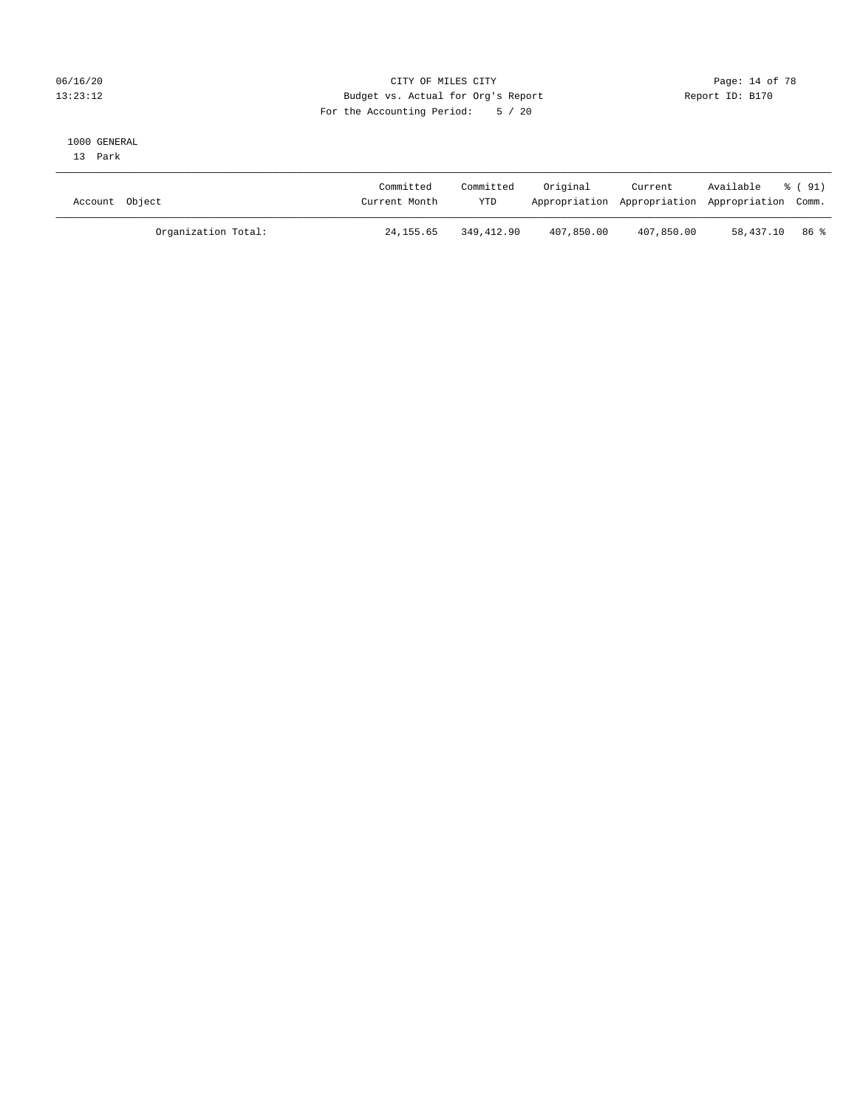#### 06/16/20 Page: 14 of 78 13:23:12 Budget vs. Actual for Org's Report Changer Report ID: B170 For the Accounting Period: 5 / 20

#### 1000 GENERAL

13 Park

| Account Object      | Committed<br>Current Month | Committed<br><b>YTD</b> | Original   | Current    | Available<br>Appropriation Appropriation Appropriation Comm. | 8 (91) |
|---------------------|----------------------------|-------------------------|------------|------------|--------------------------------------------------------------|--------|
| Organization Total: | 24, 155, 65                | 349,412.90              | 407,850.00 | 407,850.00 | 58,437.10 86 %                                               |        |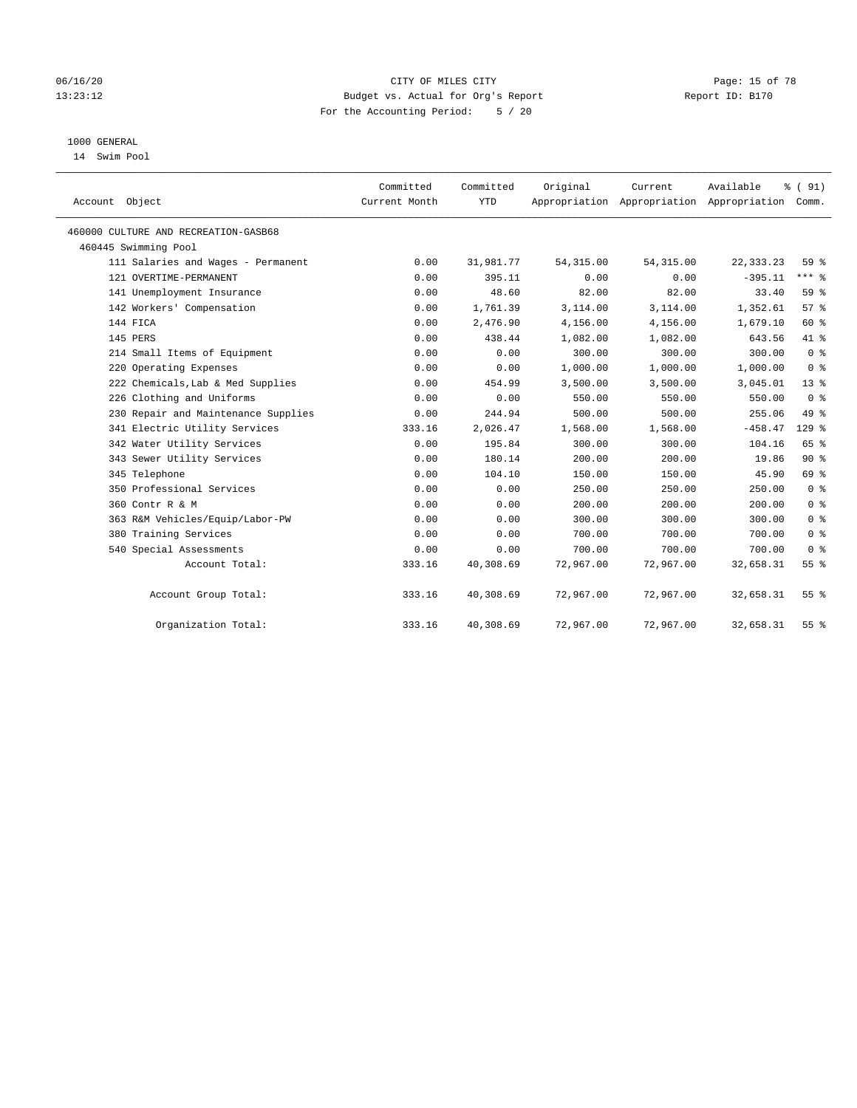#### 06/16/20 Page: 15 of 78 13:23:12 Budget vs. Actual for Org's Report Changer Report ID: B170 For the Accounting Period: 5 / 20

## 1000 GENERAL

14 Swim Pool

| Account Object                       | Committed<br>Current Month | Committed<br><b>YTD</b> | Original   | Current<br>Appropriation Appropriation Appropriation | Available   | % (91)<br>Comm. |
|--------------------------------------|----------------------------|-------------------------|------------|------------------------------------------------------|-------------|-----------------|
| 460000 CULTURE AND RECREATION-GASB68 |                            |                         |            |                                                      |             |                 |
| 460445 Swimming Pool                 |                            |                         |            |                                                      |             |                 |
| 111 Salaries and Wages - Permanent   | 0.00                       | 31,981.77               | 54, 315.00 | 54, 315.00                                           | 22, 333. 23 | 59 <sub>8</sub> |
| 121 OVERTIME-PERMANENT               | 0.00                       | 395.11                  | 0.00       | 0.00                                                 | $-395.11$   | $***$ $_{8}$    |
| 141 Unemployment Insurance           | 0.00                       | 48.60                   | 82.00      | 82.00                                                | 33.40       | 59 %            |
| 142 Workers' Compensation            | 0.00                       | 1,761.39                | 3,114.00   | 3,114.00                                             | 1,352.61    | 57%             |
| 144 FICA                             | 0.00                       | 2,476.90                | 4,156.00   | 4,156.00                                             | 1,679.10    | 60 %            |
| 145 PERS                             | 0.00                       | 438.44                  | 1,082.00   | 1,082.00                                             | 643.56      | 41 %            |
| 214 Small Items of Equipment         | 0.00                       | 0.00                    | 300.00     | 300.00                                               | 300.00      | 0 <sup>8</sup>  |
| 220 Operating Expenses               | 0.00                       | 0.00                    | 1,000.00   | 1,000.00                                             | 1,000.00    | 0 <sup>8</sup>  |
| 222 Chemicals, Lab & Med Supplies    | 0.00                       | 454.99                  | 3,500.00   | 3,500.00                                             | 3,045.01    | $13*$           |
| 226 Clothing and Uniforms            | 0.00                       | 0.00                    | 550.00     | 550.00                                               | 550.00      | 0 <sup>8</sup>  |
| 230 Repair and Maintenance Supplies  | 0.00                       | 244.94                  | 500.00     | 500.00                                               | 255.06      | 49 %            |
| 341 Electric Utility Services        | 333.16                     | 2,026.47                | 1,568.00   | 1,568.00                                             | $-458.47$   | $129$ %         |
| 342 Water Utility Services           | 0.00                       | 195.84                  | 300.00     | 300.00                                               | 104.16      | 65 %            |
| 343 Sewer Utility Services           | 0.00                       | 180.14                  | 200.00     | 200.00                                               | 19.86       | $90*$           |
| 345 Telephone                        | 0.00                       | 104.10                  | 150.00     | 150.00                                               | 45.90       | 69 %            |
| 350 Professional Services            | 0.00                       | 0.00                    | 250.00     | 250.00                                               | 250.00      | 0 <sup>8</sup>  |
| 360 Contr R & M                      | 0.00                       | 0.00                    | 200.00     | 200.00                                               | 200.00      | 0 <sup>8</sup>  |
| 363 R&M Vehicles/Equip/Labor-PW      | 0.00                       | 0.00                    | 300.00     | 300.00                                               | 300.00      | 0 <sup>8</sup>  |
| 380 Training Services                | 0.00                       | 0.00                    | 700.00     | 700.00                                               | 700.00      | 0 <sup>8</sup>  |
| 540 Special Assessments              | 0.00                       | 0.00                    | 700.00     | 700.00                                               | 700.00      | 0 <sup>8</sup>  |
| Account Total:                       | 333.16                     | 40,308.69               | 72,967.00  | 72,967.00                                            | 32,658.31   | 55 <sup>8</sup> |
| Account Group Total:                 | 333.16                     | 40,308.69               | 72,967.00  | 72,967.00                                            | 32,658.31   | $55$ $%$        |
| Organization Total:                  | 333.16                     | 40,308.69               | 72,967.00  | 72,967.00                                            | 32,658.31   | 55 %            |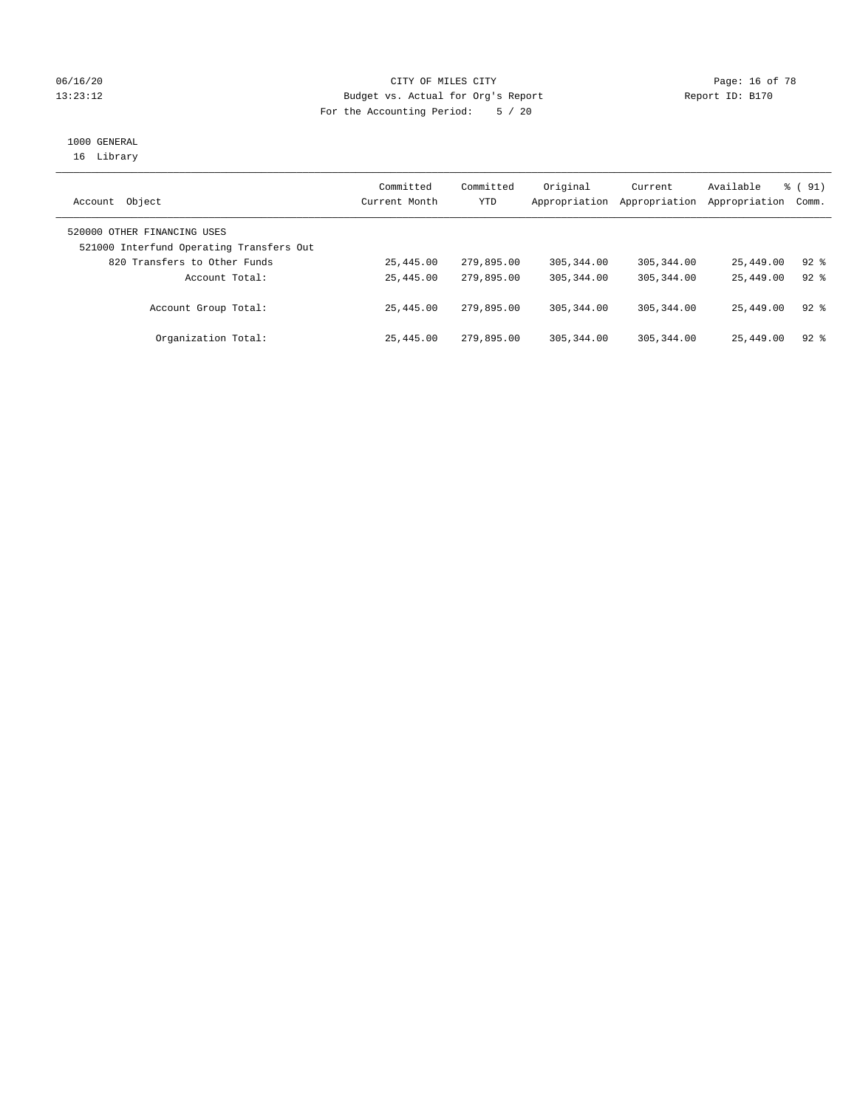#### 06/16/20 Page: 16 of 78 13:23:12 Budget vs. Actual for Org's Report Changer Report ID: B170 For the Accounting Period: 5 / 20

# 1000 GENERAL

16 Library

| Object<br>Account                                                       | Committed<br>Current Month | Committed<br>YTD | Original<br>Appropriation | Current<br>Appropriation | Available<br>Appropriation | $\frac{1}{6}$ (91)<br>Comm. |  |
|-------------------------------------------------------------------------|----------------------------|------------------|---------------------------|--------------------------|----------------------------|-----------------------------|--|
| 520000 OTHER FINANCING USES<br>521000 Interfund Operating Transfers Out |                            |                  |                           |                          |                            |                             |  |
| 820 Transfers to Other Funds                                            | 25,445.00                  | 279,895.00       | 305, 344, 00              | 305, 344, 00             | 25,449.00                  | $92$ $%$                    |  |
| Account Total:                                                          | 25,445.00                  | 279,895.00       | 305, 344, 00              | 305, 344, 00             | 25,449.00                  | $92*$                       |  |
| Account Group Total:                                                    | 25,445.00                  | 279,895.00       | 305, 344, 00              | 305, 344, 00             | 25,449.00                  | $92$ $%$                    |  |
| Organization Total:                                                     | 25,445.00                  | 279,895.00       | 305, 344, 00              | 305, 344, 00             | 25,449.00                  | $92$ $%$                    |  |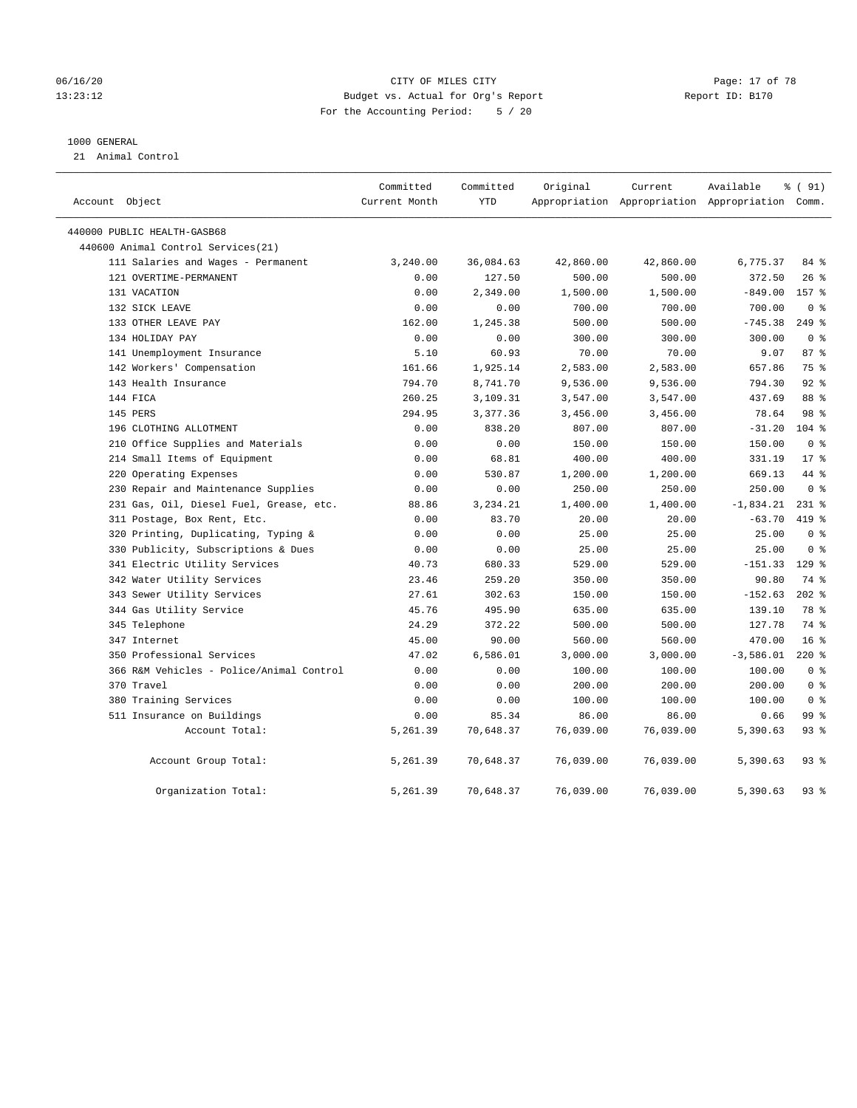#### 06/16/20 Page: 17 of 78 13:23:12 Budget vs. Actual for Org's Report Changer Report ID: B170 For the Accounting Period: 5 / 20

#### 1000 GENERAL

21 Animal Control

| Account Object                           | Committed<br>Current Month | Committed<br>YTD | Original  | Current<br>Appropriation Appropriation Appropriation Comm. | Available   | % (91)          |  |
|------------------------------------------|----------------------------|------------------|-----------|------------------------------------------------------------|-------------|-----------------|--|
| 440000 PUBLIC HEALTH-GASB68              |                            |                  |           |                                                            |             |                 |  |
| 440600 Animal Control Services(21)       |                            |                  |           |                                                            |             |                 |  |
| 111 Salaries and Wages - Permanent       | 3,240.00                   | 36,084.63        | 42,860.00 | 42,860.00                                                  | 6,775.37    | 84 %            |  |
| 121 OVERTIME-PERMANENT                   | 0.00                       | 127.50           | 500.00    | 500.00                                                     | 372.50      | $26$ %          |  |
| 131 VACATION                             | 0.00                       | 2,349.00         | 1,500.00  | 1,500.00                                                   | $-849.00$   | 157 %           |  |
| 132 SICK LEAVE                           | 0.00                       | 0.00             | 700.00    | 700.00                                                     | 700.00      | 0 <sup>8</sup>  |  |
| 133 OTHER LEAVE PAY                      | 162.00                     | 1,245.38         | 500.00    | 500.00                                                     | $-745.38$   | $249$ $%$       |  |
| 134 HOLIDAY PAY                          | 0.00                       | 0.00             | 300.00    | 300.00                                                     | 300.00      | 0 <sup>8</sup>  |  |
| 141 Unemployment Insurance               | 5.10                       | 60.93            | 70.00     | 70.00                                                      | 9.07        | 87%             |  |
| 142 Workers' Compensation                | 161.66                     | 1,925.14         | 2,583.00  | 2,583.00                                                   | 657.86      | 75 %            |  |
| 143 Health Insurance                     | 794.70                     | 8,741.70         | 9,536.00  | 9,536.00                                                   | 794.30      | $92$ $%$        |  |
| 144 FICA                                 | 260.25                     | 3,109.31         | 3,547.00  | 3,547.00                                                   | 437.69      | 88 %            |  |
| 145 PERS                                 | 294.95                     | 3,377.36         | 3,456.00  | 3,456.00                                                   | 78.64       | 98 %            |  |
| 196 CLOTHING ALLOTMENT                   | 0.00                       | 838.20           | 807.00    | 807.00                                                     | $-31.20$    | $104$ %         |  |
| 210 Office Supplies and Materials        | 0.00                       | 0.00             | 150.00    | 150.00                                                     | 150.00      | 0 <sup>8</sup>  |  |
| 214 Small Items of Equipment             | 0.00                       | 68.81            | 400.00    | 400.00                                                     | 331.19      | $17*$           |  |
| 220 Operating Expenses                   | 0.00                       | 530.87           | 1,200.00  | 1,200.00                                                   | 669.13      | 44 %            |  |
| 230 Repair and Maintenance Supplies      | 0.00                       | 0.00             | 250.00    | 250.00                                                     | 250.00      | 0 <sup>8</sup>  |  |
| 231 Gas, Oil, Diesel Fuel, Grease, etc.  | 88.86                      | 3,234.21         | 1,400.00  | 1,400.00                                                   | $-1,834.21$ | $231$ %         |  |
| 311 Postage, Box Rent, Etc.              | 0.00                       | 83.70            | 20.00     | 20.00                                                      | $-63.70$    | 419 %           |  |
| 320 Printing, Duplicating, Typing &      | 0.00                       | 0.00             | 25.00     | 25.00                                                      | 25.00       | 0 <sup>8</sup>  |  |
| 330 Publicity, Subscriptions & Dues      | 0.00                       | 0.00             | 25.00     | 25.00                                                      | 25.00       | 0 <sup>8</sup>  |  |
| 341 Electric Utility Services            | 40.73                      | 680.33           | 529.00    | 529.00                                                     | $-151.33$   | $129$ %         |  |
| 342 Water Utility Services               | 23.46                      | 259.20           | 350.00    | 350.00                                                     | 90.80       | 74 %            |  |
| 343 Sewer Utility Services               | 27.61                      | 302.63           | 150.00    | 150.00                                                     | $-152.63$   | $202$ %         |  |
| 344 Gas Utility Service                  | 45.76                      | 495.90           | 635.00    | 635.00                                                     | 139.10      | 78 %            |  |
| 345 Telephone                            | 24.29                      | 372.22           | 500.00    | 500.00                                                     | 127.78      | 74 %            |  |
| 347 Internet                             | 45.00                      | 90.00            | 560.00    | 560.00                                                     | 470.00      | 16 <sup>8</sup> |  |
| 350 Professional Services                | 47.02                      | 6,586.01         | 3,000.00  | 3,000.00                                                   | $-3,586.01$ | $220$ %         |  |
| 366 R&M Vehicles - Police/Animal Control | 0.00                       | 0.00             | 100.00    | 100.00                                                     | 100.00      | 0 <sup>8</sup>  |  |
| 370 Travel                               | 0.00                       | 0.00             | 200.00    | 200.00                                                     | 200.00      | 0 <sup>8</sup>  |  |
| 380 Training Services                    | 0.00                       | 0.00             | 100.00    | 100.00                                                     | 100.00      | 0 <sup>8</sup>  |  |
| 511 Insurance on Buildings               | 0.00                       | 85.34            | 86.00     | 86.00                                                      | 0.66        | 99 %            |  |
| Account Total:                           | 5,261.39                   | 70,648.37        | 76,039.00 | 76,039.00                                                  | 5,390.63    | $93$ $%$        |  |
| Account Group Total:                     | 5,261.39                   | 70,648.37        | 76,039.00 | 76,039.00                                                  | 5,390.63    | $93$ $%$        |  |
| Organization Total:                      | 5,261.39                   | 70,648.37        | 76,039.00 | 76,039.00                                                  | 5,390.63    | $93$ $%$        |  |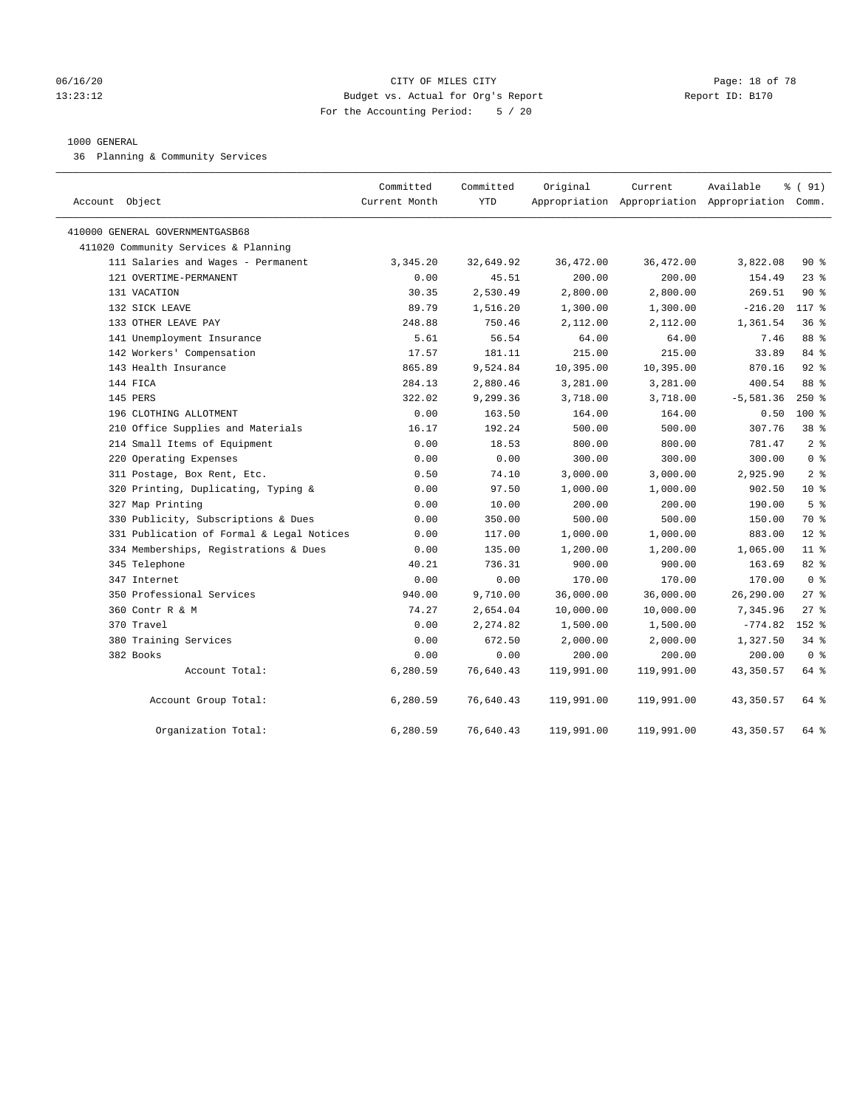#### 06/16/20 Page: 18 of 78 13:23:12 Budget vs. Actual for Org's Report Report ID: B170 For the Accounting Period: 5 / 20

#### 1000 GENERAL

36 Planning & Community Services

| Account Object                            | Committed<br>Current Month | Committed<br><b>YTD</b> | Original   | Current    | Available<br>Appropriation Appropriation Appropriation Comm. | % (91)          |
|-------------------------------------------|----------------------------|-------------------------|------------|------------|--------------------------------------------------------------|-----------------|
| 410000 GENERAL GOVERNMENTGASB68           |                            |                         |            |            |                                                              |                 |
| 411020 Community Services & Planning      |                            |                         |            |            |                                                              |                 |
| 111 Salaries and Wages - Permanent        | 3,345.20                   | 32,649.92               | 36,472.00  | 36,472.00  | 3,822.08                                                     | $90*$           |
| 121 OVERTIME-PERMANENT                    | 0.00                       | 45.51                   | 200.00     | 200.00     | 154.49                                                       | 23%             |
| 131 VACATION                              | 30.35                      | 2,530.49                | 2,800.00   | 2,800.00   | 269.51                                                       | 90%             |
| 132 SICK LEAVE                            | 89.79                      | 1,516.20                | 1,300.00   | 1,300.00   | $-216.20$                                                    | 117 %           |
| 133 OTHER LEAVE PAY                       | 248.88                     | 750.46                  | 2,112.00   | 2,112.00   | 1,361.54                                                     | 36%             |
| 141 Unemployment Insurance                | 5.61                       | 56.54                   | 64.00      | 64.00      | 7.46                                                         | 88 %            |
| 142 Workers' Compensation                 | 17.57                      | 181.11                  | 215.00     | 215.00     | 33.89                                                        | 84 %            |
| 143 Health Insurance                      | 865.89                     | 9,524.84                | 10,395.00  | 10,395.00  | 870.16                                                       | $92$ %          |
| 144 FICA                                  | 284.13                     | 2,880.46                | 3,281.00   | 3,281.00   | 400.54                                                       | 88 %            |
| 145 PERS                                  | 322.02                     | 9,299.36                | 3,718.00   | 3,718.00   | $-5,581.36$                                                  | $250*$          |
| 196 CLOTHING ALLOTMENT                    | 0.00                       | 163.50                  | 164.00     | 164.00     | 0.50                                                         | $100*$          |
| 210 Office Supplies and Materials         | 16.17                      | 192.24                  | 500.00     | 500.00     | 307.76                                                       | 38 <sup>8</sup> |
| 214 Small Items of Equipment              | 0.00                       | 18.53                   | 800.00     | 800.00     | 781.47                                                       | 2 <sup>8</sup>  |
| 220 Operating Expenses                    | 0.00                       | 0.00                    | 300.00     | 300.00     | 300.00                                                       | 0 <sup>8</sup>  |
| 311 Postage, Box Rent, Etc.               | 0.50                       | 74.10                   | 3,000.00   | 3,000.00   | 2,925.90                                                     | 2 <sup>8</sup>  |
| 320 Printing, Duplicating, Typing &       | 0.00                       | 97.50                   | 1,000.00   | 1,000.00   | 902.50                                                       | 10 <sup>8</sup> |
| 327 Map Printing                          | 0.00                       | 10.00                   | 200.00     | 200.00     | 190.00                                                       | 5 <sup>°</sup>  |
| 330 Publicity, Subscriptions & Dues       | 0.00                       | 350.00                  | 500.00     | 500.00     | 150.00                                                       | 70 %            |
| 331 Publication of Formal & Legal Notices | 0.00                       | 117.00                  | 1,000.00   | 1,000.00   | 883.00                                                       | $12*$           |
| 334 Memberships, Registrations & Dues     | 0.00                       | 135.00                  | 1,200.00   | 1,200.00   | 1,065.00                                                     | $11$ %          |
| 345 Telephone                             | 40.21                      | 736.31                  | 900.00     | 900.00     | 163.69                                                       | 82 %            |
| 347 Internet                              | 0.00                       | 0.00                    | 170.00     | 170.00     | 170.00                                                       | 0 <sup>8</sup>  |
| 350 Professional Services                 | 940.00                     | 9,710.00                | 36,000.00  | 36,000.00  | 26,290.00                                                    | 278             |
| 360 Contr R & M                           | 74.27                      | 2,654.04                | 10,000.00  | 10,000.00  | 7,345.96                                                     | $27$ %          |
| 370 Travel                                | 0.00                       | 2,274.82                | 1,500.00   | 1,500.00   | $-774.82$                                                    | $152$ %         |
| 380 Training Services                     | 0.00                       | 672.50                  | 2,000.00   | 2,000.00   | 1,327.50                                                     | $34$ $%$        |
| 382 Books                                 | 0.00                       | 0.00                    | 200.00     | 200.00     | 200.00                                                       | 0 <sup>8</sup>  |
| Account Total:                            | 6,280.59                   | 76,640.43               | 119,991.00 | 119,991.00 | 43,350.57                                                    | 64 %            |
| Account Group Total:                      | 6,280.59                   | 76,640.43               | 119,991.00 | 119,991.00 | 43,350.57                                                    | 64 %            |
| Organization Total:                       | 6,280.59                   | 76,640.43               | 119,991.00 | 119,991.00 | 43, 350.57                                                   | 64 %            |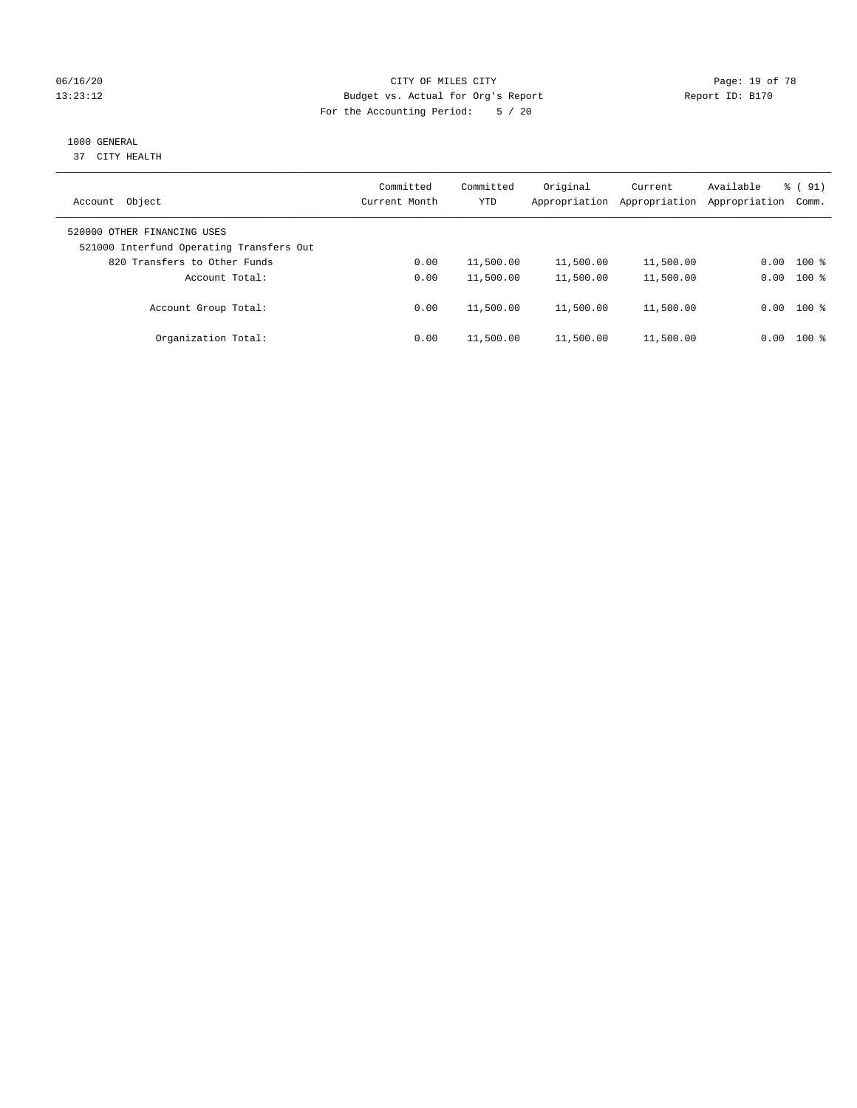#### 06/16/20 Page: 19 of 78 13:23:12 Budget vs. Actual for Org's Report Changer Report ID: B170 For the Accounting Period: 5 / 20

# 1000 GENERAL

37 CITY HEALTH

| Object<br>Account                                                       | Committed<br>Current Month | Committed<br><b>YTD</b> | Original<br>Appropriation | Current<br>Appropriation | Available<br>Appropriation | $\frac{1}{6}$ (91)<br>Comm. |
|-------------------------------------------------------------------------|----------------------------|-------------------------|---------------------------|--------------------------|----------------------------|-----------------------------|
| 520000 OTHER FINANCING USES<br>521000 Interfund Operating Transfers Out |                            |                         |                           |                          |                            |                             |
| 820 Transfers to Other Funds                                            | 0.00                       | 11,500.00               | 11,500.00                 | 11,500.00                | 0.00                       | $100*$                      |
| Account Total:                                                          | 0.00                       | 11,500.00               | 11,500.00                 | 11,500.00                | 0.00                       | $100*$                      |
| Account Group Total:                                                    | 0.00                       | 11,500.00               | 11,500.00                 | 11,500.00                |                            | $0.00$ 100 %                |
| Organization Total:                                                     | 0.00                       | 11,500.00               | 11,500.00                 | 11,500.00                | 0.00                       | $100*$                      |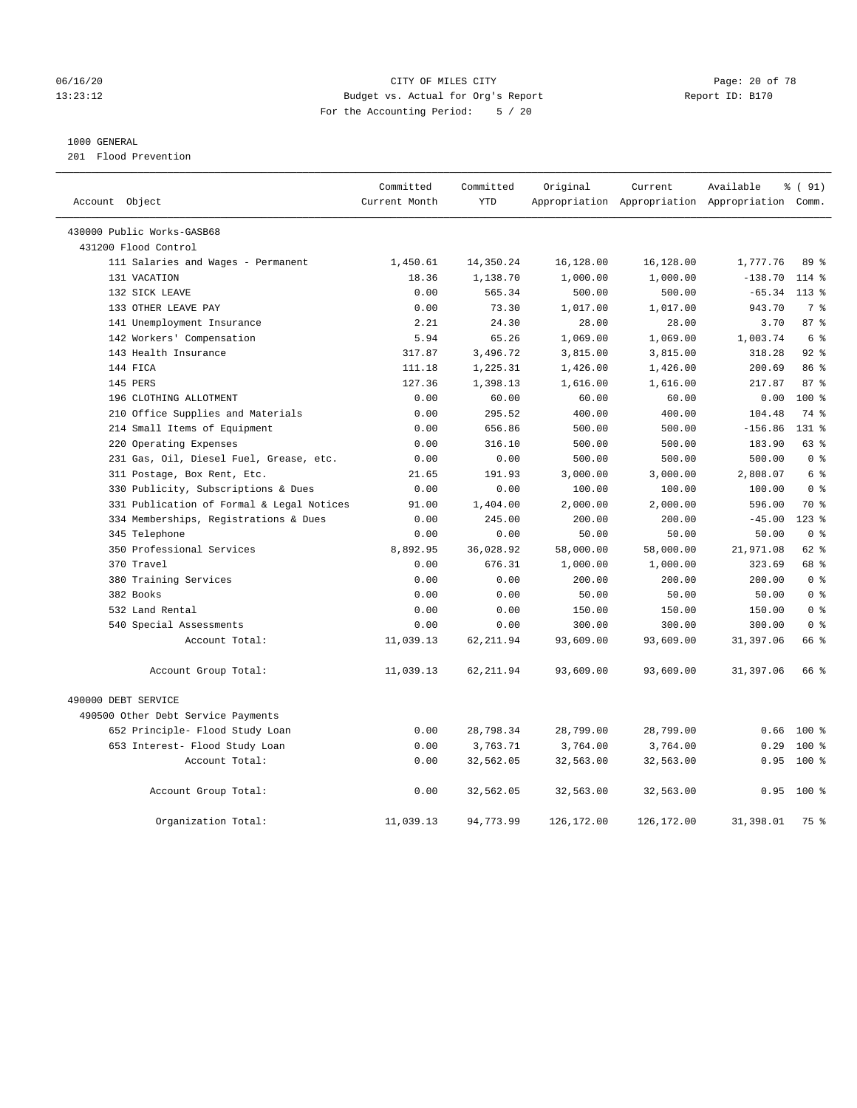#### 06/16/20 Page: 20 of 78 13:23:12 Budget vs. Actual for Org's Report Report ID: B170 For the Accounting Period: 5 / 20

#### 1000 GENERAL

201 Flood Prevention

| Account Object |                                           | Committed<br>Current Month | Committed<br><b>YTD</b> | Original   | Current    | Available<br>Appropriation Appropriation Appropriation Comm. | % (91)         |  |
|----------------|-------------------------------------------|----------------------------|-------------------------|------------|------------|--------------------------------------------------------------|----------------|--|
|                |                                           |                            |                         |            |            |                                                              |                |  |
|                | 430000 Public Works-GASB68                |                            |                         |            |            |                                                              |                |  |
|                | 431200 Flood Control                      |                            |                         |            |            |                                                              |                |  |
|                | 111 Salaries and Wages - Permanent        | 1,450.61                   | 14,350.24               | 16,128.00  | 16,128.00  | 1,777.76                                                     | 89 %           |  |
|                | 131 VACATION                              | 18.36                      | 1,138.70                | 1,000.00   | 1,000.00   | $-138.70$                                                    | $114$ %        |  |
|                | 132 SICK LEAVE                            | 0.00                       | 565.34                  | 500.00     | 500.00     | $-65.34$                                                     | $113*$         |  |
|                | 133 OTHER LEAVE PAY                       | 0.00                       | 73.30                   | 1,017.00   | 1,017.00   | 943.70                                                       | 7 <sup>°</sup> |  |
|                | 141 Unemployment Insurance                | 2.21                       | 24.30                   | 28.00      | 28.00      | 3.70                                                         | 87%            |  |
|                | 142 Workers' Compensation                 | 5.94                       | 65.26                   | 1,069.00   | 1,069.00   | 1,003.74                                                     | 6 %            |  |
|                | 143 Health Insurance                      | 317.87                     | 3,496.72                | 3,815.00   | 3,815.00   | 318.28                                                       | 92%            |  |
|                | 144 FICA                                  | 111.18                     | 1,225.31                | 1,426.00   | 1,426.00   | 200.69                                                       | 86 %           |  |
|                | 145 PERS                                  | 127.36                     | 1,398.13                | 1,616.00   | 1,616.00   | 217.87                                                       | 87%            |  |
|                | 196 CLOTHING ALLOTMENT                    | 0.00                       | 60.00                   | 60.00      | 60.00      | 0.00                                                         | $100*$         |  |
|                | 210 Office Supplies and Materials         | 0.00                       | 295.52                  | 400.00     | 400.00     | 104.48                                                       | 74 %           |  |
|                | 214 Small Items of Equipment              | 0.00                       | 656.86                  | 500.00     | 500.00     | $-156.86$                                                    | $131*$         |  |
|                | 220 Operating Expenses                    | 0.00                       | 316.10                  | 500.00     | 500.00     | 183.90                                                       | 63 %           |  |
|                | 231 Gas, Oil, Diesel Fuel, Grease, etc.   | 0.00                       | 0.00                    | 500.00     | 500.00     | 500.00                                                       | 0 <sup>8</sup> |  |
|                | 311 Postage, Box Rent, Etc.               | 21.65                      | 191.93                  | 3,000.00   | 3,000.00   | 2,808.07                                                     | 6 %            |  |
|                | 330 Publicity, Subscriptions & Dues       | 0.00                       | 0.00                    | 100.00     | 100.00     | 100.00                                                       | 0 <sup>8</sup> |  |
|                | 331 Publication of Formal & Legal Notices | 91.00                      | 1,404.00                | 2,000.00   | 2,000.00   | 596.00                                                       | 70 %           |  |
|                | 334 Memberships, Registrations & Dues     | 0.00                       | 245.00                  | 200.00     | 200.00     | $-45.00$                                                     | $123$ %        |  |
|                | 345 Telephone                             | 0.00                       | 0.00                    | 50.00      | 50.00      | 50.00                                                        | 0 <sup>8</sup> |  |
|                | 350 Professional Services                 | 8,892.95                   | 36,028.92               | 58,000.00  | 58,000.00  | 21,971.08                                                    | $62$ $%$       |  |
|                | 370 Travel                                | 0.00                       | 676.31                  | 1,000.00   | 1,000.00   | 323.69                                                       | 68 %           |  |
|                | 380 Training Services                     | 0.00                       | 0.00                    | 200.00     | 200.00     | 200.00                                                       | 0 <sup>8</sup> |  |
|                | 382 Books                                 | 0.00                       | 0.00                    | 50.00      | 50.00      | 50.00                                                        | 0 <sup>8</sup> |  |
|                | 532 Land Rental                           | 0.00                       | 0.00                    | 150.00     | 150.00     | 150.00                                                       | 0 <sup>8</sup> |  |
|                | 540 Special Assessments                   | 0.00                       | 0.00                    | 300.00     | 300.00     | 300.00                                                       | 0 <sup>8</sup> |  |
|                | Account Total:                            | 11,039.13                  | 62, 211.94              | 93,609.00  | 93,609.00  | 31,397.06                                                    | 66 %           |  |
|                | Account Group Total:                      | 11,039.13                  | 62, 211.94              | 93,609.00  | 93,609.00  | 31,397.06                                                    | 66 %           |  |
|                | 490000 DEBT SERVICE                       |                            |                         |            |            |                                                              |                |  |
|                | 490500 Other Debt Service Payments        |                            |                         |            |            |                                                              |                |  |
|                | 652 Principle- Flood Study Loan           | 0.00                       | 28,798.34               | 28,799.00  | 28,799.00  | 0.66                                                         | $100$ %        |  |
|                | 653 Interest- Flood Study Loan            | 0.00                       | 3,763.71                | 3,764.00   | 3,764.00   | 0.29                                                         | 100 %          |  |
|                | Account Total:                            | 0.00                       | 32,562.05               | 32,563.00  | 32,563.00  | 0.95                                                         | $100*$         |  |
|                | Account Group Total:                      | 0.00                       | 32,562.05               | 32,563.00  | 32,563.00  | 0.95                                                         | $100*$         |  |
|                | Organization Total:                       | 11,039.13                  | 94,773.99               | 126,172.00 | 126,172.00 | 31,398.01                                                    | 75 %           |  |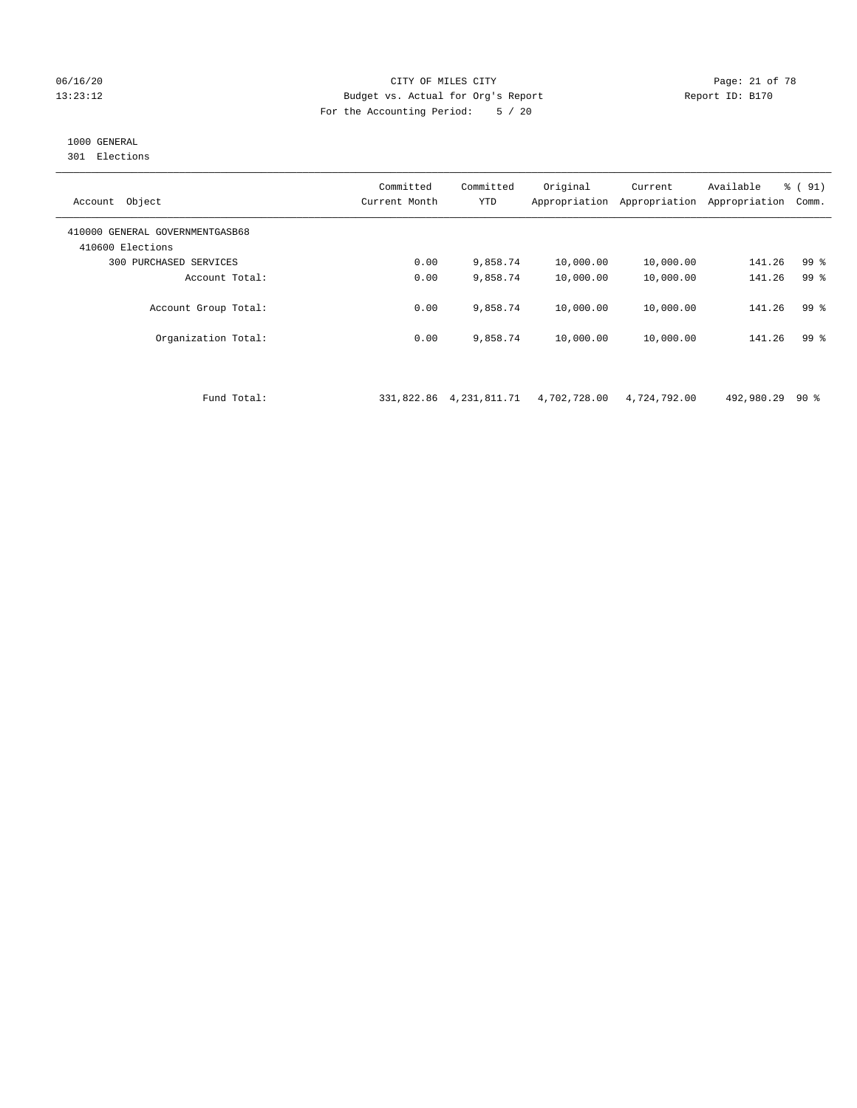#### 06/16/20 Page: 21 of 78 13:23:12 Budget vs. Actual for Org's Report Report ID: B170 For the Accounting Period: 5 / 20

# 1000 GENERAL

301 Elections

| Object<br>Account                                   | Committed<br>Current Month | Committed<br><b>YTD</b> | Original<br>Appropriation | Current<br>Appropriation | Available<br>Appropriation | % (91)<br>Comm. |
|-----------------------------------------------------|----------------------------|-------------------------|---------------------------|--------------------------|----------------------------|-----------------|
| 410000 GENERAL GOVERNMENTGASB68<br>410600 Elections |                            |                         |                           |                          |                            |                 |
| 300 PURCHASED SERVICES                              | 0.00                       | 9,858.74                | 10,000.00                 | 10,000.00                | 141.26                     | 99 %            |
| Account Total:                                      | 0.00                       | 9,858.74                | 10,000.00                 | 10,000.00                | 141.26                     | 99 <sup>8</sup> |
| Account Group Total:                                | 0.00                       | 9,858.74                | 10,000.00                 | 10,000.00                | 141.26                     | 99 <sup>8</sup> |
| Organization Total:                                 | 0.00                       | 9,858.74                | 10,000.00                 | 10,000.00                | 141.26                     | 99 %            |

Fund Total: 331,822.86 4,231,811.71 4,702,728.00 4,724,792.00 492,980.29 90 %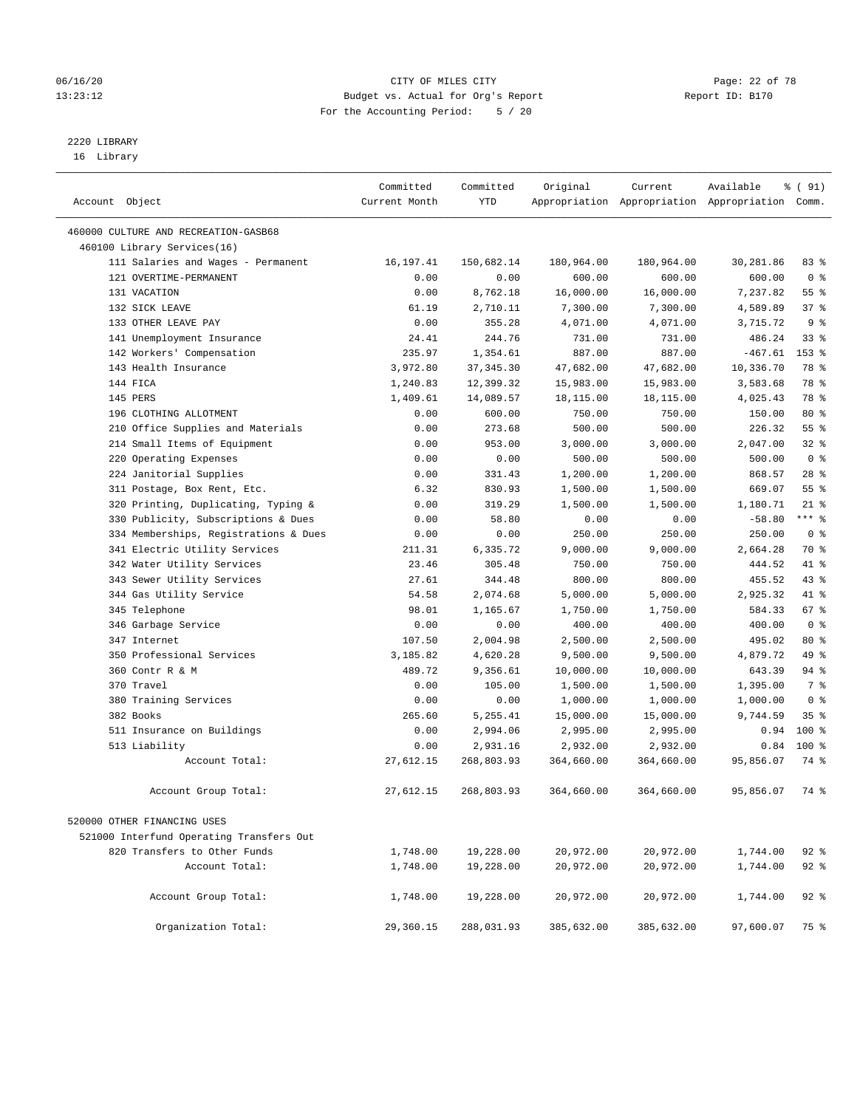#### 06/16/20 Page: 22 of 78 13:23:12 Budget vs. Actual for Org's Report Report ID: B170 For the Accounting Period: 5 / 20

————————————————————————————————————————————————————————————————————————————————————————————————————————————————————————————————————

# 2220 LIBRARY

16 Library

|                                                         | Committed     | Committed        | Original               | Current                | Available                                       | % ( 91)         |
|---------------------------------------------------------|---------------|------------------|------------------------|------------------------|-------------------------------------------------|-----------------|
| Account Object                                          | Current Month | YTD              |                        |                        | Appropriation Appropriation Appropriation Comm. |                 |
|                                                         |               |                  |                        |                        |                                                 |                 |
| 460000 CULTURE AND RECREATION-GASB68                    |               |                  |                        |                        |                                                 |                 |
| 460100 Library Services(16)                             |               |                  |                        |                        |                                                 |                 |
| 111 Salaries and Wages - Permanent                      | 16,197.41     | 150,682.14       | 180,964.00             | 180,964.00             | 30,281.86                                       | 83 %            |
| 121 OVERTIME-PERMANENT                                  | 0.00          | 0.00             | 600.00                 | 600.00                 | 600.00                                          | 0 <sup>8</sup>  |
| 131 VACATION                                            | 0.00          | 8,762.18         | 16,000.00              | 16,000.00              | 7,237.82                                        | $55$ $%$<br>37% |
| 132 SICK LEAVE<br>133 OTHER LEAVE PAY                   | 61.19         | 2,710.11         | 7,300.00               | 7,300.00               | 4,589.89                                        | 9 <sup>°</sup>  |
|                                                         | 0.00<br>24.41 | 355.28<br>244.76 | 4,071.00<br>731.00     | 4,071.00<br>731.00     | 3,715.72<br>486.24                              | $33$ $%$        |
| 141 Unemployment Insurance<br>142 Workers' Compensation | 235.97        | 1,354.61         | 887.00                 | 887.00                 | $-467.61$                                       | $153$ %         |
| 143 Health Insurance                                    | 3,972.80      | 37, 345.30       |                        |                        | 10,336.70                                       | 78 %            |
| 144 FICA                                                | 1,240.83      | 12,399.32        | 47,682.00<br>15,983.00 | 47,682.00              | 3,583.68                                        | 78 %            |
| 145 PERS                                                | 1,409.61      | 14,089.57        |                        | 15,983.00<br>18,115.00 | 4,025.43                                        | 78 %            |
| 196 CLOTHING ALLOTMENT                                  | 0.00          | 600.00           | 18,115.00<br>750.00    | 750.00                 | 150.00                                          | $80*$           |
| 210 Office Supplies and Materials                       | 0.00          | 273.68           | 500.00                 | 500.00                 | 226.32                                          | 55%             |
| 214 Small Items of Equipment                            | 0.00          | 953.00           | 3,000.00               | 3,000.00               | 2,047.00                                        | $32$ $%$        |
| 220 Operating Expenses                                  | 0.00          | 0.00             | 500.00                 | 500.00                 | 500.00                                          | 0 <sup>8</sup>  |
| 224 Janitorial Supplies                                 | 0.00          | 331.43           | 1,200.00               | 1,200.00               | 868.57                                          | $28$ %          |
| 311 Postage, Box Rent, Etc.                             | 6.32          | 830.93           | 1,500.00               | 1,500.00               | 669.07                                          | 55%             |
| 320 Printing, Duplicating, Typing &                     | 0.00          | 319.29           | 1,500.00               | 1,500.00               | 1,180.71                                        | $21$ %          |
| 330 Publicity, Subscriptions & Dues                     | 0.00          | 58.80            | 0.00                   | 0.00                   | $-58.80$                                        | *** 응           |
| 334 Memberships, Registrations & Dues                   | 0.00          | 0.00             | 250.00                 | 250.00                 | 250.00                                          | 0 <sup>8</sup>  |
| 341 Electric Utility Services                           | 211.31        | 6,335.72         | 9,000.00               | 9,000.00               | 2,664.28                                        | 70 %            |
| 342 Water Utility Services                              | 23.46         | 305.48           | 750.00                 | 750.00                 | 444.52                                          | 41 %            |
| 343 Sewer Utility Services                              | 27.61         | 344.48           | 800.00                 | 800.00                 | 455.52                                          | 43 %            |
| 344 Gas Utility Service                                 | 54.58         | 2,074.68         | 5,000.00               | 5,000.00               | 2,925.32                                        | 41 %            |
| 345 Telephone                                           | 98.01         | 1,165.67         | 1,750.00               | 1,750.00               | 584.33                                          | 67 %            |
| 346 Garbage Service                                     | 0.00          | 0.00             | 400.00                 | 400.00                 | 400.00                                          | 0 <sup>8</sup>  |
| 347 Internet                                            | 107.50        | 2,004.98         | 2,500.00               | 2,500.00               | 495.02                                          | 80 %            |
| 350 Professional Services                               | 3,185.82      | 4,620.28         | 9,500.00               | 9,500.00               | 4,879.72                                        | 49 %            |
| 360 Contr R & M                                         | 489.72        | 9,356.61         | 10,000.00              | 10,000.00              | 643.39                                          | 94 %            |
| 370 Travel                                              | 0.00          | 105.00           | 1,500.00               | 1,500.00               | 1,395.00                                        | 7 %             |
| 380 Training Services                                   | 0.00          | 0.00             | 1,000.00               | 1,000.00               | 1,000.00                                        | 0 <sup>8</sup>  |
| 382 Books                                               | 265.60        | 5,255.41         | 15,000.00              | 15,000.00              | 9,744.59                                        | 35%             |
| 511 Insurance on Buildings                              | 0.00          | 2,994.06         | 2,995.00               | 2,995.00               | 0.94                                            | $100*$          |
| 513 Liability                                           | 0.00          | 2,931.16         | 2,932.00               | 2,932.00               | 0.84                                            | $100*$          |
| Account Total:                                          | 27,612.15     | 268,803.93       | 364,660.00             | 364,660.00             | 95,856.07                                       | 74 %            |
|                                                         |               |                  |                        |                        |                                                 |                 |
| Account Group Total:                                    | 27,612.15     | 268,803.93       | 364,660.00             | 364,660.00             | 95,856.07                                       | 74 %            |
| 520000 OTHER FINANCING USES                             |               |                  |                        |                        |                                                 |                 |
| 521000 Interfund Operating Transfers Out                |               |                  |                        |                        |                                                 |                 |
| 820 Transfers to Other Funds                            | 1,748.00      | 19,228.00        | 20,972.00              | 20,972.00              | 1,744.00                                        | $92$ $%$        |
| Account Total:                                          | 1,748.00      | 19,228.00        | 20,972.00              | 20,972.00              | 1,744.00                                        | $92$ $%$        |
|                                                         |               |                  |                        |                        |                                                 |                 |
| Account Group Total:                                    | 1,748.00      | 19,228.00        | 20,972.00              | 20,972.00              | 1,744.00                                        | $92$ $%$        |
| Organization Total:                                     | 29,360.15     | 288,031.93       | 385,632.00             | 385,632.00             | 97,600.07                                       | 75 %            |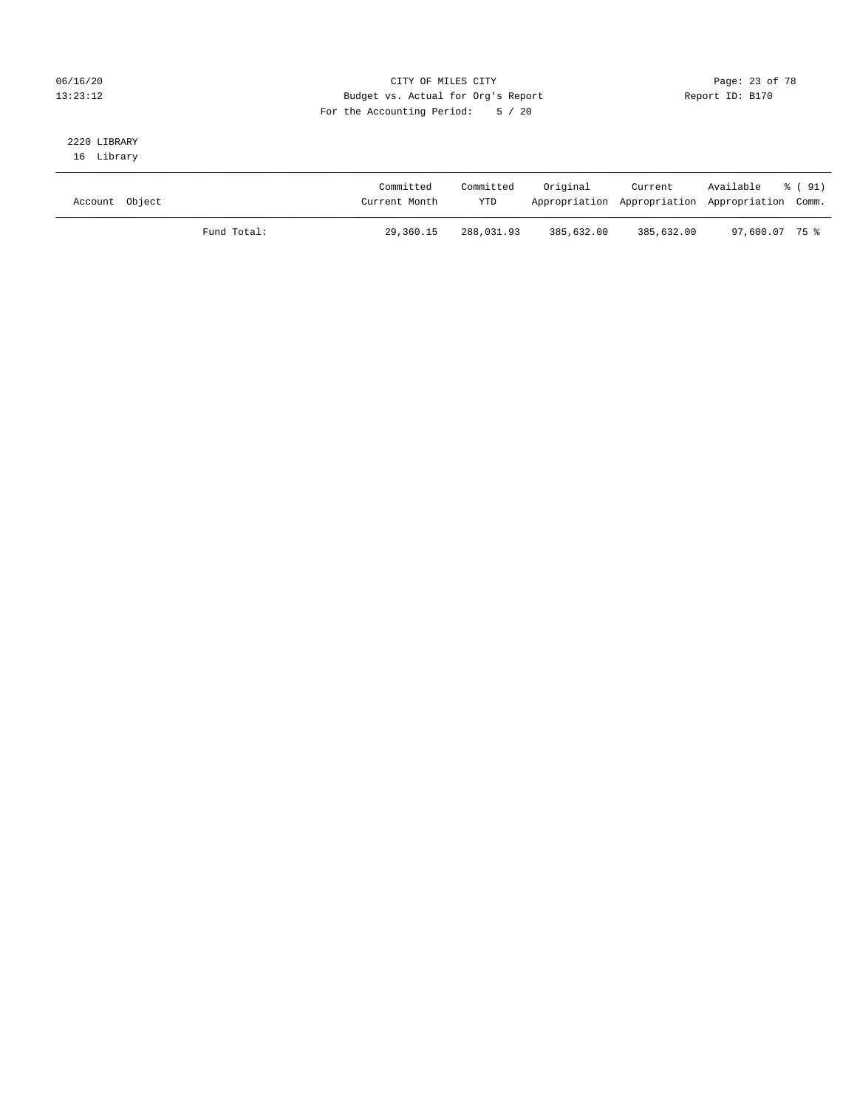#### 06/16/20 Page: 23 of 78 13:23:12 Budget vs. Actual for Org's Report Changer Report ID: B170 For the Accounting Period: 5 / 20

# 2220 LIBRARY

16 Library

| Account Object |             | Committed<br>Current Month | Committed<br><b>YTD</b> | Original   | Current<br>Appropriation Appropriation Appropriation Comm. | Available % (91) |  |
|----------------|-------------|----------------------------|-------------------------|------------|------------------------------------------------------------|------------------|--|
|                | Fund Total: | 29,360.15                  | 288,031.93              | 385,632.00 | 385,632.00                                                 | 97,600.07 75%    |  |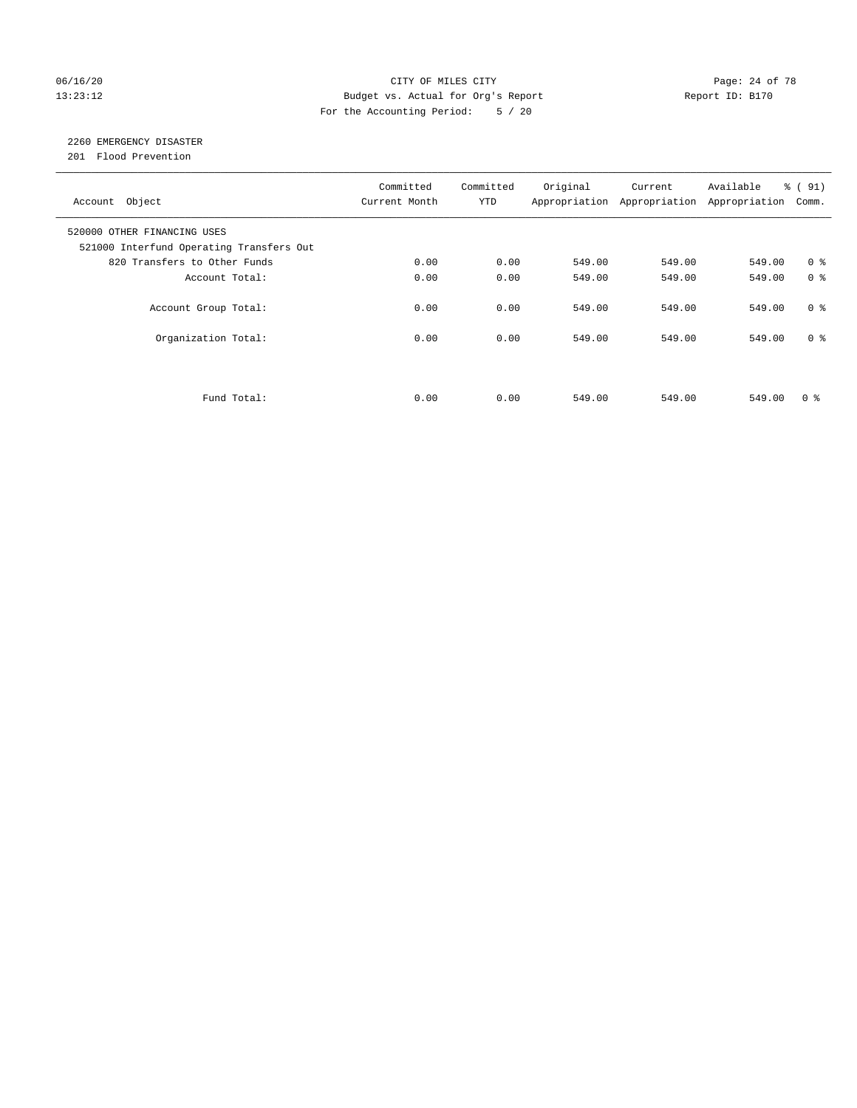#### 06/16/20 Page: 24 of 78 13:23:12 Budget vs. Actual for Org's Report Changer Report ID: B170 For the Accounting Period: 5 / 20

# 2260 EMERGENCY DISASTER

201 Flood Prevention

| Account Object                                                          | Committed<br>Current Month | Committed<br><b>YTD</b> | Original | Current<br>Appropriation Appropriation | Available<br>Appropriation | % (91)<br>Comm. |
|-------------------------------------------------------------------------|----------------------------|-------------------------|----------|----------------------------------------|----------------------------|-----------------|
| 520000 OTHER FINANCING USES<br>521000 Interfund Operating Transfers Out |                            |                         |          |                                        |                            |                 |
| 820 Transfers to Other Funds                                            | 0.00                       | 0.00                    | 549.00   | 549.00                                 | 549.00                     | 0 <sup>8</sup>  |
| Account Total:                                                          | 0.00                       | 0.00                    | 549.00   | 549.00                                 | 549.00                     | 0 <sup>8</sup>  |
| Account Group Total:                                                    | 0.00                       | 0.00                    | 549.00   | 549.00                                 | 549.00                     | 0 <sup>8</sup>  |
| Organization Total:                                                     | 0.00                       | 0.00                    | 549.00   | 549.00                                 | 549.00                     | 0 <sup>8</sup>  |
|                                                                         |                            |                         |          |                                        |                            |                 |
| Fund Total:                                                             | 0.00                       | 0.00                    | 549.00   | 549.00                                 | 549.00                     | 0 %             |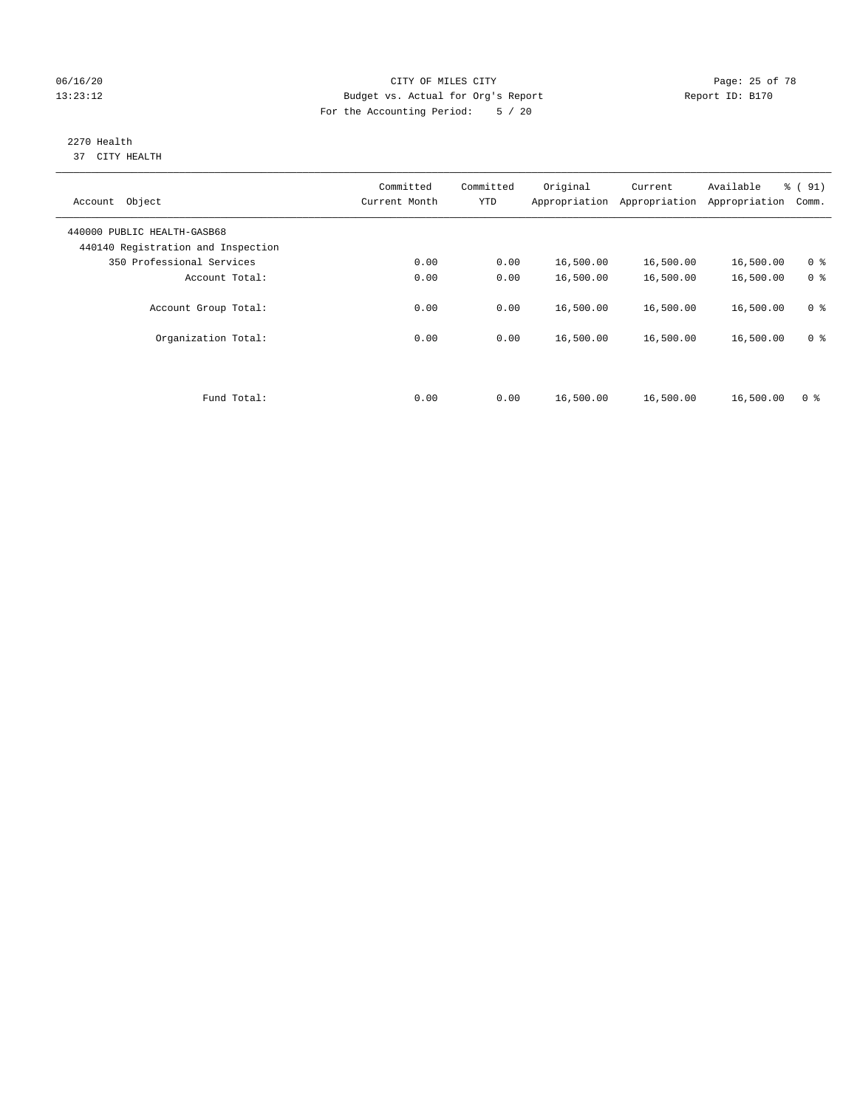#### 06/16/20 Page: 25 of 78 13:23:12 Budget vs. Actual for Org's Report Changer Report ID: B170 For the Accounting Period: 5 / 20

#### 2270 Health 37 CITY HEALTH

| Object<br>Account                                                 | Committed<br>Current Month | Committed<br><b>YTD</b> | Original<br>Appropriation | Current<br>Appropriation | Available<br>Appropriation | % (91)<br>Comm. |
|-------------------------------------------------------------------|----------------------------|-------------------------|---------------------------|--------------------------|----------------------------|-----------------|
| 440000 PUBLIC HEALTH-GASB68<br>440140 Registration and Inspection |                            |                         |                           |                          |                            |                 |
| 350 Professional Services                                         | 0.00                       | 0.00                    | 16,500.00                 | 16,500.00                | 16,500.00                  | 0 <sup>8</sup>  |
| Account Total:                                                    | 0.00                       | 0.00                    | 16,500.00                 | 16,500.00                | 16,500.00                  | 0 <sup>8</sup>  |
| Account Group Total:                                              | 0.00                       | 0.00                    | 16,500.00                 | 16,500.00                | 16,500.00                  | 0 <sup>8</sup>  |
| Organization Total:                                               | 0.00                       | 0.00                    | 16,500.00                 | 16,500.00                | 16,500.00                  | 0 <sup>8</sup>  |
| Fund Total:                                                       | 0.00                       | 0.00                    | 16,500.00                 | 16,500.00                | 16,500.00                  | 0 <sup>8</sup>  |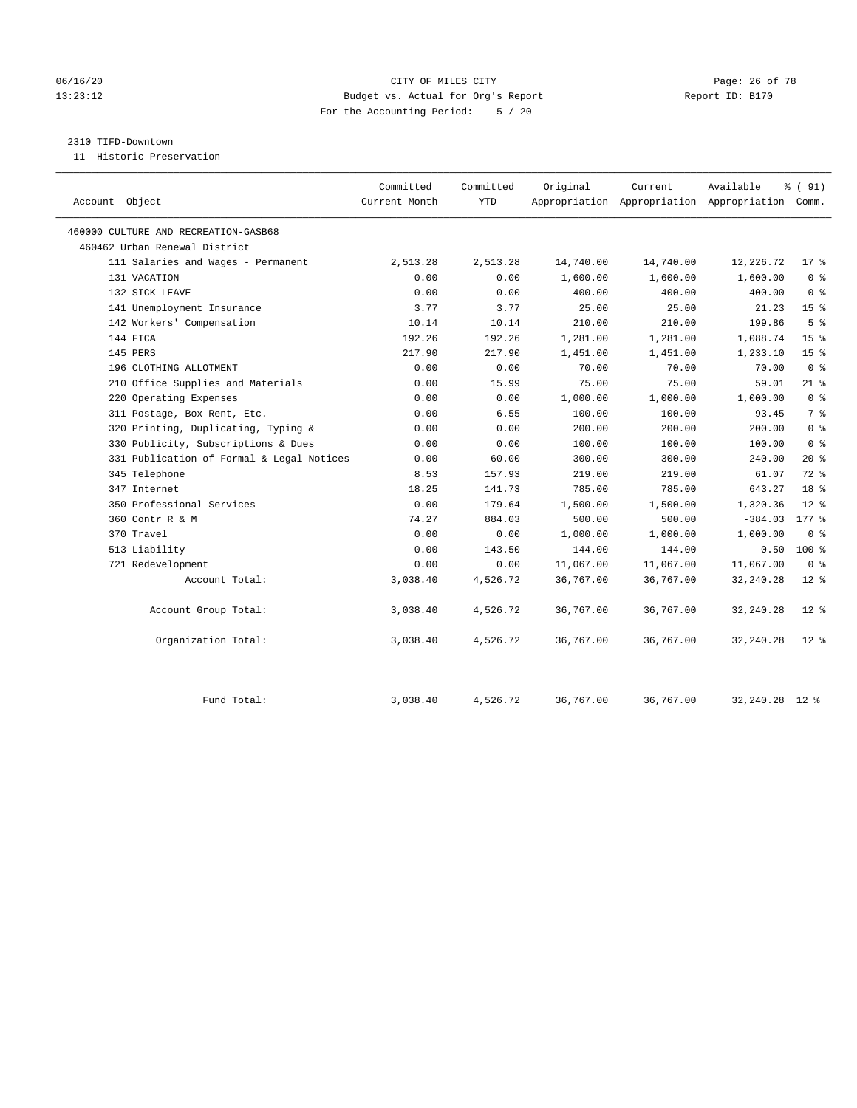#### 06/16/20 Page: 26 of 78 13:23:12 Budget vs. Actual for Org's Report Report ID: B170 For the Accounting Period: 5 / 20

#### 2310 TIFD-Downtown

11 Historic Preservation

|                                           | Committed     | Committed | Original  | Current   | Available                                       | % (91)          |
|-------------------------------------------|---------------|-----------|-----------|-----------|-------------------------------------------------|-----------------|
| Account Object                            | Current Month | YTD       |           |           | Appropriation Appropriation Appropriation Comm. |                 |
|                                           |               |           |           |           |                                                 |                 |
| 460000 CULTURE AND RECREATION-GASB68      |               |           |           |           |                                                 |                 |
| 460462 Urban Renewal District             |               |           |           |           |                                                 |                 |
| 111 Salaries and Wages - Permanent        | 2,513.28      | 2,513.28  | 14,740.00 | 14,740.00 | 12,226.72                                       | $17*$           |
| 131 VACATION                              | 0.00          | 0.00      | 1,600.00  | 1,600.00  | 1,600.00                                        | 0 <sup>8</sup>  |
| 132 SICK LEAVE                            | 0.00          | 0.00      | 400.00    | 400.00    | 400.00                                          | 0 <sup>8</sup>  |
| 141 Unemployment Insurance                | 3.77          | 3.77      | 25.00     | 25.00     | 21.23                                           | 15 <sup>°</sup> |
| 142 Workers' Compensation                 | 10.14         | 10.14     | 210.00    | 210.00    | 199.86                                          | 5 <sup>°</sup>  |
| 144 FICA                                  | 192.26        | 192.26    | 1,281.00  | 1,281.00  | 1,088.74                                        | 15 <sup>8</sup> |
| 145 PERS                                  | 217.90        | 217.90    | 1,451.00  | 1,451.00  | 1,233.10                                        | 15 <sup>°</sup> |
| 196 CLOTHING ALLOTMENT                    | 0.00          | 0.00      | 70.00     | 70.00     | 70.00                                           | 0 <sup>8</sup>  |
| 210 Office Supplies and Materials         | 0.00          | 15.99     | 75.00     | 75.00     | 59.01                                           | $21$ %          |
| 220 Operating Expenses                    | 0.00          | 0.00      | 1,000.00  | 1,000.00  | 1,000.00                                        | 0 <sup>8</sup>  |
| 311 Postage, Box Rent, Etc.               | 0.00          | 6.55      | 100.00    | 100.00    | 93.45                                           | 7 <sup>°</sup>  |
| 320 Printing, Duplicating, Typing &       | 0.00          | 0.00      | 200.00    | 200.00    | 200.00                                          | 0 <sup>8</sup>  |
| 330 Publicity, Subscriptions & Dues       | 0.00          | 0.00      | 100.00    | 100.00    | 100.00                                          | 0 <sup>8</sup>  |
| 331 Publication of Formal & Legal Notices | 0.00          | 60.00     | 300.00    | 300.00    | 240.00                                          | $20*$           |
| 345 Telephone                             | 8.53          | 157.93    | 219.00    | 219.00    | 61.07                                           | $72$ $%$        |
| 347 Internet                              | 18.25         | 141.73    | 785.00    | 785.00    | 643.27                                          | 18 <sup>8</sup> |
| 350 Professional Services                 | 0.00          | 179.64    | 1,500.00  | 1,500.00  | 1,320.36                                        | $12*$           |
| 360 Contr R & M                           | 74.27         | 884.03    | 500.00    | 500.00    | $-384.03$                                       | $177$ $%$       |
| 370 Travel                                | 0.00          | 0.00      | 1,000.00  | 1,000.00  | 1,000.00                                        | 0 <sup>8</sup>  |
| 513 Liability                             | 0.00          | 143.50    | 144.00    | 144.00    | 0.50                                            | $100*$          |
| 721 Redevelopment                         | 0.00          | 0.00      | 11,067.00 | 11,067.00 | 11,067.00                                       | 0 <sup>8</sup>  |
| Account Total:                            | 3,038.40      | 4,526.72  | 36,767.00 | 36,767.00 | 32, 240.28                                      | $12*$           |
| Account Group Total:                      | 3,038.40      | 4,526.72  | 36,767.00 | 36,767.00 | 32, 240.28                                      | $12*$           |
| Organization Total:                       | 3,038.40      | 4,526.72  | 36,767.00 | 36,767.00 | 32,240.28                                       | $12*$           |
| Fund Total:                               | 3,038.40      | 4,526.72  | 36,767.00 | 36,767.00 | 32,240.28                                       | $12*$           |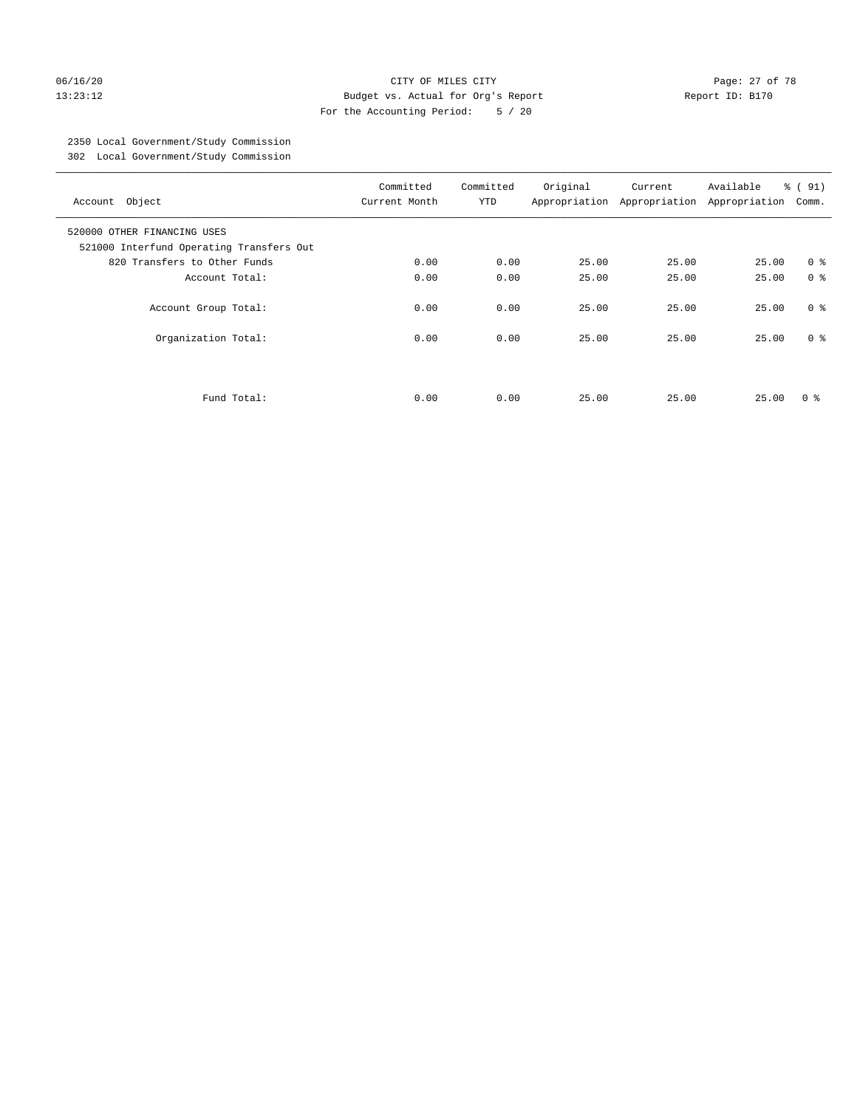#### 06/16/20 Page: 27 of 78 13:23:12 Budget vs. Actual for Org's Report Report ID: B170 For the Accounting Period: 5 / 20

# 2350 Local Government/Study Commission

302 Local Government/Study Commission

| Account Object                                                          | Committed<br>Current Month | Committed<br><b>YTD</b> | Original | Current<br>Appropriation Appropriation | Available<br>Appropriation | % (91)<br>Comm. |
|-------------------------------------------------------------------------|----------------------------|-------------------------|----------|----------------------------------------|----------------------------|-----------------|
| 520000 OTHER FINANCING USES<br>521000 Interfund Operating Transfers Out |                            |                         |          |                                        |                            |                 |
| 820 Transfers to Other Funds                                            | 0.00                       | 0.00                    | 25.00    | 25.00                                  | 25.00                      | 0 <sup>8</sup>  |
| Account Total:                                                          | 0.00                       | 0.00                    | 25.00    | 25.00                                  | 25.00                      | 0 <sup>8</sup>  |
| Account Group Total:                                                    | 0.00                       | 0.00                    | 25.00    | 25.00                                  | 25.00                      | 0 <sup>8</sup>  |
| Organization Total:                                                     | 0.00                       | 0.00                    | 25.00    | 25.00                                  | 25.00                      | 0 <sup>8</sup>  |
|                                                                         |                            |                         |          |                                        |                            |                 |
| Fund Total:                                                             | 0.00                       | 0.00                    | 25.00    | 25.00                                  | 25.00                      | 0 ៖             |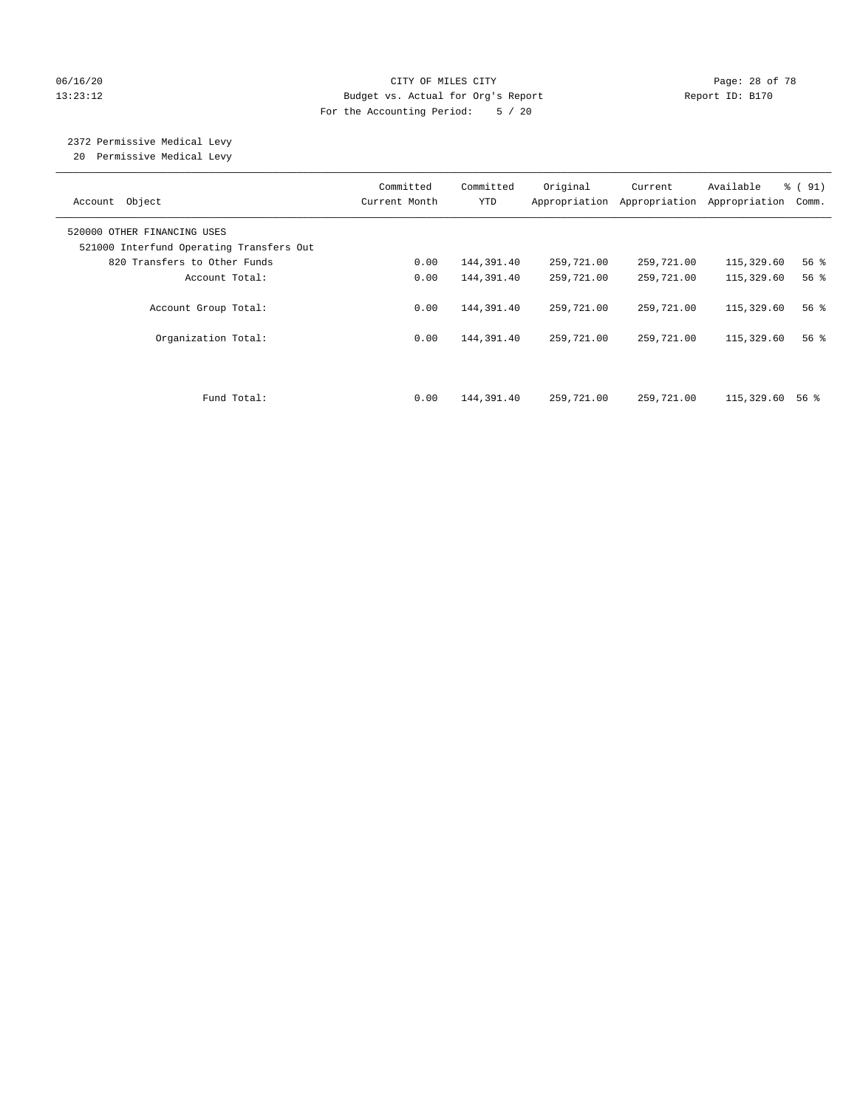#### 06/16/20 Page: 28 of 78 13:23:12 Budget vs. Actual for Org's Report Report ID: B170 For the Accounting Period: 5 / 20

# 2372 Permissive Medical Levy

20 Permissive Medical Levy

| Account Object                                                          | Committed<br>Current Month | Committed<br><b>YTD</b> | Original<br>Appropriation | Current<br>Appropriation | Available<br>Appropriation | % (91)<br>Comm.    |
|-------------------------------------------------------------------------|----------------------------|-------------------------|---------------------------|--------------------------|----------------------------|--------------------|
| 520000 OTHER FINANCING USES<br>521000 Interfund Operating Transfers Out |                            |                         |                           |                          |                            |                    |
| 820 Transfers to Other Funds                                            | 0.00                       | 144,391.40              | 259,721.00                | 259,721.00               | 115,329.60                 | 56%                |
| Account Total:                                                          | 0.00                       | 144,391.40              | 259,721.00                | 259,721.00               | 115,329.60                 | $56$ $\frac{6}{3}$ |
| Account Group Total:                                                    | 0.00                       | 144,391.40              | 259,721.00                | 259,721.00               | 115,329.60                 | 56%                |
| Organization Total:                                                     | 0.00                       | 144,391.40              | 259,721.00                | 259,721.00               | 115,329.60                 | 56%                |
| Fund Total:                                                             | 0.00                       | 144,391.40              | 259,721.00                | 259,721.00               | 115,329.60                 | 56 %               |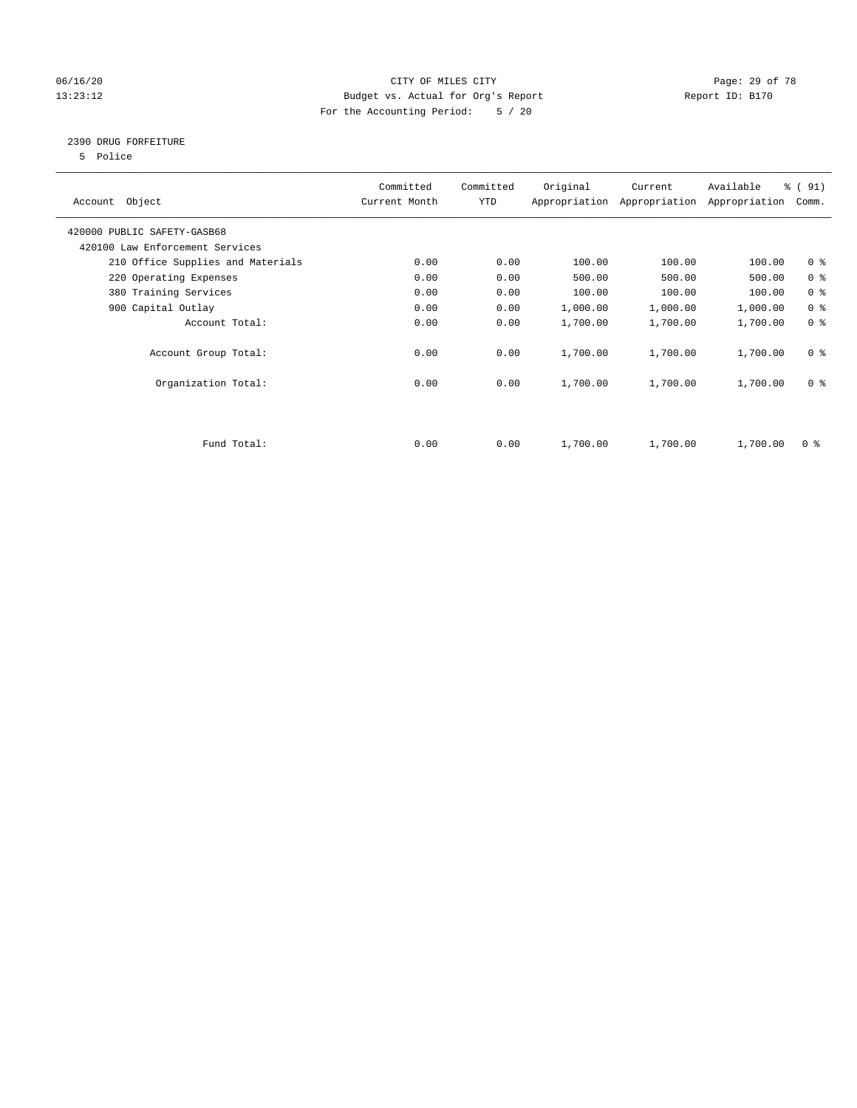#### 06/16/20 Page: 29 of 78 13:23:12 Budget vs. Actual for Org's Report Changer Report ID: B170 For the Accounting Period: 5 / 20

#### 2390 DRUG FORFEITURE

5 Police

| Account Object                    | Committed<br>Current Month | Committed<br>YTD | Original | Current<br>Appropriation Appropriation | Available<br>Appropriation | % (91)<br>Comm. |
|-----------------------------------|----------------------------|------------------|----------|----------------------------------------|----------------------------|-----------------|
| 420000 PUBLIC SAFETY-GASB68       |                            |                  |          |                                        |                            |                 |
| 420100 Law Enforcement Services   |                            |                  |          |                                        |                            |                 |
| 210 Office Supplies and Materials | 0.00                       | 0.00             | 100.00   | 100.00                                 | 100.00                     | 0 <sub>8</sub>  |
| 220 Operating Expenses            | 0.00                       | 0.00             | 500.00   | 500.00                                 | 500.00                     | 0 <sup>8</sup>  |
| 380 Training Services             | 0.00                       | 0.00             | 100.00   | 100.00                                 | 100.00                     | 0 <sup>8</sup>  |
| 900 Capital Outlay                | 0.00                       | 0.00             | 1,000.00 | 1,000.00                               | 1,000.00                   | 0 <sup>8</sup>  |
| Account Total:                    | 0.00                       | 0.00             | 1,700.00 | 1,700.00                               | 1,700.00                   | 0 <sup>8</sup>  |
| Account Group Total:              | 0.00                       | 0.00             | 1,700.00 | 1,700.00                               | 1,700.00                   | 0 <sup>8</sup>  |
| Organization Total:               | 0.00                       | 0.00             | 1,700.00 | 1,700.00                               | 1,700.00                   | 0 <sup>8</sup>  |
|                                   |                            |                  |          |                                        |                            |                 |
| Fund Total:                       | 0.00                       | 0.00             | 1,700.00 | 1,700.00                               | 1,700.00                   | 0 %             |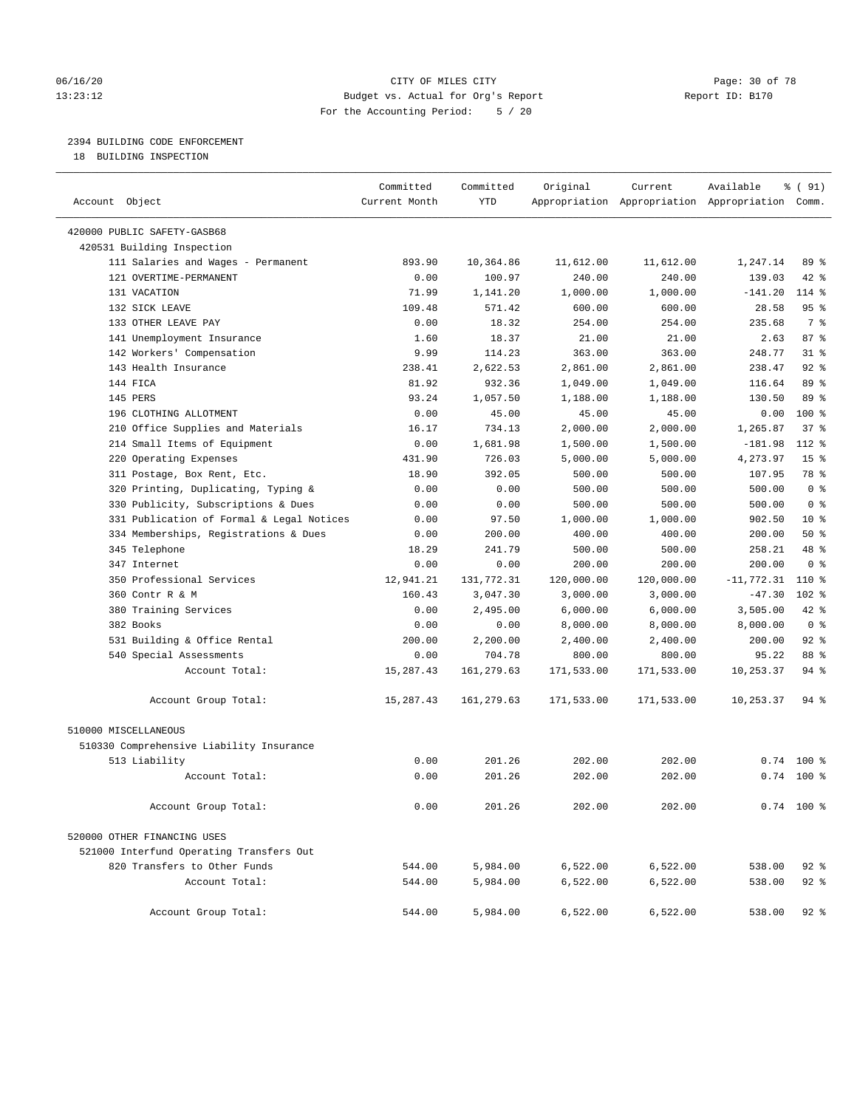#### 06/16/20 Page: 30 of 78 13:23:12 Budget vs. Actual for Org's Report Report ID: B170 For the Accounting Period: 5 / 20

#### 2394 BUILDING CODE ENFORCEMENT

18 BUILDING INSPECTION

| Account Object                            | Committed<br>Current Month | Committed<br><b>YTD</b> | Original   | Current<br>Appropriation Appropriation Appropriation Comm. | Available    | % ( 91)         |
|-------------------------------------------|----------------------------|-------------------------|------------|------------------------------------------------------------|--------------|-----------------|
| 420000 PUBLIC SAFETY-GASB68               |                            |                         |            |                                                            |              |                 |
| 420531 Building Inspection                |                            |                         |            |                                                            |              |                 |
| 111 Salaries and Wages - Permanent        | 893.90                     | 10,364.86               | 11,612.00  | 11,612.00                                                  | 1,247.14     | 89 %            |
| 121 OVERTIME-PERMANENT                    | 0.00                       | 100.97                  | 240.00     | 240.00                                                     | 139.03       | 42 %            |
| 131 VACATION                              | 71.99                      | 1,141.20                | 1,000.00   | 1,000.00                                                   | $-141.20$    | 114 %           |
| 132 SICK LEAVE                            | 109.48                     | 571.42                  | 600.00     | 600.00                                                     | 28.58        | 95%             |
| 133 OTHER LEAVE PAY                       | 0.00                       | 18.32                   | 254.00     | 254.00                                                     | 235.68       | 7 <sup>°</sup>  |
| 141 Unemployment Insurance                | 1.60                       | 18.37                   | 21.00      | 21.00                                                      | 2.63         | 87%             |
| 142 Workers' Compensation                 | 9.99                       | 114.23                  | 363.00     | 363.00                                                     | 248.77       | $31$ %          |
| 143 Health Insurance                      | 238.41                     | 2,622.53                | 2,861.00   | 2,861.00                                                   | 238.47       | $92$ $%$        |
| 144 FICA                                  | 81.92                      | 932.36                  | 1,049.00   | 1,049.00                                                   | 116.64       | 89 %            |
| 145 PERS                                  | 93.24                      | 1,057.50                | 1,188.00   | 1,188.00                                                   | 130.50       | 89 %            |
| 196 CLOTHING ALLOTMENT                    | 0.00                       | 45.00                   | 45.00      | 45.00                                                      | 0.00         | 100 %           |
| 210 Office Supplies and Materials         | 16.17                      | 734.13                  | 2,000.00   | 2,000.00                                                   | 1,265.87     | 37%             |
| 214 Small Items of Equipment              | 0.00                       | 1,681.98                | 1,500.00   | 1,500.00                                                   | $-181.98$    | 112 %           |
| 220 Operating Expenses                    | 431.90                     | 726.03                  | 5,000.00   | 5,000.00                                                   | 4,273.97     | 15 <sup>8</sup> |
| 311 Postage, Box Rent, Etc.               | 18.90                      | 392.05                  | 500.00     | 500.00                                                     | 107.95       | 78 %            |
| 320 Printing, Duplicating, Typing &       | 0.00                       | 0.00                    | 500.00     | 500.00                                                     | 500.00       | 0 <sup>8</sup>  |
| 330 Publicity, Subscriptions & Dues       | 0.00                       | 0.00                    | 500.00     | 500.00                                                     | 500.00       | 0 <sup>8</sup>  |
| 331 Publication of Formal & Legal Notices | 0.00                       | 97.50                   | 1,000.00   | 1,000.00                                                   | 902.50       | $10*$           |
| 334 Memberships, Registrations & Dues     | 0.00                       | 200.00                  | 400.00     | 400.00                                                     | 200.00       | 50%             |
| 345 Telephone                             | 18.29                      | 241.79                  | 500.00     | 500.00                                                     | 258.21       | 48 %            |
| 347 Internet                              | 0.00                       | 0.00                    | 200.00     | 200.00                                                     | 200.00       | 0 <sup>8</sup>  |
| 350 Professional Services                 | 12,941.21                  | 131,772.31              | 120,000.00 | 120,000.00                                                 | $-11,772.31$ | 110 %           |
| 360 Contr R & M                           | 160.43                     | 3,047.30                | 3,000.00   | 3,000.00                                                   | $-47.30$     | $102$ %         |
| 380 Training Services                     | 0.00                       | 2,495.00                | 6,000.00   | 6,000.00                                                   | 3,505.00     | $42$ $%$        |
| 382 Books                                 | 0.00                       | 0.00                    | 8,000.00   | 8,000.00                                                   | 8,000.00     | 0 <sup>8</sup>  |
| 531 Building & Office Rental              | 200.00                     | 2,200.00                | 2,400.00   | 2,400.00                                                   | 200.00       | $92$ %          |
| 540 Special Assessments                   | 0.00                       | 704.78                  | 800.00     | 800.00                                                     | 95.22        | 88 %            |
| Account Total:                            | 15,287.43                  | 161, 279.63             | 171,533.00 | 171,533.00                                                 | 10,253.37    | $94$ %          |
| Account Group Total:                      | 15,287.43                  | 161,279.63              | 171,533.00 | 171,533.00                                                 | 10,253.37    | $94$ %          |
| 510000 MISCELLANEOUS                      |                            |                         |            |                                                            |              |                 |
| 510330 Comprehensive Liability Insurance  |                            |                         |            |                                                            |              |                 |
| 513 Liability                             | 0.00                       | 201.26                  | 202.00     | 202.00                                                     | 0.74         | $100*$          |
| Account Total:                            | 0.00                       | 201.26                  | 202.00     | 202.00                                                     |              | $0.74$ 100 %    |
| Account Group Total:                      | 0.00                       | 201.26                  | 202.00     | 202.00                                                     |              | $0.74$ 100 %    |
| 520000 OTHER FINANCING USES               |                            |                         |            |                                                            |              |                 |
| 521000 Interfund Operating Transfers Out  |                            |                         |            |                                                            |              |                 |
| 820 Transfers to Other Funds              | 544.00                     | 5,984.00                | 6,522.00   | 6,522.00                                                   | 538.00       | $92$ %          |
| Account Total:                            | 544.00                     | 5,984.00                | 6,522.00   | 6,522.00                                                   | 538.00       | $92$ %          |
| Account Group Total:                      | 544.00                     | 5,984.00                | 6,522.00   | 6,522.00                                                   | 538.00       | $92$ $%$        |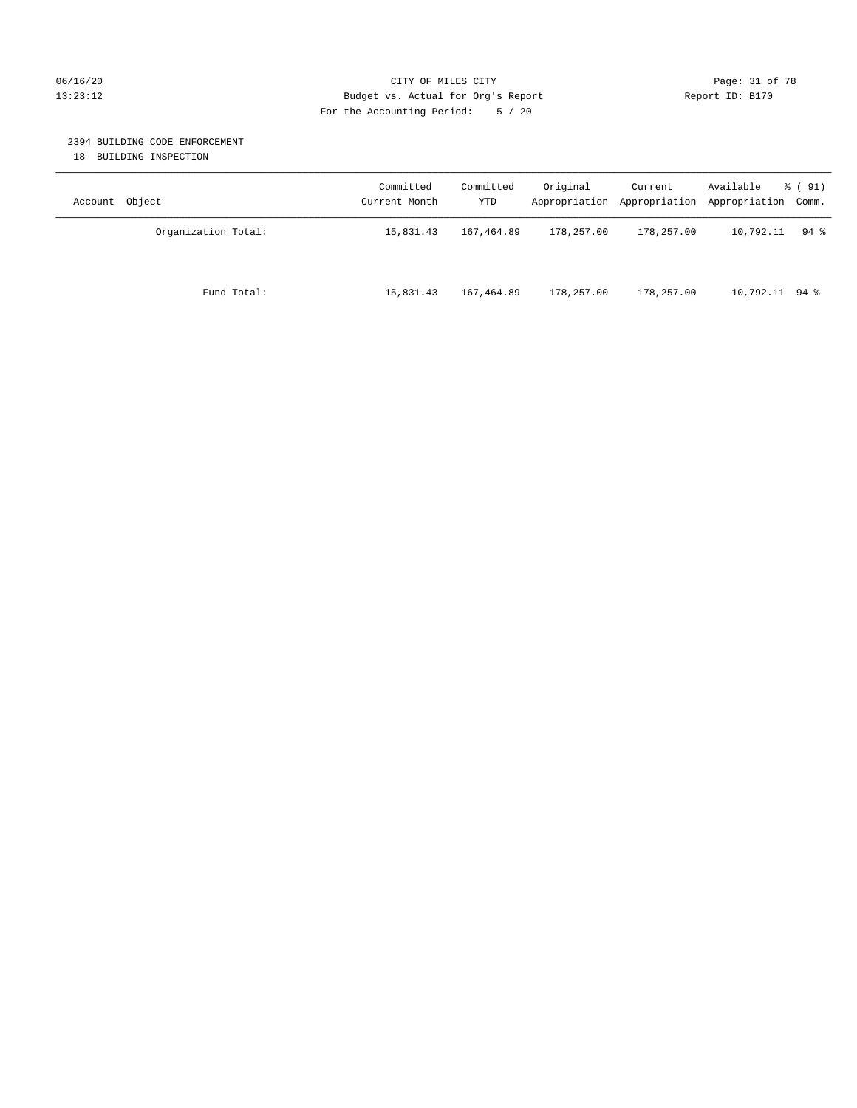#### 06/16/20 Page: 31 of 78 13:23:12 Budget vs. Actual for Org's Report Changer Report ID: B170 For the Accounting Period: 5 / 20

#### 2394 BUILDING CODE ENFORCEMENT

18 BUILDING INSPECTION

| Account Object      | Committed<br>Current Month | Committed<br>YTD | Original   | Current<br>Appropriation Appropriation | Available<br>Appropriation Comm. | % ( 91)            |
|---------------------|----------------------------|------------------|------------|----------------------------------------|----------------------------------|--------------------|
| Organization Total: | 15,831.43                  | 167,464.89       | 178,257.00 | 178,257.00                             | 10,792.11                        | $94$ $\frac{6}{3}$ |
| Fund Total:         | 15,831.43                  | 167,464.89       | 178,257.00 | 178,257.00                             | $10,792.11$ 94 %                 |                    |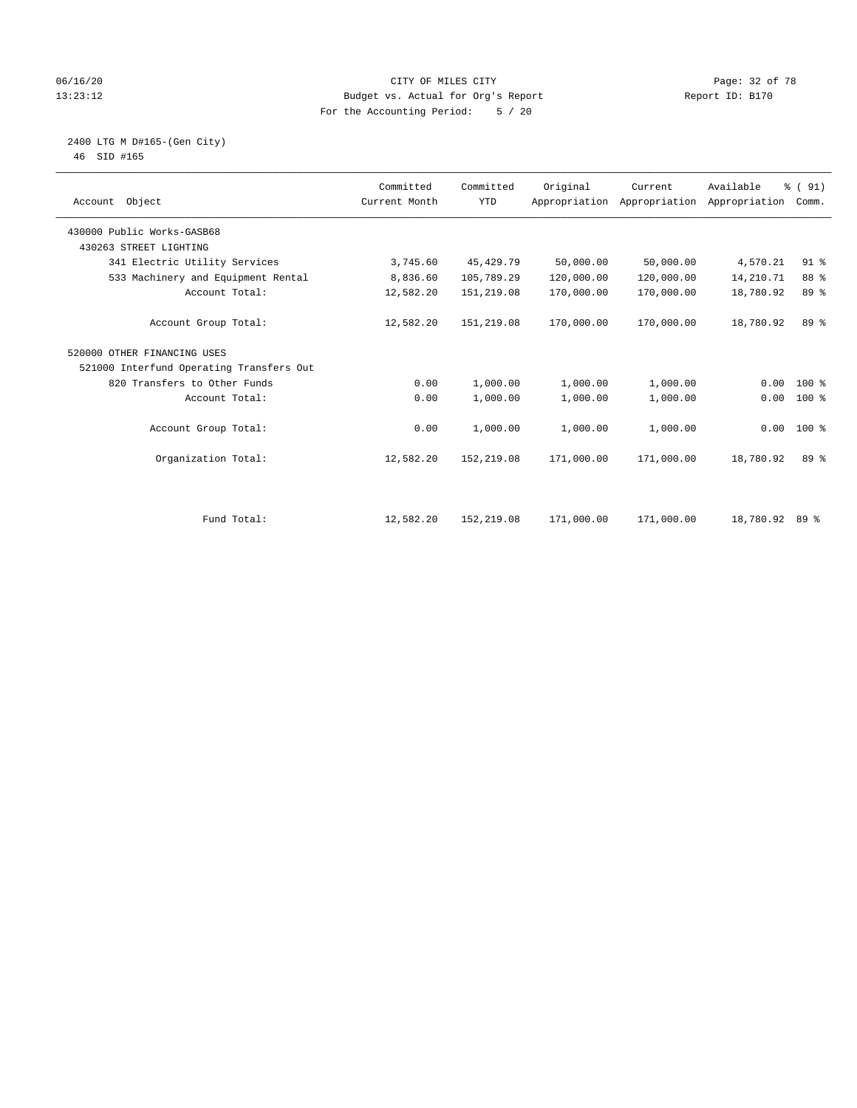#### 06/16/20 Page: 32 of 78 13:23:12 Budget vs. Actual for Org's Report Changer Report ID: B170 For the Accounting Period: 5 / 20

#### 2400 LTG M D#165-(Gen City) 46 SID #165

| Account Object                           | Committed<br>Current Month | Committed<br><b>YTD</b> | Original   | Current<br>Appropriation Appropriation | Available<br>Appropriation | % (91)<br>Comm. |  |
|------------------------------------------|----------------------------|-------------------------|------------|----------------------------------------|----------------------------|-----------------|--|
| 430000 Public Works-GASB68               |                            |                         |            |                                        |                            |                 |  |
| 430263 STREET LIGHTING                   |                            |                         |            |                                        |                            |                 |  |
| 341 Electric Utility Services            | 3,745.60                   | 45, 429. 79             | 50,000.00  | 50,000.00                              | 4,570.21                   | $91$ %          |  |
| 533 Machinery and Equipment Rental       | 8,836.60                   | 105,789.29              | 120,000.00 | 120,000.00                             | 14,210.71                  | 88 %            |  |
| Account Total:                           | 12,582.20                  | 151,219.08              | 170,000.00 | 170,000.00                             | 18,780.92                  | 89 %            |  |
| Account Group Total:                     | 12,582.20                  | 151,219.08              | 170,000.00 | 170,000.00                             | 18,780.92                  | 89 %            |  |
| 520000 OTHER FINANCING USES              |                            |                         |            |                                        |                            |                 |  |
| 521000 Interfund Operating Transfers Out |                            |                         |            |                                        |                            |                 |  |
| 820 Transfers to Other Funds             | 0.00                       | 1,000.00                | 1,000.00   | 1,000.00                               | 0.00                       | $100*$          |  |
| Account Total:                           | 0.00                       | 1,000.00                | 1,000.00   | 1,000.00                               | 0.00                       | $100*$          |  |
| Account Group Total:                     | 0.00                       | 1,000.00                | 1,000.00   | 1,000.00                               | 0.00                       | $100*$          |  |
| Organization Total:                      | 12,582.20                  | 152,219.08              | 171,000.00 | 171,000.00                             | 18,780.92                  | 89 %            |  |
|                                          |                            |                         |            |                                        |                            |                 |  |
| Fund Total:                              | 12,582.20                  | 152,219.08              | 171,000.00 | 171,000.00                             | 18,780.92 89 %             |                 |  |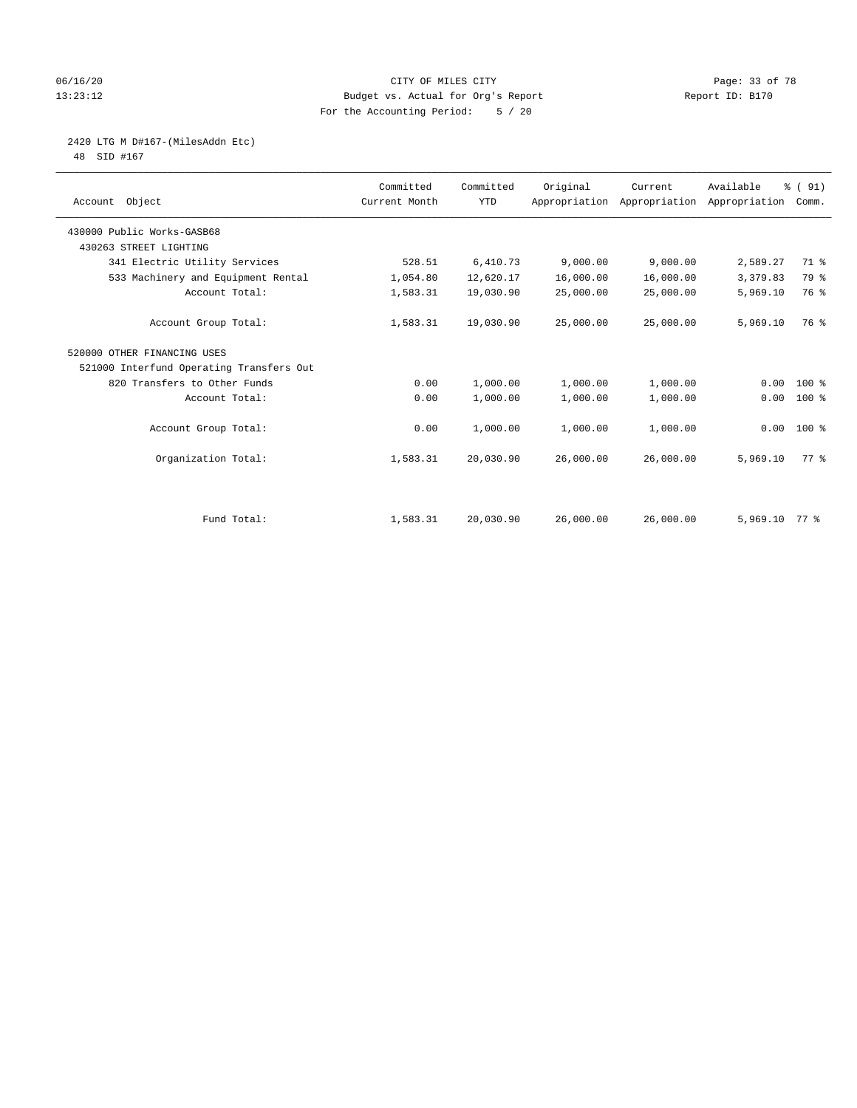#### 06/16/20 Page: 33 of 78 13:23:12 Budget vs. Actual for Org's Report Report ID: B170 For the Accounting Period: 5 / 20

# 2420 LTG M D#167-(MilesAddn Etc)

48 SID #167

| Account Object                           | Committed<br>Current Month | Committed<br><b>YTD</b> | Original  | Current<br>Appropriation Appropriation | Available<br>Appropriation | % (91)<br>Comm. |  |
|------------------------------------------|----------------------------|-------------------------|-----------|----------------------------------------|----------------------------|-----------------|--|
| 430000 Public Works-GASB68               |                            |                         |           |                                        |                            |                 |  |
| 430263 STREET LIGHTING                   |                            |                         |           |                                        |                            |                 |  |
| 341 Electric Utility Services            | 528.51                     | 6,410.73                | 9,000.00  | 9,000.00                               | 2,589.27                   | 71 %            |  |
| 533 Machinery and Equipment Rental       | 1,054.80                   | 12,620.17               | 16,000.00 | 16,000.00                              | 3,379.83                   | 79 %            |  |
| Account Total:                           | 1,583.31                   | 19,030.90               | 25,000.00 | 25,000.00                              | 5,969.10                   | 76 %            |  |
| Account Group Total:                     | 1,583.31                   | 19,030.90               | 25,000.00 | 25,000.00                              | 5,969.10                   | 76 %            |  |
| 520000 OTHER FINANCING USES              |                            |                         |           |                                        |                            |                 |  |
| 521000 Interfund Operating Transfers Out |                            |                         |           |                                        |                            |                 |  |
| 820 Transfers to Other Funds             | 0.00                       | 1,000.00                | 1,000.00  | 1,000.00                               | 0.00                       | $100*$          |  |
| Account Total:                           | 0.00                       | 1,000.00                | 1,000.00  | 1,000.00                               | 0.00                       | $100$ %         |  |
| Account Group Total:                     | 0.00                       | 1,000.00                | 1,000.00  | 1,000.00                               |                            | $0.00 100$ %    |  |
| Organization Total:                      | 1,583.31                   | 20,030.90               | 26,000.00 | 26,000.00                              | 5,969.10                   | 77 %            |  |
|                                          |                            |                         |           |                                        |                            |                 |  |
| Fund Total:                              | 1,583.31                   | 20,030.90               | 26,000.00 | 26,000.00                              | 5,969.10 77 %              |                 |  |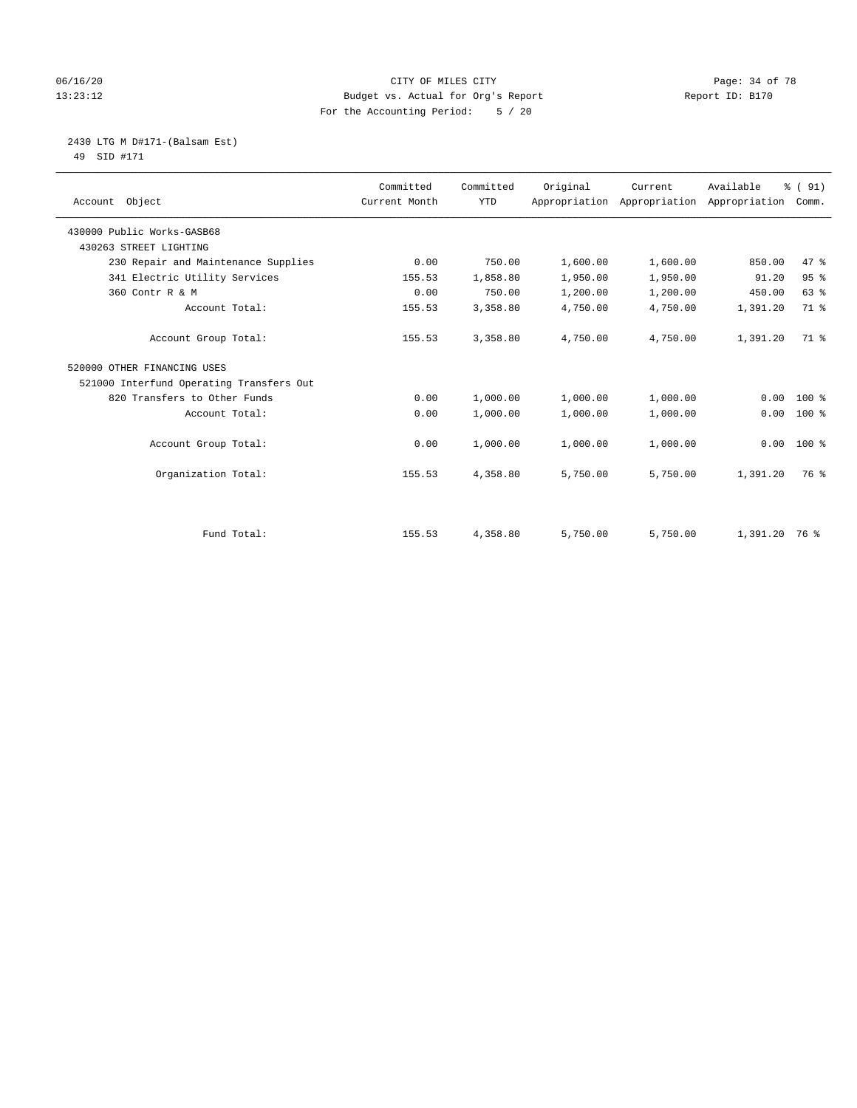#### 06/16/20 Page: 34 of 78 13:23:12 Budget vs. Actual for Org's Report Report ID: B170 For the Accounting Period: 5 / 20

#### 2430 LTG M D#171-(Balsam Est) 49 SID #171

| Account Object                           | Committed<br>Current Month | Committed<br><b>YTD</b> | Original | Current<br>Appropriation Appropriation Appropriation Comm. | Available     | % (91) |
|------------------------------------------|----------------------------|-------------------------|----------|------------------------------------------------------------|---------------|--------|
| 430000 Public Works-GASB68               |                            |                         |          |                                                            |               |        |
| 430263 STREET LIGHTING                   |                            |                         |          |                                                            |               |        |
| 230 Repair and Maintenance Supplies      | 0.00                       | 750.00                  | 1,600.00 | 1,600.00                                                   | 850.00        | 47.8   |
| 341 Electric Utility Services            | 155.53                     | 1,858.80                | 1,950.00 | 1,950.00                                                   | 91.20         | 95%    |
| 360 Contr R & M                          | 0.00                       | 750.00                  | 1,200.00 | 1,200.00                                                   | 450.00        | 63%    |
| Account Total:                           | 155.53                     | 3,358.80                | 4,750.00 | 4,750.00                                                   | 1,391.20      | 71.8   |
| Account Group Total:                     | 155.53                     | 3,358.80                | 4,750.00 | 4,750.00                                                   | 1,391.20      | 71.8   |
| 520000 OTHER FINANCING USES              |                            |                         |          |                                                            |               |        |
| 521000 Interfund Operating Transfers Out |                            |                         |          |                                                            |               |        |
| 820 Transfers to Other Funds             | 0.00                       | 1,000.00                | 1,000.00 | 1,000.00                                                   | 0.00          | $100*$ |
| Account Total:                           | 0.00                       | 1,000.00                | 1,000.00 | 1,000.00                                                   | 0.00          | $100*$ |
| Account Group Total:                     | 0.00                       | 1,000.00                | 1,000.00 | 1,000.00                                                   | 0.00          | 100 %  |
| Organization Total:                      | 155.53                     | 4,358.80                | 5,750.00 | 5,750.00                                                   | 1,391.20      | 76 %   |
|                                          |                            |                         |          |                                                            |               |        |
| Fund Total:                              | 155.53                     | 4,358.80                | 5,750.00 | 5,750.00                                                   | 1,391.20 76 % |        |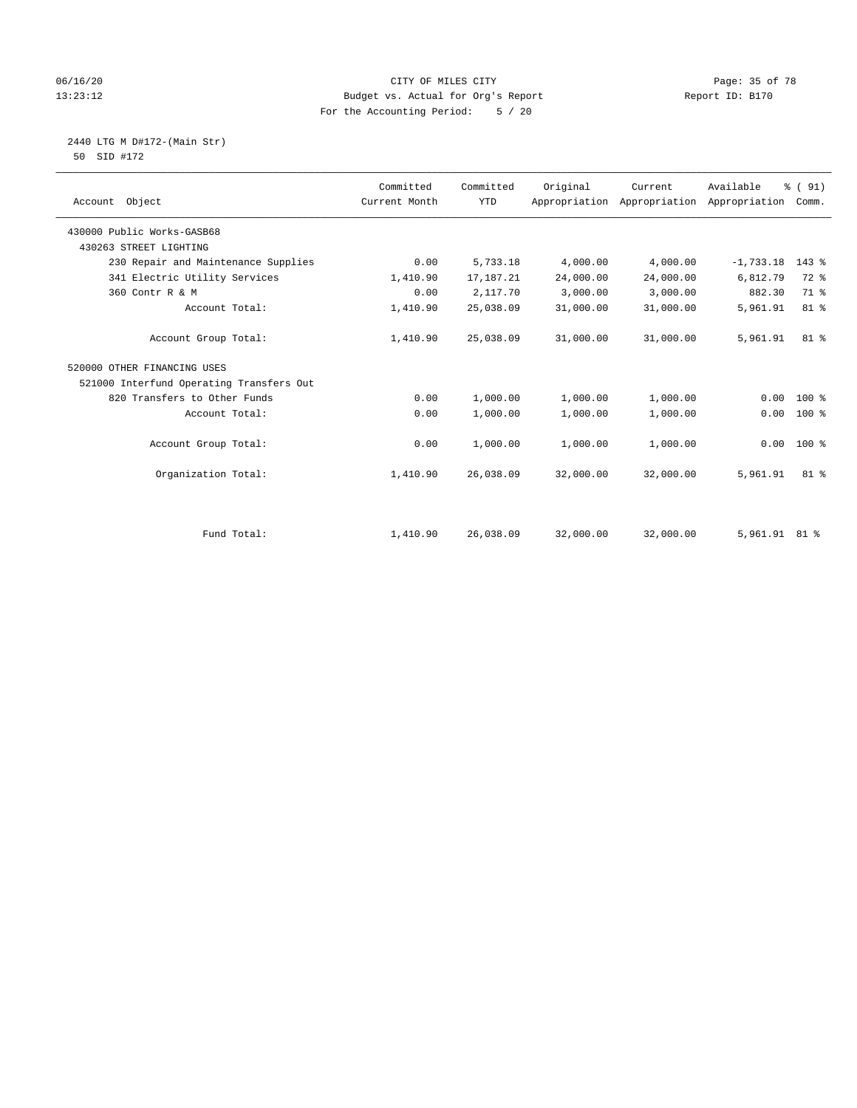#### 06/16/20 Page: 35 of 78 13:23:12 Budget vs. Actual for Org's Report Report ID: B170 For the Accounting Period: 5 / 20

2440 LTG M D#172-(Main Str)

|  | 50 SID #172 |  |
|--|-------------|--|
|  |             |  |

| Account Object                           | Committed<br>Current Month | Committed<br><b>YTD</b> | Original  | Current<br>Appropriation Appropriation | Available<br>Appropriation | % (91)<br>Comm. |
|------------------------------------------|----------------------------|-------------------------|-----------|----------------------------------------|----------------------------|-----------------|
| 430000 Public Works-GASB68               |                            |                         |           |                                        |                            |                 |
| 430263 STREET LIGHTING                   |                            |                         |           |                                        |                            |                 |
| 230 Repair and Maintenance Supplies      | 0.00                       | 5,733.18                | 4,000.00  | 4,000.00                               | $-1,733.18$                | 143 %           |
| 341 Electric Utility Services            | 1,410.90                   | 17,187.21               | 24,000.00 | 24,000.00                              | 6,812.79                   | 72 %            |
| 360 Contr R & M                          | 0.00                       | 2,117.70                | 3,000.00  | 3,000.00                               | 882.30                     | 71.8            |
| Account Total:                           | 1,410.90                   | 25,038.09               | 31,000.00 | 31,000.00                              | 5,961.91                   | 81 %            |
| Account Group Total:                     | 1,410.90                   | 25,038.09               | 31,000.00 | 31,000.00                              | 5,961.91                   | 81 %            |
| 520000 OTHER FINANCING USES              |                            |                         |           |                                        |                            |                 |
| 521000 Interfund Operating Transfers Out |                            |                         |           |                                        |                            |                 |
| 820 Transfers to Other Funds             | 0.00                       | 1,000.00                | 1,000.00  | 1,000.00                               | 0.00                       | $100$ %         |
| Account Total:                           | 0.00                       | 1,000.00                | 1,000.00  | 1,000.00                               | 0.00                       | $100*$          |
| Account Group Total:                     | 0.00                       | 1,000.00                | 1,000.00  | 1,000.00                               | 0.00                       | 100 %           |
| Organization Total:                      | 1,410.90                   | 26,038.09               | 32,000.00 | 32,000.00                              | 5,961.91                   | $81$ %          |
|                                          |                            |                         |           |                                        |                            |                 |
| Fund Total:                              | 1,410.90                   | 26,038.09               | 32,000.00 | 32,000.00                              | 5,961.91 81 %              |                 |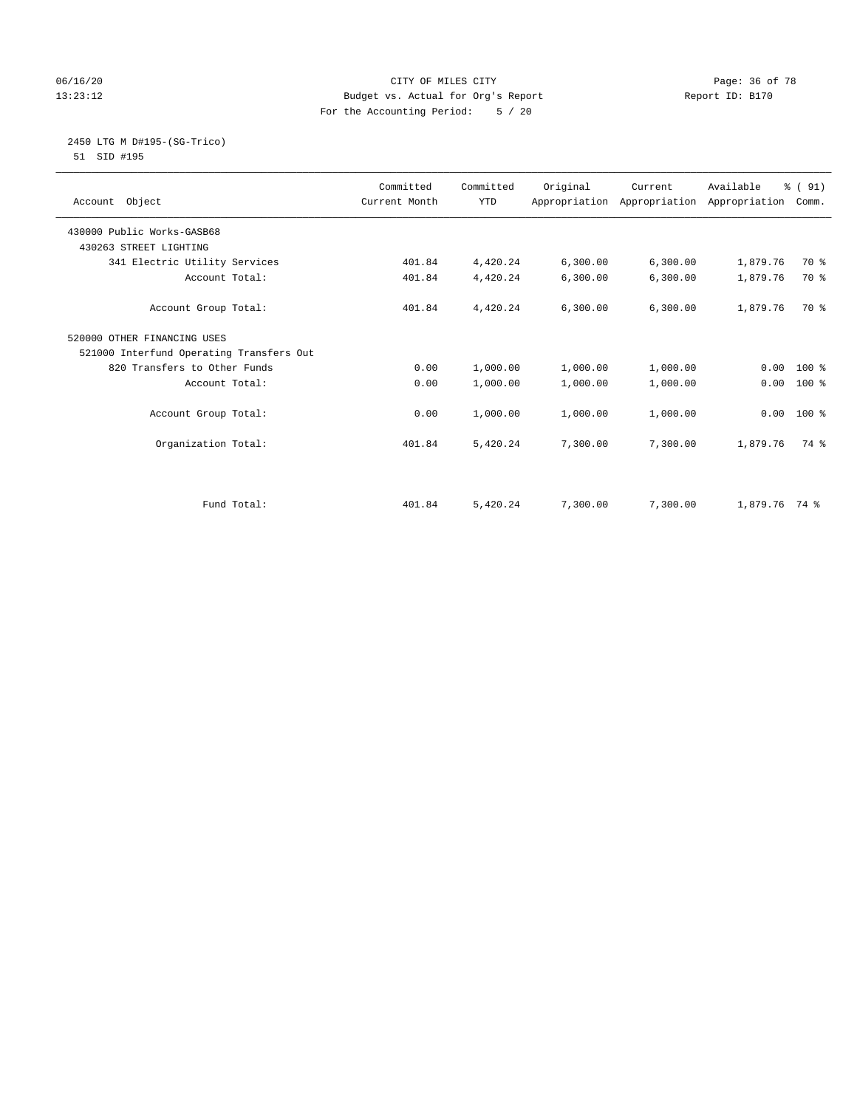#### 06/16/20 Page: 36 of 78 13:23:12 Budget vs. Actual for Org's Report Report ID: B170 For the Accounting Period: 5 / 20

#### 2450 LTG M D#195-(SG-Trico) 51 SID #195

| Account Object                           | Committed<br>Current Month | Committed<br><b>YTD</b> | Original | Current<br>Appropriation Appropriation Appropriation | Available     | % (91)<br>Comm. |  |
|------------------------------------------|----------------------------|-------------------------|----------|------------------------------------------------------|---------------|-----------------|--|
|                                          |                            |                         |          |                                                      |               |                 |  |
| 430000 Public Works-GASB68               |                            |                         |          |                                                      |               |                 |  |
| 430263 STREET LIGHTING                   |                            |                         |          |                                                      |               |                 |  |
| 341 Electric Utility Services            | 401.84                     | 4,420.24                | 6,300.00 | 6,300.00                                             | 1,879.76      | 70 %            |  |
| Account Total:                           | 401.84                     | 4,420.24                | 6,300.00 | 6,300.00                                             | 1,879.76      | 70 %            |  |
| Account Group Total:                     | 401.84                     | 4,420.24                | 6,300.00 | 6, 300.00                                            | 1,879.76      | 70 %            |  |
| 520000 OTHER FINANCING USES              |                            |                         |          |                                                      |               |                 |  |
| 521000 Interfund Operating Transfers Out |                            |                         |          |                                                      |               |                 |  |
| 820 Transfers to Other Funds             | 0.00                       | 1,000.00                | 1,000.00 | 1,000.00                                             | 0.00          | $100*$          |  |
| Account Total:                           | 0.00                       | 1,000.00                | 1,000.00 | 1,000.00                                             | 0.00          | $100*$          |  |
| Account Group Total:                     | 0.00                       | 1,000.00                | 1,000.00 | 1,000.00                                             | 0.00          | $100*$          |  |
| Organization Total:                      | 401.84                     | 5,420.24                | 7,300.00 | 7,300.00                                             | 1,879.76      | 74 %            |  |
| Fund Total:                              | 401.84                     | 5,420.24                | 7,300.00 | 7,300.00                                             | 1,879.76 74 % |                 |  |
|                                          |                            |                         |          |                                                      |               |                 |  |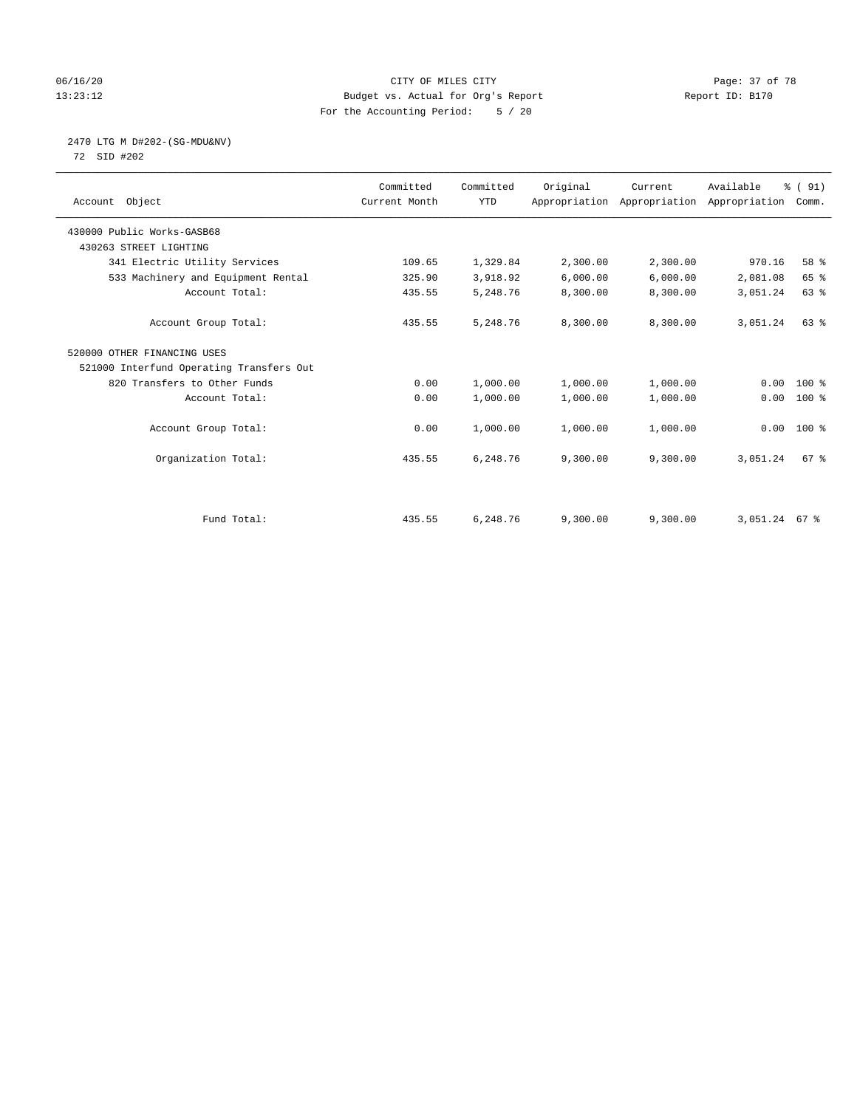## 06/16/20 Page: 37 of 78 13:23:12 Budget vs. Actual for Org's Report Report ID: B170 For the Accounting Period: 5 / 20

# 2470 LTG M D#202-(SG-MDU&NV)

72 SID #202

| Account Object                           | Committed<br>Current Month | Committed<br><b>YTD</b> | Original | Current  | Available<br>Appropriation Appropriation Appropriation | % (91)<br>Comm. |  |
|------------------------------------------|----------------------------|-------------------------|----------|----------|--------------------------------------------------------|-----------------|--|
| 430000 Public Works-GASB68               |                            |                         |          |          |                                                        |                 |  |
| 430263 STREET LIGHTING                   |                            |                         |          |          |                                                        |                 |  |
| 341 Electric Utility Services            | 109.65                     | 1,329.84                | 2,300.00 | 2,300.00 | 970.16                                                 | 58 %            |  |
| 533 Machinery and Equipment Rental       | 325.90                     | 3,918.92                | 6,000.00 | 6,000.00 | 2,081.08                                               | 65 %            |  |
| Account Total:                           | 435.55                     | 5,248.76                | 8,300.00 | 8,300.00 | 3,051.24                                               | 63%             |  |
| Account Group Total:                     | 435.55                     | 5,248.76                | 8,300.00 | 8,300.00 | 3,051.24                                               | 63 %            |  |
| 520000 OTHER FINANCING USES              |                            |                         |          |          |                                                        |                 |  |
| 521000 Interfund Operating Transfers Out |                            |                         |          |          |                                                        |                 |  |
| 820 Transfers to Other Funds             | 0.00                       | 1,000.00                | 1,000.00 | 1,000.00 | 0.00                                                   | 100 %           |  |
| Account Total:                           | 0.00                       | 1,000.00                | 1,000.00 | 1,000.00 | 0.00                                                   | 100 %           |  |
| Account Group Total:                     | 0.00                       | 1,000.00                | 1,000.00 | 1,000.00 | 0.00                                                   | $100*$          |  |
| Organization Total:                      | 435.55                     | 6,248.76                | 9,300.00 | 9,300.00 | 3,051.24                                               | 67 <sup>8</sup> |  |
|                                          |                            |                         |          |          |                                                        |                 |  |
| Fund Total:                              | 435.55                     | 6,248.76                | 9,300.00 | 9,300.00 | 3,051.24 67 %                                          |                 |  |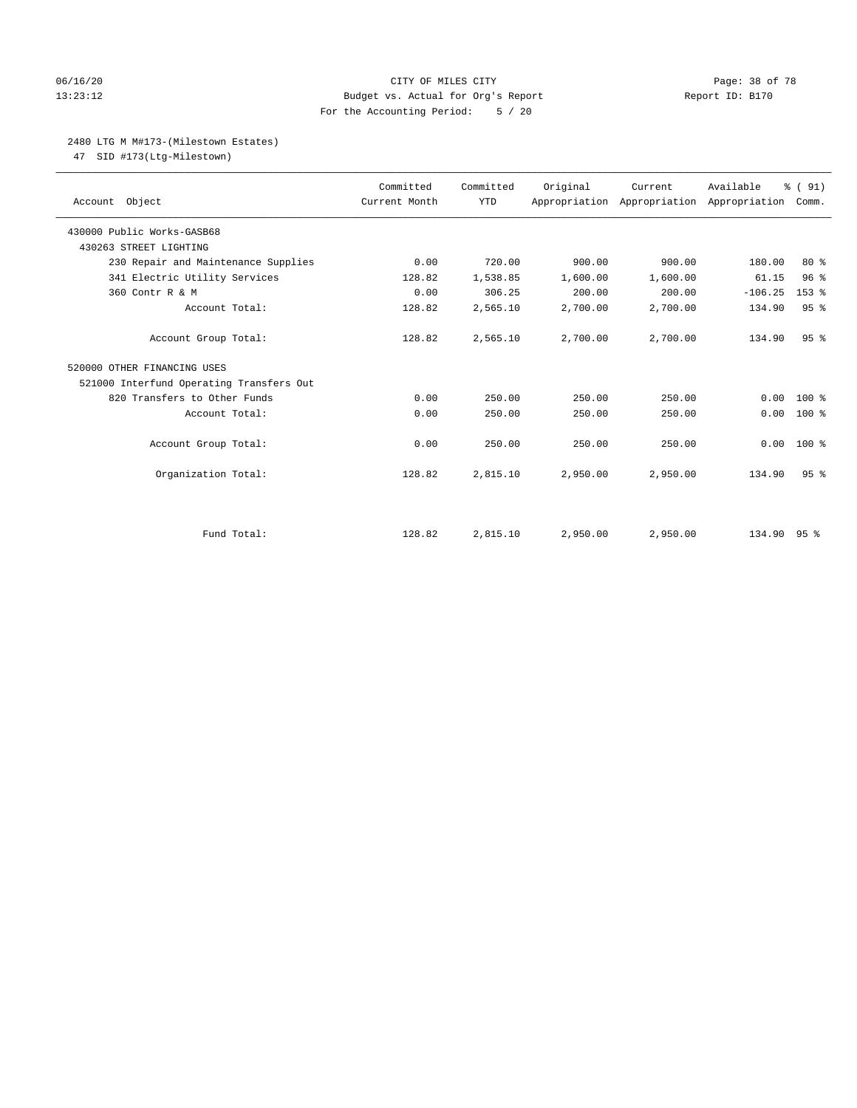## 06/16/20 Page: 38 of 78 13:23:12 Budget vs. Actual for Org's Report Report ID: B170 For the Accounting Period: 5 / 20

#### 2480 LTG M M#173-(Milestown Estates)

47 SID #173(Ltg-Milestown)

| Account Object                           | Committed<br>Current Month | Committed<br><b>YTD</b> | Original | Current<br>Appropriation Appropriation Appropriation | Available   | % (91)<br>Comm. |
|------------------------------------------|----------------------------|-------------------------|----------|------------------------------------------------------|-------------|-----------------|
| 430000 Public Works-GASB68               |                            |                         |          |                                                      |             |                 |
| 430263 STREET LIGHTING                   |                            |                         |          |                                                      |             |                 |
| 230 Repair and Maintenance Supplies      | 0.00                       | 720.00                  | 900.00   | 900.00                                               | 180.00      | $80*$           |
| 341 Electric Utility Services            | 128.82                     | 1,538.85                | 1,600.00 | 1,600.00                                             | 61.15       | 96 <sup>°</sup> |
| 360 Contr R & M                          | 0.00                       | 306.25                  | 200.00   | 200.00                                               | $-106.25$   | $153$ $%$       |
| Account Total:                           | 128.82                     | 2,565.10                | 2,700.00 | 2,700.00                                             | 134.90      | 95%             |
| Account Group Total:                     | 128.82                     | 2,565.10                | 2,700.00 | 2,700.00                                             | 134.90      | 95 <sup>8</sup> |
| 520000 OTHER FINANCING USES              |                            |                         |          |                                                      |             |                 |
| 521000 Interfund Operating Transfers Out |                            |                         |          |                                                      |             |                 |
| 820 Transfers to Other Funds             | 0.00                       | 250.00                  | 250.00   | 250.00                                               | 0.00        | $100*$          |
| Account Total:                           | 0.00                       | 250.00                  | 250.00   | 250.00                                               | 0.00        | $100*$          |
| Account Group Total:                     | 0.00                       | 250.00                  | 250.00   | 250.00                                               | 0.00        | $100*$          |
| Organization Total:                      | 128.82                     | 2,815.10                | 2,950.00 | 2,950.00                                             | 134.90      | 95 <sup>8</sup> |
|                                          |                            |                         |          |                                                      |             |                 |
| Fund Total:                              | 128.82                     | 2,815.10                | 2,950.00 | 2,950.00                                             | 134.90 95 % |                 |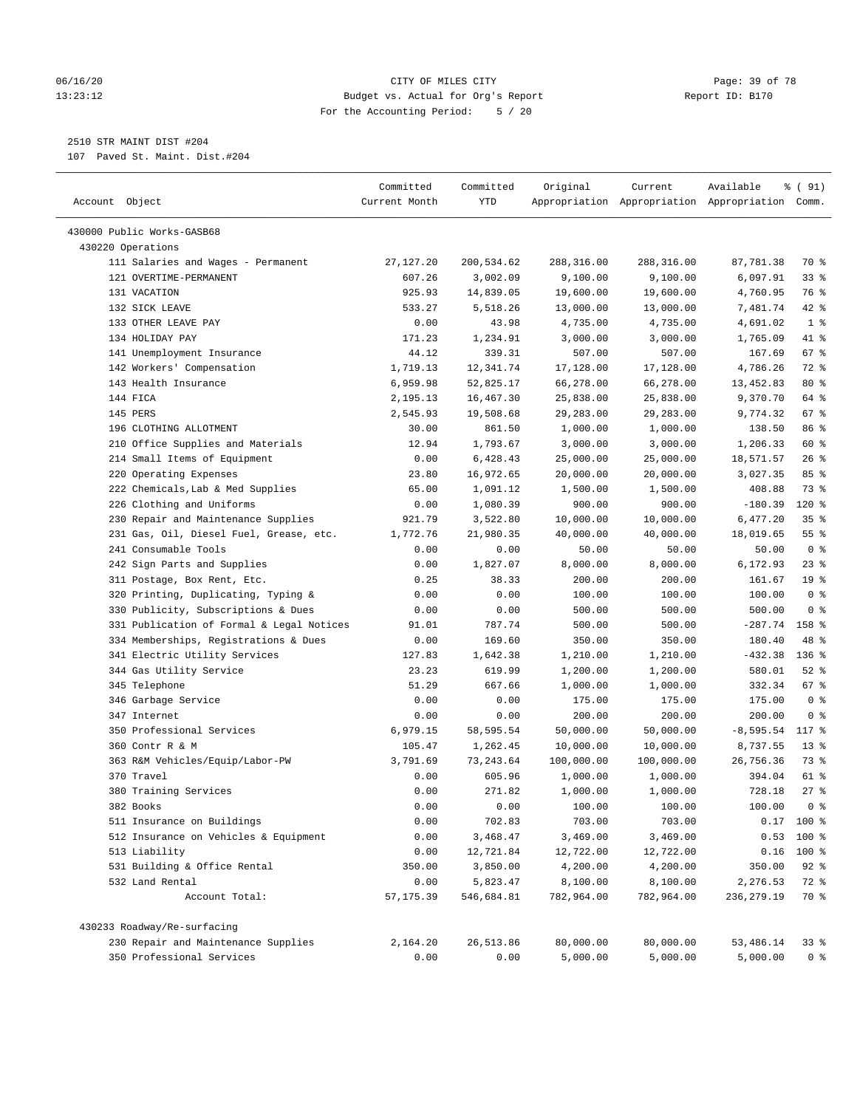#### 06/16/20 Page: 39 of 78 13:23:12 Budget vs. Actual for Org's Report Report ID: B170 For the Accounting Period: 5 / 20

————————————————————————————————————————————————————————————————————————————————————————————————————————————————————————————————————

2510 STR MAINT DIST #204

107 Paved St. Maint. Dist.#204

|                                           | Committed     | Committed  | Original   | Current    | Available                                       | % (91)          |
|-------------------------------------------|---------------|------------|------------|------------|-------------------------------------------------|-----------------|
| Account Object                            | Current Month | <b>YTD</b> |            |            | Appropriation Appropriation Appropriation Comm. |                 |
|                                           |               |            |            |            |                                                 |                 |
| 430000 Public Works-GASB68                |               |            |            |            |                                                 |                 |
| 430220 Operations                         |               |            |            |            |                                                 |                 |
| 111 Salaries and Wages - Permanent        | 27, 127. 20   | 200,534.62 | 288,316.00 | 288,316.00 | 87,781.38                                       | 70 %            |
| 121 OVERTIME-PERMANENT                    | 607.26        | 3,002.09   | 9,100.00   | 9,100.00   | 6,097.91                                        | 33%             |
| 131 VACATION                              | 925.93        | 14,839.05  | 19,600.00  | 19,600.00  | 4,760.95                                        | 76 %            |
| 132 SICK LEAVE                            | 533.27        | 5,518.26   | 13,000.00  | 13,000.00  | 7,481.74                                        | $42$ %          |
| 133 OTHER LEAVE PAY                       | 0.00          | 43.98      | 4,735.00   | 4,735.00   | 4,691.02                                        | 1 <sup>8</sup>  |
| 134 HOLIDAY PAY                           | 171.23        | 1,234.91   | 3,000.00   | 3,000.00   | 1,765.09                                        | 41 %            |
| 141 Unemployment Insurance                | 44.12         | 339.31     | 507.00     | 507.00     | 167.69                                          | 67 %            |
| 142 Workers' Compensation                 | 1,719.13      | 12,341.74  | 17,128.00  | 17,128.00  | 4,786.26                                        | $72$ $%$        |
| 143 Health Insurance                      | 6,959.98      | 52,825.17  | 66,278.00  | 66,278.00  | 13,452.83                                       | 80 %            |
| 144 FICA                                  | 2,195.13      | 16,467.30  | 25,838.00  | 25,838.00  | 9,370.70                                        | 64 %            |
| 145 PERS                                  | 2,545.93      | 19,508.68  | 29,283.00  | 29,283.00  | 9,774.32                                        | 67 %            |
| 196 CLOTHING ALLOTMENT                    | 30.00         | 861.50     | 1,000.00   | 1,000.00   | 138.50                                          | 86 %            |
| 210 Office Supplies and Materials         | 12.94         | 1,793.67   | 3,000.00   | 3,000.00   | 1,206.33                                        | 60 %            |
| 214 Small Items of Equipment              | 0.00          | 6,428.43   | 25,000.00  | 25,000.00  | 18,571.57                                       | 26%             |
| 220 Operating Expenses                    | 23.80         | 16,972.65  | 20,000.00  | 20,000.00  | 3,027.35                                        | 85%             |
| 222 Chemicals, Lab & Med Supplies         | 65.00         | 1,091.12   | 1,500.00   | 1,500.00   | 408.88                                          | 73 %            |
| 226 Clothing and Uniforms                 | 0.00          | 1,080.39   | 900.00     | 900.00     | $-180.39$                                       | $120*$          |
| 230 Repair and Maintenance Supplies       | 921.79        | 3,522.80   | 10,000.00  | 10,000.00  | 6,477.20                                        | 35%             |
| 231 Gas, Oil, Diesel Fuel, Grease, etc.   | 1,772.76      | 21,980.35  | 40,000.00  | 40,000.00  | 18,019.65                                       | $55$ %          |
| 241 Consumable Tools                      | 0.00          | 0.00       | 50.00      | 50.00      | 50.00                                           | 0 <sup>8</sup>  |
| 242 Sign Parts and Supplies               | 0.00          | 1,827.07   | 8,000.00   | 8,000.00   | 6,172.93                                        | $23$ %          |
| 311 Postage, Box Rent, Etc.               | 0.25          | 38.33      | 200.00     | 200.00     | 161.67                                          | 19 <sup>°</sup> |
| 320 Printing, Duplicating, Typing &       | 0.00          | 0.00       | 100.00     | 100.00     | 100.00                                          | 0 <sup>8</sup>  |
| 330 Publicity, Subscriptions & Dues       | 0.00          | 0.00       | 500.00     | 500.00     | 500.00                                          | 0 <sup>8</sup>  |
| 331 Publication of Formal & Legal Notices | 91.01         | 787.74     | 500.00     | 500.00     | $-287.74$                                       | 158 %           |
| 334 Memberships, Registrations & Dues     | 0.00          | 169.60     | 350.00     | 350.00     | 180.40                                          | 48 %            |
| 341 Electric Utility Services             | 127.83        | 1,642.38   | 1,210.00   | 1,210.00   | $-432.38$                                       | $136$ %         |
| 344 Gas Utility Service                   | 23.23         | 619.99     | 1,200.00   | 1,200.00   | 580.01                                          | $52$ $%$        |
| 345 Telephone                             | 51.29         | 667.66     | 1,000.00   | 1,000.00   | 332.34                                          | 67 %            |
| 346 Garbage Service                       | 0.00          | 0.00       | 175.00     | 175.00     | 175.00                                          | 0 <sup>8</sup>  |
| 347 Internet                              | 0.00          | 0.00       | 200.00     | 200.00     | 200.00                                          | 0 <sup>8</sup>  |
| 350 Professional Services                 | 6,979.15      | 58,595.54  | 50,000.00  | 50,000.00  | $-8,595.54$                                     | 117 %           |
| 360 Contr R & M                           | 105.47        | 1,262.45   | 10,000.00  | 10,000.00  | 8,737.55                                        | $13*$           |
| 363 R&M Vehicles/Equip/Labor-PW           | 3,791.69      | 73, 243.64 | 100,000.00 | 100,000.00 | 26,756.36                                       | 73 %            |
| 370 Travel                                | 0.00          | 605.96     | 1,000.00   | 1,000.00   | 394.04                                          | 61 %            |
| 380 Training Services                     | 0.00          | 271.82     | 1,000.00   | 1,000.00   | 728.18                                          | 27%             |
| 382 Books                                 | 0.00          | 0.00       | 100.00     | 100.00     | 100.00                                          | 0 <sup>8</sup>  |
| 511 Insurance on Buildings                | 0.00          | 702.83     | 703.00     | 703.00     |                                                 | $0.17$ 100 %    |
| 512 Insurance on Vehicles & Equipment     | 0.00          | 3,468.47   | 3,469.00   | 3,469.00   | 0.53                                            | 100 %           |
| 513 Liability                             | 0.00          | 12,721.84  | 12,722.00  | 12,722.00  | 0.16                                            | $100$ %         |
| 531 Building & Office Rental              | 350.00        | 3,850.00   | 4,200.00   | 4,200.00   | 350.00                                          | $92$ $%$        |
| 532 Land Rental                           | 0.00          | 5,823.47   | 8,100.00   | 8,100.00   | 2,276.53                                        | 72 %            |
| Account Total:                            | 57, 175.39    | 546,684.81 | 782,964.00 | 782,964.00 | 236, 279.19                                     | 70 %            |
| 430233 Roadway/Re-surfacing               |               |            |            |            |                                                 |                 |
| 230 Repair and Maintenance Supplies       | 2,164.20      | 26,513.86  | 80,000.00  | 80,000.00  | 53,486.14                                       | 33%             |
| 350 Professional Services                 | 0.00          | 0.00       | 5,000.00   | 5,000.00   | 5,000.00                                        | 0 <sup>8</sup>  |
|                                           |               |            |            |            |                                                 |                 |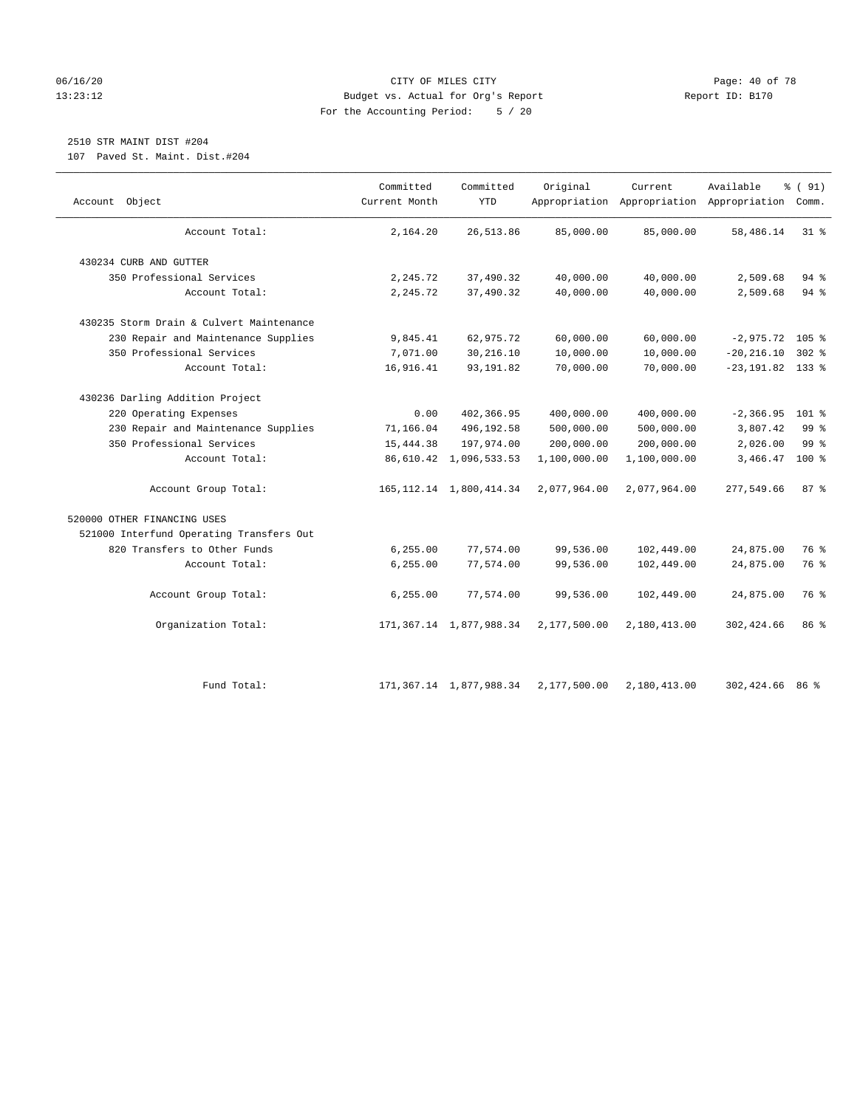## 06/16/20 Page: 40 of 78 13:23:12 Budget vs. Actual for Org's Report Report ID: B170 For the Accounting Period: 5 / 20

# 2510 STR MAINT DIST #204

107 Paved St. Maint. Dist.#204

| Object<br>Account                        | Committed<br>Current Month | Committed<br><b>YTD</b>      | Original     | Current      | Available<br>Appropriation Appropriation Appropriation Comm. | % (91)          |
|------------------------------------------|----------------------------|------------------------------|--------------|--------------|--------------------------------------------------------------|-----------------|
| Account Total:                           | 2,164.20                   | 26,513.86                    | 85,000.00    | 85,000.00    | 58,486.14                                                    | $31$ %          |
| 430234 CURB AND GUTTER                   |                            |                              |              |              |                                                              |                 |
| 350 Professional Services                | 2,245.72                   | 37,490.32                    | 40,000.00    | 40,000.00    | 2,509.68                                                     | 94 %            |
| Account Total:                           | 2,245.72                   | 37,490.32                    | 40,000.00    | 40,000.00    | 2,509.68                                                     | $94$ %          |
| 430235 Storm Drain & Culvert Maintenance |                            |                              |              |              |                                                              |                 |
| 230 Repair and Maintenance Supplies      | 9,845.41                   | 62,975.72                    | 60,000.00    | 60,000.00    | $-2,975.72$ 105 %                                            |                 |
| 350 Professional Services                | 7,071.00                   | 30,216.10                    | 10,000.00    | 10,000.00    | $-20, 216.10$                                                | $302$ %         |
| Account Total:                           | 16,916.41                  | 93, 191.82                   | 70,000.00    | 70,000.00    | $-23, 191.82$ 133 %                                          |                 |
| 430236 Darling Addition Project          |                            |                              |              |              |                                                              |                 |
| 220 Operating Expenses                   | 0.00                       | 402,366.95                   | 400,000.00   | 400,000.00   | $-2, 366.95$                                                 | $101$ %         |
| 230 Repair and Maintenance Supplies      | 71,166.04                  | 496,192.58                   | 500,000.00   | 500,000.00   | 3,807.42                                                     | 99 <sup>°</sup> |
| 350 Professional Services                | 15,444.38                  | 197,974.00                   | 200,000.00   | 200,000.00   | 2,026.00                                                     | 99 <sup>°</sup> |
| Account Total:                           |                            | 86,610.42 1,096,533.53       | 1,100,000.00 | 1,100,000.00 | 3,466.47                                                     | 100 %           |
| Account Group Total:                     |                            | 165, 112. 14 1, 800, 414. 34 | 2,077,964.00 | 2,077,964.00 | 277,549.66                                                   | 87%             |
| 520000 OTHER FINANCING USES              |                            |                              |              |              |                                                              |                 |
| 521000 Interfund Operating Transfers Out |                            |                              |              |              |                                                              |                 |
| 820 Transfers to Other Funds             | 6, 255.00                  | 77,574.00                    | 99,536.00    | 102,449.00   | 24,875.00                                                    | 76 %            |
| Account Total:                           | 6, 255.00                  | 77,574.00                    | 99,536.00    | 102,449.00   | 24,875.00                                                    | 76 %            |
| Account Group Total:                     | 6, 255.00                  | 77,574.00                    | 99,536.00    | 102,449.00   | 24,875.00                                                    | 76 %            |
| Organization Total:                      |                            | 171, 367.14 1, 877, 988.34   | 2,177,500.00 | 2,180,413.00 | 302,424.66                                                   | 86 %            |
| Fund Total:                              |                            | 171, 367.14 1, 877, 988.34   | 2,177,500.00 | 2,180,413.00 | 302,424.66                                                   | 86 දි           |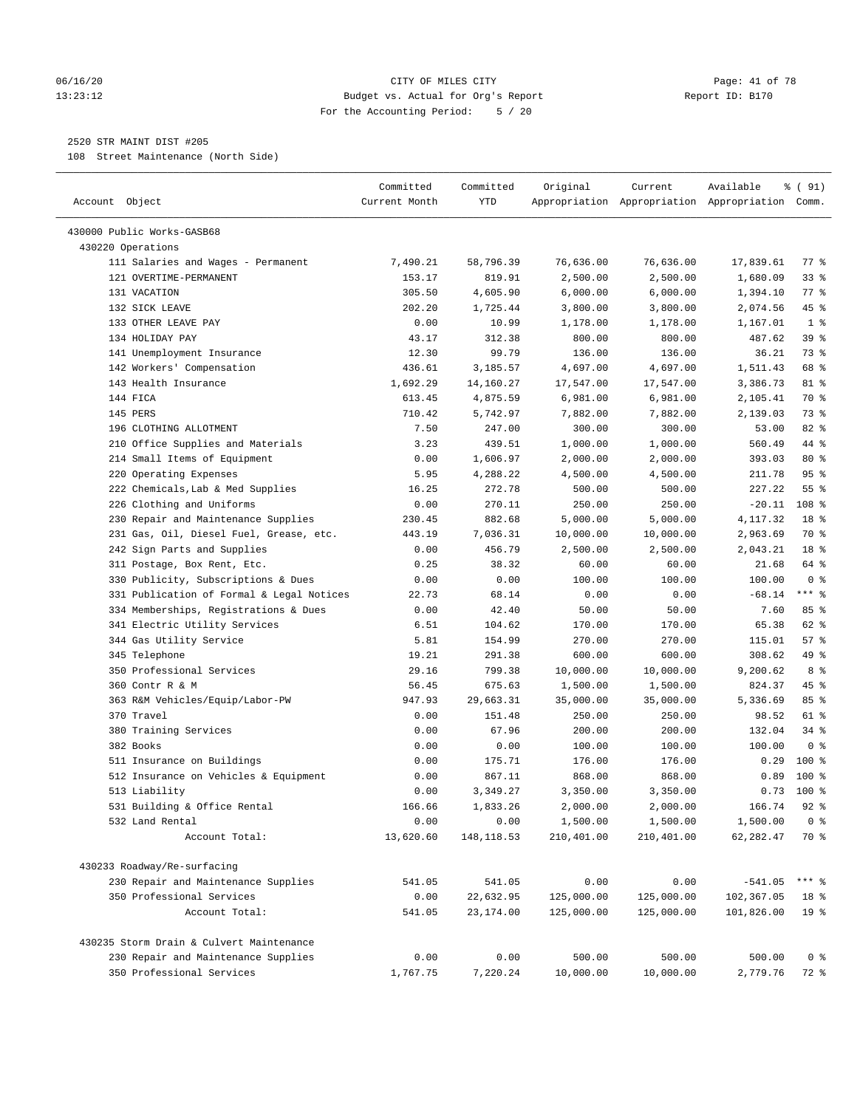#### 06/16/20 Page: 41 of 78 13:23:12 Budget vs. Actual for Org's Report Report ID: B170 For the Accounting Period: 5 / 20

————————————————————————————————————————————————————————————————————————————————————————————————————————————————————————————————————

## 2520 STR MAINT DIST #205

108 Street Maintenance (North Side)

| Account Object                            | Committed<br>Current Month | Committed<br>YTD | Original   | Current    | Available<br>Appropriation Appropriation Appropriation Comm. | % ( 91)         |
|-------------------------------------------|----------------------------|------------------|------------|------------|--------------------------------------------------------------|-----------------|
| 430000 Public Works-GASB68                |                            |                  |            |            |                                                              |                 |
| 430220 Operations                         |                            |                  |            |            |                                                              |                 |
| 111 Salaries and Wages - Permanent        | 7,490.21                   | 58,796.39        | 76,636.00  | 76,636.00  | 17,839.61                                                    | 77 %            |
| 121 OVERTIME-PERMANENT                    | 153.17                     | 819.91           | 2,500.00   | 2,500.00   | 1,680.09                                                     | 33%             |
| 131 VACATION                              | 305.50                     | 4,605.90         | 6,000.00   | 6,000.00   | 1,394.10                                                     | $77$ $%$        |
| 132 SICK LEAVE                            | 202.20                     | 1,725.44         | 3,800.00   | 3,800.00   | 2,074.56                                                     | 45 %            |
| 133 OTHER LEAVE PAY                       | 0.00                       | 10.99            | 1,178.00   | 1,178.00   | 1,167.01                                                     | 1 <sup>8</sup>  |
| 134 HOLIDAY PAY                           | 43.17                      | 312.38           | 800.00     | 800.00     | 487.62                                                       | 39 %            |
| 141 Unemployment Insurance                | 12.30                      | 99.79            | 136.00     | 136.00     | 36.21                                                        | 73 %            |
| 142 Workers' Compensation                 | 436.61                     | 3,185.57         | 4,697.00   | 4,697.00   | 1,511.43                                                     | 68 %            |
| 143 Health Insurance                      | 1,692.29                   | 14,160.27        | 17,547.00  | 17,547.00  | 3,386.73                                                     | 81 %            |
| 144 FICA                                  | 613.45                     | 4,875.59         | 6,981.00   | 6,981.00   | 2,105.41                                                     | 70 %            |
| 145 PERS                                  | 710.42                     | 5,742.97         | 7,882.00   | 7,882.00   | 2,139.03                                                     | 73 %            |
| 196 CLOTHING ALLOTMENT                    | 7.50                       | 247.00           | 300.00     | 300.00     | 53.00                                                        | $82$ $%$        |
| 210 Office Supplies and Materials         | 3.23                       | 439.51           | 1,000.00   | 1,000.00   | 560.49                                                       | 44 %            |
| 214 Small Items of Equipment              | 0.00                       | 1,606.97         | 2,000.00   | 2,000.00   | 393.03                                                       | 80 %            |
| 220 Operating Expenses                    | 5.95                       | 4,288.22         | 4,500.00   | 4,500.00   | 211.78                                                       | 95 <sup>°</sup> |
| 222 Chemicals, Lab & Med Supplies         | 16.25                      | 272.78           | 500.00     | 500.00     | 227.22                                                       | 55%             |
| 226 Clothing and Uniforms                 | 0.00                       | 270.11           | 250.00     | 250.00     | $-20.11$                                                     | 108 %           |
| 230 Repair and Maintenance Supplies       | 230.45                     | 882.68           | 5,000.00   | 5,000.00   | 4,117.32                                                     | 18 <sup>°</sup> |
| 231 Gas, Oil, Diesel Fuel, Grease, etc.   | 443.19                     | 7,036.31         | 10,000.00  | 10,000.00  | 2,963.69                                                     | 70 %            |
| 242 Sign Parts and Supplies               | 0.00                       | 456.79           | 2,500.00   | 2,500.00   | 2,043.21                                                     | 18 %            |
| 311 Postage, Box Rent, Etc.               | 0.25                       | 38.32            | 60.00      | 60.00      | 21.68                                                        | 64 %            |
| 330 Publicity, Subscriptions & Dues       | 0.00                       | 0.00             | 100.00     | 100.00     | 100.00                                                       | 0 <sup>8</sup>  |
| 331 Publication of Formal & Legal Notices | 22.73                      | 68.14            | 0.00       | 0.00       | $-68.14$                                                     | $***$ 8         |
| 334 Memberships, Registrations & Dues     | 0.00                       | 42.40            | 50.00      | 50.00      | 7.60                                                         | 85%             |
| 341 Electric Utility Services             | 6.51                       | 104.62           | 170.00     | 170.00     | 65.38                                                        | 62 %            |
| 344 Gas Utility Service                   | 5.81                       | 154.99           | 270.00     | 270.00     | 115.01                                                       | 57%             |
| 345 Telephone                             | 19.21                      | 291.38           | 600.00     | 600.00     | 308.62                                                       | 49 %            |
| 350 Professional Services                 | 29.16                      | 799.38           | 10,000.00  | 10,000.00  | 9,200.62                                                     | 8 %             |
| 360 Contr R & M                           | 56.45                      | 675.63           | 1,500.00   | 1,500.00   | 824.37                                                       | 45 %            |
| 363 R&M Vehicles/Equip/Labor-PW           | 947.93                     | 29,663.31        | 35,000.00  | 35,000.00  | 5,336.69                                                     | 85%             |
| 370 Travel                                | 0.00                       | 151.48           | 250.00     | 250.00     | 98.52                                                        | 61 %            |
| 380 Training Services                     | 0.00                       | 67.96            | 200.00     | 200.00     | 132.04                                                       | $34$ $%$        |
| 382 Books                                 | 0.00                       | 0.00             | 100.00     | 100.00     | 100.00                                                       | 0 <sup>8</sup>  |
| 511 Insurance on Buildings                | 0.00                       | 175.71           | 176.00     | 176.00     | 0.29                                                         | $100*$          |
| 512 Insurance on Vehicles & Equipment     | 0.00                       | 867.11           | 868.00     | 868.00     | 0.89                                                         | $100*$          |
| 513 Liability                             | 0.00                       | 3,349.27         | 3,350.00   | 3,350.00   | 0.73                                                         | $100*$          |
| 531 Building & Office Rental              | 166.66                     | 1,833.26         | 2,000.00   | 2,000.00   | 166.74                                                       | $92$ $%$        |
| 532 Land Rental                           | 0.00                       | 0.00             | 1,500.00   | 1,500.00   | 1,500.00                                                     | 0 <sup>°</sup>  |
| Account Total:                            | 13,620.60                  | 148, 118.53      | 210,401.00 | 210,401.00 | 62,282.47                                                    | 70 %            |
| 430233 Roadway/Re-surfacing               |                            |                  |            |            |                                                              |                 |
| 230 Repair and Maintenance Supplies       | 541.05                     | 541.05           | 0.00       | 0.00       | $-541.05$                                                    | $***$ $_{8}$    |
| 350 Professional Services                 | 0.00                       | 22,632.95        | 125,000.00 | 125,000.00 | 102,367.05                                                   | 18 <sup>8</sup> |
| Account Total:                            | 541.05                     | 23,174.00        | 125,000.00 | 125,000.00 | 101,826.00                                                   | 19 <sup>°</sup> |
| 430235 Storm Drain & Culvert Maintenance  |                            |                  |            |            |                                                              |                 |
| 230 Repair and Maintenance Supplies       | 0.00                       | 0.00             | 500.00     | 500.00     | 500.00                                                       | 0 <sup>8</sup>  |
| 350 Professional Services                 | 1,767.75                   | 7,220.24         | 10,000.00  | 10,000.00  | 2,779.76                                                     | 72 %            |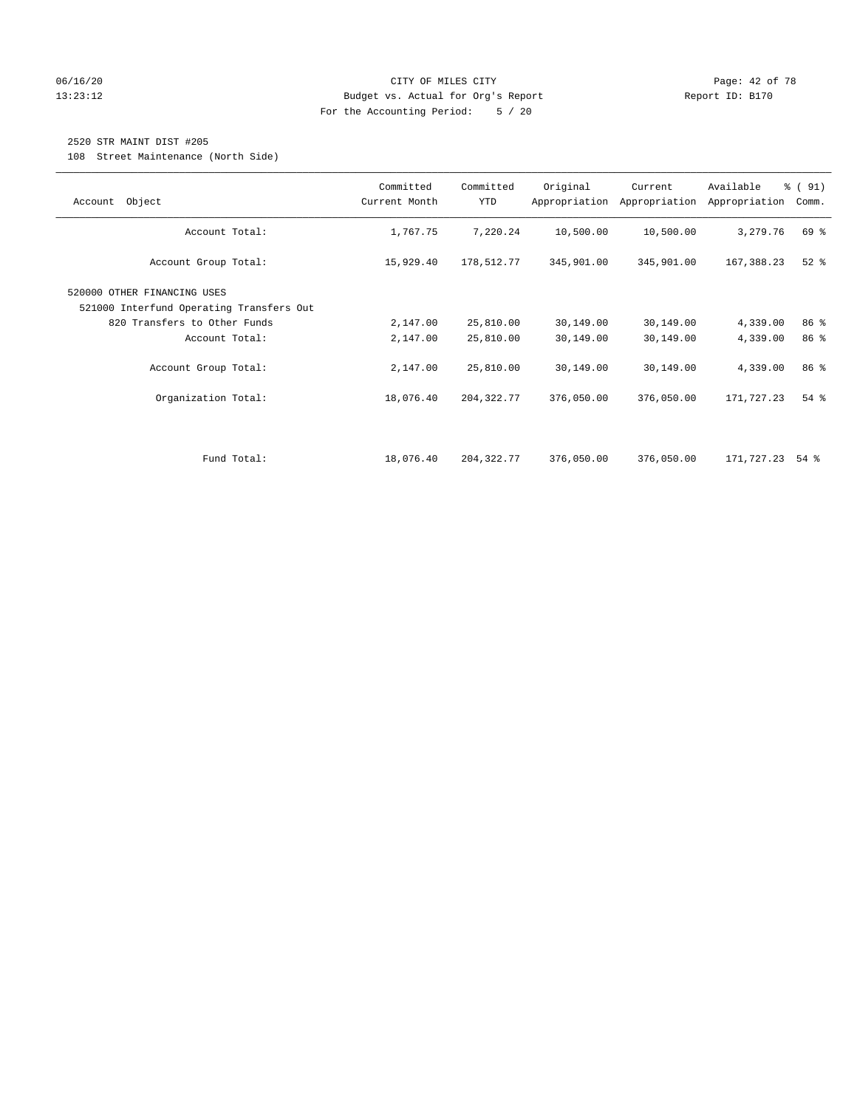## 06/16/20 Page: 42 of 78 13:23:12 Budget vs. Actual for Org's Report Report ID: B170 For the Accounting Period: 5 / 20

## 2520 STR MAINT DIST #205

108 Street Maintenance (North Side)

| Object<br>Account                                                       | Committed<br>Current Month | Committed<br>YTD | Original   | Current<br>Appropriation Appropriation | Available<br>Appropriation | % (91)<br>Comm.    |
|-------------------------------------------------------------------------|----------------------------|------------------|------------|----------------------------------------|----------------------------|--------------------|
| Account Total:                                                          | 1,767.75                   | 7,220.24         | 10,500.00  | 10,500.00                              | 3,279.76                   | 69 %               |
| Account Group Total:                                                    | 15,929.40                  | 178,512.77       | 345,901.00 | 345,901.00                             | 167,388.23                 | $52$ $%$           |
| 520000 OTHER FINANCING USES<br>521000 Interfund Operating Transfers Out |                            |                  |            |                                        |                            |                    |
| 820 Transfers to Other Funds                                            | 2,147.00                   | 25,810.00        | 30,149.00  | 30,149.00                              | 4,339.00                   | 86 %               |
| Account Total:                                                          | 2,147.00                   | 25,810.00        | 30,149.00  | 30,149.00                              | 4,339.00                   | 86 %               |
| Account Group Total:                                                    | 2,147.00                   | 25,810.00        | 30,149.00  | 30,149.00                              | 4,339.00                   | 86 %               |
| Organization Total:                                                     | 18,076.40                  | 204, 322. 77     | 376,050.00 | 376,050.00                             | 171,727.23                 | 54 %               |
|                                                                         |                            |                  |            |                                        |                            |                    |
| Fund Total:                                                             | 18,076.40                  | 204, 322. 77     | 376,050.00 | 376,050.00                             | 171,727.23                 | $54$ $\frac{8}{3}$ |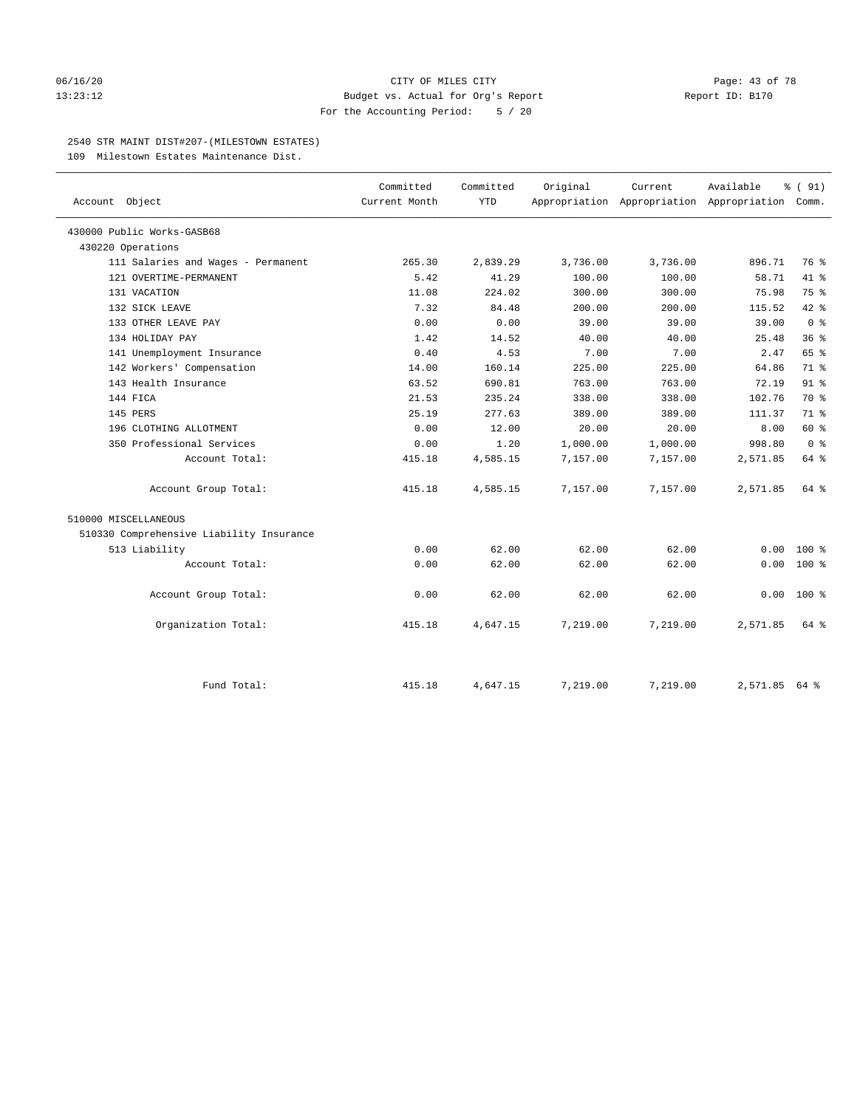#### 06/16/20 Page: 43 of 78 13:23:12 Budget vs. Actual for Org's Report Report ID: B170 For the Accounting Period: 5 / 20

#### 2540 STR MAINT DIST#207-(MILESTOWN ESTATES)

109 Milestown Estates Maintenance Dist.

|                                          | Committed     | Committed  | Original | Current                                         | Available     | % (91)         |
|------------------------------------------|---------------|------------|----------|-------------------------------------------------|---------------|----------------|
| Account Object                           | Current Month | <b>YTD</b> |          | Appropriation Appropriation Appropriation Comm. |               |                |
| 430000 Public Works-GASB68               |               |            |          |                                                 |               |                |
| 430220 Operations                        |               |            |          |                                                 |               |                |
| 111 Salaries and Wages - Permanent       | 265.30        | 2,839.29   | 3,736.00 | 3,736.00                                        | 896.71        | 76 %           |
| 121 OVERTIME-PERMANENT                   | 5.42          | 41.29      | 100.00   | 100.00                                          | 58.71         | 41.8           |
| 131 VACATION                             | 11.08         | 224.02     | 300.00   | 300.00                                          | 75.98         | 75 %           |
| 132 SICK LEAVE                           | 7.32          | 84.48      | 200.00   | 200.00                                          | 115.52        | 42 %           |
| 133 OTHER LEAVE PAY                      | 0.00          | 0.00       | 39.00    | 39.00                                           | 39.00         | 0 <sup>8</sup> |
| 134 HOLIDAY PAY                          | 1.42          | 14.52      | 40.00    | 40.00                                           | 25.48         | 36%            |
| 141 Unemployment Insurance               | 0.40          | 4.53       | 7.00     | 7.00                                            | 2.47          | 65 %           |
| 142 Workers' Compensation                | 14.00         | 160.14     | 225.00   | 225.00                                          | 64.86         | 71 %           |
| 143 Health Insurance                     | 63.52         | 690.81     | 763.00   | 763.00                                          | 72.19         | $91$ %         |
| 144 FICA                                 | 21.53         | 235.24     | 338.00   | 338.00                                          | 102.76        | 70 %           |
| 145 PERS                                 | 25.19         | 277.63     | 389.00   | 389.00                                          | 111.37        | 71 %           |
| 196 CLOTHING ALLOTMENT                   | 0.00          | 12.00      | 20.00    | 20.00                                           | 8.00          | 60 %           |
| 350 Professional Services                | 0.00          | 1.20       | 1,000.00 | 1,000.00                                        | 998.80        | 0 <sup>8</sup> |
| Account Total:                           | 415.18        | 4,585.15   | 7,157.00 | 7,157.00                                        | 2,571.85      | 64 %           |
| Account Group Total:                     | 415.18        | 4,585.15   | 7,157.00 | 7,157.00                                        | 2,571.85      | 64 %           |
| 510000 MISCELLANEOUS                     |               |            |          |                                                 |               |                |
| 510330 Comprehensive Liability Insurance |               |            |          |                                                 |               |                |
| 513 Liability                            | 0.00          | 62.00      | 62.00    | 62.00                                           | 0.00          | $100*$         |
| Account Total:                           | 0.00          | 62.00      | 62.00    | 62.00                                           | 0.00          | $100*$         |
| Account Group Total:                     | 0.00          | 62.00      | 62.00    | 62.00                                           | 0.00          | $100*$         |
| Organization Total:                      | 415.18        | 4,647.15   | 7,219.00 | 7,219.00                                        | 2,571.85      | 64 %           |
| Fund Total:                              | 415.18        | 4,647.15   | 7,219.00 | 7,219.00                                        | 2,571.85 64 % |                |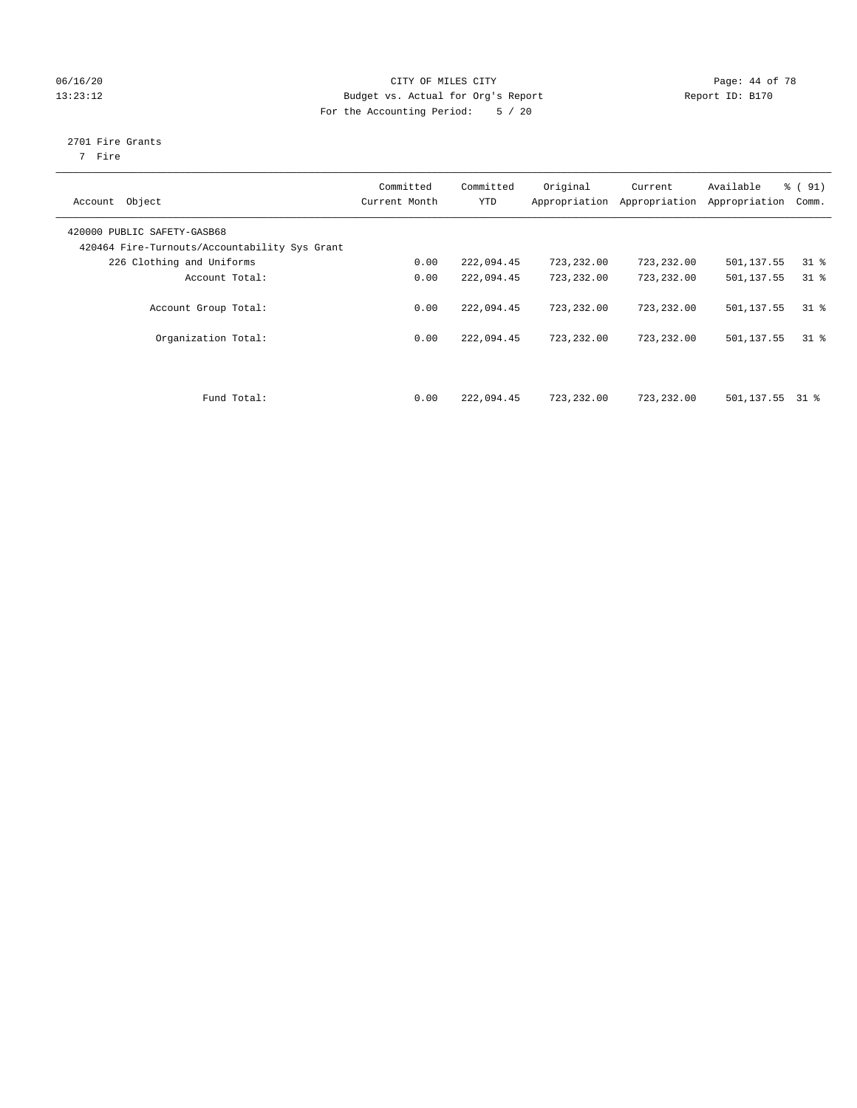## 06/16/20 Page: 44 of 78 13:23:12 Budget vs. Actual for Org's Report Changer Report ID: B170 For the Accounting Period: 5 / 20

# 2701 Fire Grants

7 Fire

| Object<br>Account                                                            | Committed<br>Current Month | Committed<br><b>YTD</b> | Original<br>Appropriation | Current<br>Appropriation | Available<br>Appropriation | % (91)<br>Comm. |
|------------------------------------------------------------------------------|----------------------------|-------------------------|---------------------------|--------------------------|----------------------------|-----------------|
| 420000 PUBLIC SAFETY-GASB68<br>420464 Fire-Turnouts/Accountability Sys Grant |                            |                         |                           |                          |                            |                 |
| 226 Clothing and Uniforms                                                    | 0.00                       | 222,094.45              | 723,232.00                | 723,232.00               | 501,137.55                 | $31$ %          |
| Account Total:                                                               | 0.00                       | 222,094.45              | 723,232.00                | 723,232.00               | 501,137.55                 | $31$ %          |
| Account Group Total:                                                         | 0.00                       | 222,094.45              | 723, 232, 00              | 723,232.00               | 501,137.55                 | 318             |
| Organization Total:                                                          | 0.00                       | 222,094.45              | 723,232.00                | 723,232.00               | 501,137.55                 | 318             |
| Fund Total:                                                                  | 0.00                       | 222,094.45              | 723,232.00                | 723,232.00               | 501,137.55                 | 31 %            |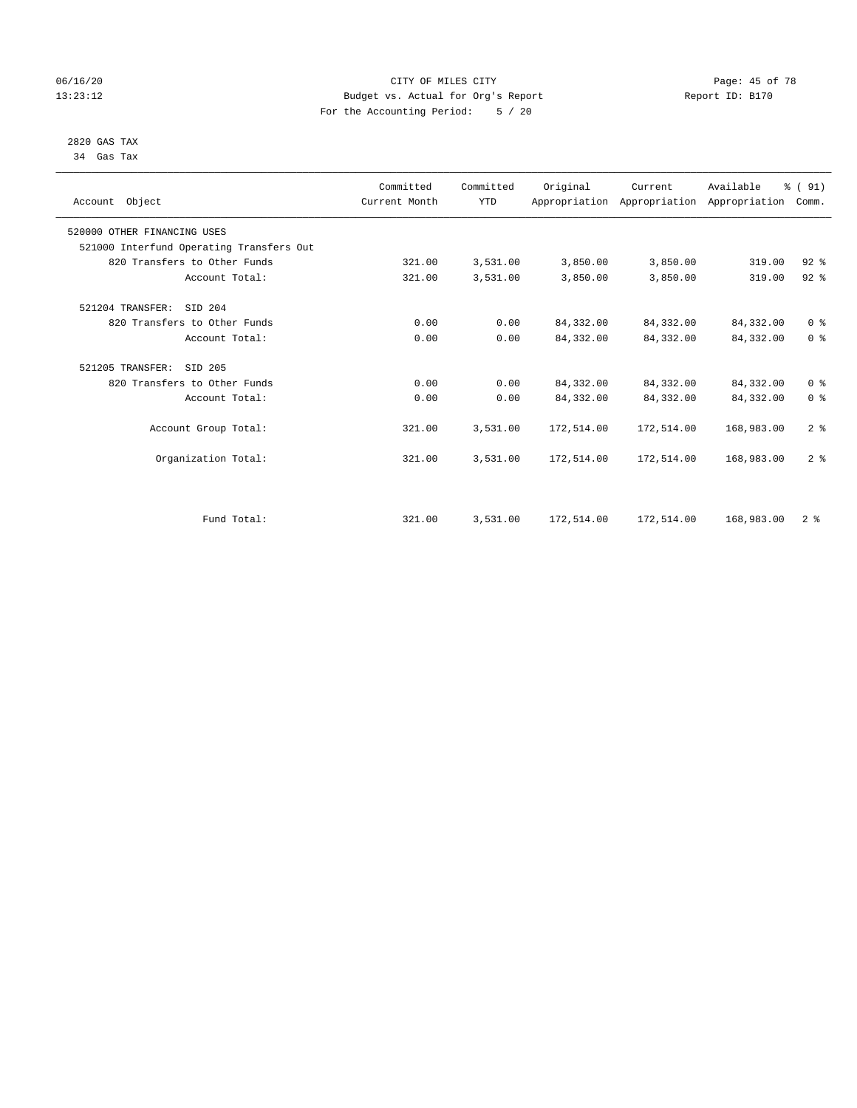## 06/16/20 Page: 45 of 78 13:23:12 Budget vs. Actual for Org's Report Report ID: B170 For the Accounting Period: 5 / 20

#### 2820 GAS TAX 34 Gas Tax

| Account Object                           |                      | Committed<br>Current Month | Committed<br><b>YTD</b> | Original   | Current<br>Appropriation Appropriation Appropriation | Available  | % (91)<br>Comm. |  |
|------------------------------------------|----------------------|----------------------------|-------------------------|------------|------------------------------------------------------|------------|-----------------|--|
| 520000 OTHER FINANCING USES              |                      |                            |                         |            |                                                      |            |                 |  |
| 521000 Interfund Operating Transfers Out |                      |                            |                         |            |                                                      |            |                 |  |
| 820 Transfers to Other Funds             |                      | 321.00                     | 3,531.00                | 3,850.00   | 3,850.00                                             | 319.00     | $92$ $%$        |  |
|                                          | Account Total:       | 321.00                     | 3,531.00                | 3,850.00   | 3,850.00                                             | 319.00     | $92$ $%$        |  |
| 521204 TRANSFER:                         | SID 204              |                            |                         |            |                                                      |            |                 |  |
| 820 Transfers to Other Funds             |                      | 0.00                       | 0.00                    | 84, 332.00 | 84, 332.00                                           | 84,332.00  | 0 <sup>8</sup>  |  |
|                                          | Account Total:       | 0.00                       | 0.00                    | 84,332.00  | 84,332.00                                            | 84, 332.00 | 0 <sup>8</sup>  |  |
| 521205 TRANSFER:                         | SID 205              |                            |                         |            |                                                      |            |                 |  |
| 820 Transfers to Other Funds             |                      | 0.00                       | 0.00                    | 84, 332.00 | 84,332.00                                            | 84,332.00  | 0 <sup>8</sup>  |  |
|                                          | Account Total:       | 0.00                       | 0.00                    | 84,332.00  | 84,332.00                                            | 84,332.00  | 0 <sup>8</sup>  |  |
|                                          | Account Group Total: | 321.00                     | 3,531.00                | 172,514.00 | 172,514.00                                           | 168,983.00 | 2 <sup>8</sup>  |  |
|                                          | Organization Total:  | 321.00                     | 3,531.00                | 172,514.00 | 172,514.00                                           | 168,983.00 | 2 <sup>8</sup>  |  |
|                                          |                      |                            |                         |            |                                                      |            |                 |  |
|                                          | Fund Total:          | 321.00                     | 3,531.00                | 172,514.00 | 172,514.00                                           | 168,983.00 | 2 <sup>8</sup>  |  |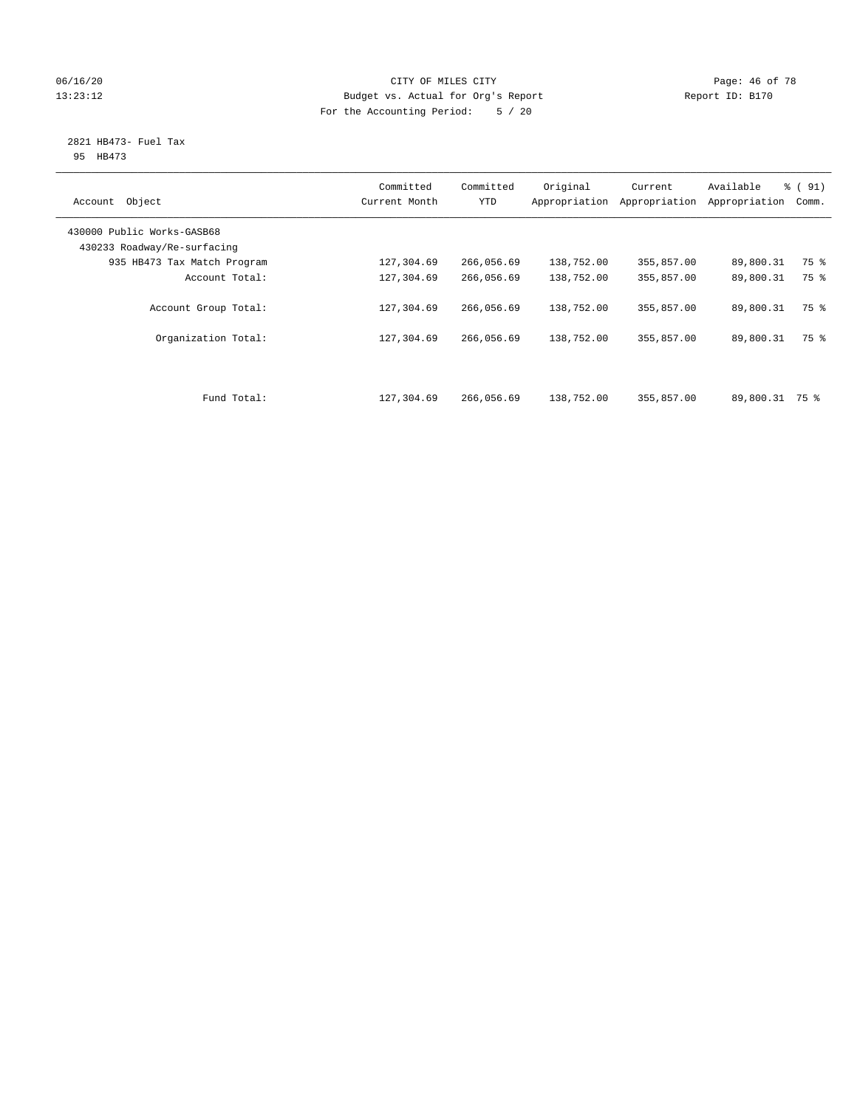## 06/16/20 Page: 46 of 78 13:23:12 Budget vs. Actual for Org's Report Changer Report ID: B170 For the Accounting Period: 5 / 20

#### 2821 HB473- Fuel Tax 95 HB473

| Object<br>Account                                         | Committed<br>Current Month | Committed<br><b>YTD</b> | Original<br>Appropriation | Current<br>Appropriation | Available<br>Appropriation | $\frac{1}{6}$ (91)<br>Comm. |
|-----------------------------------------------------------|----------------------------|-------------------------|---------------------------|--------------------------|----------------------------|-----------------------------|
| 430000 Public Works-GASB68<br>430233 Roadway/Re-surfacing |                            |                         |                           |                          |                            |                             |
| 935 HB473 Tax Match Program                               | 127,304.69                 | 266,056.69              | 138,752.00                | 355,857.00               | 89,800.31                  | 75 %                        |
| Account Total:                                            | 127,304.69                 | 266,056.69              | 138,752.00                | 355,857.00               | 89,800.31                  | 75 %                        |
| Account Group Total:                                      | 127,304.69                 | 266,056.69              | 138,752.00                | 355,857.00               | 89,800.31                  | 75 %                        |
| Organization Total:                                       | 127,304.69                 | 266,056.69              | 138,752.00                | 355,857.00               | 89,800.31                  | 75 %                        |
| Fund Total:                                               | 127,304.69                 | 266,056.69              | 138,752.00                | 355,857.00               | 89,800.31 75 %             |                             |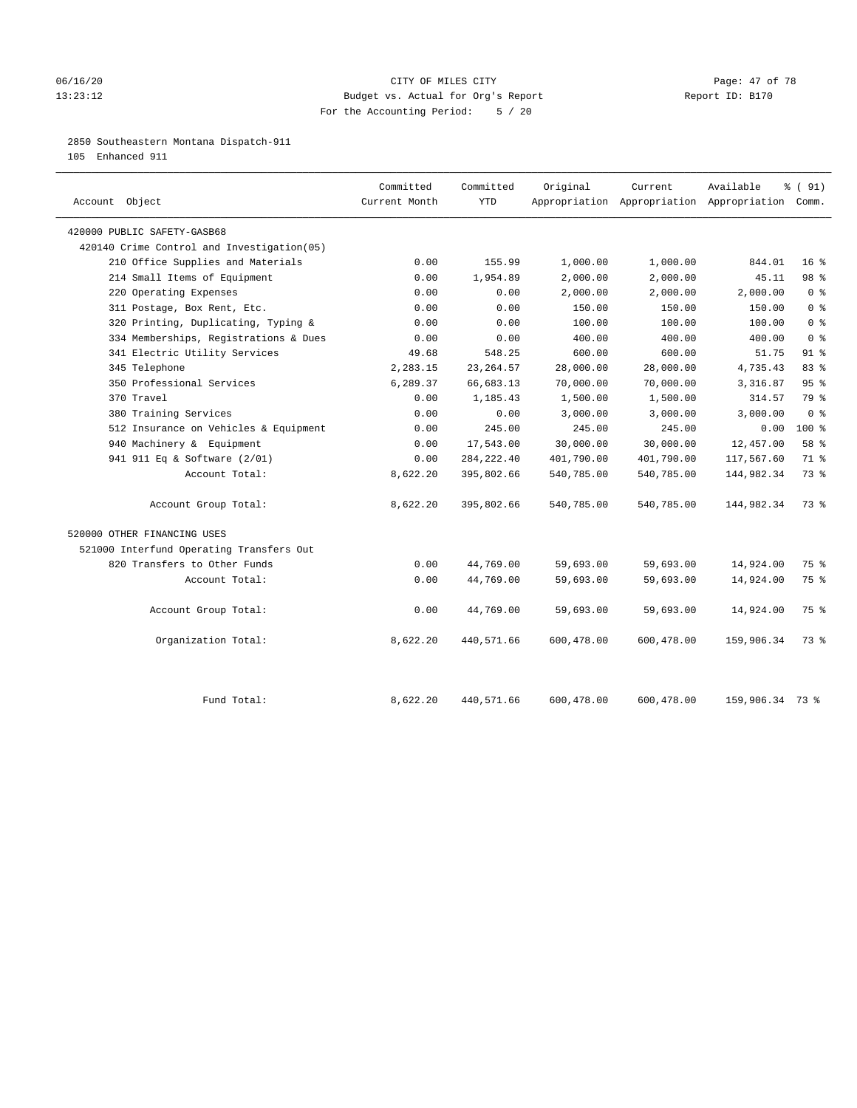#### 06/16/20 Page: 47 of 78 13:23:12 Budget vs. Actual for Org's Report Changer Report ID: B170 For the Accounting Period: 5 / 20

#### 2850 Southeastern Montana Dispatch-911

105 Enhanced 911

| 420000 PUBLIC SAFETY-GASB68<br>420140 Crime Control and Investigation (05)<br>210 Office Supplies and Materials | 0.00<br>0.00 | 155.99      |            |            |                 |                 |
|-----------------------------------------------------------------------------------------------------------------|--------------|-------------|------------|------------|-----------------|-----------------|
|                                                                                                                 |              |             |            |            |                 |                 |
|                                                                                                                 |              |             |            |            |                 |                 |
|                                                                                                                 |              |             | 1,000.00   | 1,000.00   | 844.01          | 16 <sup>°</sup> |
| 214 Small Items of Equipment                                                                                    |              | 1,954.89    | 2,000.00   | 2,000.00   | 45.11           | 98 %            |
| 220 Operating Expenses                                                                                          | 0.00         | 0.00        | 2,000.00   | 2,000.00   | 2,000.00        | 0 <sup>8</sup>  |
| 311 Postage, Box Rent, Etc.                                                                                     | 0.00         | 0.00        | 150.00     | 150.00     | 150.00          | 0 <sup>8</sup>  |
| 320 Printing, Duplicating, Typing &                                                                             | 0.00         | 0.00        | 100.00     | 100.00     | 100.00          | 0 <sup>8</sup>  |
| 334 Memberships, Registrations & Dues                                                                           | 0.00         | 0.00        | 400.00     | 400.00     | 400.00          | 0 <sup>8</sup>  |
| 341 Electric Utility Services                                                                                   | 49.68        | 548.25      | 600.00     | 600.00     | 51.75           | $91$ %          |
| 345 Telephone                                                                                                   | 2,283.15     | 23, 264.57  | 28,000.00  | 28,000.00  | 4,735.43        | 83%             |
| 350 Professional Services                                                                                       | 6,289.37     | 66,683.13   | 70,000.00  | 70,000.00  | 3,316.87        | 95%             |
| 370 Travel                                                                                                      | 0.00         | 1,185.43    | 1,500.00   | 1,500.00   | 314.57          | 79 %            |
| 380 Training Services                                                                                           | 0.00         | 0.00        | 3,000.00   | 3,000.00   | 3,000.00        | 0 <sup>8</sup>  |
| 512 Insurance on Vehicles & Equipment                                                                           | 0.00         | 245.00      | 245.00     | 245.00     | 0.00            | $100*$          |
| 940 Machinery & Equipment                                                                                       | 0.00         | 17,543.00   | 30,000.00  | 30,000.00  | 12,457.00       | 58 %            |
| 941 911 Eq & Software (2/01)                                                                                    | 0.00         | 284, 222.40 | 401,790.00 | 401,790.00 | 117,567.60      | 71 %            |
| Account Total:                                                                                                  | 8,622.20     | 395,802.66  | 540,785.00 | 540,785.00 | 144,982.34      | 73.8            |
| Account Group Total:                                                                                            | 8,622.20     | 395,802.66  | 540,785.00 | 540,785.00 | 144,982.34      | 73.8            |
| 520000 OTHER FINANCING USES                                                                                     |              |             |            |            |                 |                 |
| 521000 Interfund Operating Transfers Out                                                                        |              |             |            |            |                 |                 |
| 820 Transfers to Other Funds                                                                                    | 0.00         | 44,769.00   | 59,693.00  | 59,693.00  | 14,924.00       | 75 %            |
| Account Total:                                                                                                  | 0.00         | 44,769.00   | 59,693.00  | 59,693.00  | 14,924.00       | 75 %            |
| Account Group Total:                                                                                            | 0.00         | 44,769.00   | 59,693.00  | 59,693.00  | 14,924.00       | 75 %            |
| Organization Total:                                                                                             | 8,622.20     | 440,571.66  | 600,478.00 | 600,478.00 | 159,906.34      | 73.8            |
| Fund Total:                                                                                                     | 8,622.20     | 440,571.66  | 600,478.00 | 600,478.00 | 159,906.34 73 % |                 |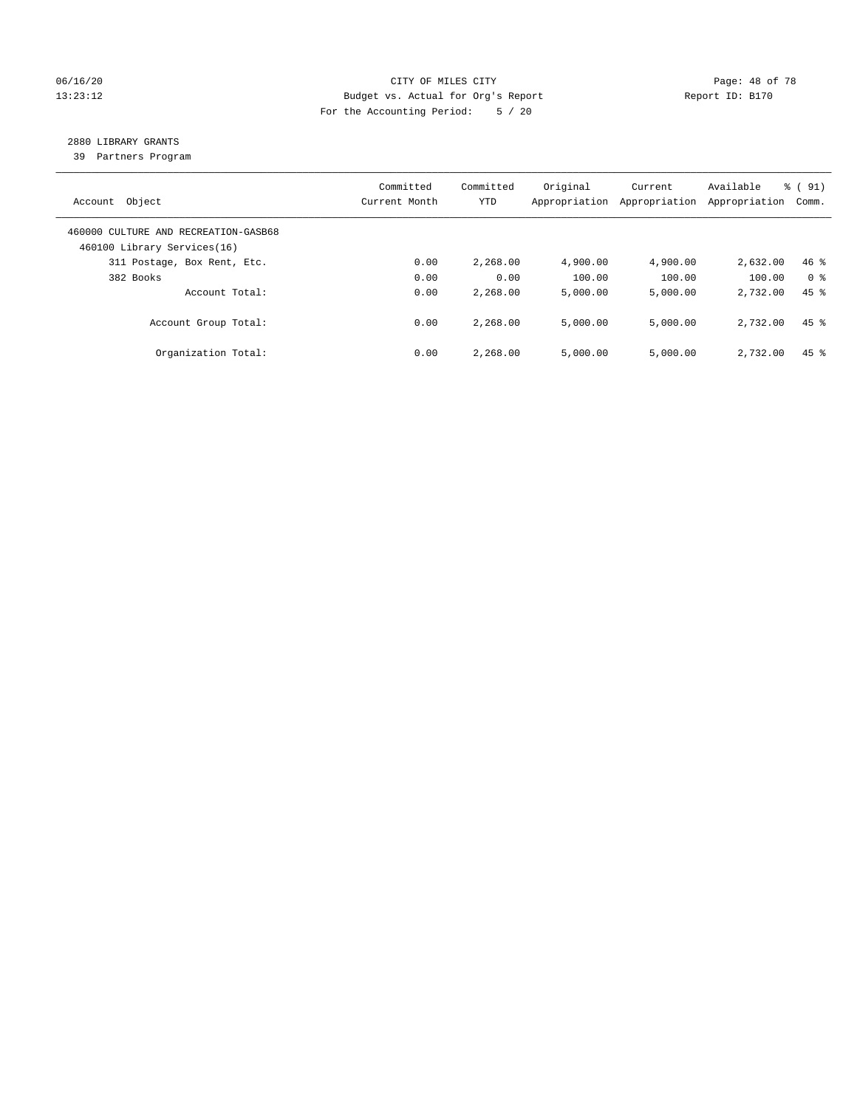## 06/16/20 Page: 48 of 78 13:23:12 Budget vs. Actual for Org's Report Changer Report ID: B170 For the Accounting Period: 5 / 20

## 2880 LIBRARY GRANTS

39 Partners Program

| Account Object                                                      | Committed<br>Current Month | Committed<br><b>YTD</b> | Original<br>Appropriation | Current<br>Appropriation | Available<br>Appropriation | % (91)<br>Comm.    |
|---------------------------------------------------------------------|----------------------------|-------------------------|---------------------------|--------------------------|----------------------------|--------------------|
| 460000 CULTURE AND RECREATION-GASB68<br>460100 Library Services(16) |                            |                         |                           |                          |                            |                    |
| 311 Postage, Box Rent, Etc.                                         | 0.00                       | 2,268.00                | 4,900.00                  | 4,900.00                 | 2,632.00                   | $46$ %             |
| 382 Books                                                           | 0.00                       | 0.00                    | 100.00                    | 100.00                   | 100.00                     | 0 <sup>8</sup>     |
| Account Total:                                                      | 0.00                       | 2,268.00                | 5,000.00                  | 5,000.00                 | 2,732.00                   | $45$ $%$           |
| Account Group Total:                                                | 0.00                       | 2,268.00                | 5,000.00                  | 5,000.00                 | 2,732.00                   | $45$ $%$           |
| Organization Total:                                                 | 0.00                       | 2,268.00                | 5.000.00                  | 5,000.00                 | 2,732.00                   | $45$ $\frac{6}{3}$ |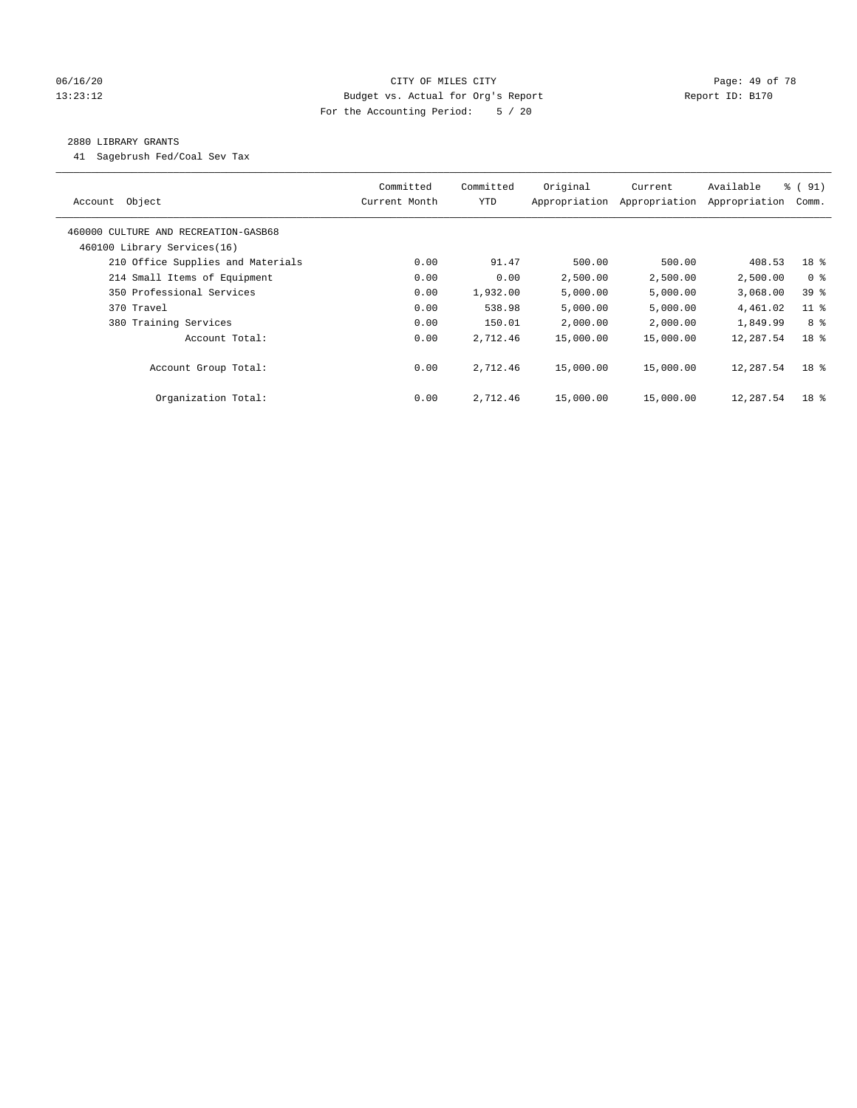## 06/16/20 Page: 49 of 78 13:23:12 Budget vs. Actual for Org's Report Changer Report ID: B170 For the Accounting Period: 5 / 20

#### 2880 LIBRARY GRANTS

41 Sagebrush Fed/Coal Sev Tax

| Account Object                       | Committed<br>Current Month | Committed<br><b>YTD</b> | Original<br>Appropriation | Current<br>Appropriation | Available<br>Appropriation | $\frac{1}{6}$ (91)<br>Comm. |
|--------------------------------------|----------------------------|-------------------------|---------------------------|--------------------------|----------------------------|-----------------------------|
| 460000 CULTURE AND RECREATION-GASB68 |                            |                         |                           |                          |                            |                             |
| 460100 Library Services(16)          |                            |                         |                           |                          |                            |                             |
| 210 Office Supplies and Materials    | 0.00                       | 91.47                   | 500.00                    | 500.00                   | 408.53                     | 18 %                        |
| 214 Small Items of Equipment         | 0.00                       | 0.00                    | 2,500.00                  | 2,500.00                 | 2,500.00                   | 0 <sup>8</sup>              |
| 350 Professional Services            | 0.00                       | 1,932.00                | 5,000.00                  | 5,000.00                 | 3,068.00                   | 39 %                        |
| 370 Travel                           | 0.00                       | 538.98                  | 5,000.00                  | 5,000.00                 | 4,461.02                   | $11$ %                      |
| 380 Training Services                | 0.00                       | 150.01                  | 2,000.00                  | 2,000.00                 | 1,849.99                   | 8 %                         |
| Account Total:                       | 0.00                       | 2,712.46                | 15,000.00                 | 15,000.00                | 12,287.54                  | 18 <sup>8</sup>             |
| Account Group Total:                 | 0.00                       | 2,712.46                | 15,000.00                 | 15,000.00                | 12,287.54                  | 18 <sup>8</sup>             |
| Organization Total:                  | 0.00                       | 2,712.46                | 15,000.00                 | 15,000.00                | 12,287.54                  | 18 <sup>8</sup>             |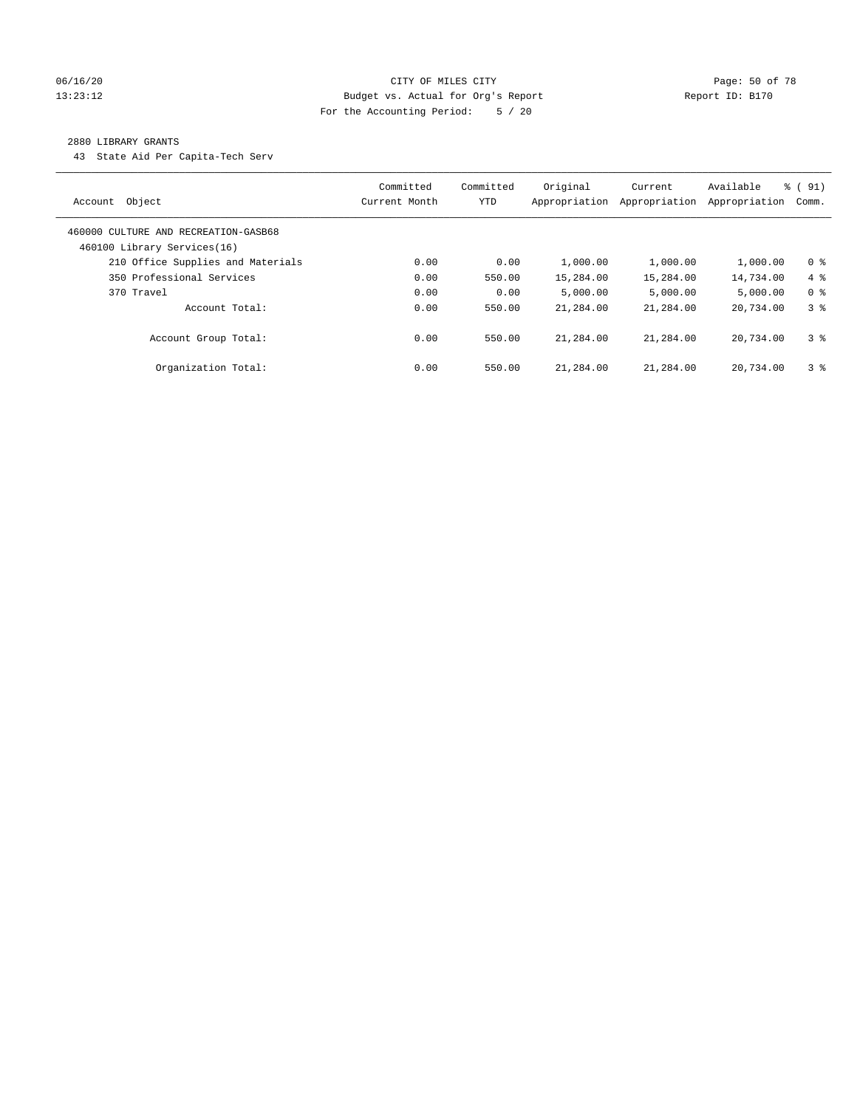## 06/16/20 Page: 50 of 78 13:23:12 Budget vs. Actual for Org's Report Report ID: B170 For the Accounting Period: 5 / 20

#### 2880 LIBRARY GRANTS

43 State Aid Per Capita-Tech Serv

| Object<br>Account                                                   | Committed<br>Current Month | Committed<br><b>YTD</b> | Original<br>Appropriation | Current<br>Appropriation | Available<br>Appropriation | % (91)<br>Comm. |
|---------------------------------------------------------------------|----------------------------|-------------------------|---------------------------|--------------------------|----------------------------|-----------------|
| 460000 CULTURE AND RECREATION-GASB68<br>460100 Library Services(16) |                            |                         |                           |                          |                            |                 |
| 210 Office Supplies and Materials                                   | 0.00                       | 0.00                    | 1,000.00                  | 1,000.00                 | 1,000.00                   | 0 <sup>8</sup>  |
| 350 Professional Services                                           | 0.00                       | 550.00                  | 15,284.00                 | 15,284.00                | 14,734.00                  | $4\degree$      |
| 370 Travel                                                          | 0.00                       | 0.00                    | 5.000.00                  | 5,000.00                 | 5.000.00                   | 0 <sup>8</sup>  |
| Account Total:                                                      | 0.00                       | 550.00                  | 21,284.00                 | 21,284.00                | 20,734.00                  | 38              |
| Account Group Total:                                                | 0.00                       | 550.00                  | 21,284.00                 | 21,284.00                | 20,734.00                  | 3 <sup>8</sup>  |
| Organization Total:                                                 | 0.00                       | 550.00                  | 21,284.00                 | 21,284.00                | 20,734.00                  | 3 <sup>8</sup>  |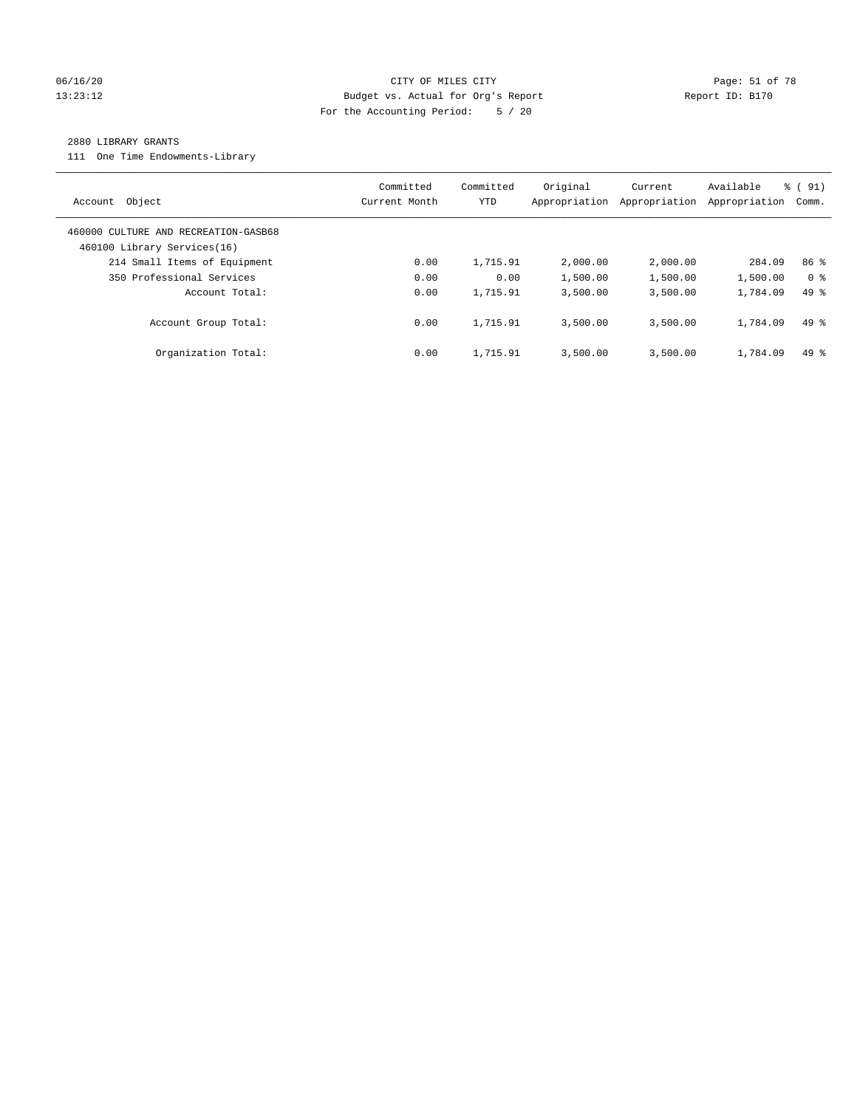## 06/16/20 Page: 51 of 78 13:23:12 Budget vs. Actual for Org's Report Changer Report ID: B170 For the Accounting Period: 5 / 20

#### 2880 LIBRARY GRANTS

111 One Time Endowments-Library

| Object<br>Account                                                   | Committed<br>Current Month | Committed<br>YTD | Original<br>Appropriation | Current<br>Appropriation | Available<br>Appropriation | % (91)<br>Comm. |
|---------------------------------------------------------------------|----------------------------|------------------|---------------------------|--------------------------|----------------------------|-----------------|
| 460000 CULTURE AND RECREATION-GASB68<br>460100 Library Services(16) |                            |                  |                           |                          |                            |                 |
| 214 Small Items of Equipment                                        | 0.00                       | 1,715.91         | 2,000.00                  | 2,000.00                 | 284.09                     | 86 <sup>8</sup> |
| 350 Professional Services                                           | 0.00                       | 0.00             | 1,500.00                  | 1,500.00                 | 1,500.00                   | 0 <sup>8</sup>  |
| Account Total:                                                      | 0.00                       | 1,715.91         | 3,500.00                  | 3,500.00                 | 1,784.09                   | $49*$           |
| Account Group Total:                                                | 0.00                       | 1,715.91         | 3,500.00                  | 3,500.00                 | 1,784.09                   | $49*$           |
| Organization Total:                                                 | 0.00                       | 1,715.91         | 3,500.00                  | 3.500.00                 | 1,784.09                   | $49*$           |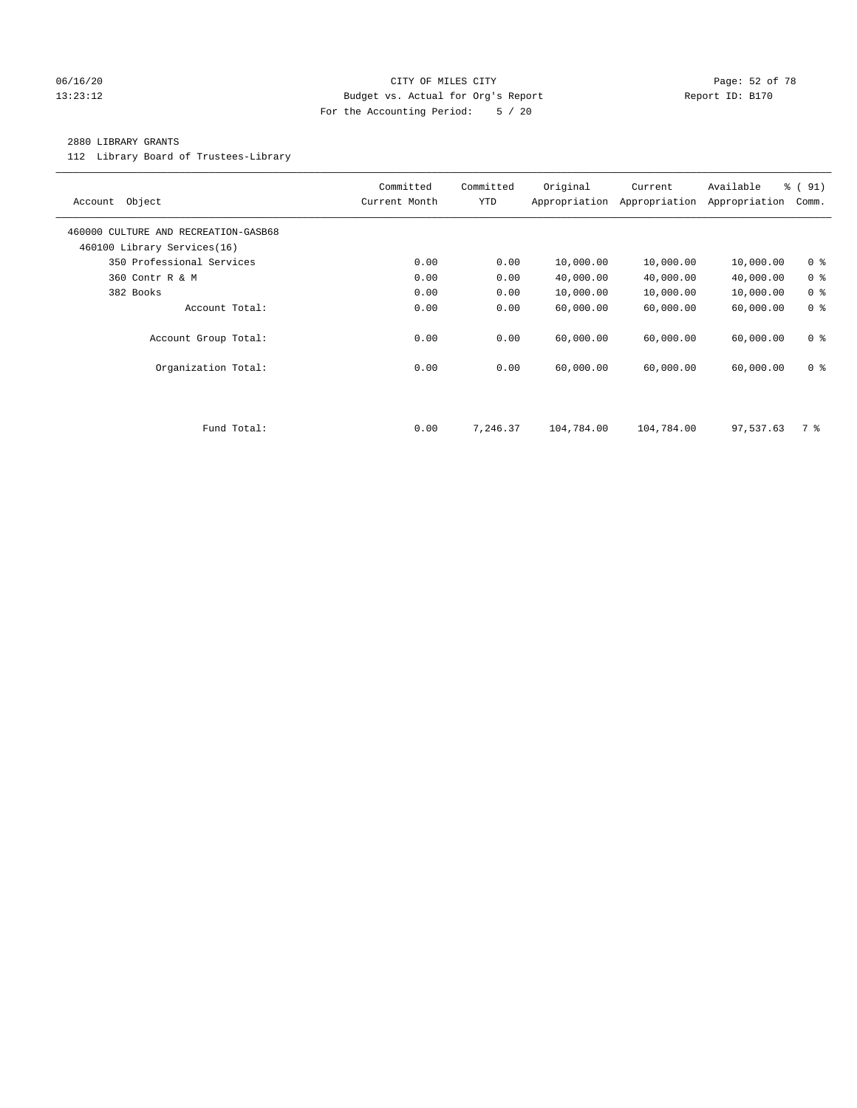#### 06/16/20 Page: 52 of 78 13:23:12 Budget vs. Actual for Org's Report Report ID: B170 For the Accounting Period: 5 / 20

#### 2880 LIBRARY GRANTS

112 Library Board of Trustees-Library

| Object<br>Account                                                   | Committed<br>Current Month | Committed<br><b>YTD</b> | Original<br>Appropriation | Current<br>Appropriation | Available<br>Appropriation | % (91)<br>Comm. |
|---------------------------------------------------------------------|----------------------------|-------------------------|---------------------------|--------------------------|----------------------------|-----------------|
| 460000 CULTURE AND RECREATION-GASB68<br>460100 Library Services(16) |                            |                         |                           |                          |                            |                 |
| 350 Professional Services                                           | 0.00                       | 0.00                    | 10,000.00                 | 10,000.00                | 10,000.00                  | 0 <sup>8</sup>  |
| 360 Contr R & M                                                     | 0.00                       | 0.00                    | 40,000.00                 | 40,000.00                | 40,000.00                  | 0 <sup>8</sup>  |
| 382 Books                                                           | 0.00                       | 0.00                    | 10,000.00                 | 10,000.00                | 10,000.00                  | 0 <sup>8</sup>  |
| Account Total:                                                      | 0.00                       | 0.00                    | 60,000.00                 | 60,000.00                | 60,000.00                  | 0 <sup>8</sup>  |
| Account Group Total:                                                | 0.00                       | 0.00                    | 60,000.00                 | 60,000.00                | 60,000.00                  | 0 <sup>8</sup>  |
| Organization Total:                                                 | 0.00                       | 0.00                    | 60,000.00                 | 60,000.00                | 60,000.00                  | 0 <sup>8</sup>  |
|                                                                     |                            |                         |                           |                          |                            |                 |
| Fund Total:                                                         | 0.00                       | 7,246.37                | 104,784.00                | 104,784.00               | 97,537.63                  | 7 %             |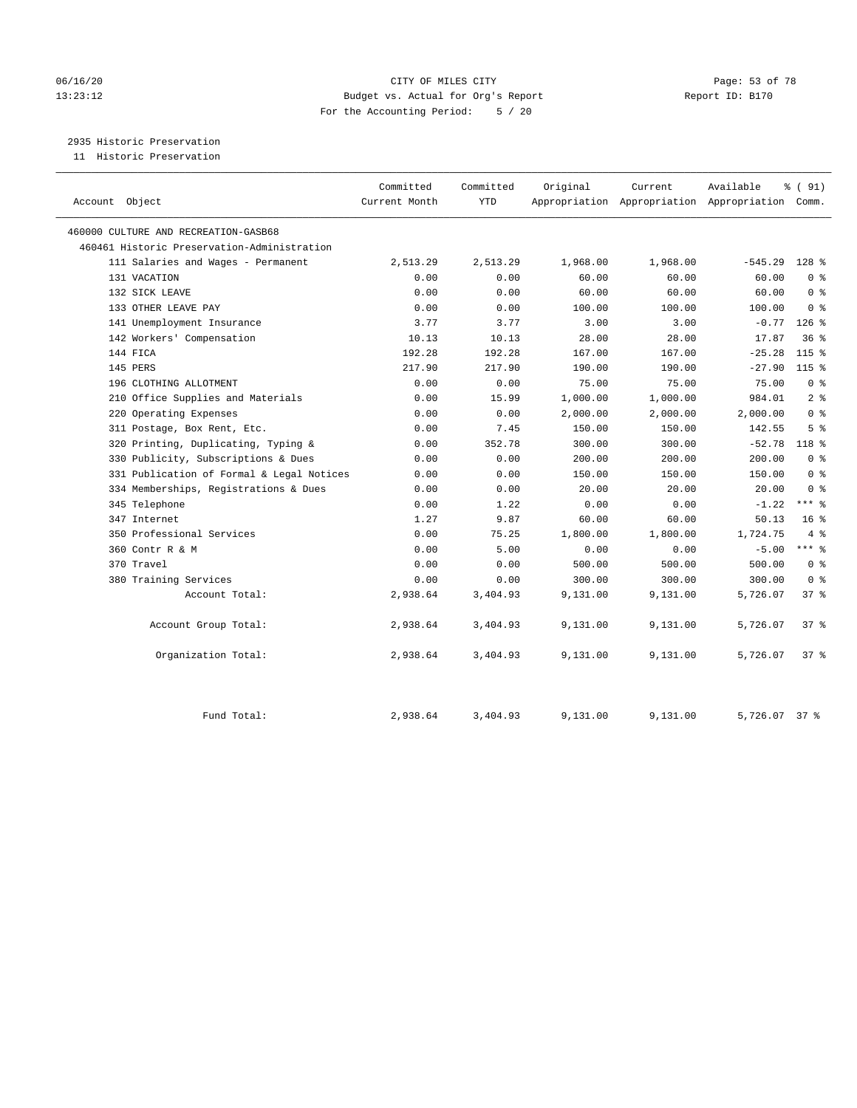## 06/16/20 Page: 53 of 78 13:23:12 Budget vs. Actual for Org's Report Report ID: B170 For the Accounting Period: 5 / 20

# 2935 Historic Preservation

11 Historic Preservation

| Account Object                              | Committed<br>Current Month | Committed<br><b>YTD</b> | Original | Current  | Available<br>Appropriation Appropriation Appropriation Comm. | % (91)          |
|---------------------------------------------|----------------------------|-------------------------|----------|----------|--------------------------------------------------------------|-----------------|
| 460000 CULTURE AND RECREATION-GASB68        |                            |                         |          |          |                                                              |                 |
| 460461 Historic Preservation-Administration |                            |                         |          |          |                                                              |                 |
| 111 Salaries and Wages - Permanent          | 2,513.29                   | 2,513.29                | 1,968.00 | 1,968.00 | $-545.29$ 128 %                                              |                 |
| 131 VACATION                                | 0.00                       | 0.00                    | 60.00    | 60.00    | 60.00                                                        | 0 <sup>8</sup>  |
| 132 SICK LEAVE                              | 0.00                       | 0.00                    | 60.00    | 60.00    | 60.00                                                        | 0 <sup>8</sup>  |
| 133 OTHER LEAVE PAY                         | 0.00                       | 0.00                    | 100.00   | 100.00   | 100.00                                                       | 0 <sup>8</sup>  |
| 141 Unemployment Insurance                  | 3.77                       | 3.77                    | 3.00     | 3.00     | $-0.77$                                                      | $126$ %         |
| 142 Workers' Compensation                   | 10.13                      | 10.13                   | 28.00    | 28.00    | 17.87                                                        | 36%             |
| 144 FICA                                    | 192.28                     | 192.28                  | 167.00   | 167.00   | $-25.28$                                                     | $115$ %         |
| 145 PERS                                    | 217.90                     | 217.90                  | 190.00   | 190.00   | $-27.90$                                                     | $115$ %         |
| 196 CLOTHING ALLOTMENT                      | 0.00                       | 0.00                    | 75.00    | 75.00    | 75.00                                                        | 0 <sup>8</sup>  |
| 210 Office Supplies and Materials           | 0.00                       | 15.99                   | 1,000.00 | 1,000.00 | 984.01                                                       | 2 <sup>8</sup>  |
| 220 Operating Expenses                      | 0.00                       | 0.00                    | 2,000.00 | 2,000.00 | 2,000.00                                                     | 0 <sup>8</sup>  |
| 311 Postage, Box Rent, Etc.                 | 0.00                       | 7.45                    | 150.00   | 150.00   | 142.55                                                       | 5 <sup>8</sup>  |
| 320 Printing, Duplicating, Typing &         | 0.00                       | 352.78                  | 300.00   | 300.00   | $-52.78$                                                     | 118 %           |
| 330 Publicity, Subscriptions & Dues         | 0.00                       | 0.00                    | 200.00   | 200.00   | 200.00                                                       | 0 <sup>8</sup>  |
| 331 Publication of Formal & Legal Notices   | 0.00                       | 0.00                    | 150.00   | 150.00   | 150.00                                                       | 0 <sup>8</sup>  |
| 334 Memberships, Registrations & Dues       | 0.00                       | 0.00                    | 20.00    | 20.00    | 20.00                                                        | 0 <sup>8</sup>  |
| 345 Telephone                               | 0.00                       | 1.22                    | 0.00     | 0.00     | $-1.22$                                                      | $***$ %         |
| 347 Internet                                | 1.27                       | 9.87                    | 60.00    | 60.00    | 50.13                                                        | 16 <sup>8</sup> |
| 350 Professional Services                   | 0.00                       | 75.25                   | 1,800.00 | 1,800.00 | 1,724.75                                                     | 4%              |
| 360 Contr R & M                             | 0.00                       | 5.00                    | 0.00     | 0.00     | $-5.00$                                                      | $***$ $-$       |
| 370 Travel                                  | 0.00                       | 0.00                    | 500.00   | 500.00   | 500.00                                                       | 0 <sup>8</sup>  |
| 380 Training Services                       | 0.00                       | 0.00                    | 300.00   | 300.00   | 300.00                                                       | 0 <sup>8</sup>  |
| Account Total:                              | 2,938.64                   | 3,404.93                | 9,131.00 | 9,131.00 | 5,726.07                                                     | 378             |
| Account Group Total:                        | 2,938.64                   | 3,404.93                | 9,131.00 | 9,131.00 | 5,726.07                                                     | 37%             |
| Organization Total:                         | 2,938.64                   | 3,404.93                | 9,131.00 | 9,131.00 | 5,726.07                                                     | 37%             |
| Fund Total:                                 | 2,938.64                   | 3,404.93                | 9,131.00 | 9,131.00 | 5,726.07 37 %                                                |                 |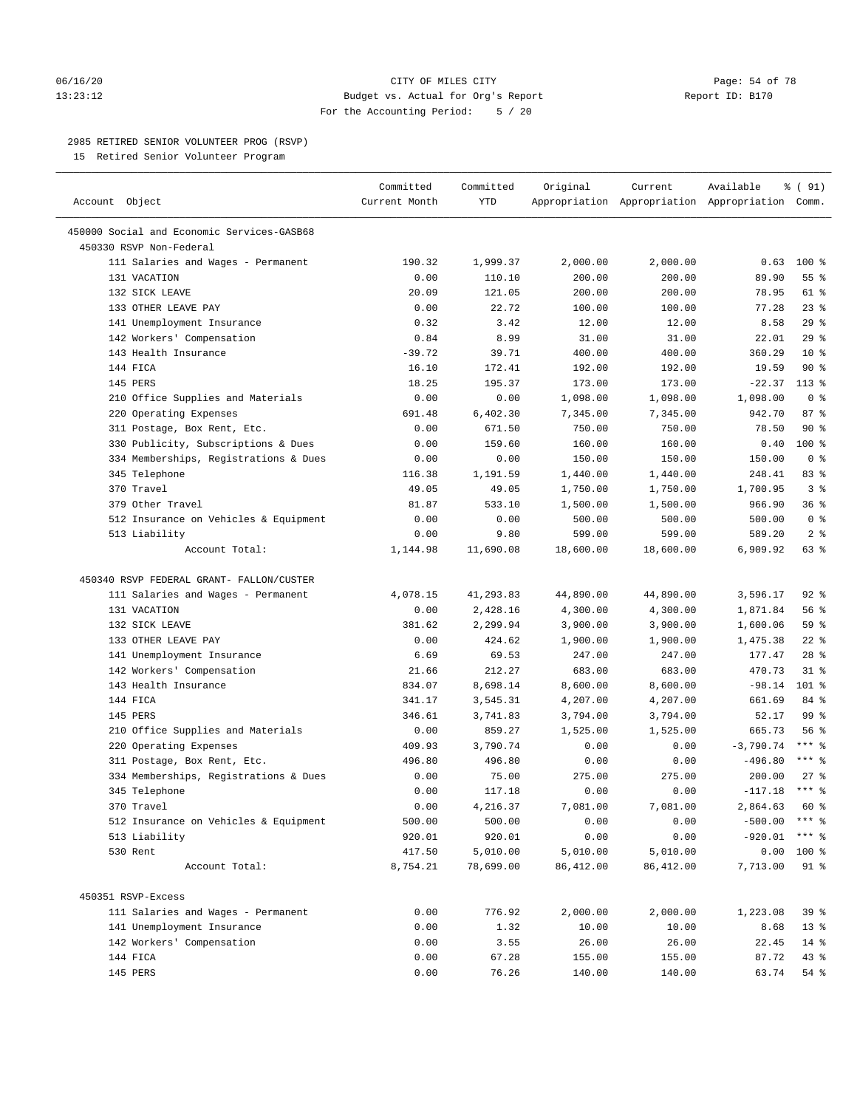#### 06/16/20 Page: 54 of 78 13:23:12 Budget vs. Actual for Org's Report Report ID: B170 For the Accounting Period: 5 / 20

————————————————————————————————————————————————————————————————————————————————————————————————————————————————————————————————————

#### 2985 RETIRED SENIOR VOLUNTEER PROG (RSVP)

15 Retired Senior Volunteer Program

|                                            | Committed     | Committed | Original  | Current                                         | Available        | % (91)              |
|--------------------------------------------|---------------|-----------|-----------|-------------------------------------------------|------------------|---------------------|
| Account Object                             | Current Month | YTD       |           | Appropriation Appropriation Appropriation Comm. |                  |                     |
| 450000 Social and Economic Services-GASB68 |               |           |           |                                                 |                  |                     |
| 450330 RSVP Non-Federal                    |               |           |           |                                                 |                  |                     |
| 111 Salaries and Wages - Permanent         | 190.32        | 1,999.37  | 2,000.00  | 2,000.00                                        |                  | $0.63$ 100 %        |
| 131 VACATION                               | 0.00          | 110.10    | 200.00    | 200.00                                          | 89.90            | 55 %                |
| 132 SICK LEAVE                             | 20.09         | 121.05    | 200.00    | 200.00                                          | 78.95            | 61 %                |
| 133 OTHER LEAVE PAY                        | 0.00          | 22.72     | 100.00    | 100.00                                          | 77.28            | $23$ %              |
| 141 Unemployment Insurance                 | 0.32          | 3.42      | 12.00     | 12.00                                           | 8.58             | 29%                 |
| 142 Workers' Compensation                  | 0.84          | 8.99      | 31.00     | 31.00                                           | 22.01            | 29%                 |
| 143 Health Insurance                       | $-39.72$      | 39.71     | 400.00    | 400.00                                          | 360.29           | $10*$               |
| 144 FICA                                   |               |           |           |                                                 |                  | $90*$               |
|                                            | 16.10         | 172.41    | 192.00    | 192.00                                          | 19.59            |                     |
| 145 PERS                                   | 18.25         | 195.37    | 173.00    | 173.00                                          | $-22.37$         | $113*$              |
| 210 Office Supplies and Materials          | 0.00          | 0.00      | 1,098.00  | 1,098.00                                        | 1,098.00         | 0 <sup>8</sup>      |
| 220 Operating Expenses                     | 691.48        | 6,402.30  | 7,345.00  | 7,345.00                                        | 942.70           | 87%                 |
| 311 Postage, Box Rent, Etc.                | 0.00          | 671.50    | 750.00    | 750.00                                          | 78.50            | $90*$               |
| 330 Publicity, Subscriptions & Dues        | 0.00          | 159.60    | 160.00    | 160.00                                          | 0.40             | $100*$              |
| 334 Memberships, Registrations & Dues      | 0.00          | 0.00      | 150.00    | 150.00                                          | 150.00           | 0 <sup>8</sup>      |
| 345 Telephone                              | 116.38        | 1,191.59  | 1,440.00  | 1,440.00                                        | 248.41           | 83%                 |
| 370 Travel                                 | 49.05         | 49.05     | 1,750.00  | 1,750.00                                        | 1,700.95         | 3 <sup>8</sup>      |
| 379 Other Travel                           | 81.87         | 533.10    | 1,500.00  | 1,500.00                                        | 966.90           | 36%                 |
| 512 Insurance on Vehicles & Equipment      | 0.00          | 0.00      | 500.00    | 500.00                                          | 500.00           | 0 <sup>8</sup>      |
| 513 Liability                              | 0.00          | 9.80      | 599.00    | 599.00                                          | 589.20           | 2 <sub>8</sub>      |
| Account Total:                             | 1,144.98      | 11,690.08 | 18,600.00 | 18,600.00                                       | 6,909.92         | 63 %                |
| 450340 RSVP FEDERAL GRANT- FALLON/CUSTER   |               |           |           |                                                 |                  |                     |
| 111 Salaries and Wages - Permanent         | 4,078.15      | 41,293.83 | 44,890.00 | 44,890.00                                       | 3,596.17         | $92$ %              |
| 131 VACATION                               | 0.00          | 2,428.16  | 4,300.00  | 4,300.00                                        | 1,871.84         | 56 %                |
| 132 SICK LEAVE                             | 381.62        | 2,299.94  | 3,900.00  | 3,900.00                                        | 1,600.06         | 59 %                |
| 133 OTHER LEAVE PAY                        | 0.00          | 424.62    | 1,900.00  | 1,900.00                                        | 1,475.38         | $22$ %              |
| 141 Unemployment Insurance                 | 6.69          | 69.53     | 247.00    | 247.00                                          | 177.47           | $28$ %              |
| 142 Workers' Compensation                  | 21.66         | 212.27    | 683.00    | 683.00                                          | 470.73           | $31$ %              |
| 143 Health Insurance                       | 834.07        | 8,698.14  | 8,600.00  | 8,600.00                                        | $-98.14$         | $101$ %             |
| 144 FICA                                   | 341.17        | 3,545.31  | 4,207.00  | 4,207.00                                        | 661.69           | 84 %                |
| 145 PERS                                   | 346.61        | 3,741.83  | 3,794.00  | 3,794.00                                        | 52.17            | 99 %                |
| 210 Office Supplies and Materials          | 0.00          | 859.27    | 1,525.00  | 1,525.00                                        | 665.73           | 56%                 |
| 220 Operating Expenses                     | 409.93        | 3,790.74  | 0.00      | 0.00                                            | $-3,790.74$      | $***$ $%$           |
|                                            |               |           |           |                                                 | $-496.80$        | $***$ $_{8}$        |
| 311 Postage, Box Rent, Etc.                | 496.80        | 496.80    | 0.00      | 0.00                                            |                  |                     |
| 334 Memberships, Registrations & Dues      | 0.00          | 75.00     | 275.00    | 275.00                                          | 200.00           | $27$ %<br>$***$ $%$ |
| 345 Telephone                              | 0.00          | 117.18    | 0.00      | 0.00                                            | $-117.18$        |                     |
| 370 Travel                                 | 0.00          | 4,216.37  | 7,081.00  | 7,081.00                                        | 2,864.63         | 60 %                |
| 512 Insurance on Vehicles & Equipment      | 500.00        | 500.00    | 0.00      | 0.00                                            | $-500.00$ *** \$ |                     |
| 513 Liability                              | 920.01        | 920.01    | 0.00      | 0.00                                            | $-920.01$ *** §  |                     |
| 530 Rent                                   | 417.50        | 5,010.00  | 5,010.00  | 5,010.00                                        | 0.00             | 100 %               |
| Account Total:                             | 8,754.21      | 78,699.00 | 86,412.00 | 86,412.00                                       | 7,713.00         | 91 %                |
| 450351 RSVP-Excess                         |               |           |           |                                                 |                  |                     |
| 111 Salaries and Wages - Permanent         | 0.00          | 776.92    | 2,000.00  | 2,000.00                                        | 1,223.08         | 39 %                |
| 141 Unemployment Insurance                 | 0.00          | 1.32      | 10.00     | 10.00                                           | 8.68             | $13*$               |
| 142 Workers' Compensation                  | 0.00          | 3.55      | 26.00     | 26.00                                           | 22.45            | $14*$               |
| 144 FICA                                   | 0.00          | 67.28     | 155.00    | 155.00                                          | 87.72            | 43 %                |
| 145 PERS                                   | 0.00          | 76.26     | 140.00    | 140.00                                          | 63.74            | 54 %                |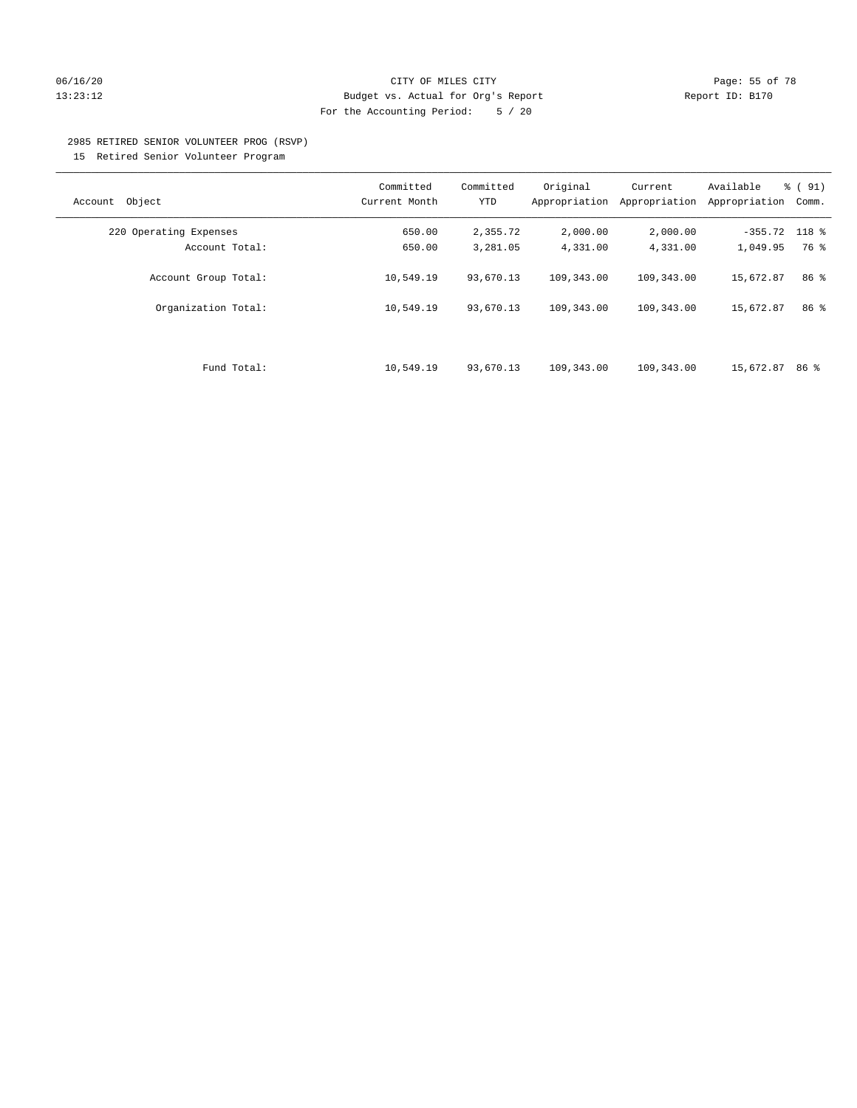#### 06/16/20 Page: 55 of 78 13:23:12 Budget vs. Actual for Org's Report Report ID: B170 For the Accounting Period: 5 / 20

#### 2985 RETIRED SENIOR VOLUNTEER PROG (RSVP)

15 Retired Senior Volunteer Program

|                        | Committed     | Committed | Original      | Current       | Available       | % (91) |
|------------------------|---------------|-----------|---------------|---------------|-----------------|--------|
| Object<br>Account      | Current Month | YTD       | Appropriation | Appropriation | Appropriation   | Comm.  |
| 220 Operating Expenses | 650.00        | 2,355.72  | 2,000.00      | 2,000.00      | $-355.72$ 118 % |        |
| Account Total:         | 650.00        | 3,281.05  | 4,331.00      | 4,331.00      | 1,049.95        | 76 %   |
| Account Group Total:   | 10,549.19     | 93,670.13 | 109,343.00    | 109,343.00    | 15,672.87       | 86 %   |
| Organization Total:    | 10,549.19     | 93,670.13 | 109,343.00    | 109,343.00    | 15,672.87       | 86 %   |
| Fund Total:            | 10,549.19     | 93,670.13 | 109,343.00    | 109,343.00    | 15,672.87       | 86 %   |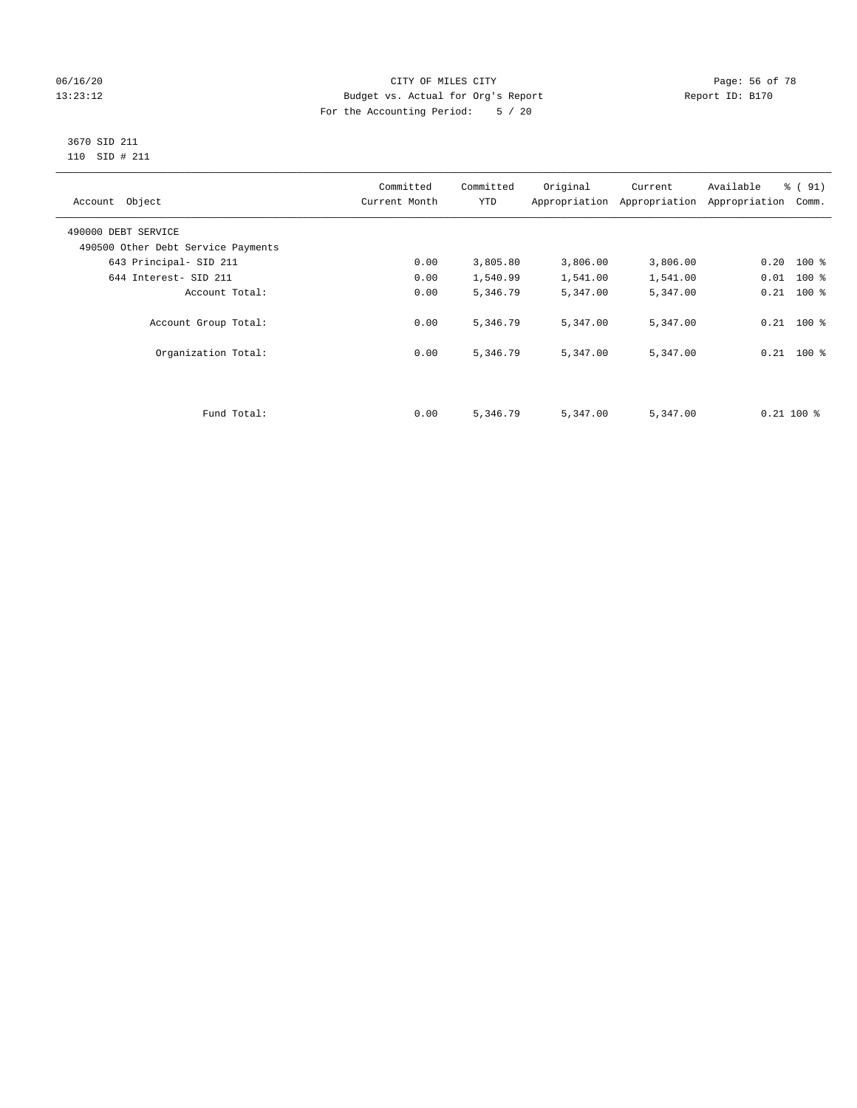## 06/16/20 Page: 56 of 78 13:23:12 Budget vs. Actual for Org's Report Changer Report ID: B170 For the Accounting Period: 5 / 20

#### 3670 SID 211 110 SID # 211

| Account Object                     | Committed<br>Current Month | Committed<br><b>YTD</b> | Original | Current<br>Appropriation Appropriation | Available<br>Appropriation | % (91)<br>Comm. |
|------------------------------------|----------------------------|-------------------------|----------|----------------------------------------|----------------------------|-----------------|
| 490000 DEBT SERVICE                |                            |                         |          |                                        |                            |                 |
| 490500 Other Debt Service Payments |                            |                         |          |                                        |                            |                 |
| 643 Principal- SID 211             | 0.00                       | 3,805.80                | 3,806.00 | 3,806.00                               | $0.20$ 100 %               |                 |
| 644 Interest- SID 211              | 0.00                       | 1,540.99                | 1,541.00 | 1,541.00                               | $0.01$ 100 %               |                 |
| Account Total:                     | 0.00                       | 5,346.79                | 5,347.00 | 5,347.00                               | $0.21$ 100 %               |                 |
| Account Group Total:               | 0.00                       | 5,346.79                | 5,347.00 | 5,347.00                               | $0.21$ 100 %               |                 |
| Organization Total:                | 0.00                       | 5,346.79                | 5,347.00 | 5,347.00                               | $0.21$ 100 %               |                 |
|                                    |                            |                         |          |                                        |                            |                 |
| Fund Total:                        | 0.00                       | 5,346.79                | 5,347.00 | 5,347.00                               | $0.21$ 100 %               |                 |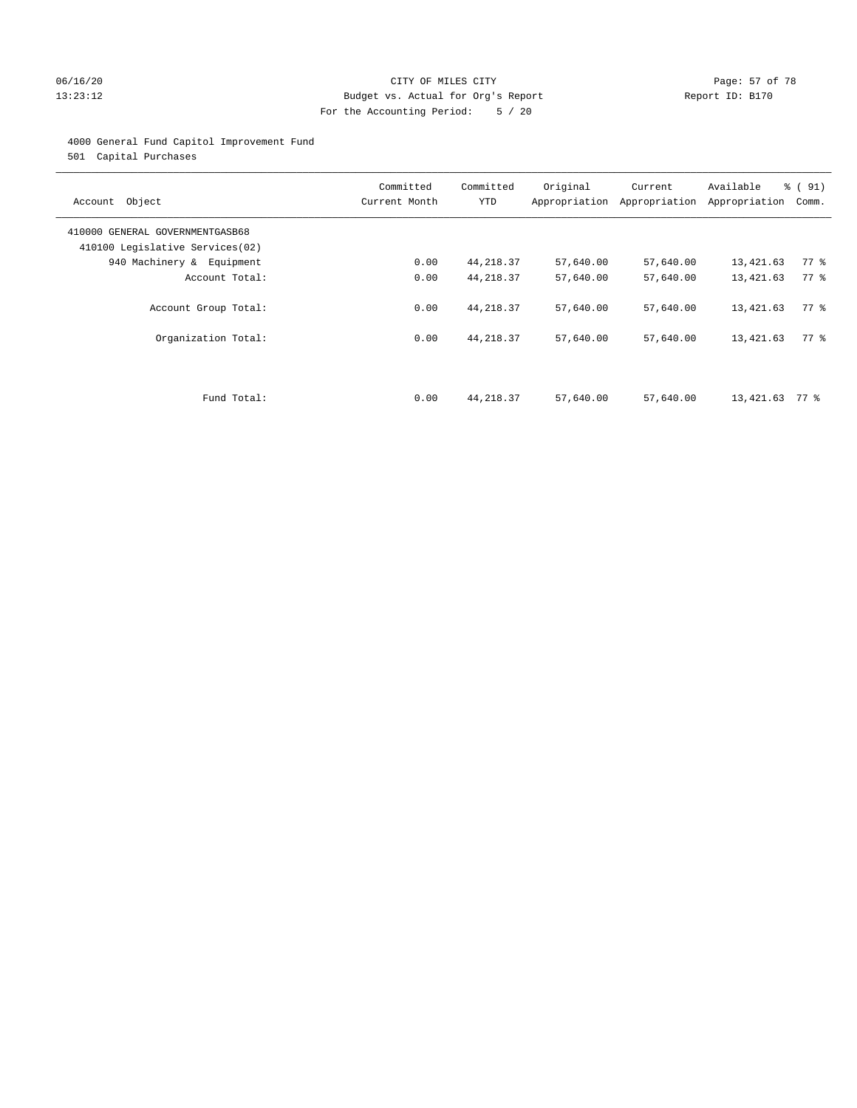## 06/16/20 Page: 57 of 78 13:23:12 Budget vs. Actual for Org's Report Report ID: B170 For the Accounting Period: 5 / 20

## 4000 General Fund Capitol Improvement Fund

501 Capital Purchases

| Account Object                                                     | Committed<br>Current Month | Committed<br><b>YTD</b> | Original<br>Appropriation | Current<br>Appropriation | Available<br>Appropriation | % (91)<br>Comm.    |
|--------------------------------------------------------------------|----------------------------|-------------------------|---------------------------|--------------------------|----------------------------|--------------------|
| 410000 GENERAL GOVERNMENTGASB68<br>410100 Legislative Services(02) |                            |                         |                           |                          |                            |                    |
| 940 Machinery & Equipment                                          | 0.00                       | 44,218.37               | 57,640.00                 | 57,640.00                | 13,421.63                  | $77$ $\frac{6}{9}$ |
| Account Total:                                                     | 0.00                       | 44, 218.37              | 57,640.00                 | 57,640.00                | 13,421.63                  | 77 %               |
| Account Group Total:                                               | 0.00                       | 44, 218.37              | 57,640.00                 | 57,640.00                | 13,421.63                  | 77.8               |
| Organization Total:                                                | 0.00                       | 44, 218.37              | 57,640.00                 | 57,640.00                | 13,421.63                  | 77 %               |
|                                                                    |                            |                         |                           |                          |                            |                    |
| Fund Total:                                                        | 0.00                       | 44, 218.37              | 57,640.00                 | 57,640.00                | 13,421.63                  | 77 %               |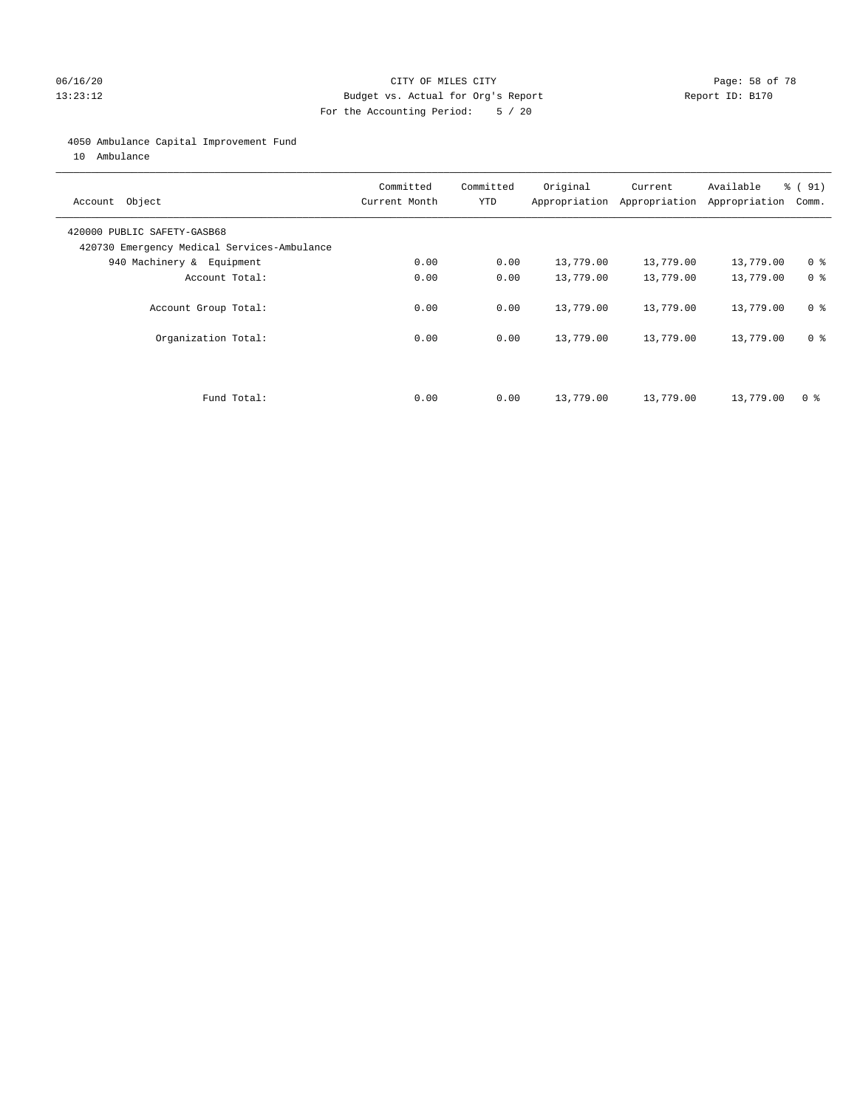## 06/16/20 Page: 58 of 78 13:23:12 Budget vs. Actual for Org's Report Report ID: B170 For the Accounting Period: 5 / 20

#### 4050 Ambulance Capital Improvement Fund

10 Ambulance

| Account Object                                                             | Committed<br>Current Month | Committed<br><b>YTD</b> | Original  | Current<br>Appropriation Appropriation | Available<br>Appropriation | % (91)<br>Comm. |
|----------------------------------------------------------------------------|----------------------------|-------------------------|-----------|----------------------------------------|----------------------------|-----------------|
| 420000 PUBLIC SAFETY-GASB68<br>420730 Emergency Medical Services-Ambulance |                            |                         |           |                                        |                            |                 |
| 940 Machinery & Equipment                                                  | 0.00                       | 0.00                    | 13,779.00 | 13,779.00                              | 13,779.00                  | 0 <sup>8</sup>  |
| Account Total:                                                             | 0.00                       | 0.00                    | 13,779.00 | 13,779.00                              | 13,779.00                  | 0 <sup>8</sup>  |
| Account Group Total:                                                       | 0.00                       | 0.00                    | 13,779.00 | 13,779.00                              | 13,779.00                  | 0 <sup>8</sup>  |
| Organization Total:                                                        | 0.00                       | 0.00                    | 13,779.00 | 13,779.00                              | 13,779.00                  | 0 <sup>8</sup>  |
|                                                                            |                            |                         |           |                                        |                            |                 |
| Fund Total:                                                                | 0.00                       | 0.00                    | 13,779.00 | 13,779.00                              | 13,779.00                  | 0 %             |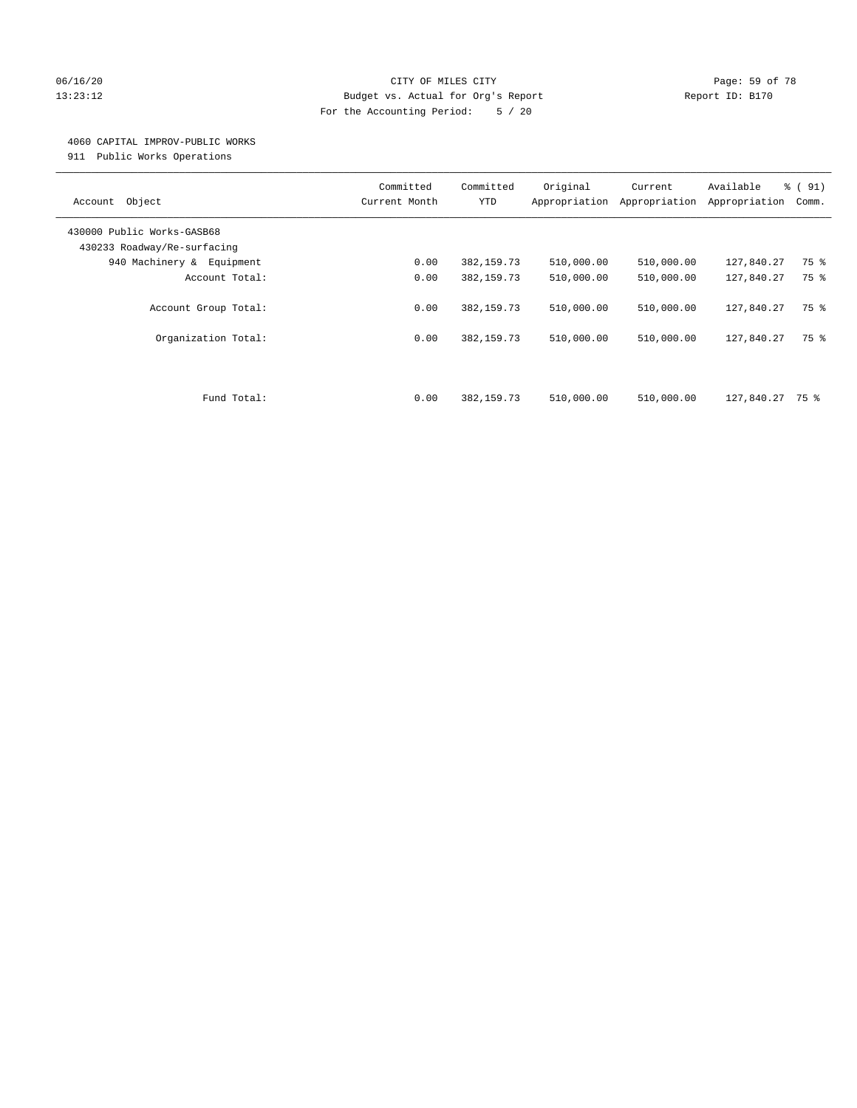## 06/16/20 Page: 59 of 78 13:23:12 Budget vs. Actual for Org's Report Report ID: B170 For the Accounting Period: 5 / 20

#### 4060 CAPITAL IMPROV-PUBLIC WORKS

911 Public Works Operations

| Object<br>Account                                         | Committed<br>Current Month | Committed<br><b>YTD</b> | Original<br>Appropriation | Current<br>Appropriation | Available<br>Appropriation | % (91)<br>Comm. |
|-----------------------------------------------------------|----------------------------|-------------------------|---------------------------|--------------------------|----------------------------|-----------------|
| 430000 Public Works-GASB68<br>430233 Roadway/Re-surfacing |                            |                         |                           |                          |                            |                 |
| 940 Machinery & Equipment                                 | 0.00                       | 382, 159.73             | 510,000.00                | 510,000.00               | 127,840.27                 | 75 %            |
| Account Total:                                            | 0.00                       | 382, 159.73             | 510,000.00                | 510,000.00               | 127,840.27                 | 75 %            |
| Account Group Total:                                      | 0.00<br>0.00               | 382, 159. 73            | 510,000.00                | 510,000.00               | 127,840.27                 | 75 %<br>75 %    |
| Organization Total:                                       |                            | 382, 159.73             | 510,000.00                | 510,000.00               | 127,840.27                 |                 |
| Fund Total:                                               | 0.00                       | 382, 159.73             | 510,000.00                | 510,000.00               | 127,840.27                 | 75 %            |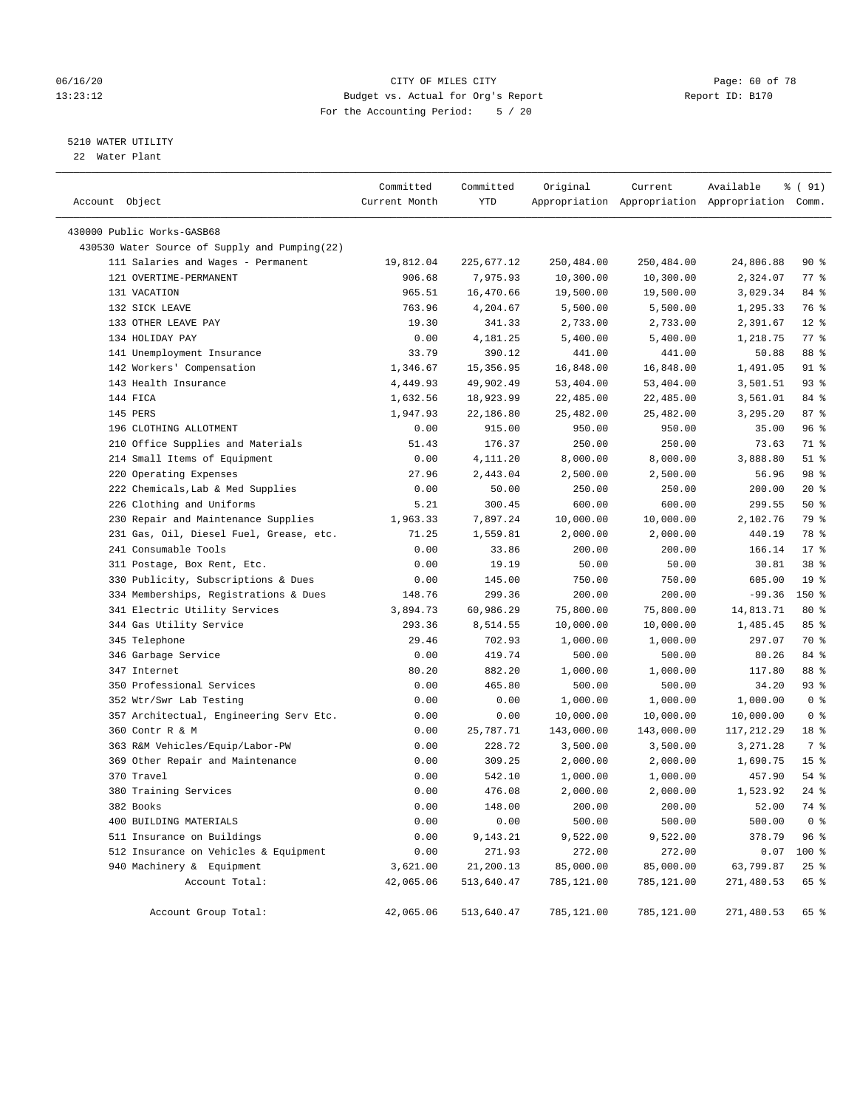## 06/16/20 Page: 60 of 78 13:23:12 Budget vs. Actual for Org's Report Report ID: B170 For the Accounting Period: 5 / 20

————————————————————————————————————————————————————————————————————————————————————————————————————————————————————————————————————

## 5210 WATER UTILITY

22 Water Plant

|                                               | Committed     | Committed  | Original   | Current    | Available                                       | १ ( 91)         |
|-----------------------------------------------|---------------|------------|------------|------------|-------------------------------------------------|-----------------|
| Account Object                                | Current Month | YTD        |            |            | Appropriation Appropriation Appropriation Comm. |                 |
| 430000 Public Works-GASB68                    |               |            |            |            |                                                 |                 |
| 430530 Water Source of Supply and Pumping(22) |               |            |            |            |                                                 |                 |
| 111 Salaries and Wages - Permanent            | 19,812.04     | 225,677.12 | 250,484.00 | 250,484.00 | 24,806.88                                       | 90 %            |
| 121 OVERTIME-PERMANENT                        | 906.68        | 7,975.93   | 10,300.00  | 10,300.00  | 2,324.07                                        | $77$ $%$        |
| 131 VACATION                                  | 965.51        | 16,470.66  | 19,500.00  | 19,500.00  | 3,029.34                                        | 84 %            |
| 132 SICK LEAVE                                | 763.96        | 4,204.67   | 5,500.00   | 5,500.00   | 1,295.33                                        | 76 %            |
| 133 OTHER LEAVE PAY                           | 19.30         | 341.33     | 2,733.00   | 2,733.00   | 2,391.67                                        | $12*$           |
| 134 HOLIDAY PAY                               | 0.00          | 4,181.25   | 5,400.00   | 5,400.00   | 1,218.75                                        | $77$ $%$        |
| 141 Unemployment Insurance                    | 33.79         | 390.12     | 441.00     | 441.00     | 50.88                                           | 88 %            |
| 142 Workers' Compensation                     | 1,346.67      | 15,356.95  | 16,848.00  | 16,848.00  | 1,491.05                                        | 91 %            |
| 143 Health Insurance                          | 4,449.93      | 49,902.49  | 53,404.00  | 53,404.00  | 3,501.51                                        | 93%             |
| 144 FICA                                      | 1,632.56      | 18,923.99  | 22,485.00  | 22,485.00  | 3,561.01                                        | 84 %            |
| 145 PERS                                      | 1,947.93      | 22,186.80  | 25,482.00  | 25,482.00  | 3,295.20                                        | 87%             |
| 196 CLOTHING ALLOTMENT                        | 0.00          | 915.00     | 950.00     | 950.00     | 35.00                                           | 96%             |
| 210 Office Supplies and Materials             | 51.43         | 176.37     | 250.00     | 250.00     | 73.63                                           | 71 %            |
| 214 Small Items of Equipment                  | 0.00          | 4,111.20   | 8,000.00   | 8,000.00   | 3,888.80                                        | $51$ %          |
| 220 Operating Expenses                        | 27.96         | 2,443.04   | 2,500.00   | 2,500.00   | 56.96                                           | 98 %            |
| 222 Chemicals, Lab & Med Supplies             | 0.00          | 50.00      | 250.00     | 250.00     | 200.00                                          | $20*$           |
| 226 Clothing and Uniforms                     | 5.21          | 300.45     | 600.00     | 600.00     | 299.55                                          | 50%             |
| 230 Repair and Maintenance Supplies           | 1,963.33      | 7,897.24   | 10,000.00  | 10,000.00  | 2,102.76                                        | 79 %            |
| 231 Gas, Oil, Diesel Fuel, Grease, etc.       | 71.25         | 1,559.81   | 2,000.00   | 2,000.00   | 440.19                                          | 78 %            |
| 241 Consumable Tools                          | 0.00          | 33.86      | 200.00     | 200.00     | 166.14                                          | $17*$           |
| 311 Postage, Box Rent, Etc.                   | 0.00          | 19.19      | 50.00      | 50.00      | 30.81                                           | 38 <sup>8</sup> |
| 330 Publicity, Subscriptions & Dues           | 0.00          | 145.00     | 750.00     | 750.00     | 605.00                                          | 19 <sup>°</sup> |
| 334 Memberships, Registrations & Dues         | 148.76        | 299.36     | 200.00     | 200.00     | $-99.36$                                        | 150 %           |
| 341 Electric Utility Services                 | 3,894.73      | 60,986.29  | 75,800.00  | 75,800.00  | 14,813.71                                       | $80*$           |
| 344 Gas Utility Service                       | 293.36        | 8,514.55   | 10,000.00  | 10,000.00  | 1,485.45                                        | 85%             |
| 345 Telephone                                 | 29.46         | 702.93     | 1,000.00   | 1,000.00   | 297.07                                          | 70 %            |
| 346 Garbage Service                           | 0.00          | 419.74     | 500.00     | 500.00     | 80.26                                           | 84 %            |
| 347 Internet                                  | 80.20         | 882.20     | 1,000.00   | 1,000.00   | 117.80                                          | 88 %            |
| 350 Professional Services                     | 0.00          | 465.80     | 500.00     | 500.00     | 34.20                                           | 93 %            |
| 352 Wtr/Swr Lab Testing                       | 0.00          | 0.00       | 1,000.00   | 1,000.00   | 1,000.00                                        | 0 <sup>8</sup>  |
| 357 Architectual, Engineering Serv Etc.       | 0.00          | 0.00       | 10,000.00  | 10,000.00  | 10,000.00                                       | 0 <sup>8</sup>  |
| 360 Contr R & M                               | 0.00          | 25,787.71  | 143,000.00 | 143,000.00 | 117,212.29                                      | 18 %            |
| 363 R&M Vehicles/Equip/Labor-PW               | 0.00          | 228.72     | 3,500.00   | 3,500.00   | 3,271.28                                        | 7 %             |
| 369 Other Repair and Maintenance              | 0.00          | 309.25     | 2,000.00   | 2,000.00   | 1,690.75                                        | 15 <sup>8</sup> |
| 370 Travel                                    | 0.00          | 542.10     | 1,000.00   | 1,000.00   | 457.90                                          | $54$ %          |
| 380 Training Services                         | 0.00          | 476.08     | 2,000.00   | 2,000.00   | 1,523.92                                        | $24$ %          |
| 382 Books                                     | 0.00          | 148.00     | 200.00     | 200.00     | 52.00                                           | 74 %            |
| 400 BUILDING MATERIALS                        | 0.00          | 0.00       | 500.00     | 500.00     | 500.00                                          | 0 <sup>8</sup>  |
| 511 Insurance on Buildings                    | 0.00          | 9,143.21   | 9,522.00   | 9,522.00   | 378.79                                          | 96%             |
| 512 Insurance on Vehicles & Equipment         | 0.00          | 271.93     | 272.00     | 272.00     | 0.07                                            | $100$ %         |
| 940 Machinery & Equipment                     | 3,621.00      | 21,200.13  | 85,000.00  | 85,000.00  | 63,799.87                                       | $25$ $%$        |
| Account Total:                                | 42,065.06     | 513,640.47 | 785,121.00 | 785,121.00 | 271,480.53                                      | 65 %            |
| Account Group Total:                          | 42,065.06     | 513,640.47 | 785,121.00 | 785,121.00 | 271,480.53                                      | 65 %            |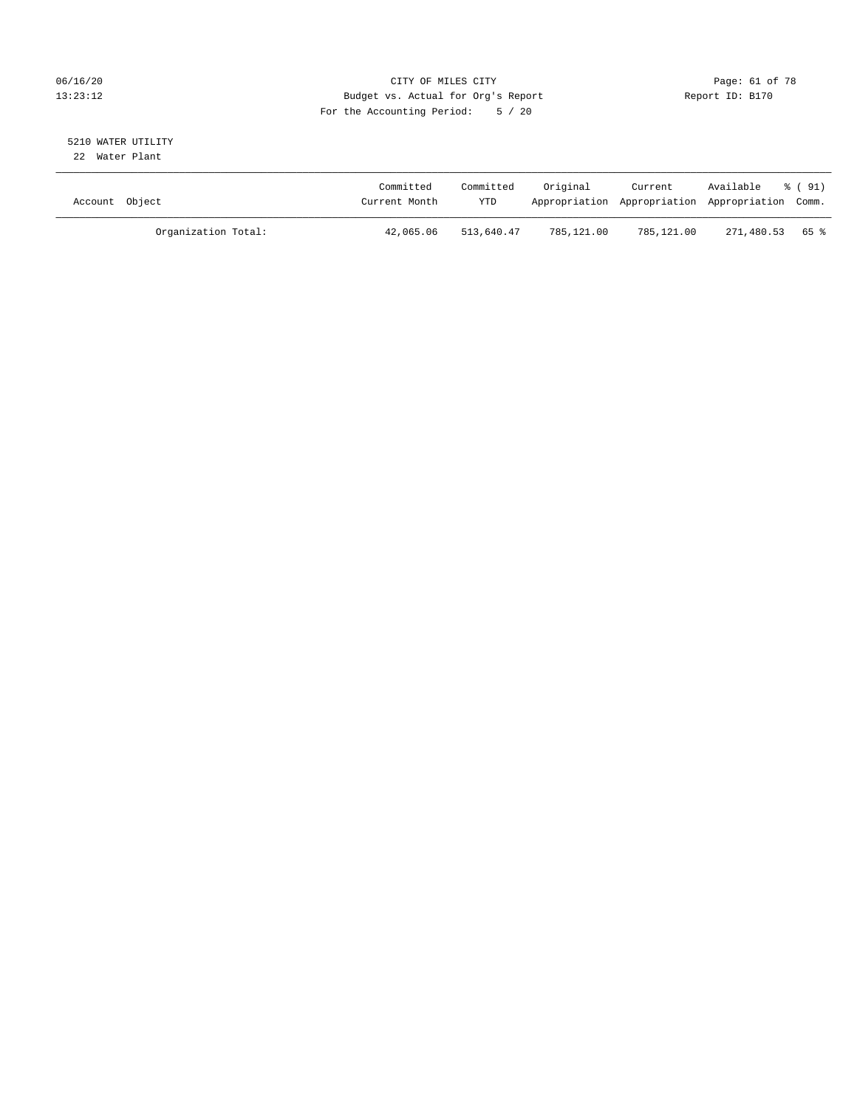## 06/16/20 Page: 61 of 78 13:23:12 Budget vs. Actual for Org's Report Changer Report ID: B170 For the Accounting Period: 5 / 20

#### 5210 WATER UTILITY 22 Water Plant

| Account Object |                     | Committed<br>Current Month | Committed<br>YTD | Original   | Current    | Available<br>Appropriation Appropriation Appropriation Comm. | % (91) |
|----------------|---------------------|----------------------------|------------------|------------|------------|--------------------------------------------------------------|--------|
|                | Organization Total: | 42,065.06                  | 513,640.47       | 785,121.00 | 785,121.00 | 271,480.53 65 %                                              |        |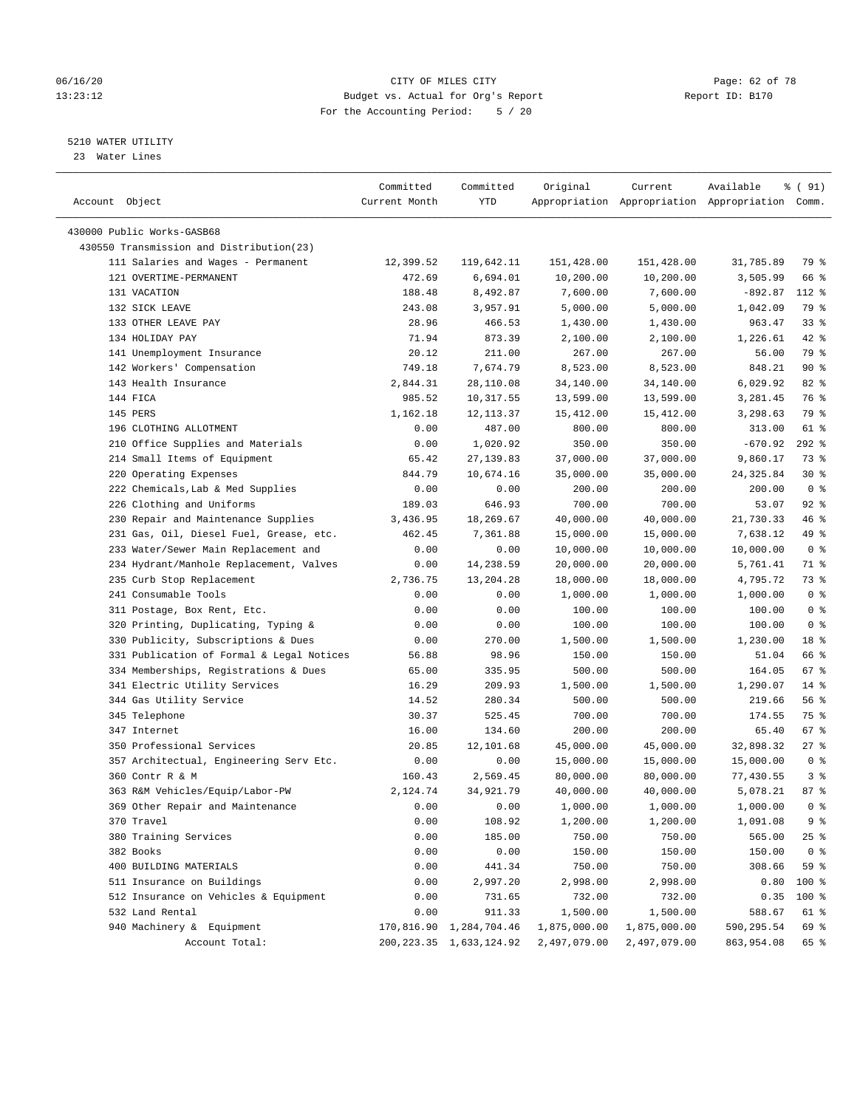#### 06/16/20 Page: 62 of 78 13:23:12 Budget vs. Actual for Org's Report Report ID: B170 For the Accounting Period: 5 / 20

————————————————————————————————————————————————————————————————————————————————————————————————————————————————————————————————————

## 5210 WATER UTILITY

23 Water Lines

|                                           | Committed     | Committed                  | Original     | Current      | Available                                       | % ( 91)        |
|-------------------------------------------|---------------|----------------------------|--------------|--------------|-------------------------------------------------|----------------|
| Account Object                            | Current Month | YTD                        |              |              | Appropriation Appropriation Appropriation Comm. |                |
|                                           |               |                            |              |              |                                                 |                |
| 430000 Public Works-GASB68                |               |                            |              |              |                                                 |                |
| 430550 Transmission and Distribution(23)  |               |                            |              |              |                                                 |                |
| 111 Salaries and Wages - Permanent        | 12,399.52     | 119,642.11                 | 151,428.00   | 151,428.00   | 31,785.89                                       | 79 %           |
| 121 OVERTIME-PERMANENT                    | 472.69        | 6,694.01                   | 10,200.00    | 10,200.00    | 3,505.99                                        | 66 %           |
| 131 VACATION                              | 188.48        | 8,492.87                   | 7,600.00     | 7,600.00     | $-892.87$                                       | 112 %          |
| 132 SICK LEAVE                            | 243.08        | 3,957.91                   | 5,000.00     | 5,000.00     | 1,042.09                                        | 79 %           |
| 133 OTHER LEAVE PAY                       | 28.96         | 466.53                     | 1,430.00     | 1,430.00     | 963.47                                          | 33%            |
| 134 HOLIDAY PAY                           | 71.94         | 873.39                     | 2,100.00     | 2,100.00     | 1,226.61                                        | $42$ %         |
| 141 Unemployment Insurance                | 20.12         | 211.00                     | 267.00       | 267.00       | 56.00                                           | 79 %           |
| 142 Workers' Compensation                 | 749.18        | 7,674.79                   | 8,523.00     | 8,523.00     | 848.21                                          | 90%            |
| 143 Health Insurance                      | 2,844.31      | 28,110.08                  | 34,140.00    | 34,140.00    | 6,029.92                                        | $82$ %         |
| 144 FICA                                  | 985.52        | 10,317.55                  | 13,599.00    | 13,599.00    | 3,281.45                                        | 76 %           |
| 145 PERS                                  | 1,162.18      | 12, 113.37                 | 15,412.00    | 15,412.00    | 3,298.63                                        | 79 %           |
| 196 CLOTHING ALLOTMENT                    | 0.00          | 487.00                     | 800.00       | 800.00       | 313.00                                          | 61 %           |
| 210 Office Supplies and Materials         | 0.00          | 1,020.92                   | 350.00       | 350.00       | $-670.92$                                       | $292$ %        |
| 214 Small Items of Equipment              | 65.42         | 27, 139.83                 | 37,000.00    | 37,000.00    | 9,860.17                                        | 73 %           |
| 220 Operating Expenses                    | 844.79        | 10,674.16                  | 35,000.00    | 35,000.00    | 24, 325.84                                      | $30*$          |
| 222 Chemicals, Lab & Med Supplies         | 0.00          | 0.00                       | 200.00       | 200.00       | 200.00                                          | 0 <sup>8</sup> |
| 226 Clothing and Uniforms                 | 189.03        | 646.93                     | 700.00       | 700.00       | 53.07                                           | $92$ $%$       |
| 230 Repair and Maintenance Supplies       | 3,436.95      | 18,269.67                  | 40,000.00    | 40,000.00    | 21,730.33                                       | 46 %           |
| 231 Gas, Oil, Diesel Fuel, Grease, etc.   | 462.45        | 7,361.88                   | 15,000.00    | 15,000.00    | 7,638.12                                        | 49 %           |
| 233 Water/Sewer Main Replacement and      | 0.00          | 0.00                       | 10,000.00    | 10,000.00    | 10,000.00                                       | 0 <sup>8</sup> |
| 234 Hydrant/Manhole Replacement, Valves   | 0.00          | 14,238.59                  | 20,000.00    | 20,000.00    | 5,761.41                                        | 71 %           |
| 235 Curb Stop Replacement                 | 2,736.75      | 13,204.28                  | 18,000.00    | 18,000.00    | 4,795.72                                        | 73 %           |
| 241 Consumable Tools                      | 0.00          | 0.00                       | 1,000.00     | 1,000.00     | 1,000.00                                        | 0 <sup>8</sup> |
| 311 Postage, Box Rent, Etc.               | 0.00          | 0.00                       | 100.00       | 100.00       | 100.00                                          | 0 <sup>8</sup> |
| 320 Printing, Duplicating, Typing &       | 0.00          | 0.00                       | 100.00       | 100.00       | 100.00                                          | 0 <sup>°</sup> |
| 330 Publicity, Subscriptions & Dues       | 0.00          | 270.00                     | 1,500.00     | 1,500.00     | 1,230.00                                        | 18 %           |
| 331 Publication of Formal & Legal Notices | 56.88         | 98.96                      | 150.00       | 150.00       | 51.04                                           | 66 %           |
| 334 Memberships, Registrations & Dues     | 65.00         | 335.95                     | 500.00       | 500.00       | 164.05                                          | $67$ %         |
| 341 Electric Utility Services             | 16.29         | 209.93                     | 1,500.00     | 1,500.00     | 1,290.07                                        | $14*$          |
| 344 Gas Utility Service                   | 14.52         | 280.34                     | 500.00       | 500.00       | 219.66                                          | 56%            |
| 345 Telephone                             | 30.37         | 525.45                     | 700.00       | 700.00       | 174.55                                          | 75 %           |
| 347 Internet                              | 16.00         | 134.60                     | 200.00       | 200.00       | 65.40                                           | 67%            |
| 350 Professional Services                 | 20.85         | 12,101.68                  | 45,000.00    | 45,000.00    | 32,898.32                                       | $27$ %         |
| 357 Architectual, Engineering Serv Etc.   | 0.00          | 0.00                       | 15,000.00    | 15,000.00    | 15,000.00                                       | 0 <sup>8</sup> |
| 360 Contr R & M                           | 160.43        | 2,569.45                   | 80,000.00    | 80,000.00    | 77,430.55                                       | 3%             |
| 363 R&M Vehicles/Equip/Labor-PW           | 2,124.74      | 34,921.79                  | 40,000.00    | 40,000.00    | 5,078.21                                        | 87%            |
| 369 Other Repair and Maintenance          | 0.00          | 0.00                       | 1,000.00     | 1,000.00     | 1,000.00                                        | 0 <sup>8</sup> |
| 370 Travel                                | 0.00          | 108.92                     | 1,200.00     | 1,200.00     | 1,091.08                                        | 9%             |
| 380 Training Services                     | 0.00          | 185.00                     | 750.00       | 750.00       | 565.00                                          | $25$ %         |
| 382 Books                                 | 0.00          | 0.00                       | 150.00       | 150.00       | 150.00                                          | 0 <sup>8</sup> |
| 400 BUILDING MATERIALS                    | 0.00          | 441.34                     | 750.00       | 750.00       | 308.66                                          | 59 %           |
| 511 Insurance on Buildings                | 0.00          | 2,997.20                   | 2,998.00     | 2,998.00     | 0.80                                            | 100 %          |
| 512 Insurance on Vehicles & Equipment     | 0.00          | 731.65                     | 732.00       | 732.00       | 0.35                                            | 100 %          |
| 532 Land Rental                           | 0.00          | 911.33                     | 1,500.00     | 1,500.00     | 588.67                                          | 61 %           |
| 940 Machinery & Equipment                 | 170,816.90    | 1,284,704.46               | 1,875,000.00 | 1,875,000.00 | 590,295.54                                      | 69 %           |
| Account Total:                            |               | 200, 223.35 1, 633, 124.92 | 2,497,079.00 | 2,497,079.00 | 863,954.08                                      | 65 %           |
|                                           |               |                            |              |              |                                                 |                |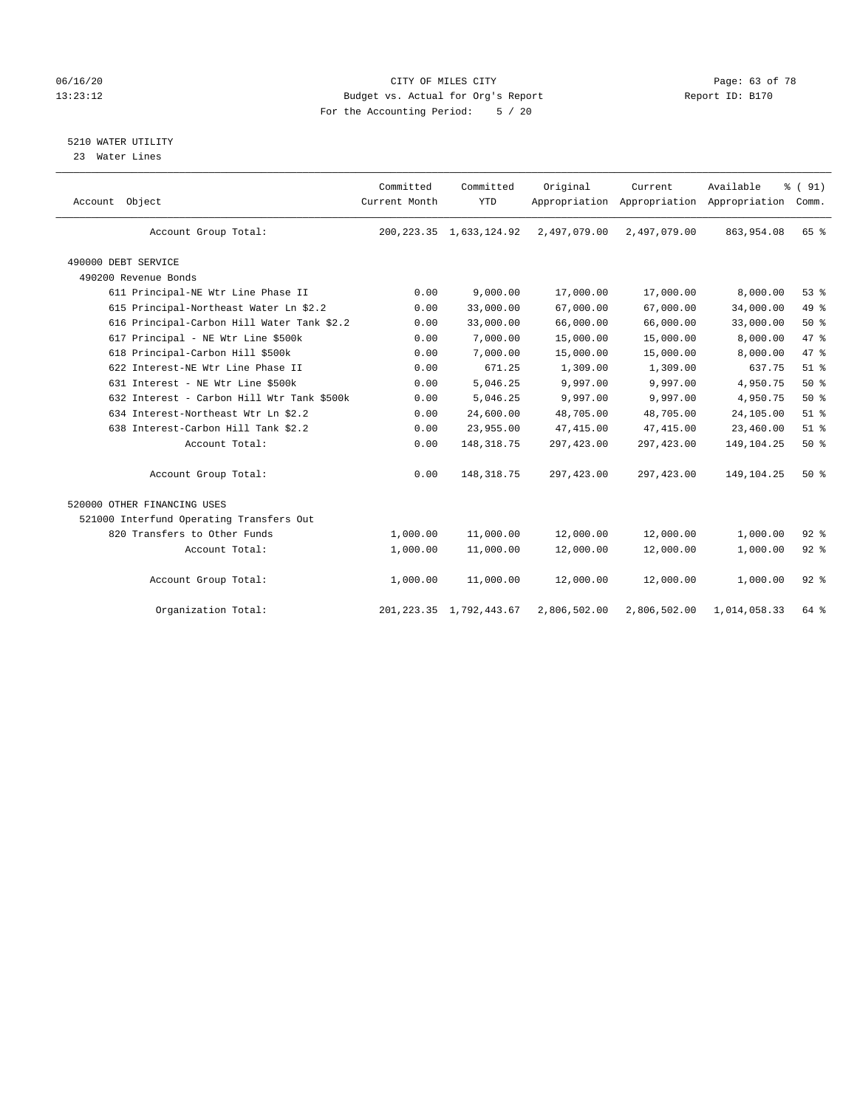## 06/16/20 Page: 63 of 78 13:23:12 Budget vs. Actual for Org's Report Changer Report ID: B170 For the Accounting Period: 5 / 20

## 5210 WATER UTILITY

23 Water Lines

| Account Object                             | Committed<br>Current Month | Committed<br><b>YTD</b>    | Original     | Current      | Available<br>Appropriation Appropriation Appropriation | % (91)<br>Comm. |
|--------------------------------------------|----------------------------|----------------------------|--------------|--------------|--------------------------------------------------------|-----------------|
| Account Group Total:                       |                            | 200, 223.35 1, 633, 124.92 | 2,497,079.00 | 2,497,079.00 | 863,954.08                                             | 65 %            |
| 490000 DEBT SERVICE                        |                            |                            |              |              |                                                        |                 |
| 490200 Revenue Bonds                       |                            |                            |              |              |                                                        |                 |
| 611 Principal-NE Wtr Line Phase II         | 0.00                       | 9,000.00                   | 17,000.00    | 17,000.00    | 8,000.00                                               | 53%             |
| 615 Principal-Northeast Water Ln \$2.2     | 0.00                       | 33,000.00                  | 67,000.00    | 67,000.00    | 34,000.00                                              | 49 %            |
| 616 Principal-Carbon Hill Water Tank \$2.2 | 0.00                       | 33,000.00                  | 66,000.00    | 66,000.00    | 33,000.00                                              | $50*$           |
| 617 Principal - NE Wtr Line \$500k         | 0.00                       | 7,000.00                   | 15,000.00    | 15,000.00    | 8,000.00                                               | 47 %            |
| 618 Principal-Carbon Hill \$500k           | 0.00                       | 7,000.00                   | 15,000.00    | 15,000.00    | 8,000.00                                               | 47 %            |
| 622 Interest-NE Wtr Line Phase II          | 0.00                       | 671.25                     | 1,309.00     | 1,309.00     | 637.75                                                 | $51$ $%$        |
| 631 Interest - NE Wtr Line \$500k          | 0.00                       | 5,046.25                   | 9,997.00     | 9,997.00     | 4,950.75                                               | 50%             |
| 632 Interest - Carbon Hill Wtr Tank \$500k | 0.00                       | 5,046.25                   | 9,997.00     | 9,997.00     | 4,950.75                                               | $50*$           |
| 634 Interest-Northeast Wtr Ln \$2.2        | 0.00                       | 24,600.00                  | 48,705.00    | 48,705.00    | 24,105.00                                              | $51$ %          |
| 638 Interest-Carbon Hill Tank \$2.2        | 0.00                       | 23,955.00                  | 47, 415.00   | 47,415.00    | 23,460.00                                              | $51$ %          |
| Account Total:                             | 0.00                       | 148, 318.75                | 297,423.00   | 297, 423.00  | 149, 104. 25                                           | 50%             |
| Account Group Total:                       | 0.00                       | 148, 318.75                | 297,423.00   | 297, 423.00  | 149,104.25                                             | 50%             |
| 520000 OTHER FINANCING USES                |                            |                            |              |              |                                                        |                 |
| 521000 Interfund Operating Transfers Out   |                            |                            |              |              |                                                        |                 |
| 820 Transfers to Other Funds               | 1,000.00                   | 11,000.00                  | 12,000.00    | 12,000.00    | 1,000.00                                               | $92$ $%$        |
| Account Total:                             | 1,000.00                   | 11,000.00                  | 12,000.00    | 12,000.00    | 1,000.00                                               | $92$ $%$        |
| Account Group Total:                       | 1,000.00                   | 11,000.00                  | 12,000.00    | 12,000.00    | 1,000.00                                               | $92$ $%$        |
| Organization Total:                        |                            | 201, 223.35 1, 792, 443.67 | 2,806,502.00 | 2,806,502.00 | 1,014,058.33                                           | 64 %            |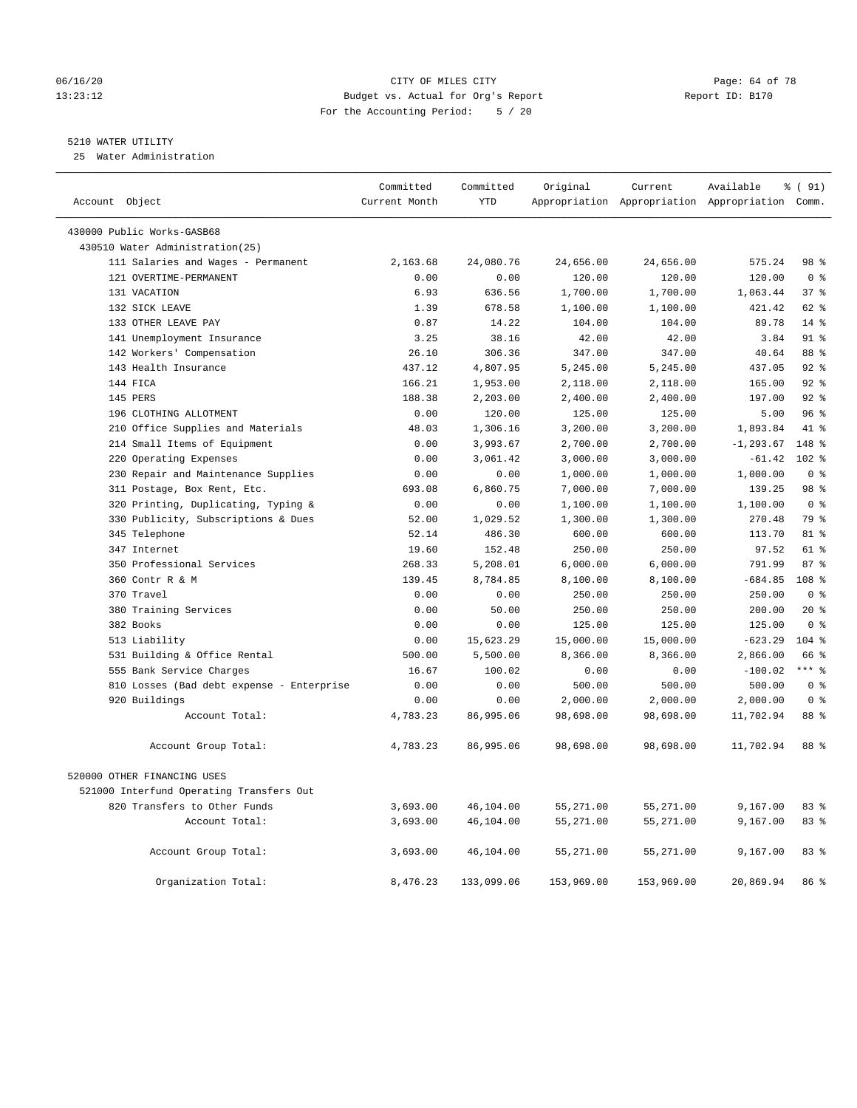## 06/16/20 Page: 64 of 78 13:23:12 Budget vs. Actual for Org's Report Report ID: B170 For the Accounting Period: 5 / 20

## 5210 WATER UTILITY

25 Water Administration

| Account Object                                          | Committed<br>Current Month | Committed<br><b>YTD</b> | Original             | Current              | Available<br>Appropriation Appropriation Appropriation Comm. | % (91)                            |
|---------------------------------------------------------|----------------------------|-------------------------|----------------------|----------------------|--------------------------------------------------------------|-----------------------------------|
|                                                         |                            |                         |                      |                      |                                                              |                                   |
| 430000 Public Works-GASB68                              |                            |                         |                      |                      |                                                              |                                   |
| 430510 Water Administration(25)                         |                            |                         |                      |                      |                                                              |                                   |
| 111 Salaries and Wages - Permanent                      | 2,163.68                   | 24,080.76               | 24,656.00            | 24,656.00            | 575.24                                                       | 98 %                              |
| 121 OVERTIME-PERMANENT<br>131 VACATION                  | 0.00                       | 0.00                    | 120.00               | 120.00               | 120.00                                                       | 0 <sup>8</sup><br>37 <sup>8</sup> |
| 132 SICK LEAVE                                          | 6.93<br>1.39               | 636.56<br>678.58        | 1,700.00<br>1,100.00 | 1,700.00<br>1,100.00 | 1,063.44<br>421.42                                           | 62 %                              |
| 133 OTHER LEAVE PAY                                     | 0.87                       | 14.22                   | 104.00               | 104.00               | 89.78                                                        | $14*$                             |
|                                                         | 3.25                       | 38.16                   | 42.00                | 42.00                | 3.84                                                         | $91$ $%$                          |
| 141 Unemployment Insurance<br>142 Workers' Compensation | 26.10                      | 306.36                  | 347.00               | 347.00               | 40.64                                                        | 88 %                              |
| 143 Health Insurance                                    | 437.12                     | 4,807.95                | 5,245.00             | 5,245.00             | 437.05                                                       | 92%                               |
| 144 FICA                                                | 166.21                     | 1,953.00                | 2,118.00             | 2,118.00             | 165.00                                                       | $92*$                             |
| 145 PERS                                                | 188.38                     | 2,203.00                | 2,400.00             | 2,400.00             | 197.00                                                       | 92%                               |
| 196 CLOTHING ALLOTMENT                                  | 0.00                       | 120.00                  | 125.00               | 125.00               | 5.00                                                         | 96%                               |
| 210 Office Supplies and Materials                       | 48.03                      | 1,306.16                | 3,200.00             | 3,200.00             | 1,893.84                                                     | 41 %                              |
| 214 Small Items of Equipment                            | 0.00                       | 3,993.67                | 2,700.00             | 2,700.00             | $-1, 293.67$                                                 | 148 %                             |
| 220 Operating Expenses                                  | 0.00                       | 3,061.42                | 3,000.00             | 3,000.00             | $-61.42$                                                     | $102*$                            |
| 230 Repair and Maintenance Supplies                     | 0.00                       | 0.00                    | 1,000.00             | 1,000.00             | 1,000.00                                                     | 0 <sup>8</sup>                    |
| 311 Postage, Box Rent, Etc.                             | 693.08                     | 6,860.75                | 7,000.00             | 7,000.00             | 139.25                                                       | 98 %                              |
| 320 Printing, Duplicating, Typing &                     | 0.00                       | 0.00                    | 1,100.00             | 1,100.00             | 1,100.00                                                     | 0 <sup>8</sup>                    |
| 330 Publicity, Subscriptions & Dues                     | 52.00                      | 1,029.52                | 1,300.00             | 1,300.00             | 270.48                                                       | 79 %                              |
| 345 Telephone                                           | 52.14                      | 486.30                  | 600.00               | 600.00               | 113.70                                                       | 81 %                              |
| 347 Internet                                            | 19.60                      | 152.48                  | 250.00               | 250.00               | 97.52                                                        | $61$ %                            |
| 350 Professional Services                               | 268.33                     | 5,208.01                | 6,000.00             | 6,000.00             | 791.99                                                       | 87%                               |
| 360 Contr R & M                                         | 139.45                     | 8,784.85                | 8,100.00             | 8,100.00             | $-684.85$                                                    | 108 <sup>8</sup>                  |
| 370 Travel                                              | 0.00                       | 0.00                    | 250.00               | 250.00               | 250.00                                                       | 0 <sup>8</sup>                    |
| 380 Training Services                                   | 0.00                       | 50.00                   | 250.00               | 250.00               | 200.00                                                       | $20*$                             |
| 382 Books                                               | 0.00                       | 0.00                    | 125.00               | 125.00               | 125.00                                                       | 0 <sup>8</sup>                    |
| 513 Liability                                           | 0.00                       | 15,623.29               | 15,000.00            | 15,000.00            | $-623.29$                                                    | $104$ %                           |
| 531 Building & Office Rental                            | 500.00                     | 5,500.00                | 8,366.00             | 8,366.00             | 2,866.00                                                     | 66 %                              |
| 555 Bank Service Charges                                | 16.67                      | 100.02                  | 0.00                 | 0.00                 | $-100.02$                                                    | $***$ $%$                         |
| 810 Losses (Bad debt expense - Enterprise               | 0.00                       | 0.00                    | 500.00               | 500.00               | 500.00                                                       | 0 <sup>8</sup>                    |
| 920 Buildings                                           | 0.00                       | 0.00                    | 2,000.00             | 2,000.00             | 2,000.00                                                     | $0 \approx$                       |
| Account Total:                                          | 4,783.23                   | 86,995.06               | 98,698.00            | 98,698.00            | 11,702.94                                                    | 88 %                              |
| Account Group Total:                                    | 4,783.23                   | 86,995.06               | 98,698.00            | 98,698.00            | 11,702.94                                                    | 88 %                              |
| 520000 OTHER FINANCING USES                             |                            |                         |                      |                      |                                                              |                                   |
| 521000 Interfund Operating Transfers Out                |                            |                         |                      |                      |                                                              |                                   |
| 820 Transfers to Other Funds                            | 3,693.00                   | 46,104.00               | 55,271.00            | 55,271.00            | 9,167.00                                                     | 83%                               |
| Account Total:                                          | 3,693.00                   | 46,104.00               | 55,271.00            | 55,271.00            | 9,167.00                                                     | 83%                               |
|                                                         |                            |                         |                      |                      |                                                              |                                   |
| Account Group Total:                                    | 3,693.00                   | 46,104.00               | 55,271.00            | 55,271.00            | 9,167.00                                                     | 83%                               |
| Organization Total:                                     | 8,476.23                   | 133,099.06              | 153,969.00           | 153,969.00           | 20,869.94                                                    | 86 %                              |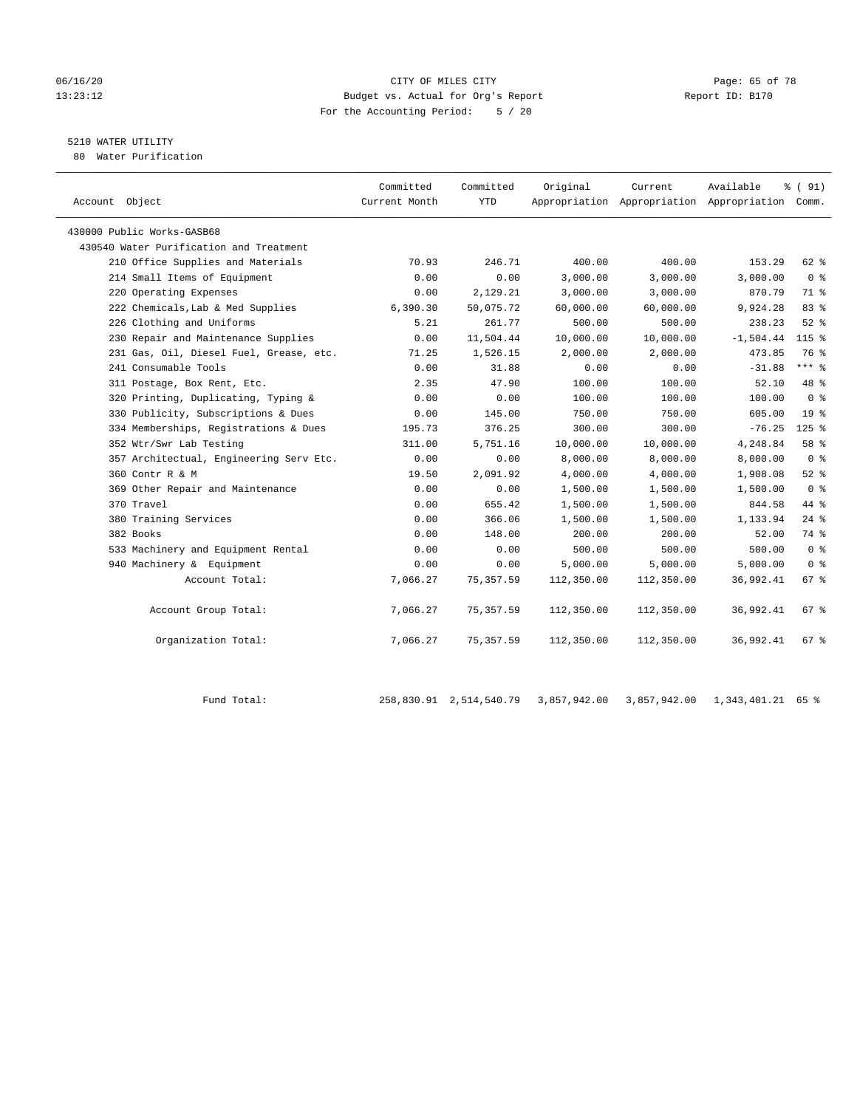#### 06/16/20 Page: 65 of 78 13:23:12 Budget vs. Actual for Org's Report Report ID: B170 For the Accounting Period: 5 / 20

## 5210 WATER UTILITY

80 Water Purification

|                                         | Committed     | Committed  | Original   | Current    | Available                                       | % (91)             |  |
|-----------------------------------------|---------------|------------|------------|------------|-------------------------------------------------|--------------------|--|
| Account Object                          | Current Month | <b>YTD</b> |            |            | Appropriation Appropriation Appropriation Comm. |                    |  |
| 430000 Public Works-GASB68              |               |            |            |            |                                                 |                    |  |
| 430540 Water Purification and Treatment |               |            |            |            |                                                 |                    |  |
| 210 Office Supplies and Materials       | 70.93         | 246.71     | 400.00     | 400.00     | 153.29                                          | 62 %               |  |
| 214 Small Items of Equipment            | 0.00          | 0.00       | 3,000.00   | 3,000.00   | 3,000.00                                        | 0 <sup>8</sup>     |  |
| 220 Operating Expenses                  | 0.00          | 2,129.21   | 3,000.00   | 3,000.00   | 870.79                                          | 71.8               |  |
| 222 Chemicals, Lab & Med Supplies       | 6,390.30      | 50,075.72  | 60,000.00  | 60,000.00  | 9,924.28                                        | 83 %               |  |
| 226 Clothing and Uniforms               | 5.21          | 261.77     | 500.00     | 500.00     | 238.23                                          | $52$ $%$           |  |
| 230 Repair and Maintenance Supplies     | 0.00          | 11,504.44  | 10,000.00  | 10,000.00  | $-1,504.44$                                     | $115$ %            |  |
| 231 Gas, Oil, Diesel Fuel, Grease, etc. | 71.25         | 1,526.15   | 2,000.00   | 2,000.00   | 473.85                                          | 76 %               |  |
| 241 Consumable Tools                    | 0.00          | 31.88      | 0.00       | 0.00       | $-31.88$                                        | $***$ $%$          |  |
| 311 Postage, Box Rent, Etc.             | 2.35          | 47.90      | 100.00     | 100.00     | 52.10                                           | 48 %               |  |
| 320 Printing, Duplicating, Typing &     | 0.00          | 0.00       | 100.00     | 100.00     | 100.00                                          | 0 <sup>8</sup>     |  |
| 330 Publicity, Subscriptions & Dues     | 0.00          | 145.00     | 750.00     | 750.00     | 605.00                                          | 19 <sup>°</sup>    |  |
| 334 Memberships, Registrations & Dues   | 195.73        | 376.25     | 300.00     | 300.00     | $-76.25$                                        | $125$ %            |  |
| 352 Wtr/Swr Lab Testing                 | 311.00        | 5,751.16   | 10,000.00  | 10,000.00  | 4,248.84                                        | 58 %               |  |
| 357 Architectual, Engineering Serv Etc. | 0.00          | 0.00       | 8,000.00   | 8,000.00   | 8,000.00                                        | 0 <sup>8</sup>     |  |
| 360 Contr R & M                         | 19.50         | 2,091.92   | 4,000.00   | 4,000.00   | 1,908.08                                        | $52$ $%$           |  |
| 369 Other Repair and Maintenance        | 0.00          | 0.00       | 1,500.00   | 1,500.00   | 1,500.00                                        | 0 <sup>8</sup>     |  |
| 370 Travel                              | 0.00          | 655.42     | 1,500.00   | 1,500.00   | 844.58                                          | 44 %               |  |
| 380 Training Services                   | 0.00          | 366.06     | 1,500.00   | 1,500.00   | 1,133.94                                        | $24$ %             |  |
| 382 Books                               | 0.00          | 148.00     | 200.00     | 200.00     | 52.00                                           | 74 %               |  |
| 533 Machinery and Equipment Rental      | 0.00          | 0.00       | 500.00     | 500.00     | 500.00                                          | 0 <sup>8</sup>     |  |
| 940 Machinery & Equipment               | 0.00          | 0.00       | 5,000.00   | 5,000.00   | 5,000.00                                        | 0 <sup>8</sup>     |  |
| Account Total:                          | 7,066.27      | 75,357.59  | 112,350.00 | 112,350.00 | 36,992.41                                       | 67%                |  |
|                                         |               |            |            |            |                                                 |                    |  |
| Account Group Total:                    | 7,066.27      | 75, 357.59 | 112,350.00 | 112,350.00 | 36,992.41                                       | 67 %               |  |
|                                         |               |            |            |            |                                                 |                    |  |
| Organization Total:                     | 7,066.27      | 75, 357.59 | 112,350.00 | 112,350.00 | 36,992.41                                       | $67$ $\frac{6}{3}$ |  |
|                                         |               |            |            |            |                                                 |                    |  |

Fund Total: 258,830.91 2,514,540.79 3,857,942.00 3,857,942.00 1,343,401.21 65 %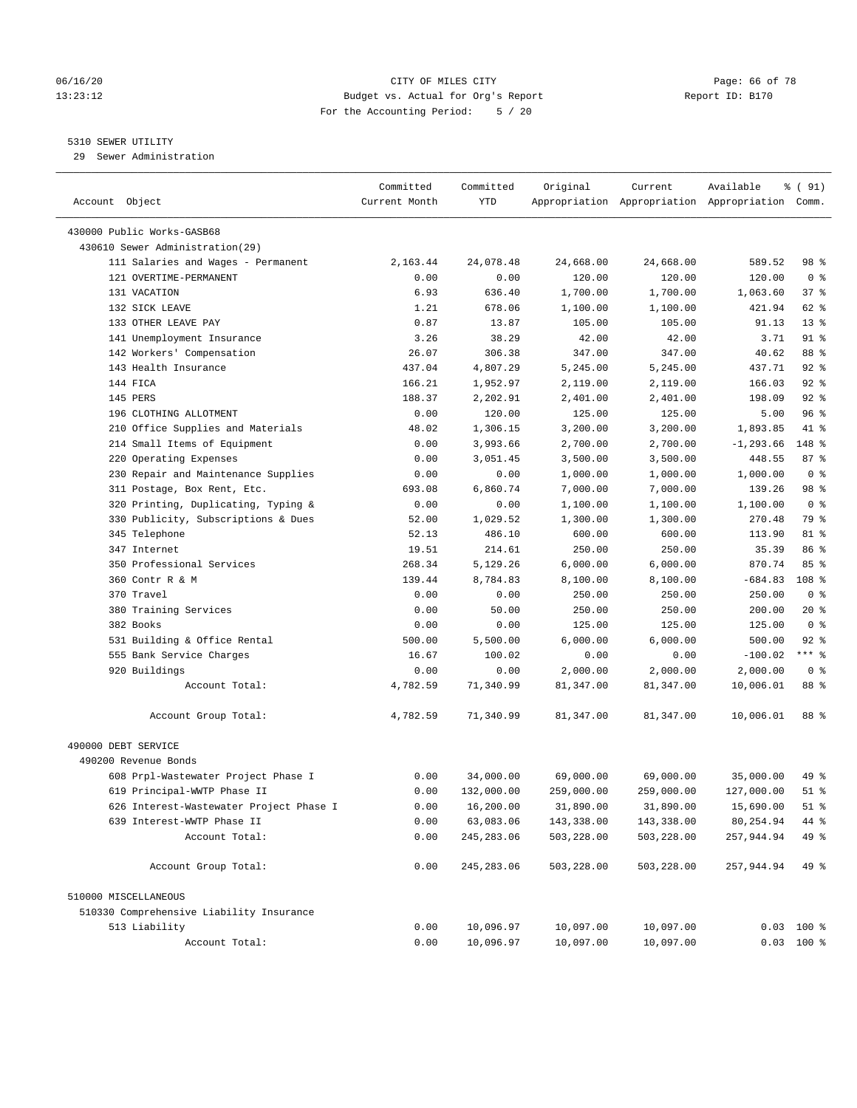#### 06/16/20 Page: 66 of 78 13:23:12 Budget vs. Actual for Org's Report Report ID: B170 For the Accounting Period: 5 / 20

————————————————————————————————————————————————————————————————————————————————————————————————————————————————————————————————————

## 5310 SEWER UTILITY

29 Sewer Administration

|                                          | Committed     | Committed   | Original   | Current    | Available                                       | % ( 91)        |
|------------------------------------------|---------------|-------------|------------|------------|-------------------------------------------------|----------------|
| Account Object                           | Current Month | YTD         |            |            | Appropriation Appropriation Appropriation Comm. |                |
| 430000 Public Works-GASB68               |               |             |            |            |                                                 |                |
| 430610 Sewer Administration(29)          |               |             |            |            |                                                 |                |
| 111 Salaries and Wages - Permanent       | 2,163.44      | 24,078.48   | 24,668.00  | 24,668.00  | 589.52                                          | 98 %           |
| 121 OVERTIME-PERMANENT                   | 0.00          | 0.00        | 120.00     | 120.00     | 120.00                                          | 0 <sup>8</sup> |
| 131 VACATION                             | 6.93          | 636.40      | 1,700.00   | 1,700.00   | 1,063.60                                        | 37 %           |
| 132 SICK LEAVE                           | 1.21          | 678.06      | 1,100.00   | 1,100.00   | 421.94                                          | 62 %           |
| 133 OTHER LEAVE PAY                      | 0.87          | 13.87       | 105.00     | 105.00     | 91.13                                           | $13*$          |
| 141 Unemployment Insurance               | 3.26          | 38.29       | 42.00      | 42.00      | 3.71                                            | 91 %           |
| 142 Workers' Compensation                | 26.07         | 306.38      | 347.00     | 347.00     | 40.62                                           | 88 %           |
| 143 Health Insurance                     | 437.04        | 4,807.29    | 5,245.00   | 5,245.00   | 437.71                                          | $92$ %         |
| 144 FICA                                 | 166.21        | 1,952.97    | 2,119.00   | 2,119.00   | 166.03                                          | $92$ %         |
| 145 PERS                                 | 188.37        | 2,202.91    | 2,401.00   | 2,401.00   | 198.09                                          | $92$ $%$       |
| 196 CLOTHING ALLOTMENT                   | 0.00          | 120.00      | 125.00     | 125.00     | 5.00                                            | 96%            |
| 210 Office Supplies and Materials        | 48.02         | 1,306.15    | 3,200.00   | 3,200.00   | 1,893.85                                        | 41 %           |
| 214 Small Items of Equipment             | 0.00          | 3,993.66    | 2,700.00   | 2,700.00   | $-1, 293.66$                                    | 148 %          |
| 220 Operating Expenses                   | 0.00          | 3,051.45    | 3,500.00   | 3,500.00   | 448.55                                          | 87%            |
| 230 Repair and Maintenance Supplies      | 0.00          | 0.00        | 1,000.00   | 1,000.00   | 1,000.00                                        | 0 <sup>8</sup> |
| 311 Postage, Box Rent, Etc.              | 693.08        | 6,860.74    | 7,000.00   | 7,000.00   | 139.26                                          | 98 %           |
| 320 Printing, Duplicating, Typing &      | 0.00          | 0.00        | 1,100.00   | 1,100.00   | 1,100.00                                        | 0 <sup>8</sup> |
| 330 Publicity, Subscriptions & Dues      | 52.00         | 1,029.52    | 1,300.00   | 1,300.00   | 270.48                                          | 79 %           |
| 345 Telephone                            | 52.13         | 486.10      | 600.00     | 600.00     | 113.90                                          | 81 %           |
| 347 Internet                             | 19.51         | 214.61      | 250.00     | 250.00     | 35.39                                           | 86 %           |
| 350 Professional Services                | 268.34        | 5,129.26    | 6,000.00   | 6,000.00   | 870.74                                          | 85%            |
| 360 Contr R & M                          | 139.44        | 8,784.83    | 8,100.00   | 8,100.00   | $-684.83$                                       | 108 %          |
| 370 Travel                               | 0.00          | 0.00        | 250.00     | 250.00     | 250.00                                          | 0 <sup>8</sup> |
| 380 Training Services                    | 0.00          | 50.00       | 250.00     | 250.00     | 200.00                                          | $20*$          |
| 382 Books                                | 0.00          | 0.00        | 125.00     | 125.00     | 125.00                                          | 0 <sup>8</sup> |
| 531 Building & Office Rental             | 500.00        | 5,500.00    | 6,000.00   | 6,000.00   | 500.00                                          | $92$ $%$       |
| 555 Bank Service Charges                 | 16.67         | 100.02      | 0.00       | 0.00       | $-100.02$                                       | $***$ $-$      |
| 920 Buildings                            | 0.00          | 0.00        | 2,000.00   | 2,000.00   | 2,000.00                                        | 0 <sup>8</sup> |
| Account Total:                           | 4,782.59      | 71,340.99   | 81,347.00  | 81,347.00  | 10,006.01                                       | 88 %           |
|                                          |               |             |            |            |                                                 |                |
| Account Group Total:                     | 4,782.59      | 71,340.99   | 81,347.00  | 81,347.00  | 10,006.01                                       | 88 %           |
| 490000 DEBT SERVICE                      |               |             |            |            |                                                 |                |
| 490200 Revenue Bonds                     |               |             |            |            |                                                 |                |
| 608 Prpl-Wastewater Project Phase I      | 0.00          | 34,000.00   | 69,000.00  | 69,000.00  | 35,000.00                                       | 49 %           |
| 619 Principal-WWTP Phase II              | 0.00          | 132,000.00  | 259,000.00 | 259,000.00 | 127,000.00                                      | $51$ %         |
| 626 Interest-Wastewater Project Phase I  | 0.00          | 16,200.00   | 31,890.00  | 31,890.00  | 15,690.00                                       | $51$ %         |
| 639 Interest-WWTP Phase II               | 0.00          | 63,083.06   | 143,338.00 | 143,338.00 | 80,254.94                                       | 44 %           |
| Account Total:                           | 0.00          | 245, 283.06 | 503,228.00 | 503,228.00 | 257,944.94                                      | 49 %           |
| Account Group Total:                     | 0.00          | 245, 283.06 | 503,228.00 | 503,228.00 | 257,944.94                                      | 49 %           |
| 510000 MISCELLANEOUS                     |               |             |            |            |                                                 |                |
| 510330 Comprehensive Liability Insurance |               |             |            |            |                                                 |                |
| 513 Liability                            | 0.00          | 10,096.97   | 10,097.00  | 10,097.00  |                                                 | $0.03$ 100 %   |
| Account Total:                           | 0.00          | 10,096.97   | 10,097.00  | 10,097.00  |                                                 | $0.03$ 100 %   |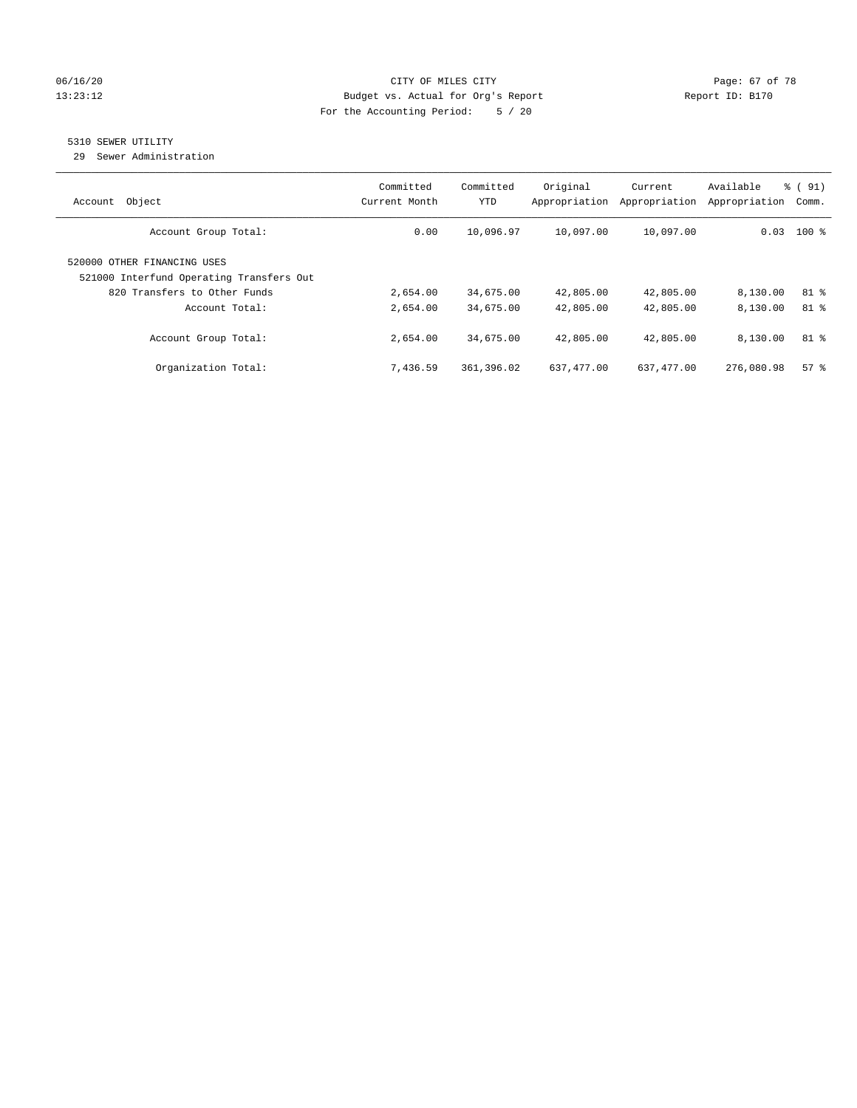## 06/16/20 Page: 67 of 78 13:23:12 Budget vs. Actual for Org's Report Changer Report ID: B170 For the Accounting Period: 5 / 20

## 5310 SEWER UTILITY

29 Sewer Administration

| Object<br>Account                                                                                       | Committed<br>Current Month | Committed<br>YTD | Original<br>Appropriation | Current<br>Appropriation | Available<br>Appropriation | % (91)<br>Comm. |
|---------------------------------------------------------------------------------------------------------|----------------------------|------------------|---------------------------|--------------------------|----------------------------|-----------------|
| Account Group Total:                                                                                    | 0.00                       | 10,096.97        | 10,097.00                 | 10,097.00                | 0.03                       | $100$ %         |
| 520000 OTHER FINANCING USES<br>521000 Interfund Operating Transfers Out<br>820 Transfers to Other Funds | 2,654.00                   | 34,675.00        | 42,805.00                 | 42,805.00                | 8,130.00                   | 81 %            |
| Account Total:                                                                                          | 2,654.00                   | 34,675.00        | 42,805.00                 | 42,805.00                | 8,130.00                   | 81 %            |
| Account Group Total:                                                                                    | 2,654.00                   | 34,675.00        | 42,805.00                 | 42,805.00                | 8,130.00                   | 81 %            |
| Organization Total:                                                                                     | 7,436.59                   | 361,396.02       | 637,477.00                | 637,477.00               | 276,080.98                 | 57%             |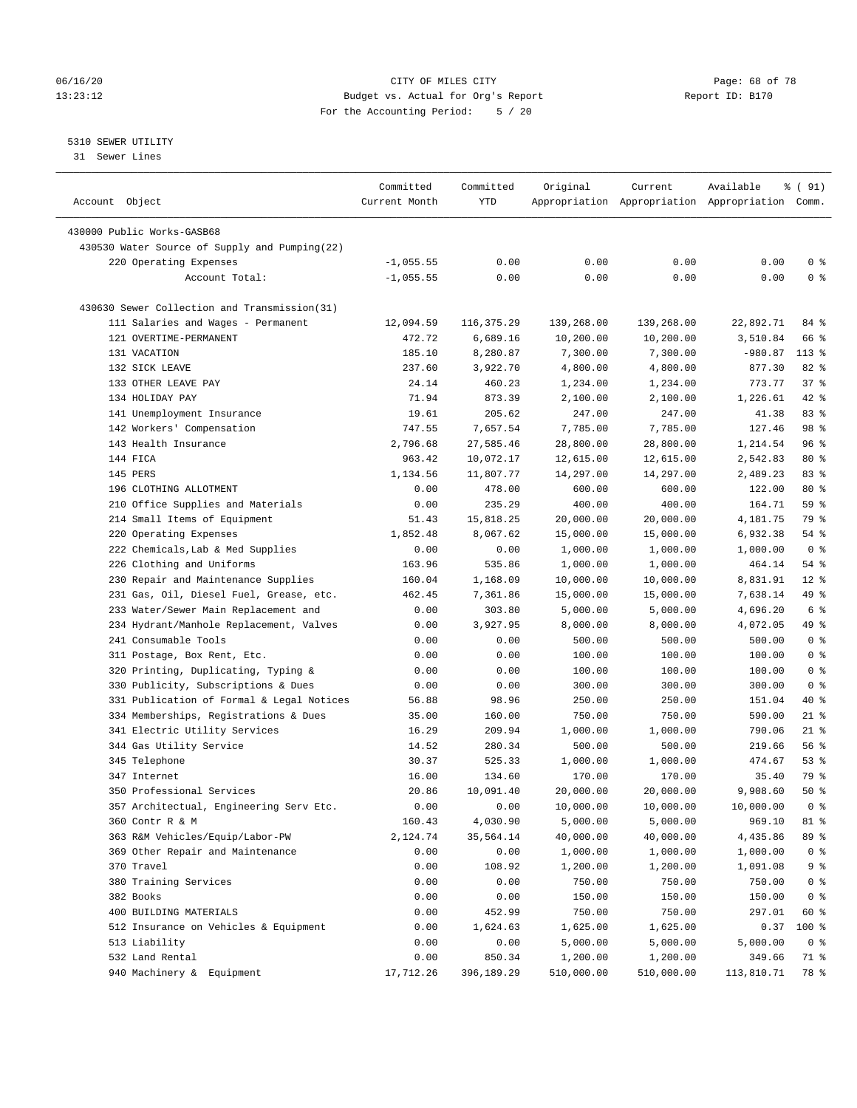#### 06/16/20 Page: 68 of 78 13:23:12 Budget vs. Actual for Org's Report Report ID: B170 For the Accounting Period: 5 / 20

————————————————————————————————————————————————————————————————————————————————————————————————————————————————————————————————————

## 5310 SEWER UTILITY

31 Sewer Lines

|                                               | Committed     | Committed  | Original   | Current    | Available                                       | % ( 91)        |
|-----------------------------------------------|---------------|------------|------------|------------|-------------------------------------------------|----------------|
| Account Object                                | Current Month | YTD        |            |            | Appropriation Appropriation Appropriation Comm. |                |
| 430000 Public Works-GASB68                    |               |            |            |            |                                                 |                |
| 430530 Water Source of Supply and Pumping(22) |               |            |            |            |                                                 |                |
| 220 Operating Expenses                        | $-1,055.55$   | 0.00       | 0.00       | 0.00       | 0.00                                            | 0 <sup>8</sup> |
| Account Total:                                | $-1,055.55$   | 0.00       | 0.00       | 0.00       | 0.00                                            | 0 <sup>8</sup> |
|                                               |               |            |            |            |                                                 |                |
| 430630 Sewer Collection and Transmission(31)  |               |            |            |            |                                                 |                |
| 111 Salaries and Wages - Permanent            | 12,094.59     | 116,375.29 | 139,268.00 | 139,268.00 | 22,892.71                                       | 84 %           |
| 121 OVERTIME-PERMANENT                        | 472.72        | 6,689.16   | 10,200.00  | 10,200.00  | 3,510.84                                        | 66 %           |
| 131 VACATION                                  | 185.10        | 8,280.87   | 7,300.00   | 7,300.00   | -980.87                                         | $113*$         |
| 132 SICK LEAVE                                | 237.60        | 3,922.70   | 4,800.00   | 4,800.00   | 877.30                                          | 82%            |
| 133 OTHER LEAVE PAY                           | 24.14         | 460.23     | 1,234.00   | 1,234.00   | 773.77                                          | 37%            |
| 134 HOLIDAY PAY                               | 71.94         | 873.39     | 2,100.00   | 2,100.00   | 1,226.61                                        | 42 %           |
| 141 Unemployment Insurance                    | 19.61         | 205.62     | 247.00     | 247.00     | 41.38                                           | 83 %           |
| 142 Workers' Compensation                     | 747.55        | 7,657.54   | 7,785.00   | 7,785.00   | 127.46                                          | 98 %           |
| 143 Health Insurance                          | 2,796.68      | 27,585.46  | 28,800.00  | 28,800.00  | 1,214.54                                        | 96%            |
| 144 FICA                                      | 963.42        | 10,072.17  | 12,615.00  | 12,615.00  | 2,542.83                                        | $80*$          |
| 145 PERS                                      | 1,134.56      | 11,807.77  | 14,297.00  | 14,297.00  | 2,489.23                                        | 83%            |
| 196 CLOTHING ALLOTMENT                        | 0.00          | 478.00     | 600.00     | 600.00     | 122.00                                          | 80 %           |
| 210 Office Supplies and Materials             | 0.00          | 235.29     | 400.00     | 400.00     | 164.71                                          | 59 %           |
| 214 Small Items of Equipment                  | 51.43         | 15,818.25  | 20,000.00  | 20,000.00  | 4,181.75                                        | 79 %           |
| 220 Operating Expenses                        | 1,852.48      | 8,067.62   | 15,000.00  | 15,000.00  | 6,932.38                                        | $54$ %         |
| 222 Chemicals, Lab & Med Supplies             | 0.00          | 0.00       | 1,000.00   | 1,000.00   | 1,000.00                                        | 0 <sup>8</sup> |
| 226 Clothing and Uniforms                     | 163.96        | 535.86     | 1,000.00   | 1,000.00   | 464.14                                          | $54$ %         |
| 230 Repair and Maintenance Supplies           | 160.04        | 1,168.09   | 10,000.00  | 10,000.00  | 8,831.91                                        | $12$ %         |
| 231 Gas, Oil, Diesel Fuel, Grease, etc.       | 462.45        | 7,361.86   | 15,000.00  | 15,000.00  | 7,638.14                                        | 49 %           |
| 233 Water/Sewer Main Replacement and          | 0.00          | 303.80     | 5,000.00   | 5,000.00   | 4,696.20                                        | 6 %            |
| 234 Hydrant/Manhole Replacement, Valves       | 0.00          | 3,927.95   | 8,000.00   | 8,000.00   | 4,072.05                                        | 49 %           |
| 241 Consumable Tools                          | 0.00          | 0.00       | 500.00     | 500.00     | 500.00                                          | 0 <sup>8</sup> |
| 311 Postage, Box Rent, Etc.                   | 0.00          | 0.00       | 100.00     | 100.00     | 100.00                                          | 0 <sup>8</sup> |
| 320 Printing, Duplicating, Typing &           | 0.00          | 0.00       | 100.00     | 100.00     | 100.00                                          | 0 <sup>8</sup> |
| 330 Publicity, Subscriptions & Dues           | 0.00          | 0.00       | 300.00     | 300.00     | 300.00                                          | 0 <sup>8</sup> |
| 331 Publication of Formal & Legal Notices     | 56.88         | 98.96      | 250.00     | 250.00     | 151.04                                          | 40 %           |
| 334 Memberships, Registrations & Dues         | 35.00         | 160.00     | 750.00     | 750.00     | 590.00                                          | $21$ %         |
| 341 Electric Utility Services                 | 16.29         | 209.94     | 1,000.00   | 1,000.00   | 790.06                                          | $21$ %         |
| 344 Gas Utility Service                       | 14.52         | 280.34     | 500.00     | 500.00     | 219.66                                          | 56%            |
| 345 Telephone                                 | 30.37         | 525.33     | 1,000.00   | 1,000.00   | 474.67                                          | 53%            |
| 347 Internet                                  | 16.00         | 134.60     | 170.00     | 170.00     | 35.40                                           | 79 %           |
| 350 Professional Services                     | 20.86         | 10,091.40  | 20,000.00  | 20,000.00  | 9,908.60                                        | 50%            |
| 357 Architectual, Engineering Serv Etc.       | 0.00          | 0.00       | 10,000.00  | 10,000.00  | 10,000.00                                       | 0 <sup>8</sup> |
| 360 Contr R & M                               | 160.43        | 4,030.90   | 5,000.00   | 5,000.00   | 969.10                                          | 81 %           |
| 363 R&M Vehicles/Equip/Labor-PW               | 2,124.74      | 35,564.14  | 40,000.00  | 40,000.00  | 4,435.86                                        | 89 %           |
| 369 Other Repair and Maintenance              | 0.00          | 0.00       | 1,000.00   | 1,000.00   | 1,000.00                                        | 0 <sup>8</sup> |
| 370 Travel                                    | 0.00          | 108.92     | 1,200.00   | 1,200.00   | 1,091.08                                        | 9 <sub>8</sub> |
| 380 Training Services                         | 0.00          | 0.00       | 750.00     | 750.00     | 750.00                                          | 0 <sup>8</sup> |
| 382 Books                                     | 0.00          | 0.00       | 150.00     | 150.00     | 150.00                                          | 0 <sup>8</sup> |
| 400 BUILDING MATERIALS                        | 0.00          | 452.99     | 750.00     | 750.00     | 297.01                                          | 60 %           |
| 512 Insurance on Vehicles & Equipment         | 0.00          | 1,624.63   | 1,625.00   | 1,625.00   | 0.37                                            | 100 %          |
| 513 Liability                                 | 0.00          | 0.00       | 5,000.00   | 5,000.00   | 5,000.00                                        | 0 <sup>8</sup> |
| 532 Land Rental                               | 0.00          | 850.34     | 1,200.00   | 1,200.00   | 349.66                                          | 71 %           |
| 940 Machinery & Equipment                     | 17,712.26     | 396,189.29 | 510,000.00 | 510,000.00 | 113,810.71                                      | 78 %           |
|                                               |               |            |            |            |                                                 |                |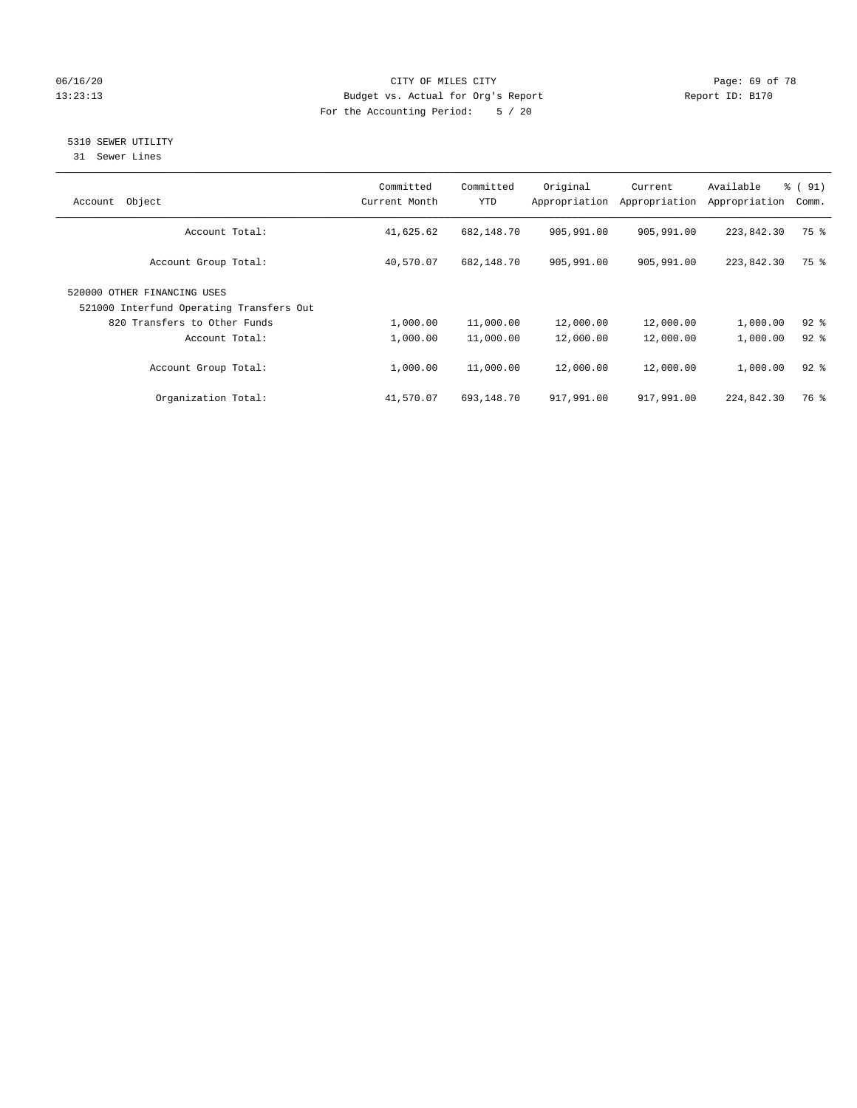## 06/16/20 Page: 69 of 78 13:23:13 Budget vs. Actual for Org's Report Changer Report ID: B170 For the Accounting Period: 5 / 20

## 5310 SEWER UTILITY

31 Sewer Lines

| Object<br>Account                                                       | Committed<br>Current Month | Committed<br><b>YTD</b> | Original<br>Appropriation | Current<br>Appropriation | Available<br>Appropriation | % (91)<br>Comm. |
|-------------------------------------------------------------------------|----------------------------|-------------------------|---------------------------|--------------------------|----------------------------|-----------------|
| Account Total:                                                          | 41,625.62                  | 682,148.70              | 905,991.00                | 905,991.00               | 223,842.30                 | 75 %            |
| Account Group Total:                                                    | 40,570.07                  | 682,148.70              | 905,991.00                | 905,991.00               | 223,842.30                 | 75 %            |
| 520000 OTHER FINANCING USES<br>521000 Interfund Operating Transfers Out |                            |                         |                           |                          |                            |                 |
| 820 Transfers to Other Funds                                            | 1,000.00                   | 11,000.00               | 12,000.00                 | 12,000.00                | 1,000.00                   | $92$ $%$        |
| Account Total:                                                          | 1,000.00                   | 11,000.00               | 12,000.00                 | 12,000.00                | 1,000.00                   | $92$ $%$        |
| Account Group Total:                                                    | 1,000.00                   | 11,000.00               | 12,000.00                 | 12,000.00                | 1,000.00                   | $92$ $%$        |
| Organization Total:                                                     | 41,570.07                  | 693,148.70              | 917,991.00                | 917,991.00               | 224,842.30                 | 76 %            |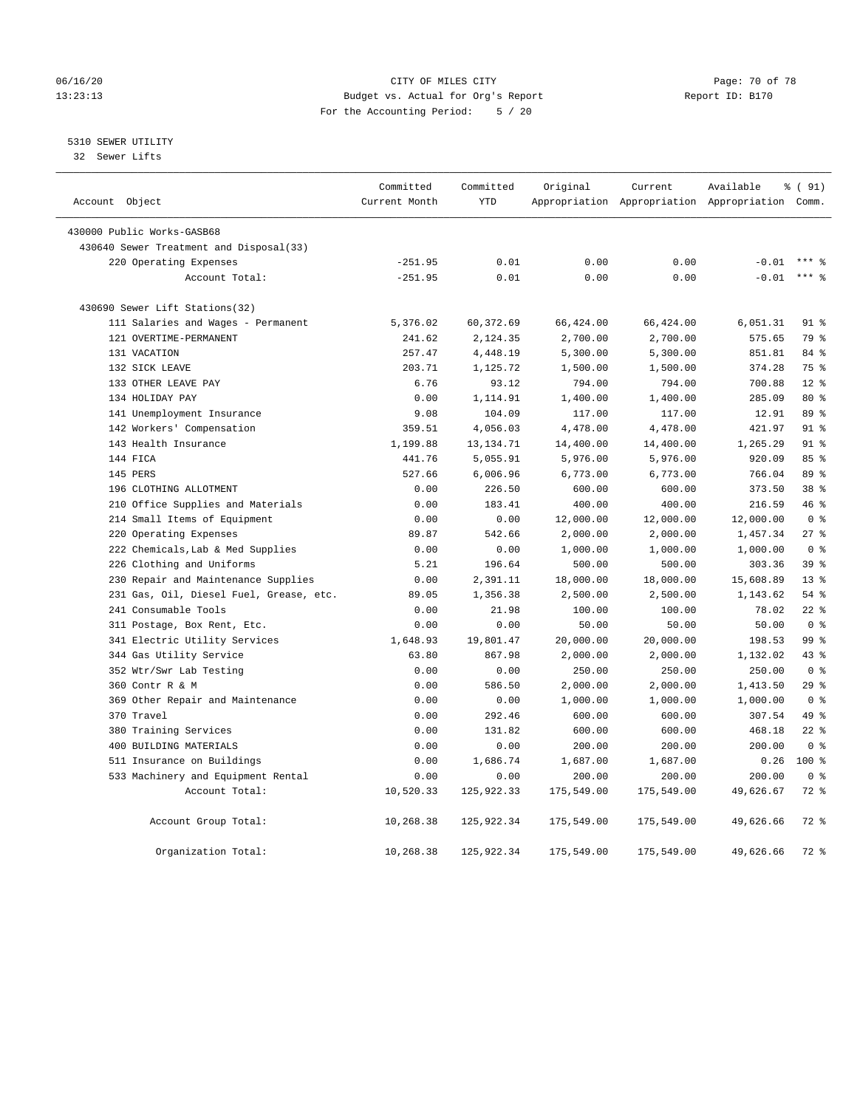## 06/16/20 Page: 70 of 78 13:23:13 Budget vs. Actual for Org's Report Changer Report ID: B170 For the Accounting Period: 5 / 20

## 5310 SEWER UTILITY

32 Sewer Lifts

| Account Object                          | Committed<br>Current Month | Committed<br><b>YTD</b> | Original   | Current    | Available<br>Appropriation Appropriation Appropriation Comm. | % (91)          |
|-----------------------------------------|----------------------------|-------------------------|------------|------------|--------------------------------------------------------------|-----------------|
|                                         |                            |                         |            |            |                                                              |                 |
| 430000 Public Works-GASB68              |                            |                         |            |            |                                                              |                 |
| 430640 Sewer Treatment and Disposal(33) |                            |                         |            |            |                                                              |                 |
| 220 Operating Expenses                  | $-251.95$                  | 0.01                    | 0.00       | 0.00       | $-0.01$                                                      |                 |
| Account Total:                          | $-251.95$                  | 0.01                    | 0.00       | 0.00       | $-0.01$                                                      | $***$ 8         |
| 430690 Sewer Lift Stations(32)          |                            |                         |            |            |                                                              |                 |
| 111 Salaries and Wages - Permanent      | 5,376.02                   | 60,372.69               | 66,424.00  | 66,424.00  | 6,051.31                                                     | $91$ %          |
| 121 OVERTIME-PERMANENT                  | 241.62                     | 2,124.35                | 2,700.00   | 2,700.00   | 575.65                                                       | 79 %            |
| 131 VACATION                            | 257.47                     | 4,448.19                | 5,300.00   | 5,300.00   | 851.81                                                       | 84%             |
| 132 SICK LEAVE                          | 203.71                     | 1,125.72                | 1,500.00   | 1,500.00   | 374.28                                                       | 75 %            |
| 133 OTHER LEAVE PAY                     | 6.76                       | 93.12                   | 794.00     | 794.00     | 700.88                                                       | $12*$           |
| 134 HOLIDAY PAY                         | 0.00                       | 1,114.91                | 1,400.00   | 1,400.00   | 285.09                                                       | 80 %            |
| 141 Unemployment Insurance              | 9.08                       | 104.09                  | 117.00     | 117.00     | 12.91                                                        | 89 %            |
| 142 Workers' Compensation               | 359.51                     | 4,056.03                | 4,478.00   | 4,478.00   | 421.97                                                       | 91 <sup>°</sup> |
| 143 Health Insurance                    | 1,199.88                   | 13, 134. 71             | 14,400.00  | 14,400.00  | 1,265.29                                                     | 91 %            |
| 144 FICA                                | 441.76                     | 5,055.91                | 5,976.00   | 5,976.00   | 920.09                                                       | 85%             |
| 145 PERS                                | 527.66                     | 6,006.96                | 6,773.00   | 6,773.00   | 766.04                                                       | 89 %            |
| 196 CLOTHING ALLOTMENT                  | 0.00                       | 226.50                  | 600.00     | 600.00     | 373.50                                                       | 38 <sup>8</sup> |
| 210 Office Supplies and Materials       | 0.00                       | 183.41                  | 400.00     | 400.00     | 216.59                                                       | 46 %            |
| 214 Small Items of Equipment            | 0.00                       | 0.00                    | 12,000.00  | 12,000.00  | 12,000.00                                                    | 0 <sup>8</sup>  |
| 220 Operating Expenses                  | 89.87                      | 542.66                  | 2,000.00   | 2,000.00   | 1,457.34                                                     | $27$ %          |
| 222 Chemicals, Lab & Med Supplies       | 0.00                       | 0.00                    | 1,000.00   | 1,000.00   | 1,000.00                                                     | 0 <sup>8</sup>  |
| 226 Clothing and Uniforms               | 5.21                       | 196.64                  | 500.00     | 500.00     | 303.36                                                       | 39 %            |
| 230 Repair and Maintenance Supplies     | 0.00                       | 2,391.11                | 18,000.00  | 18,000.00  | 15,608.89                                                    | 13 <sup>8</sup> |
| 231 Gas, Oil, Diesel Fuel, Grease, etc. | 89.05                      | 1,356.38                | 2,500.00   | 2,500.00   | 1,143.62                                                     | 54%             |
| 241 Consumable Tools                    | 0.00                       | 21.98                   | 100.00     | 100.00     | 78.02                                                        | $22$ %          |
| 311 Postage, Box Rent, Etc.             | 0.00                       | 0.00                    | 50.00      | 50.00      | 50.00                                                        | 0 <sup>8</sup>  |
| 341 Electric Utility Services           | 1,648.93                   | 19,801.47               | 20,000.00  | 20,000.00  | 198.53                                                       | 99 <sup>8</sup> |
| 344 Gas Utility Service                 | 63.80                      | 867.98                  | 2,000.00   | 2,000.00   | 1,132.02                                                     | 43%             |
| 352 Wtr/Swr Lab Testing                 | 0.00                       | 0.00                    | 250.00     | 250.00     | 250.00                                                       | 0 <sup>8</sup>  |
| 360 Contr R & M                         | 0.00                       | 586.50                  | 2,000.00   | 2,000.00   | 1,413.50                                                     | 29%             |
| 369 Other Repair and Maintenance        | 0.00                       | 0.00                    | 1,000.00   | 1,000.00   | 1,000.00                                                     | 0 <sup>8</sup>  |
| 370 Travel                              | 0.00                       | 292.46                  | 600.00     | 600.00     | 307.54                                                       | 49 %            |
| 380 Training Services                   | 0.00                       | 131.82                  | 600.00     | 600.00     | 468.18                                                       | $22$ %          |
| 400 BUILDING MATERIALS                  | 0.00                       | 0.00                    | 200.00     | 200.00     | 200.00                                                       | 0 <sup>8</sup>  |
| 511 Insurance on Buildings              | 0.00                       | 1,686.74                | 1,687.00   | 1,687.00   | 0.26                                                         | $100*$          |
| 533 Machinery and Equipment Rental      | 0.00                       | 0.00                    | 200.00     | 200.00     | 200.00                                                       | 0 <sup>8</sup>  |
| Account Total:                          | 10,520.33                  | 125,922.33              | 175,549.00 | 175,549.00 | 49,626.67                                                    | $72$ $%$        |
| Account Group Total:                    | 10,268.38                  | 125,922.34              | 175,549.00 | 175,549.00 | 49,626.66                                                    | 72 %            |
| Organization Total:                     | 10,268.38                  | 125,922.34              | 175,549.00 | 175,549.00 | 49,626.66                                                    | $72$ $%$        |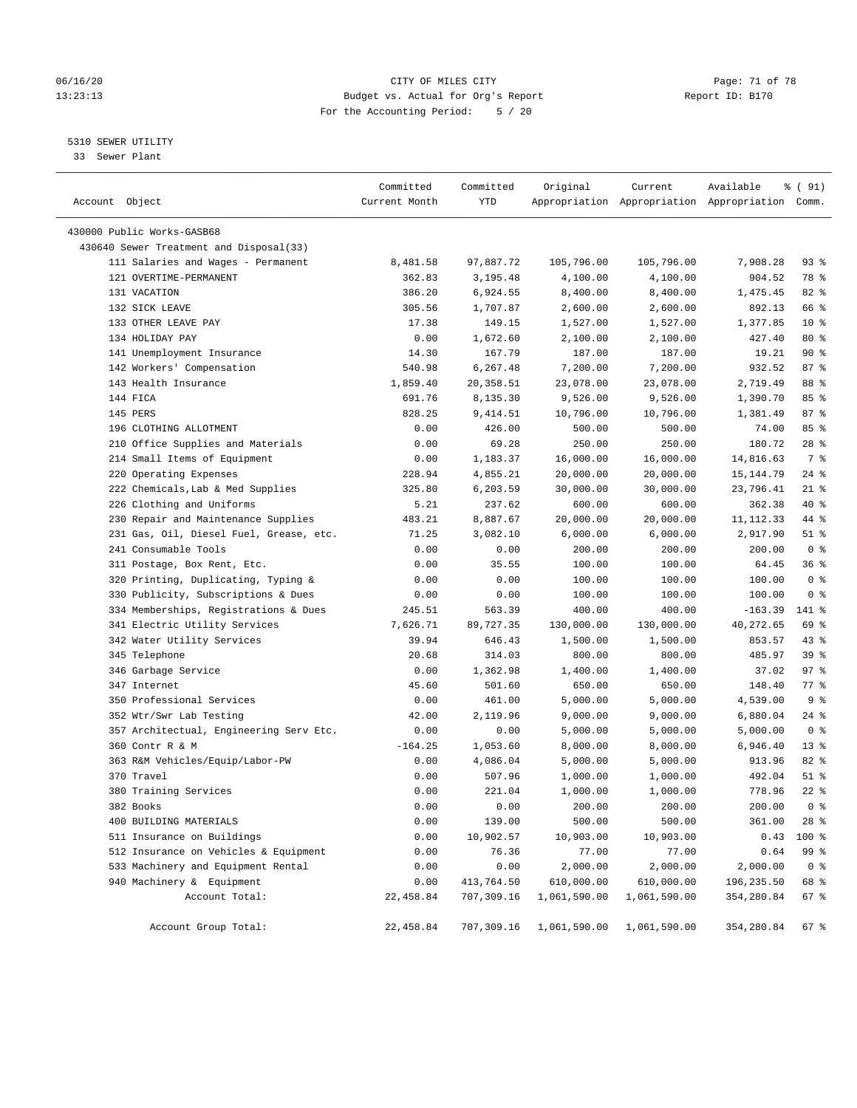## 06/16/20 Page: 71 of 78 13:23:13 Budget vs. Actual for Org's Report Changer Report ID: B170 For the Accounting Period: 5 / 20

————————————————————————————————————————————————————————————————————————————————————————————————————————————————————————————————————

## 5310 SEWER UTILITY

33 Sewer Plant

|                                         | Committed     | Committed  | Original                             | Current                                         | Available  | % ( 91)        |
|-----------------------------------------|---------------|------------|--------------------------------------|-------------------------------------------------|------------|----------------|
| Account Object                          | Current Month | YTD        |                                      | Appropriation Appropriation Appropriation Comm. |            |                |
| 430000 Public Works-GASB68              |               |            |                                      |                                                 |            |                |
| 430640 Sewer Treatment and Disposal(33) |               |            |                                      |                                                 |            |                |
| 111 Salaries and Wages - Permanent      | 8,481.58      | 97,887.72  | 105,796.00                           | 105,796.00                                      | 7,908.28   | $93$ $%$       |
| 121 OVERTIME-PERMANENT                  | 362.83        | 3,195.48   | 4,100.00                             | 4,100.00                                        | 904.52     | 78 %           |
| 131 VACATION                            | 386.20        | 6,924.55   | 8,400.00                             | 8,400.00                                        | 1,475.45   | 82%            |
| 132 SICK LEAVE                          | 305.56        | 1,707.87   | 2,600.00                             | 2,600.00                                        | 892.13     | 66 %           |
| 133 OTHER LEAVE PAY                     | 17.38         | 149.15     | 1,527.00                             | 1,527.00                                        | 1,377.85   | $10*$          |
| 134 HOLIDAY PAY                         | 0.00          | 1,672.60   | 2,100.00                             | 2,100.00                                        | 427.40     | 80 %           |
| 141 Unemployment Insurance              | 14.30         | 167.79     | 187.00                               | 187.00                                          | 19.21      | 90%            |
| 142 Workers' Compensation               | 540.98        | 6,267.48   | 7,200.00                             | 7,200.00                                        | 932.52     | 87%            |
| 143 Health Insurance                    | 1,859.40      | 20,358.51  | 23,078.00                            | 23,078.00                                       | 2,719.49   | 88 %           |
| 144 FICA                                | 691.76        | 8,135.30   | 9,526.00                             | 9,526.00                                        | 1,390.70   | 85%            |
| 145 PERS                                | 828.25        | 9,414.51   | 10,796.00                            | 10,796.00                                       | 1,381.49   | 87%            |
| 196 CLOTHING ALLOTMENT                  | 0.00          | 426.00     | 500.00                               | 500.00                                          | 74.00      | 85%            |
| 210 Office Supplies and Materials       | 0.00          | 69.28      | 250.00                               | 250.00                                          | 180.72     | $28$ %         |
| 214 Small Items of Equipment            | 0.00          | 1,183.37   | 16,000.00                            | 16,000.00                                       | 14,816.63  | 7 %            |
| 220 Operating Expenses                  | 228.94        | 4,855.21   | 20,000.00                            | 20,000.00                                       | 15,144.79  | $24$ %         |
| 222 Chemicals, Lab & Med Supplies       | 325.80        | 6,203.59   | 30,000.00                            | 30,000.00                                       | 23,796.41  | $21$ %         |
| 226 Clothing and Uniforms               | 5.21          | 237.62     | 600.00                               | 600.00                                          | 362.38     | 40 %           |
| 230 Repair and Maintenance Supplies     | 483.21        | 8,887.67   | 20,000.00                            | 20,000.00                                       | 11, 112.33 | 44 %           |
| 231 Gas, Oil, Diesel Fuel, Grease, etc. | 71.25         | 3,082.10   | 6,000.00                             | 6,000.00                                        | 2,917.90   | $51$ %         |
| 241 Consumable Tools                    | 0.00          | 0.00       | 200.00                               | 200.00                                          | 200.00     | 0 <sup>8</sup> |
| 311 Postage, Box Rent, Etc.             | 0.00          | 35.55      | 100.00                               | 100.00                                          | 64.45      | 36%            |
| 320 Printing, Duplicating, Typing &     | 0.00          | 0.00       | 100.00                               | 100.00                                          | 100.00     | 0 <sup>8</sup> |
| 330 Publicity, Subscriptions & Dues     | 0.00          | 0.00       | 100.00                               | 100.00                                          | 100.00     | 0 <sup>8</sup> |
| 334 Memberships, Registrations & Dues   | 245.51        | 563.39     | 400.00                               | 400.00                                          | $-163.39$  | 141 %          |
| 341 Electric Utility Services           | 7,626.71      | 89,727.35  | 130,000.00                           | 130,000.00                                      | 40,272.65  | 69 %           |
| 342 Water Utility Services              | 39.94         | 646.43     | 1,500.00                             | 1,500.00                                        | 853.57     | 43 %           |
| 345 Telephone                           | 20.68         | 314.03     | 800.00                               | 800.00                                          | 485.97     | 39 %           |
| 346 Garbage Service                     | 0.00          | 1,362.98   | 1,400.00                             | 1,400.00                                        | 37.02      | 97%            |
| 347 Internet                            | 45.60         | 501.60     | 650.00                               | 650.00                                          | 148.40     | 77.8           |
| 350 Professional Services               | 0.00          | 461.00     | 5,000.00                             | 5,000.00                                        | 4,539.00   | 9 <sup>8</sup> |
| 352 Wtr/Swr Lab Testing                 | 42.00         | 2,119.96   | 9,000.00                             | 9,000.00                                        | 6,880.04   | $24$ %         |
| 357 Architectual, Engineering Serv Etc. | 0.00          | 0.00       | 5,000.00                             | 5,000.00                                        | 5,000.00   | 0 <sup>8</sup> |
| 360 Contr R & M                         | $-164.25$     | 1,053.60   | 8,000.00                             | 8,000.00                                        | 6,946.40   | $13*$          |
| 363 R&M Vehicles/Equip/Labor-PW         | 0.00          | 4,086.04   | 5,000.00                             | 5,000.00                                        | 913.96     | $82$ $%$       |
| 370 Travel                              | 0.00          | 507.96     | 1,000.00                             | 1,000.00                                        | 492.04     | $51$ %         |
| 380 Training Services                   | 0.00          | 221.04     | 1,000.00                             | 1,000.00                                        | 778.96     | $22$ %         |
| 382 Books                               | 0.00          | 0.00       | 200.00                               | 200.00                                          | 200.00     | 0 <sup>8</sup> |
| 400 BUILDING MATERIALS                  | 0.00          | 139.00     | 500.00                               | 500.00                                          | 361.00     | 28 %           |
| 511 Insurance on Buildings              | 0.00          | 10,902.57  | 10,903.00                            | 10,903.00                                       | 0.43       | 100 %          |
| 512 Insurance on Vehicles & Equipment   | 0.00          | 76.36      | 77.00                                | 77.00                                           | 0.64       | 99 %           |
| 533 Machinery and Equipment Rental      | 0.00          | 0.00       | 2,000.00                             | 2,000.00                                        | 2,000.00   | 0 <sup>8</sup> |
| 940 Machinery & Equipment               | 0.00          | 413,764.50 | 610,000.00                           | 610,000.00                                      | 196,235.50 | 68 %           |
| Account Total:                          | 22,458.84     | 707,309.16 | 1,061,590.00                         | 1,061,590.00                                    | 354,280.84 | 67%            |
|                                         |               |            |                                      |                                                 |            |                |
| Account Group Total:                    | 22,458.84     |            | 707,309.16 1,061,590.00 1,061,590.00 |                                                 | 354,280.84 | 67 %           |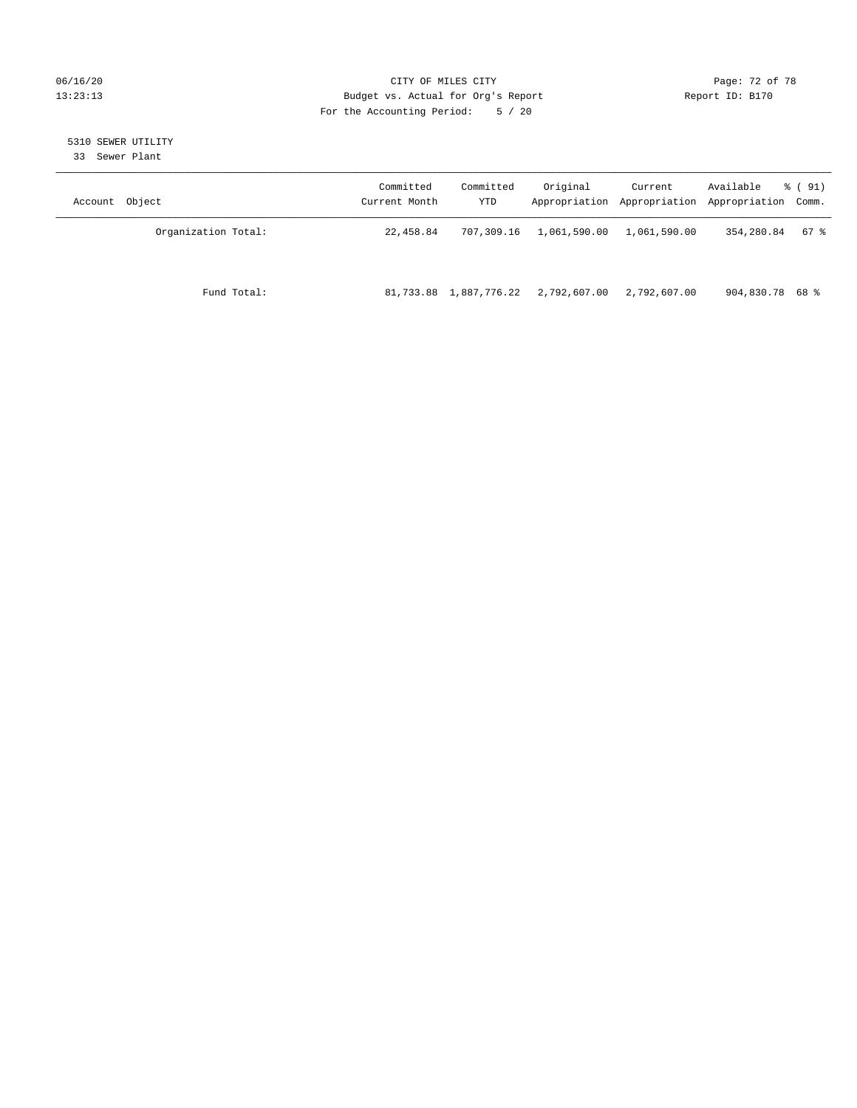## 06/16/20 Page: 72 of 78 13:23:13 Budget vs. Actual for Org's Report Changer Report ID: B170 For the Accounting Period: 5 / 20

# 5310 SEWER UTILITY

33 Sewer Plant

| Object<br>Account   | Committed<br>Current Month | Committed<br>YTD | Original     | Current<br>Appropriation Appropriation | Available<br>Appropriation Comm. | % ( 91) |
|---------------------|----------------------------|------------------|--------------|----------------------------------------|----------------------------------|---------|
| Organization Total: | 22,458.84                  | 707,309.16       | 1,061,590.00 | 1,061,590.00                           | 354,280.84                       | 67 %    |
| Fund Total:         | 81,733.88                  | 1,887,776.22     | 2,792,607.00 | 2,792,607.00                           | 904,830.78 68 %                  |         |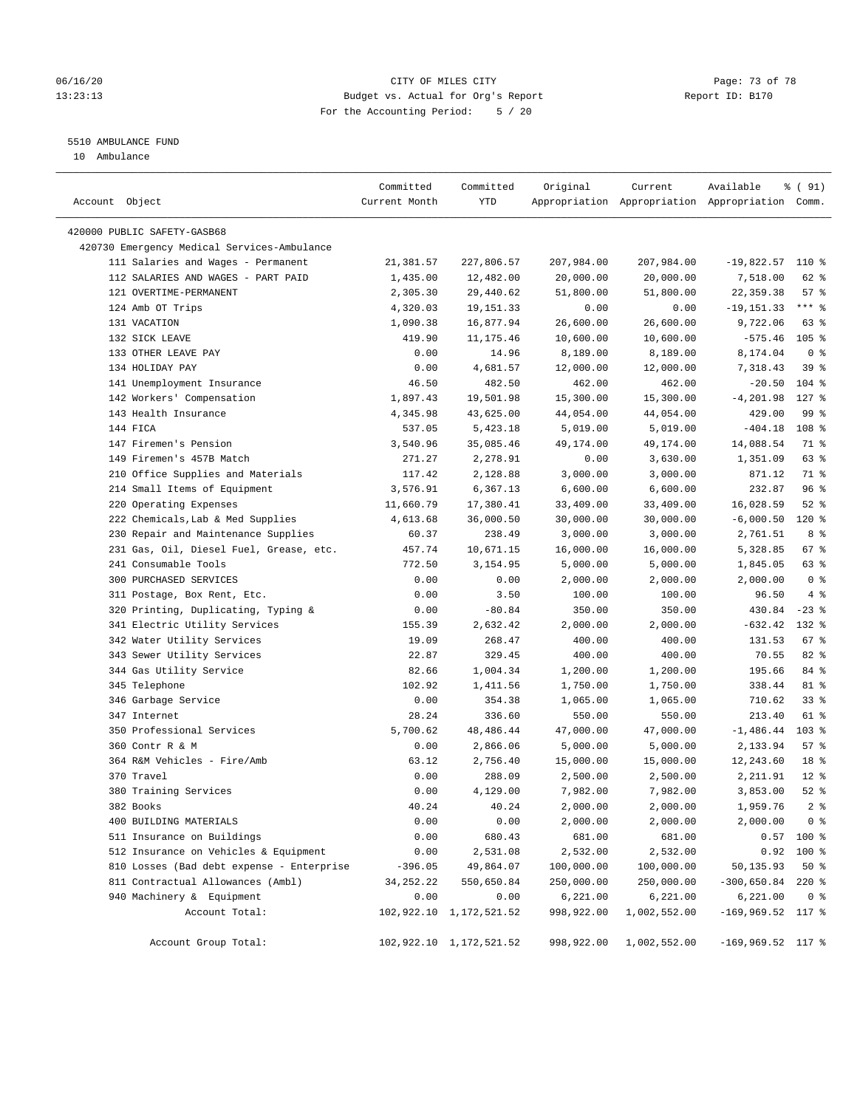#### 06/16/20 Page: 73 of 78 13:23:13 Budget vs. Actual for Org's Report Report ID: B170 For the Accounting Period: 5 / 20

————————————————————————————————————————————————————————————————————————————————————————————————————————————————————————————————————

# 5510 AMBULANCE FUND

10 Ambulance

|                                                                                | Committed                | Committed                  | Original               | Current                                         | Available                       | % ( 91)                |
|--------------------------------------------------------------------------------|--------------------------|----------------------------|------------------------|-------------------------------------------------|---------------------------------|------------------------|
| Account Object                                                                 | Current Month            | YTD                        |                        | Appropriation Appropriation Appropriation Comm. |                                 |                        |
| 420000 PUBLIC SAFETY-GASB68                                                    |                          |                            |                        |                                                 |                                 |                        |
| 420730 Emergency Medical Services-Ambulance                                    |                          |                            |                        |                                                 |                                 |                        |
| 111 Salaries and Wages - Permanent                                             | 21,381.57                | 227,806.57                 | 207,984.00             | 207,984.00                                      | $-19,822.57$ 110 %              |                        |
| 112 SALARIES AND WAGES - PART PAID                                             | 1,435.00                 | 12,482.00                  | 20,000.00              | 20,000.00                                       | 7,518.00                        | 62 %                   |
| 121 OVERTIME-PERMANENT                                                         | 2,305.30                 | 29,440.62                  | 51,800.00              | 51,800.00                                       | 22,359.38                       | 57%                    |
| 124 Amb OT Trips                                                               | 4,320.03                 | 19,151.33                  | 0.00                   | 0.00                                            | $-19, 151.33$                   | *** 응                  |
| 131 VACATION                                                                   | 1,090.38                 | 16,877.94                  | 26,600.00              | 26,600.00                                       | 9,722.06                        | 63 %                   |
| 132 SICK LEAVE                                                                 | 419.90                   | 11, 175.46                 | 10,600.00              | 10,600.00                                       | $-575.46$ 105 %                 |                        |
| 133 OTHER LEAVE PAY                                                            | 0.00                     | 14.96                      | 8,189.00               | 8,189.00                                        | 8,174.04                        | 0 <sup>8</sup>         |
| 134 HOLIDAY PAY                                                                | 0.00                     | 4,681.57                   | 12,000.00              | 12,000.00                                       | 7,318.43                        | 39 <sup>8</sup>        |
| 141 Unemployment Insurance                                                     | 46.50                    | 482.50                     | 462.00                 | 462.00                                          | $-20.50$                        | $104$ %                |
| 142 Workers' Compensation                                                      | 1,897.43                 | 19,501.98                  | 15,300.00              | 15,300.00                                       | $-4, 201.98$                    | $127$ %                |
| 143 Health Insurance                                                           | 4,345.98                 | 43,625.00                  | 44,054.00              | 44,054.00                                       | 429.00                          | 99 %                   |
| 144 FICA                                                                       | 537.05                   | 5,423.18                   | 5,019.00               | 5,019.00                                        | $-404.18$                       | 108 %                  |
| 147 Firemen's Pension                                                          | 3,540.96                 | 35,085.46                  | 49,174.00              | 49,174.00                                       | 14,088.54                       | 71 %                   |
| 149 Firemen's 457B Match                                                       | 271.27                   | 2,278.91                   | 0.00                   | 3,630.00                                        | 1,351.09                        | 63 %                   |
| 210 Office Supplies and Materials                                              | 117.42                   | 2,128.88                   | 3,000.00               | 3,000.00                                        | 871.12                          | 71 %                   |
|                                                                                |                          |                            | 6,600.00               |                                                 |                                 | 96%                    |
| 214 Small Items of Equipment<br>220 Operating Expenses                         | 3,576.91                 | 6,367.13<br>17,380.41      |                        | 6,600.00                                        | 232.87<br>16,028.59             | $52$ $%$               |
| 222 Chemicals, Lab & Med Supplies                                              | 11,660.79<br>4,613.68    |                            | 33,409.00              | 33,409.00                                       |                                 | $120$ %                |
|                                                                                |                          | 36,000.50                  | 30,000.00              | 30,000.00                                       | $-6,000.50$                     | 8 %                    |
| 230 Repair and Maintenance Supplies                                            | 60.37                    | 238.49<br>10,671.15        | 3,000.00<br>16,000.00  | 3,000.00<br>16,000.00                           | 2,761.51                        | 67%                    |
| 231 Gas, Oil, Diesel Fuel, Grease, etc.<br>241 Consumable Tools                | 457.74                   |                            |                        |                                                 | 5,328.85                        |                        |
| 300 PURCHASED SERVICES                                                         | 772.50                   | 3,154.95                   | 5,000.00<br>2,000.00   | 5,000.00                                        | 1,845.05                        | 63 %<br>0 <sup>8</sup> |
|                                                                                | 0.00                     | 0.00                       |                        | 2,000.00                                        | 2,000.00                        | 4%                     |
| 311 Postage, Box Rent, Etc.                                                    | 0.00                     | 3.50                       | 100.00                 | 100.00                                          | 96.50                           |                        |
| 320 Printing, Duplicating, Typing &                                            | 0.00                     | $-80.84$                   | 350.00                 | 350.00                                          | 430.84                          | $-23$ %<br>132 %       |
| 341 Electric Utility Services                                                  | 155.39                   | 2,632.42                   | 2,000.00               | 2,000.00                                        | $-632.42$                       |                        |
| 342 Water Utility Services                                                     | 19.09<br>22.87           | 268.47<br>329.45           | 400.00                 | 400.00<br>400.00                                | 131.53<br>70.55                 | $67$ %<br>82%          |
| 343 Sewer Utility Services                                                     |                          |                            | 400.00                 |                                                 |                                 |                        |
| 344 Gas Utility Service                                                        | 82.66                    | 1,004.34                   | 1,200.00               | 1,200.00                                        | 195.66                          | 84 %<br>81 %           |
| 345 Telephone                                                                  | 102.92                   | 1,411.56                   | 1,750.00               | 1,750.00                                        | 338.44                          | 33%                    |
| 346 Garbage Service                                                            | 0.00                     | 354.38                     | 1,065.00               | 1,065.00                                        | 710.62                          |                        |
| 347 Internet<br>350 Professional Services                                      | 28.24<br>5,700.62        | 336.60<br>48,486.44        | 550.00                 | 550.00                                          | 213.40                          | 61 %<br>$103$ %        |
| 360 Contr R & M                                                                | 0.00                     | 2,866.06                   | 47,000.00              | 47,000.00                                       | $-1,486.44$                     | 57%                    |
| 364 R&M Vehicles - Fire/Amb                                                    | 63.12                    | 2,756.40                   | 5,000.00<br>15,000.00  | 5,000.00<br>15,000.00                           | 2,133.94<br>12,243.60           | 18 %                   |
| 370 Travel                                                                     | 0.00                     | 288.09                     | 2,500.00               | 2,500.00                                        | 2,211.91                        | $12*$                  |
| 380 Training Services                                                          | 0.00                     | 4,129.00                   | 7,982.00               | 7,982.00                                        | 3,853.00                        | $52$ $%$               |
| 382 Books                                                                      | 40.24                    | 40.24                      |                        |                                                 | 1,959.76                        | 2 <sup>°</sup>         |
| 400 BUILDING MATERIALS                                                         | 0.00                     |                            | 2,000.00               | 2,000.00                                        |                                 | 0 %                    |
| 511 Insurance on Buildings                                                     | 0.00                     | 0.00<br>680.43             | 2,000.00<br>681.00     | 2,000.00<br>681.00                              | 2,000.00                        | $0.57$ 100 %           |
|                                                                                |                          |                            | 2,532.00               |                                                 |                                 |                        |
| 512 Insurance on Vehicles & Equipment                                          | 0.00                     | 2,531.08<br>49,864.07      | 100,000.00             | 2,532.00<br>100,000.00                          | 50,135.93                       | $0.92$ 100 %<br>$50*$  |
| 810 Losses (Bad debt expense - Enterprise<br>811 Contractual Allowances (Ambl) | $-396.05$<br>34, 252. 22 | 550,650.84                 | 250,000.00             | 250,000.00                                      | $-300,650.84$ 220 %             |                        |
| 940 Machinery & Equipment                                                      | 0.00                     | 0.00                       |                        |                                                 |                                 | 0 <sup>8</sup>         |
| Account Total:                                                                 |                          | 102, 922.10 1, 172, 521.52 | 6,221.00<br>998,922.00 | 6,221.00<br>1,002,552.00                        | 6,221.00<br>$-169,969.52$ 117 % |                        |
|                                                                                |                          |                            |                        |                                                 |                                 |                        |
| Account Group Total:                                                           |                          | 102, 922.10 1, 172, 521.52 | 998,922.00             | 1,002,552.00                                    | $-169,969.52$ 117 %             |                        |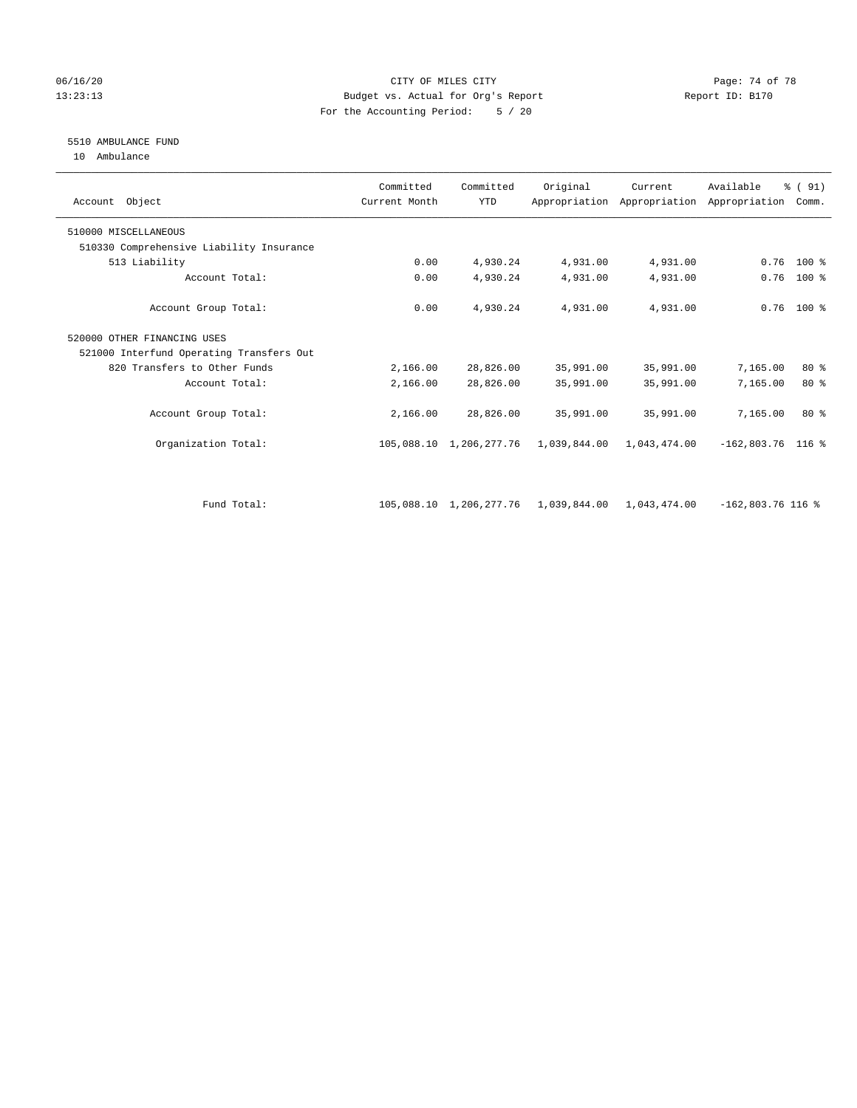### 06/16/20 Page: 74 of 78 13:23:13 Budget vs. Actual for Org's Report Report ID: B170 For the Accounting Period: 5 / 20

# 5510 AMBULANCE FUND

10 Ambulance

| Account Object                           | Committed<br>Current Month | Committed<br><b>YTD</b> | Original                  | Current      | Available<br>Appropriation Appropriation Appropriation | % (91)<br>Comm. |
|------------------------------------------|----------------------------|-------------------------|---------------------------|--------------|--------------------------------------------------------|-----------------|
| 510000 MISCELLANEOUS                     |                            |                         |                           |              |                                                        |                 |
| 510330 Comprehensive Liability Insurance |                            |                         |                           |              |                                                        |                 |
| 513 Liability                            | 0.00                       | 4,930.24                | 4,931.00                  | 4,931.00     | 0.76                                                   | $100*$          |
| Account Total:                           | 0.00                       | 4,930.24                | 4,931.00                  | 4,931.00     | 0.76                                                   | 100 %           |
| Account Group Total:                     | 0.00                       | 4,930.24                | 4,931.00                  | 4,931.00     |                                                        | $0.76$ 100 %    |
| 520000 OTHER FINANCING USES              |                            |                         |                           |              |                                                        |                 |
| 521000 Interfund Operating Transfers Out |                            |                         |                           |              |                                                        |                 |
| 820 Transfers to Other Funds             | 2,166.00                   | 28,826.00               | 35,991.00                 | 35,991.00    | 7,165.00                                               | $80*$           |
| Account Total:                           | 2,166.00                   | 28,826.00               | 35,991.00                 | 35,991.00    | 7,165.00                                               | $80*$           |
| Account Group Total:                     | 2,166.00                   | 28,826.00               | 35,991.00                 | 35,991.00    | 7,165.00                                               | $80*$           |
| Organization Total:                      |                            | 105,088.10 1,206,277.76 | 1,039,844.00              | 1,043,474.00 | $-162,803.76$ 116 %                                    |                 |
|                                          |                            |                         |                           |              |                                                        |                 |
| Fund Total:                              |                            | 105,088.10 1,206,277.76 | 1,039,844.00 1,043,474.00 |              | $-162,803.76$ 116 %                                    |                 |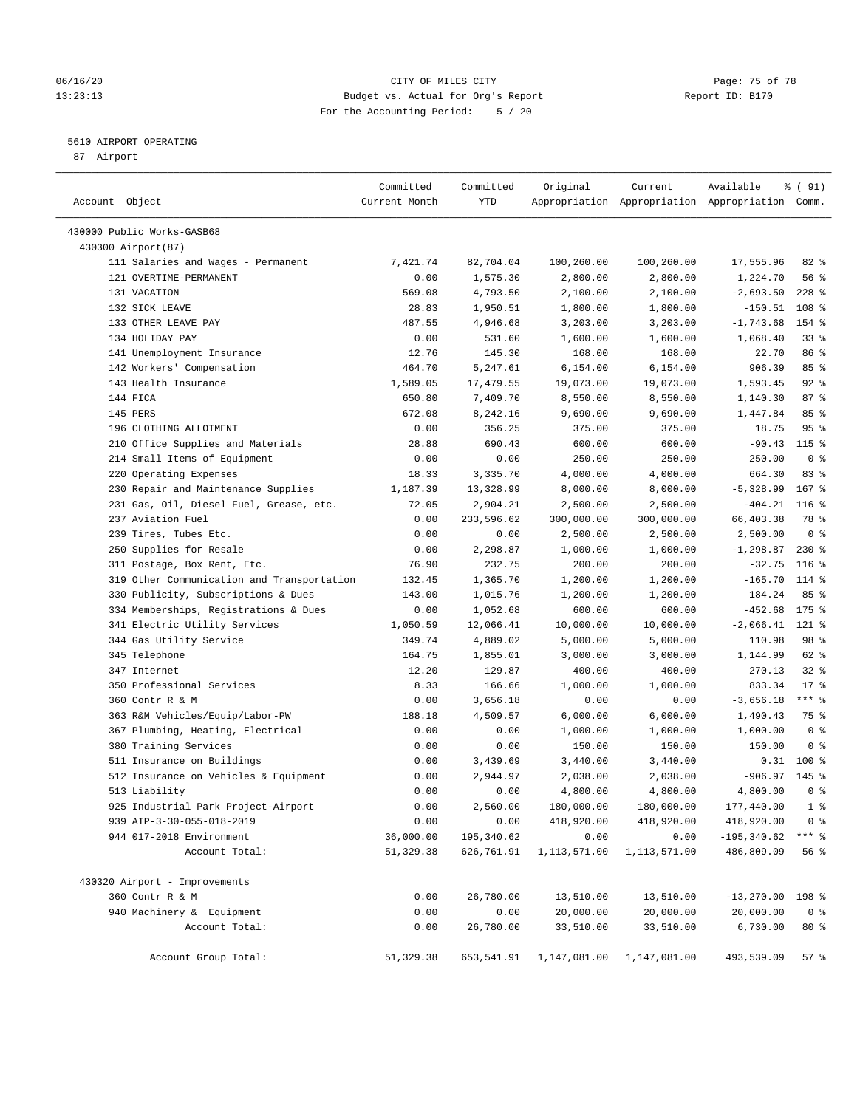### 06/16/20 Page: 75 of 78 13:23:13 Budget vs. Actual for Org's Report Changer Report ID: B170 For the Accounting Period: 5 / 20

————————————————————————————————————————————————————————————————————————————————————————————————————————————————————————————————————

## 5610 AIRPORT OPERATING

87 Airport

|                                            | Committed     | Committed  | Original                   | Current      | Available                                       | % ( 91)        |
|--------------------------------------------|---------------|------------|----------------------------|--------------|-------------------------------------------------|----------------|
| Account Object                             | Current Month | YTD        |                            |              | Appropriation Appropriation Appropriation Comm. |                |
| 430000 Public Works-GASB68                 |               |            |                            |              |                                                 |                |
| 430300 Airport (87)                        |               |            |                            |              |                                                 |                |
| 111 Salaries and Wages - Permanent         | 7,421.74      | 82,704.04  | 100,260.00                 | 100,260.00   | 17,555.96                                       | $82$ $%$       |
| 121 OVERTIME-PERMANENT                     | 0.00          | 1,575.30   | 2,800.00                   | 2,800.00     | 1,224.70                                        | 56%            |
| 131 VACATION                               | 569.08        | 4,793.50   | 2,100.00                   | 2,100.00     | $-2,693.50$                                     | $228$ %        |
| 132 SICK LEAVE                             | 28.83         | 1,950.51   | 1,800.00                   | 1,800.00     | $-150.51$                                       | 108 %          |
| 133 OTHER LEAVE PAY                        | 487.55        | 4,946.68   | 3,203.00                   | 3,203.00     | $-1,743.68$                                     | 154 %          |
| 134 HOLIDAY PAY                            | 0.00          | 531.60     | 1,600.00                   | 1,600.00     | 1,068.40                                        | $33$ $%$       |
| 141 Unemployment Insurance                 | 12.76         | 145.30     | 168.00                     | 168.00       | 22.70                                           | 86 %           |
| 142 Workers' Compensation                  | 464.70        | 5,247.61   | 6,154.00                   | 6,154.00     | 906.39                                          | 85%            |
| 143 Health Insurance                       | 1,589.05      | 17,479.55  | 19,073.00                  | 19,073.00    | 1,593.45                                        | $92$ $%$       |
| 144 FICA                                   | 650.80        | 7,409.70   | 8,550.00                   | 8,550.00     | 1,140.30                                        | 87%            |
| 145 PERS                                   | 672.08        | 8,242.16   | 9,690.00                   | 9,690.00     | 1,447.84                                        | 85%            |
| 196 CLOTHING ALLOTMENT                     | 0.00          | 356.25     | 375.00                     | 375.00       | 18.75                                           | 95%            |
| 210 Office Supplies and Materials          | 28.88         | 690.43     | 600.00                     | 600.00       | $-90.43$ 115 %                                  |                |
| 214 Small Items of Equipment               | 0.00          | 0.00       | 250.00                     | 250.00       | 250.00                                          | 0 <sup>8</sup> |
| 220 Operating Expenses                     | 18.33         | 3,335.70   | 4,000.00                   | 4,000.00     | 664.30                                          | 83%            |
| 230 Repair and Maintenance Supplies        | 1,187.39      | 13,328.99  | 8,000.00                   | 8,000.00     | $-5,328.99$                                     | $167$ %        |
| 231 Gas, Oil, Diesel Fuel, Grease, etc.    | 72.05         | 2,904.21   | 2,500.00                   | 2,500.00     | $-404.21$                                       | $116$ %        |
| 237 Aviation Fuel                          | 0.00          | 233,596.62 | 300,000.00                 | 300,000.00   | 66,403.38                                       | 78 %           |
| 239 Tires, Tubes Etc.                      | 0.00          | 0.00       | 2,500.00                   | 2,500.00     | 2,500.00                                        | 0 <sup>8</sup> |
| 250 Supplies for Resale                    | 0.00          | 2,298.87   | 1,000.00                   | 1,000.00     | $-1, 298.87$                                    | $230*$         |
| 311 Postage, Box Rent, Etc.                | 76.90         | 232.75     | 200.00                     | 200.00       | $-32.75$                                        | $116$ %        |
| 319 Other Communication and Transportation | 132.45        | 1,365.70   | 1,200.00                   | 1,200.00     | $-165.70$                                       | 114 %          |
| 330 Publicity, Subscriptions & Dues        | 143.00        | 1,015.76   | 1,200.00                   | 1,200.00     | 184.24                                          | 85%            |
| 334 Memberships, Registrations & Dues      | 0.00          | 1,052.68   | 600.00                     | 600.00       | $-452.68$                                       | $175$ %        |
| 341 Electric Utility Services              | 1,050.59      | 12,066.41  | 10,000.00                  | 10,000.00    | $-2,066.41$                                     | 121 %          |
| 344 Gas Utility Service                    | 349.74        | 4,889.02   | 5,000.00                   | 5,000.00     | 110.98                                          | 98 %           |
| 345 Telephone                              | 164.75        | 1,855.01   | 3,000.00                   | 3,000.00     | 1,144.99                                        | 62 %           |
| 347 Internet                               | 12.20         | 129.87     | 400.00                     | 400.00       | 270.13                                          | $32$ $%$       |
| 350 Professional Services                  | 8.33          | 166.66     | 1,000.00                   | 1,000.00     | 833.34                                          | $17*$          |
| 360 Contr R & M                            | 0.00          | 3,656.18   | 0.00                       | 0.00         | $-3,656.18$                                     | $***$ $-$      |
| 363 R&M Vehicles/Equip/Labor-PW            | 188.18        | 4,509.57   | 6,000.00                   | 6,000.00     | 1,490.43                                        | 75 %           |
| 367 Plumbing, Heating, Electrical          | 0.00          | 0.00       | 1,000.00                   | 1,000.00     | 1,000.00                                        | 0 <sup>8</sup> |
| 380 Training Services                      | 0.00          | 0.00       | 150.00                     | 150.00       | 150.00                                          | 0 <sup>8</sup> |
| 511 Insurance on Buildings                 | 0.00          | 3,439.69   | 3,440.00                   | 3,440.00     |                                                 | $0.31$ 100 %   |
| 512 Insurance on Vehicles & Equipment      | 0.00          | 2,944.97   | 2,038.00                   | 2,038.00     | $-906.97$                                       | $145$ %        |
| 513 Liability                              | 0.00          | 0.00       | 4,800.00                   | 4,800.00     | 4,800.00                                        | 0 <sup>8</sup> |
| 925 Industrial Park Project-Airport        | 0.00          | 2,560.00   | 180,000.00                 | 180,000.00   | 177,440.00                                      | $1$ %          |
| 939 AIP-3-30-055-018-2019                  | 0.00          | 0.00       | 418,920.00                 | 418,920.00   | 418,920.00                                      | 0 <sup>8</sup> |
| 944 017-2018 Environment                   | 36,000.00     | 195,340.62 | 0.00                       | 0.00         | $-195, 340.62$                                  | $***$ $_{8}$   |
| Account Total:                             | 51, 329.38    | 626,761.91 | 1,113,571.00               | 1,113,571.00 | 486,809.09                                      | 56%            |
| 430320 Airport - Improvements              |               |            |                            |              |                                                 |                |
| 360 Contr R & M                            | 0.00          | 26,780.00  | 13,510.00                  | 13,510.00    | $-13,270.00$ 198 %                              |                |
| 940 Machinery & Equipment                  | 0.00          | 0.00       | 20,000.00                  | 20,000.00    | 20,000.00                                       | 0 <sup>8</sup> |
| Account Total:                             | 0.00          | 26,780.00  | 33,510.00                  | 33,510.00    | 6,730.00                                        | $80*$          |
| Account Group Total:                       | 51,329.38     |            | 653, 541.91 1, 147, 081.00 | 1,147,081.00 | 493,539.09                                      | 57%            |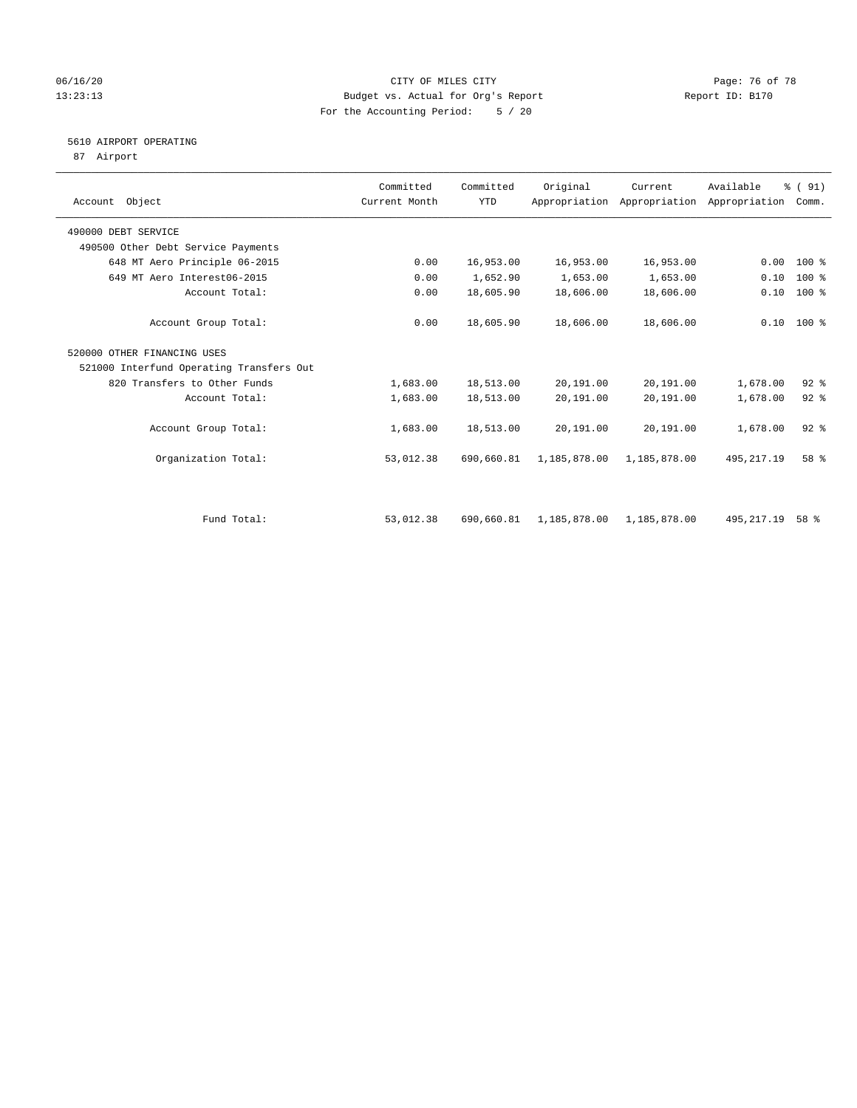### 06/16/20 Page: 76 of 78 13:23:13 Budget vs. Actual for Org's Report Changer Report ID: B170 For the Accounting Period: 5 / 20

# 5610 AIRPORT OPERATING

87 Airport

| Account Object                           | Committed<br>Current Month | Committed<br><b>YTD</b> | Original     | Current      | Available<br>Appropriation Appropriation Appropriation | % (91)<br>Comm. |  |
|------------------------------------------|----------------------------|-------------------------|--------------|--------------|--------------------------------------------------------|-----------------|--|
| 490000 DEBT SERVICE                      |                            |                         |              |              |                                                        |                 |  |
| 490500 Other Debt Service Payments       |                            |                         |              |              |                                                        |                 |  |
| 648 MT Aero Principle 06-2015            | 0.00                       | 16,953.00               | 16,953.00    | 16,953.00    | 0.00                                                   | $100*$          |  |
| 649 MT Aero Interest06-2015              | 0.00                       | 1,652.90                | 1,653.00     | 1,653.00     | 0.10                                                   | $100$ %         |  |
| Account Total:                           | 0.00                       | 18,605.90               | 18,606.00    | 18,606.00    | 0.10                                                   | $100*$          |  |
| Account Group Total:                     | 0.00                       | 18,605.90               | 18,606.00    | 18,606.00    |                                                        | $0.10$ 100 %    |  |
| 520000 OTHER FINANCING USES              |                            |                         |              |              |                                                        |                 |  |
| 521000 Interfund Operating Transfers Out |                            |                         |              |              |                                                        |                 |  |
| 820 Transfers to Other Funds             | 1,683.00                   | 18,513.00               | 20,191.00    | 20,191.00    | 1,678.00                                               | $92$ $%$        |  |
| Account Total:                           | 1,683.00                   | 18,513.00               | 20,191.00    | 20,191.00    | 1,678.00                                               | $92$ $%$        |  |
| Account Group Total:                     | 1,683.00                   | 18,513.00               | 20,191.00    | 20,191.00    | 1,678.00                                               | $92$ $%$        |  |
| Organization Total:                      | 53,012.38                  | 690,660.81              | 1,185,878.00 | 1,185,878.00 | 495, 217.19                                            | 58 %            |  |
| Fund Total:                              | 53,012.38                  | 690,660.81              | 1,185,878.00 | 1,185,878.00 | 495, 217.19                                            | $58*$           |  |
|                                          |                            |                         |              |              |                                                        |                 |  |